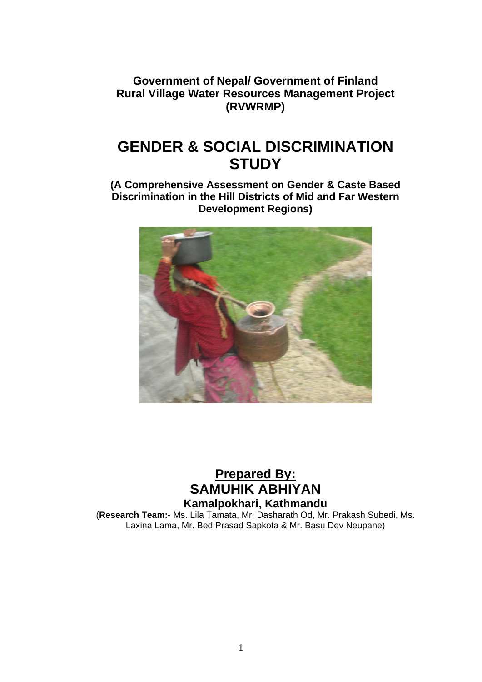**Government of Nepal/ Government of Finland Rural Village Water Resources Management Project (RVWRMP)** 

# **GENDER & SOCIAL DISCRIMINATION STUDY**

**(A Comprehensive Assessment on Gender & Caste Based Discrimination in the Hill Districts of Mid and Far Western Development Regions)** 



## **Prepared By: SAMUHIK ABHIYAN Kamalpokhari, Kathmandu**

(**Research Team:-** Ms. Lila Tamata, Mr. Dasharath Od, Mr. Prakash Subedi, Ms. Laxina Lama, Mr. Bed Prasad Sapkota & Mr. Basu Dev Neupane)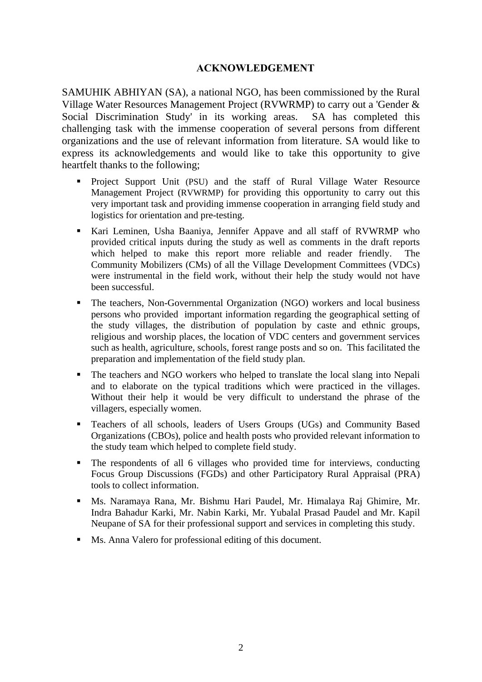## **ACKNOWLEDGEMENT**

SAMUHIK ABHIYAN (SA), a national NGO, has been commissioned by the Rural Village Water Resources Management Project (RVWRMP) to carry out a 'Gender & Social Discrimination Study' in its working areas. SA has completed this challenging task with the immense cooperation of several persons from different organizations and the use of relevant information from literature. SA would like to express its acknowledgements and would like to take this opportunity to give heartfelt thanks to the following;

- Project Support Unit (PSU) and the staff of Rural Village Water Resource Management Project (RVWRMP) for providing this opportunity to carry out this very important task and providing immense cooperation in arranging field study and logistics for orientation and pre-testing.
- Kari Leminen, Usha Baaniya, Jennifer Appave and all staff of RVWRMP who provided critical inputs during the study as well as comments in the draft reports which helped to make this report more reliable and reader friendly. The Community Mobilizers (CMs) of all the Village Development Committees (VDCs) were instrumental in the field work, without their help the study would not have been successful.
- The teachers, Non-Governmental Organization (NGO) workers and local business persons who provided important information regarding the geographical setting of the study villages, the distribution of population by caste and ethnic groups, religious and worship places, the location of VDC centers and government services such as health, agriculture, schools, forest range posts and so on. This facilitated the preparation and implementation of the field study plan.
- The teachers and NGO workers who helped to translate the local slang into Nepali and to elaborate on the typical traditions which were practiced in the villages. Without their help it would be very difficult to understand the phrase of the villagers, especially women.
- **Teachers of all schools, leaders of Users Groups (UGs) and Community Based** Organizations (CBOs), police and health posts who provided relevant information to the study team which helped to complete field study.
- The respondents of all 6 villages who provided time for interviews, conducting Focus Group Discussions (FGDs) and other Participatory Rural Appraisal (PRA) tools to collect information.
- Ms. Naramaya Rana, Mr. Bishmu Hari Paudel, Mr. Himalaya Raj Ghimire, Mr. Indra Bahadur Karki, Mr. Nabin Karki, Mr. Yubalal Prasad Paudel and Mr. Kapil Neupane of SA for their professional support and services in completing this study.
- Ms. Anna Valero for professional editing of this document.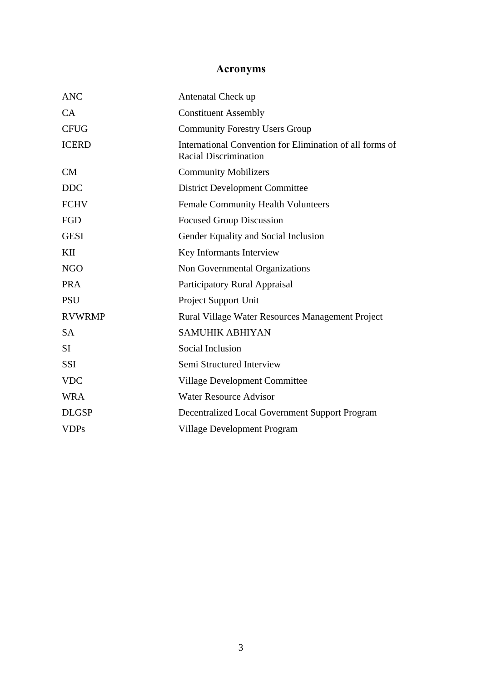# **Acronyms**

| <b>ANC</b>    | Antenatal Check up                                                                       |
|---------------|------------------------------------------------------------------------------------------|
| CA            | <b>Constituent Assembly</b>                                                              |
| <b>CFUG</b>   | <b>Community Forestry Users Group</b>                                                    |
| <b>ICERD</b>  | International Convention for Elimination of all forms of<br><b>Racial Discrimination</b> |
| CM            | <b>Community Mobilizers</b>                                                              |
| <b>DDC</b>    | <b>District Development Committee</b>                                                    |
| <b>FCHV</b>   | <b>Female Community Health Volunteers</b>                                                |
| FGD           | <b>Focused Group Discussion</b>                                                          |
| <b>GESI</b>   | Gender Equality and Social Inclusion                                                     |
| KII           | Key Informants Interview                                                                 |
| <b>NGO</b>    | Non Governmental Organizations                                                           |
| <b>PRA</b>    | Participatory Rural Appraisal                                                            |
| <b>PSU</b>    | Project Support Unit                                                                     |
| <b>RVWRMP</b> | Rural Village Water Resources Management Project                                         |
| <b>SA</b>     | <b>SAMUHIK ABHIYAN</b>                                                                   |
| <b>SI</b>     | Social Inclusion                                                                         |
| <b>SSI</b>    | Semi Structured Interview                                                                |
| <b>VDC</b>    | <b>Village Development Committee</b>                                                     |
| <b>WRA</b>    | <b>Water Resource Advisor</b>                                                            |
| <b>DLGSP</b>  | Decentralized Local Government Support Program                                           |
| <b>VDPs</b>   | Village Development Program                                                              |
|               |                                                                                          |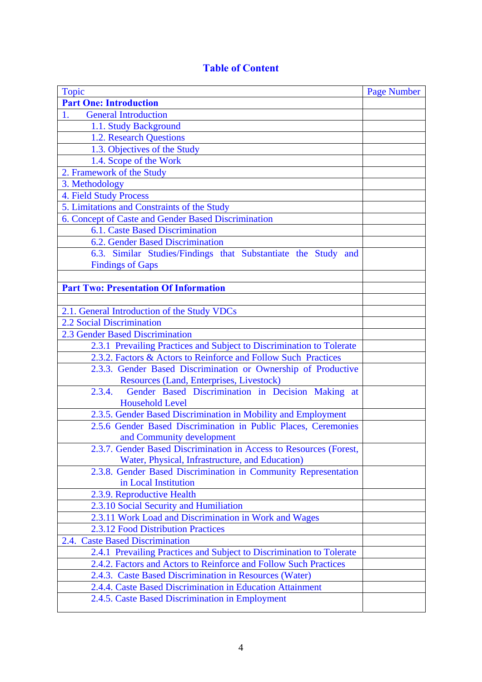## **Table of Content**

| <b>Topic</b>                                                         | <b>Page Number</b> |
|----------------------------------------------------------------------|--------------------|
| <b>Part One: Introduction</b>                                        |                    |
| <b>General Introduction</b><br>1.                                    |                    |
| 1.1. Study Background                                                |                    |
| 1.2. Research Questions                                              |                    |
| 1.3. Objectives of the Study                                         |                    |
| 1.4. Scope of the Work                                               |                    |
| 2. Framework of the Study                                            |                    |
| 3. Methodology                                                       |                    |
| <b>4. Field Study Process</b>                                        |                    |
| 5. Limitations and Constraints of the Study                          |                    |
| 6. Concept of Caste and Gender Based Discrimination                  |                    |
| 6.1. Caste Based Discrimination                                      |                    |
| 6.2. Gender Based Discrimination                                     |                    |
| 6.3. Similar Studies/Findings that Substantiate the Study and        |                    |
| <b>Findings of Gaps</b>                                              |                    |
|                                                                      |                    |
| <b>Part Two: Presentation Of Information</b>                         |                    |
|                                                                      |                    |
| 2.1. General Introduction of the Study VDCs                          |                    |
| 2.2 Social Discrimination                                            |                    |
| 2.3 Gender Based Discrimination                                      |                    |
| 2.3.1 Prevailing Practices and Subject to Discrimination to Tolerate |                    |
| 2.3.2. Factors & Actors to Reinforce and Follow Such Practices       |                    |
| 2.3.3. Gender Based Discrimination or Ownership of Productive        |                    |
| Resources (Land, Enterprises, Livestock)                             |                    |
| Gender Based Discrimination in Decision Making at<br>2.3.4.          |                    |
| <b>Household Level</b>                                               |                    |
| 2.3.5. Gender Based Discrimination in Mobility and Employment        |                    |
| 2.5.6 Gender Based Discrimination in Public Places, Ceremonies       |                    |
| and Community development                                            |                    |
| 2.3.7. Gender Based Discrimination in Access to Resources (Forest,   |                    |
| Water, Physical, Infrastructure, and Education)                      |                    |
| 2.3.8. Gender Based Discrimination in Community Representation       |                    |
| in Local Institution                                                 |                    |
| 2.3.9. Reproductive Health                                           |                    |
| 2.3.10 Social Security and Humiliation                               |                    |
| 2.3.11 Work Load and Discrimination in Work and Wages                |                    |
| 2.3.12 Food Distribution Practices                                   |                    |
| 2.4. Caste Based Discrimination                                      |                    |
| 2.4.1 Prevailing Practices and Subject to Discrimination to Tolerate |                    |
| 2.4.2. Factors and Actors to Reinforce and Follow Such Practices     |                    |
| 2.4.3. Caste Based Discrimination in Resources (Water)               |                    |
| 2.4.4. Caste Based Discrimination in Education Attainment            |                    |
| 2.4.5. Caste Based Discrimination in Employment                      |                    |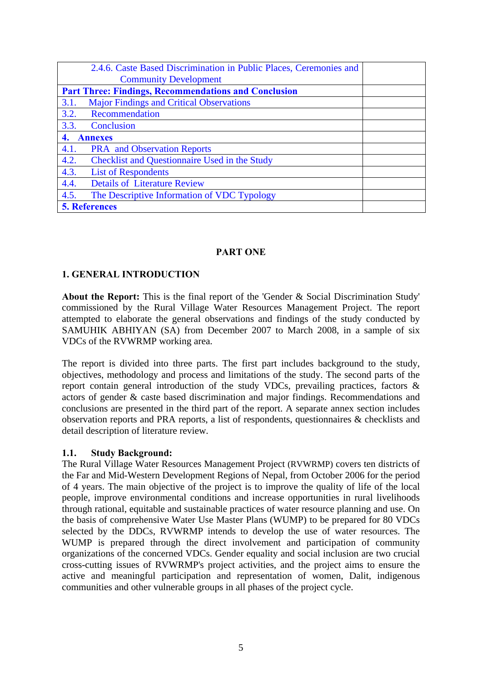| 2.4.6. Caste Based Discrimination in Public Places, Ceremonies and |  |
|--------------------------------------------------------------------|--|
| <b>Community Development</b>                                       |  |
| <b>Part Three: Findings, Recommendations and Conclusion</b>        |  |
| <b>Major Findings and Critical Observations</b><br>3.1.            |  |
| 3.2.<br>Recommendation                                             |  |
| 3.3.<br>Conclusion                                                 |  |
| <b>Annexes</b><br>$\overline{4}$ .                                 |  |
| 4.1.<br><b>PRA</b> and Observation Reports                         |  |
| 4.2.<br><b>Checklist and Questionnaire Used in the Study</b>       |  |
| 4.3.<br><b>List of Respondents</b>                                 |  |
| 4.4.<br><b>Details of Literature Review</b>                        |  |
| 4.5.<br>The Descriptive Information of VDC Typology                |  |
| <b>5. References</b>                                               |  |

#### **PART ONE**

## **1. GENERAL INTRODUCTION**

**About the Report:** This is the final report of the 'Gender & Social Discrimination Study' commissioned by the Rural Village Water Resources Management Project. The report attempted to elaborate the general observations and findings of the study conducted by SAMUHIK ABHIYAN (SA) from December 2007 to March 2008, in a sample of six VDCs of the RVWRMP working area.

The report is divided into three parts. The first part includes background to the study, objectives, methodology and process and limitations of the study. The second parts of the report contain general introduction of the study VDCs, prevailing practices, factors & actors of gender & caste based discrimination and major findings. Recommendations and conclusions are presented in the third part of the report. A separate annex section includes observation reports and PRA reports, a list of respondents, questionnaires & checklists and detail description of literature review.

#### **1.1. Study Background:**

The Rural Village Water Resources Management Project (RVWRMP) covers ten districts of the Far and Mid-Western Development Regions of Nepal, from October 2006 for the period of 4 years. The main objective of the project is to improve the quality of life of the local people, improve environmental conditions and increase opportunities in rural livelihoods through rational, equitable and sustainable practices of water resource planning and use. On the basis of comprehensive Water Use Master Plans (WUMP) to be prepared for 80 VDCs selected by the DDCs, RVWRMP intends to develop the use of water resources. The WUMP is prepared through the direct involvement and participation of community organizations of the concerned VDCs. Gender equality and social inclusion are two crucial cross-cutting issues of RVWRMP's project activities, and the project aims to ensure the active and meaningful participation and representation of women, Dalit, indigenous communities and other vulnerable groups in all phases of the project cycle.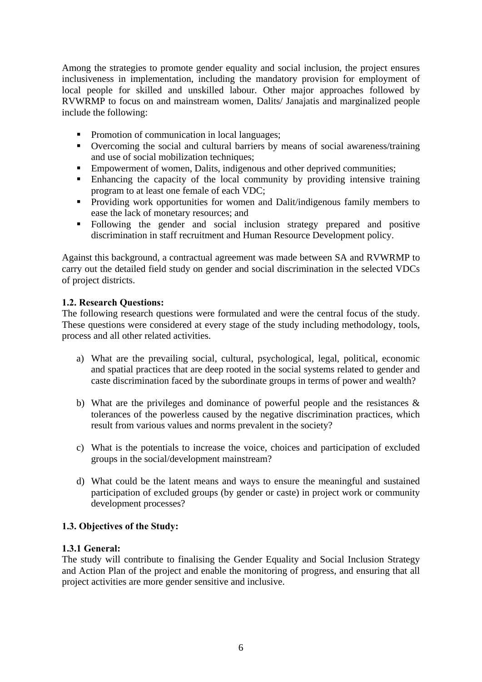Among the strategies to promote gender equality and social inclusion, the project ensures inclusiveness in implementation, including the mandatory provision for employment of local people for skilled and unskilled labour. Other major approaches followed by RVWRMP to focus on and mainstream women, Dalits/ Janajatis and marginalized people include the following:

- Promotion of communication in local languages;
- Overcoming the social and cultural barriers by means of social awareness/training and use of social mobilization techniques;
- **Empowerment of women, Dalits, indigenous and other deprived communities;**
- Enhancing the capacity of the local community by providing intensive training program to at least one female of each VDC;
- **Providing work opportunities for women and Dalit/indigenous family members to** ease the lack of monetary resources; and
- Following the gender and social inclusion strategy prepared and positive discrimination in staff recruitment and Human Resource Development policy.

Against this background, a contractual agreement was made between SA and RVWRMP to carry out the detailed field study on gender and social discrimination in the selected VDCs of project districts.

## **1.2. Research Questions:**

The following research questions were formulated and were the central focus of the study. These questions were considered at every stage of the study including methodology, tools, process and all other related activities.

- a) What are the prevailing social, cultural, psychological, legal, political, economic and spatial practices that are deep rooted in the social systems related to gender and caste discrimination faced by the subordinate groups in terms of power and wealth?
- b) What are the privileges and dominance of powerful people and the resistances  $\&$ tolerances of the powerless caused by the negative discrimination practices, which result from various values and norms prevalent in the society?
- c) What is the potentials to increase the voice, choices and participation of excluded groups in the social/development mainstream?
- d) What could be the latent means and ways to ensure the meaningful and sustained participation of excluded groups (by gender or caste) in project work or community development processes?

## **1.3. Objectives of the Study:**

## **1.3.1 General:**

The study will contribute to finalising the Gender Equality and Social Inclusion Strategy and Action Plan of the project and enable the monitoring of progress, and ensuring that all project activities are more gender sensitive and inclusive.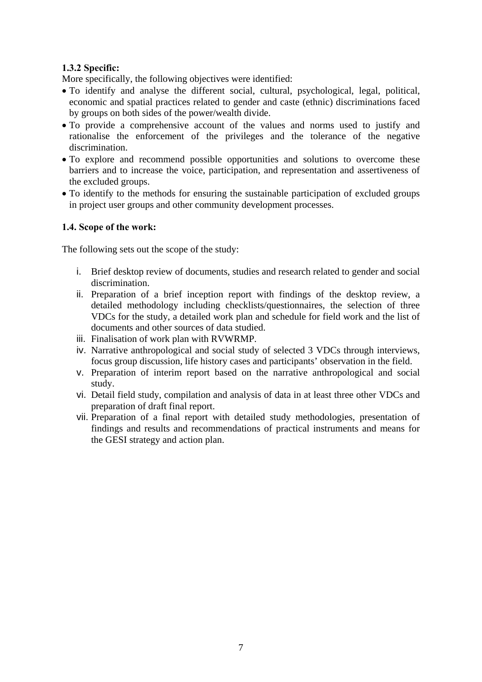## **1.3.2 Specific:**

More specifically, the following objectives were identified:

- To identify and analyse the different social, cultural, psychological, legal, political, economic and spatial practices related to gender and caste (ethnic) discriminations faced by groups on both sides of the power/wealth divide.
- To provide a comprehensive account of the values and norms used to justify and rationalise the enforcement of the privileges and the tolerance of the negative discrimination.
- To explore and recommend possible opportunities and solutions to overcome these barriers and to increase the voice, participation, and representation and assertiveness of the excluded groups.
- To identify to the methods for ensuring the sustainable participation of excluded groups in project user groups and other community development processes.

#### **1.4. Scope of the work:**

The following sets out the scope of the study:

- i. Brief desktop review of documents, studies and research related to gender and social discrimination.
- ii. Preparation of a brief inception report with findings of the desktop review, a detailed methodology including checklists/questionnaires, the selection of three VDCs for the study, a detailed work plan and schedule for field work and the list of documents and other sources of data studied.
- iii. Finalisation of work plan with RVWRMP.
- iv. Narrative anthropological and social study of selected 3 VDCs through interviews, focus group discussion, life history cases and participants' observation in the field.
- v. Preparation of interim report based on the narrative anthropological and social study.
- vi. Detail field study, compilation and analysis of data in at least three other VDCs and preparation of draft final report.
- vii. Preparation of a final report with detailed study methodologies, presentation of findings and results and recommendations of practical instruments and means for the GESI strategy and action plan.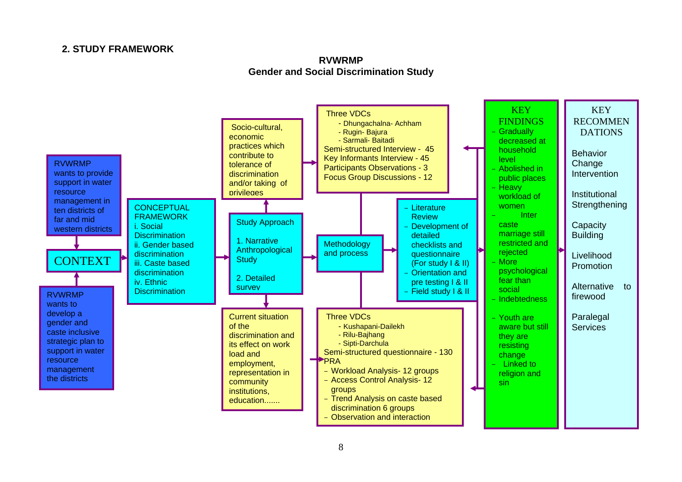## **2. STUDY FRAMEWORK**



## **RVWRMP Gender and Social Discrimination Study**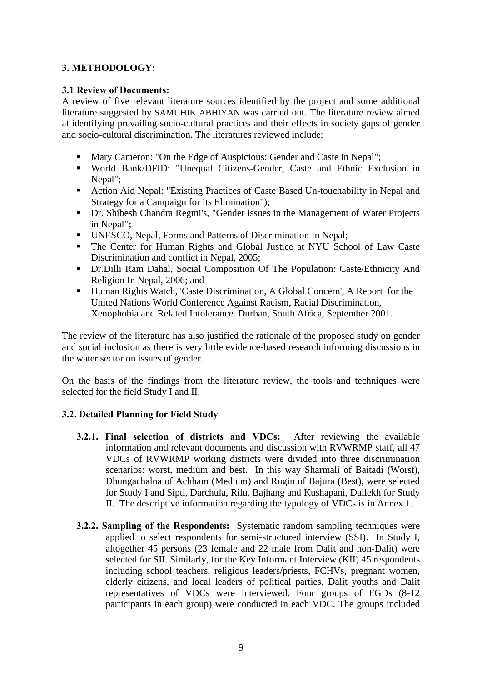## **3. METHODOLOGY:**

## **3.1 Review of Documents:**

A review of five relevant literature sources identified by the project and some additional literature suggested by SAMUHIK ABHIYAN was carried out. The literature review aimed at identifying prevailing socio-cultural practices and their effects in society gaps of gender and socio-cultural discrimination. The literatures reviewed include:

- Mary Cameron: "On the Edge of Auspicious: Gender and Caste in Nepal";
- World Bank/DFID: "Unequal Citizens-Gender, Caste and Ethnic Exclusion in Nepal";
- Action Aid Nepal: "Existing Practices of Caste Based Un-touchability in Nepal and Strategy for a Campaign for its Elimination");
- Dr. Shibesh Chandra Regmi's, "Gender issues in the Management of Water Projects in Nepal"**;**
- UNESCO, Nepal, Forms and Patterns of Discrimination In Nepal;
- The Center for Human Rights and Global Justice at NYU School of Law Caste Discrimination and conflict in Nepal, 2005;
- Dr.Dilli Ram Dahal, Social Composition Of The Population: Caste/Ethnicity And Religion In Nepal, 2006; and
- Human Rights Watch, 'Caste Discrimination, A Global Concern', A Report for the United Nations World Conference Against Racism, Racial Discrimination, Xenophobia and Related Intolerance. Durban, South Africa, September 2001.

The review of the literature has also justified the rationale of the proposed study on gender and social inclusion as there is very little evidence-based research informing discussions in the water sector on issues of gender.

On the basis of the findings from the literature review, the tools and techniques were selected for the field Study I and II.

## **3.2. Detailed Planning for Field Study**

- **3.2.1. Final selection of districts and VDCs:** After reviewing the available information and relevant documents and discussion with RVWRMP staff, all 47 VDCs of RVWRMP working districts were divided into three discrimination scenarios: worst, medium and best. In this way Sharmali of Baitadi (Worst), Dhungachalna of Achham (Medium) and Rugin of Bajura (Best), were selected for Study I and Sipti, Darchula, Rilu, Bajhang and Kushapani, Dailekh for Study II. The descriptive information regarding the typology of VDCs is in Annex 1.
- **3.2.2. Sampling of the Respondents:** Systematic random sampling techniques were applied to select respondents for semi-structured interview (SSI). In Study I, altogether 45 persons (23 female and 22 male from Dalit and non-Dalit) were selected for SII. Similarly, for the Key Informant Interview (KII) 45 respondents including school teachers, religious leaders/priests, FCHVs, pregnant women, elderly citizens, and local leaders of political parties, Dalit youths and Dalit representatives of VDCs were interviewed. Four groups of FGDs (8-12 participants in each group) were conducted in each VDC. The groups included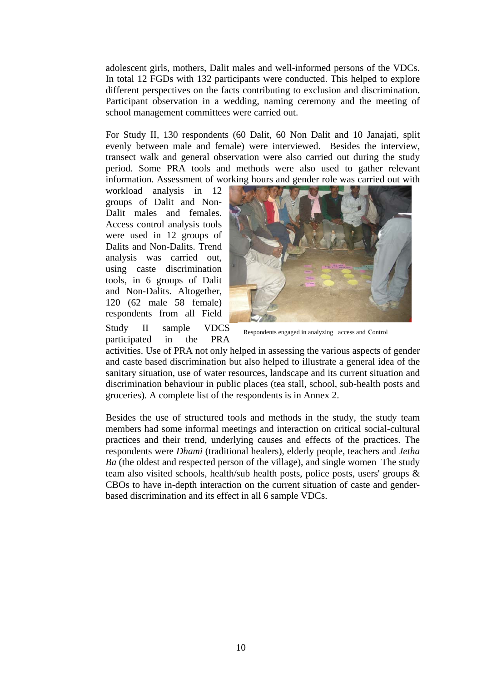adolescent girls, mothers, Dalit males and well-informed persons of the VDCs. In total 12 FGDs with 132 participants were conducted. This helped to explore different perspectives on the facts contributing to exclusion and discrimination. Participant observation in a wedding, naming ceremony and the meeting of school management committees were carried out.

For Study II, 130 respondents (60 Dalit, 60 Non Dalit and 10 Janajati, split evenly between male and female) were interviewed. Besides the interview, transect walk and general observation were also carried out during the study period. Some PRA tools and methods were also used to gather relevant information. Assessment of working hours and gender role was carried out with

workload analysis in 12 groups of Dalit and Non-Dalit males and females. Access control analysis tools were used in 12 groups of Dalits and Non-Dalits. Trend analysis was carried out, using caste discrimination tools, in 6 groups of Dalit and Non-Dalits. Altogether, 120 (62 male 58 female) respondents from all Field

Study II sample VDCS participated in the PRA



Respondents engaged in analyzing access and control

activities. Use of PRA not only helped in assessing the various aspects of gender and caste based discrimination but also helped to illustrate a general idea of the sanitary situation, use of water resources, landscape and its current situation and discrimination behaviour in public places (tea stall, school, sub-health posts and groceries). A complete list of the respondents is in Annex 2.

Besides the use of structured tools and methods in the study, the study team members had some informal meetings and interaction on critical social-cultural practices and their trend, underlying causes and effects of the practices. The respondents were *Dhami* (traditional healers), elderly people, teachers and *Jetha Ba* (the oldest and respected person of the village), and single women The study team also visited schools, health/sub health posts, police posts, users' groups & CBOs to have in-depth interaction on the current situation of caste and genderbased discrimination and its effect in all 6 sample VDCs.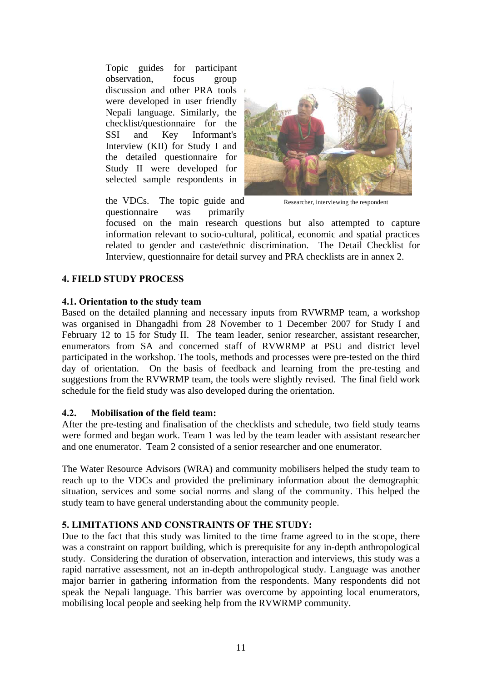Topic guides for participant observation, focus group discussion and other PRA tools were developed in user friendly Nepali language. Similarly, the checklist/questionnaire for the SSI and Key Informant's Interview (KII) for Study I and the detailed questionnaire for Study II were developed for selected sample respondents in



the VDCs. The topic guide and questionnaire was primarily

Researcher, interviewing the respondent

focused on the main research questions but also attempted to capture information relevant to socio-cultural, political, economic and spatial practices related to gender and caste/ethnic discrimination. The Detail Checklist for Interview, questionnaire for detail survey and PRA checklists are in annex 2.

## **4. FIELD STUDY PROCESS**

## **4.1. Orientation to the study team**

Based on the detailed planning and necessary inputs from RVWRMP team, a workshop was organised in Dhangadhi from 28 November to 1 December 2007 for Study I and February 12 to 15 for Study II. The team leader, senior researcher, assistant researcher, enumerators from SA and concerned staff of RVWRMP at PSU and district level participated in the workshop. The tools, methods and processes were pre-tested on the third day of orientation. On the basis of feedback and learning from the pre-testing and suggestions from the RVWRMP team, the tools were slightly revised. The final field work schedule for the field study was also developed during the orientation.

## **4.2. Mobilisation of the field team:**

After the pre-testing and finalisation of the checklists and schedule, two field study teams were formed and began work. Team 1 was led by the team leader with assistant researcher and one enumerator. Team 2 consisted of a senior researcher and one enumerator.

The Water Resource Advisors (WRA) and community mobilisers helped the study team to reach up to the VDCs and provided the preliminary information about the demographic situation, services and some social norms and slang of the community. This helped the study team to have general understanding about the community people.

## **5. LIMITATIONS AND CONSTRAINTS OF THE STUDY:**

Due to the fact that this study was limited to the time frame agreed to in the scope, there was a constraint on rapport building, which is prerequisite for any in-depth anthropological study. Considering the duration of observation, interaction and interviews, this study was a rapid narrative assessment, not an in-depth anthropological study. Language was another major barrier in gathering information from the respondents. Many respondents did not speak the Nepali language. This barrier was overcome by appointing local enumerators, mobilising local people and seeking help from the RVWRMP community.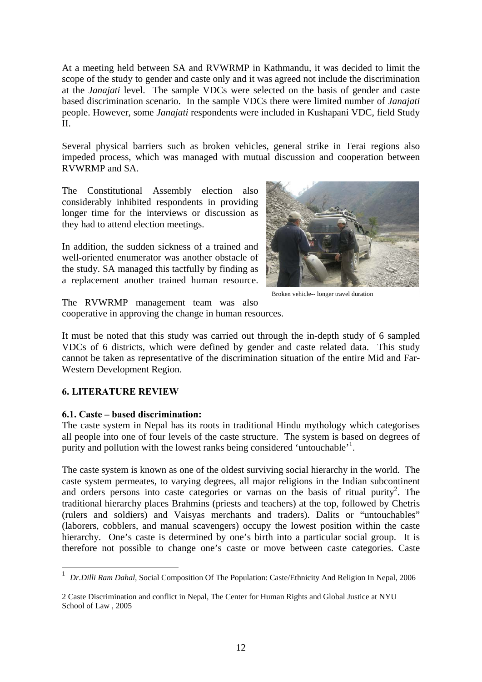At a meeting held between SA and RVWRMP in Kathmandu, it was decided to limit the scope of the study to gender and caste only and it was agreed not include the discrimination at the *Janajati* level. The sample VDCs were selected on the basis of gender and caste based discrimination scenario. In the sample VDCs there were limited number of *Janajati* people. However, some *Janajati* respondents were included in Kushapani VDC, field Study II.

Several physical barriers such as broken vehicles, general strike in Terai regions also impeded process, which was managed with mutual discussion and cooperation between RVWRMP and SA.

The Constitutional Assembly election also considerably inhibited respondents in providing longer time for the interviews or discussion as they had to attend election meetings.

In addition, the sudden sickness of a trained and well-oriented enumerator was another obstacle of the study. SA managed this tactfully by finding as a replacement another trained human resource.



Broken vehicle-- longer travel duration

The RVWRMP management team was also cooperative in approving the change in human resources.

It must be noted that this study was carried out through the in-depth study of 6 sampled VDCs of 6 districts, which were defined by gender and caste related data. This study cannot be taken as representative of the discrimination situation of the entire Mid and Far-Western Development Region.

#### **6. LITERATURE REVIEW**

#### **6.1. Caste – based discrimination:**

The caste system in Nepal has its roots in traditional Hindu mythology which categorises all people into one of four levels of the caste structure. The system is based on degrees of purity and pollution with the lowest ranks being considered 'untouchable'<sup>1</sup>.

The caste system is known as one of the oldest surviving social hierarchy in the world. The caste system permeates, to varying degrees, all major religions in the Indian subcontinent and orders persons into caste categories or varnas on the basis of ritual purity<sup>2</sup>. The traditional hierarchy places Brahmins (priests and teachers) at the top, followed by Chetris (rulers and soldiers) and Vaisyas merchants and traders). Dalits or "untouchables" (laborers, cobblers, and manual scavengers) occupy the lowest position within the caste hierarchy. One's caste is determined by one's birth into a particular social group. It is therefore not possible to change one's caste or move between caste categories. Caste

 1 *Dr.Dilli Ram Dahal,* Social Composition Of The Population: Caste/Ethnicity And Religion In Nepal, 2006

<sup>2</sup> Caste Discrimination and conflict in Nepal, The Center for Human Rights and Global Justice at NYU School of Law , 2005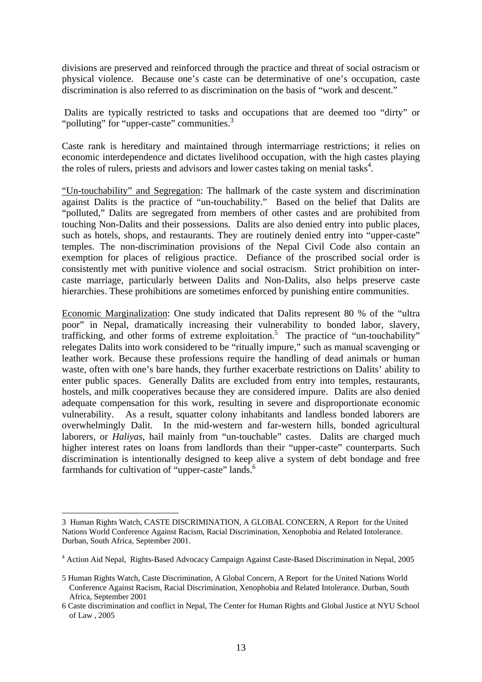divisions are preserved and reinforced through the practice and threat of social ostracism or physical violence. Because one's caste can be determinative of one's occupation, caste discrimination is also referred to as discrimination on the basis of "work and descent."

 Dalits are typically restricted to tasks and occupations that are deemed too "dirty" or "polluting" for "upper-caste" communities.<sup>3</sup>

Caste rank is hereditary and maintained through intermarriage restrictions; it relies on economic interdependence and dictates livelihood occupation, with the high castes playing the roles of rulers, priests and advisors and lower castes taking on menial tasks<sup>4</sup>.

"Un-touchability" and Segregation: The hallmark of the caste system and discrimination against Dalits is the practice of "un-touchability." Based on the belief that Dalits are "polluted," Dalits are segregated from members of other castes and are prohibited from touching Non-Dalits and their possessions. Dalits are also denied entry into public places, such as hotels, shops, and restaurants. They are routinely denied entry into "upper-caste" temples. The non-discrimination provisions of the Nepal Civil Code also contain an exemption for places of religious practice. Defiance of the proscribed social order is consistently met with punitive violence and social ostracism. Strict prohibition on intercaste marriage, particularly between Dalits and Non-Dalits, also helps preserve caste hierarchies. These prohibitions are sometimes enforced by punishing entire communities.

Economic Marginalization: One study indicated that Dalits represent 80 % of the "ultra poor" in Nepal, dramatically increasing their vulnerability to bonded labor, slavery, trafficking, and other forms of extreme exploitation.<sup>5</sup> The practice of "un-touchability" relegates Dalits into work considered to be "ritually impure," such as manual scavenging or leather work. Because these professions require the handling of dead animals or human waste, often with one's bare hands, they further exacerbate restrictions on Dalits' ability to enter public spaces. Generally Dalits are excluded from entry into temples, restaurants, hostels, and milk cooperatives because they are considered impure. Dalits are also denied adequate compensation for this work, resulting in severe and disproportionate economic vulnerability. As a result, squatter colony inhabitants and landless bonded laborers are overwhelmingly Dalit. In the mid-western and far-western hills, bonded agricultural laborers, or *Haliyas*, hail mainly from "un-touchable" castes. Dalits are charged much higher interest rates on loans from landlords than their "upper-caste" counterparts. Such discrimination is intentionally designed to keep alive a system of debt bondage and free farmhands for cultivation of "upper-caste" lands.<sup>6</sup>

<u>.</u>

<sup>3</sup> Human Rights Watch, CASTE DISCRIMINATION, A GLOBAL CONCERN, A Report for the United Nations World Conference Against Racism, Racial Discrimination, Xenophobia and Related Intolerance. Durban, South Africa, September 2001.

<sup>&</sup>lt;sup>4</sup> Action Aid Nepal, Rights-Based Advocacy Campaign Against Caste-Based Discrimination in Nepal, 2005

<sup>5</sup> Human Rights Watch, Caste Discrimination, A Global Concern, A Report for the United Nations World Conference Against Racism, Racial Discrimination, Xenophobia and Related Intolerance. Durban, South Africa, September 2001

<sup>6</sup> Caste discrimination and conflict in Nepal, The Center for Human Rights and Global Justice at NYU School of Law , 2005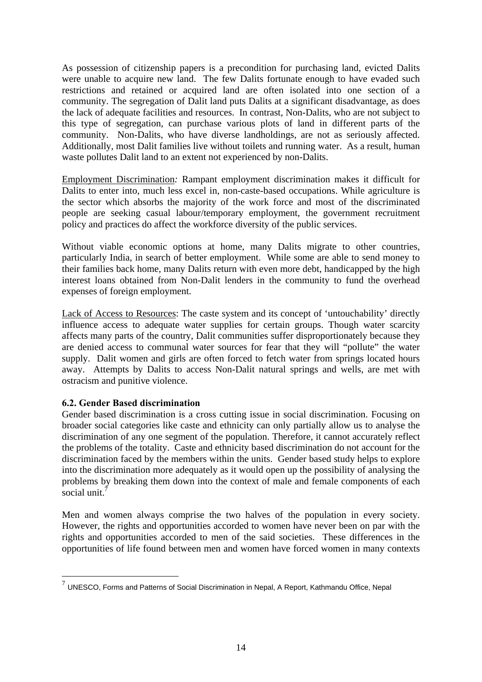As possession of citizenship papers is a precondition for purchasing land, evicted Dalits were unable to acquire new land. The few Dalits fortunate enough to have evaded such restrictions and retained or acquired land are often isolated into one section of a community. The segregation of Dalit land puts Dalits at a significant disadvantage, as does the lack of adequate facilities and resources. In contrast, Non-Dalits, who are not subject to this type of segregation, can purchase various plots of land in different parts of the community. Non-Dalits, who have diverse landholdings, are not as seriously affected. Additionally, most Dalit families live without toilets and running water. As a result, human waste pollutes Dalit land to an extent not experienced by non-Dalits.

Employment Discrimination*:* Rampant employment discrimination makes it difficult for Dalits to enter into, much less excel in, non-caste-based occupations. While agriculture is the sector which absorbs the majority of the work force and most of the discriminated people are seeking casual labour/temporary employment, the government recruitment policy and practices do affect the workforce diversity of the public services.

Without viable economic options at home, many Dalits migrate to other countries, particularly India, in search of better employment. While some are able to send money to their families back home, many Dalits return with even more debt, handicapped by the high interest loans obtained from Non-Dalit lenders in the community to fund the overhead expenses of foreign employment.

Lack of Access to Resources: The caste system and its concept of 'untouchability' directly influence access to adequate water supplies for certain groups. Though water scarcity affects many parts of the country, Dalit communities suffer disproportionately because they are denied access to communal water sources for fear that they will "pollute" the water supply. Dalit women and girls are often forced to fetch water from springs located hours away. Attempts by Dalits to access Non-Dalit natural springs and wells, are met with ostracism and punitive violence.

## **6.2. Gender Based discrimination**

1

Gender based discrimination is a cross cutting issue in social discrimination. Focusing on broader social categories like caste and ethnicity can only partially allow us to analyse the discrimination of any one segment of the population. Therefore, it cannot accurately reflect the problems of the totality. Caste and ethnicity based discrimination do not account for the discrimination faced by the members within the units. Gender based study helps to explore into the discrimination more adequately as it would open up the possibility of analysing the problems by breaking them down into the context of male and female components of each social unit. $^7$ 

Men and women always comprise the two halves of the population in every society. However, the rights and opportunities accorded to women have never been on par with the rights and opportunities accorded to men of the said societies. These differences in the opportunities of life found between men and women have forced women in many contexts

 $7$  UNESCO, Forms and Patterns of Social Discrimination in Nepal, A Report, Kathmandu Office, Nepal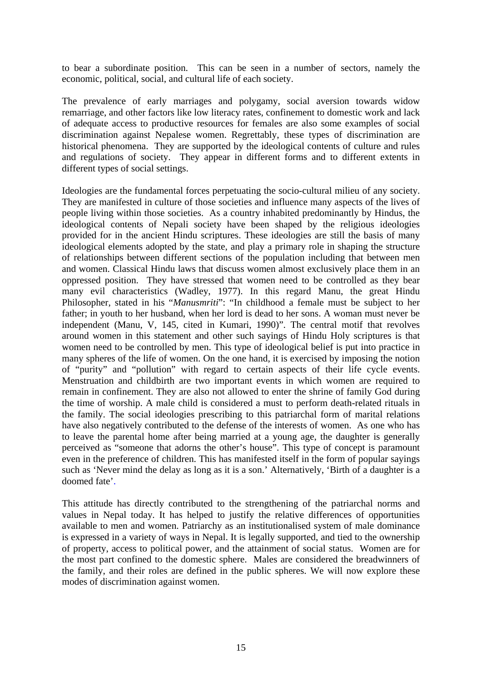to bear a subordinate position. This can be seen in a number of sectors, namely the economic, political, social, and cultural life of each society.

The prevalence of early marriages and polygamy, social aversion towards widow remarriage, and other factors like low literacy rates, confinement to domestic work and lack of adequate access to productive resources for females are also some examples of social discrimination against Nepalese women. Regrettably, these types of discrimination are historical phenomena. They are supported by the ideological contents of culture and rules and regulations of society. They appear in different forms and to different extents in different types of social settings.

Ideologies are the fundamental forces perpetuating the socio-cultural milieu of any society. They are manifested in culture of those societies and influence many aspects of the lives of people living within those societies. As a country inhabited predominantly by Hindus, the ideological contents of Nepali society have been shaped by the religious ideologies provided for in the ancient Hindu scriptures. These ideologies are still the basis of many ideological elements adopted by the state, and play a primary role in shaping the structure of relationships between different sections of the population including that between men and women. Classical Hindu laws that discuss women almost exclusively place them in an oppressed position. They have stressed that women need to be controlled as they bear many evil characteristics (Wadley, 1977). In this regard Manu, the great Hindu Philosopher, stated in his "*Manusmriti*": "In childhood a female must be subject to her father; in youth to her husband, when her lord is dead to her sons. A woman must never be independent (Manu, V, 145, cited in Kumari, 1990)". The central motif that revolves around women in this statement and other such sayings of Hindu Holy scriptures is that women need to be controlled by men. This type of ideological belief is put into practice in many spheres of the life of women. On the one hand, it is exercised by imposing the notion of "purity" and "pollution" with regard to certain aspects of their life cycle events. Menstruation and childbirth are two important events in which women are required to remain in confinement. They are also not allowed to enter the shrine of family God during the time of worship. A male child is considered a must to perform death-related rituals in the family. The social ideologies prescribing to this patriarchal form of marital relations have also negatively contributed to the defense of the interests of women. As one who has to leave the parental home after being married at a young age, the daughter is generally perceived as "someone that adorns the other's house". This type of concept is paramount even in the preference of children. This has manifested itself in the form of popular sayings such as 'Never mind the delay as long as it is a son.' Alternatively, 'Birth of a daughter is a doomed fate'.

This attitude has directly contributed to the strengthening of the patriarchal norms and values in Nepal today. It has helped to justify the relative differences of opportunities available to men and women. Patriarchy as an institutionalised system of male dominance is expressed in a variety of ways in Nepal. It is legally supported, and tied to the ownership of property, access to political power, and the attainment of social status. Women are for the most part confined to the domestic sphere. Males are considered the breadwinners of the family, and their roles are defined in the public spheres. We will now explore these modes of discrimination against women.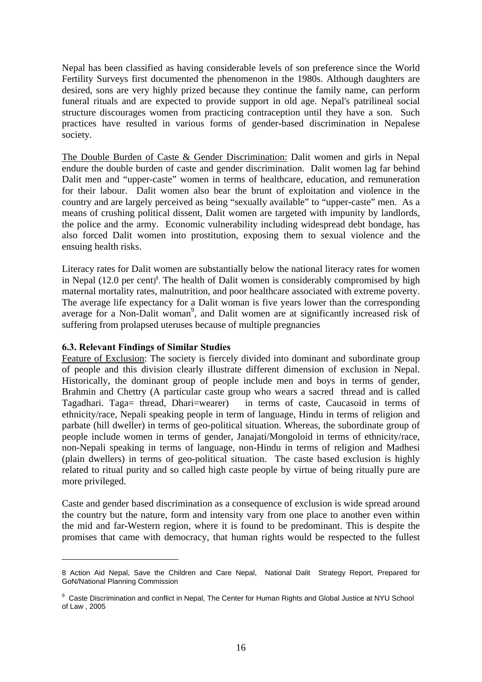Nepal has been classified as having considerable levels of son preference since the World Fertility Surveys first documented the phenomenon in the 1980s. Although daughters are desired, sons are very highly prized because they continue the family name, can perform funeral rituals and are expected to provide support in old age. Nepal's patrilineal social structure discourages women from practicing contraception until they have a son. Such practices have resulted in various forms of gender-based discrimination in Nepalese society.

The Double Burden of Caste & Gender Discrimination: Dalit women and girls in Nepal endure the double burden of caste and gender discrimination. Dalit women lag far behind Dalit men and "upper-caste" women in terms of healthcare, education, and remuneration for their labour. Dalit women also bear the brunt of exploitation and violence in the country and are largely perceived as being "sexually available" to "upper-caste" men. As a means of crushing political dissent, Dalit women are targeted with impunity by landlords, the police and the army. Economic vulnerability including widespread debt bondage, has also forced Dalit women into prostitution, exposing them to sexual violence and the ensuing health risks.

Literacy rates for Dalit women are substantially below the national literacy rates for women in Nepal (12.0 per cent) 8 . The health of Dalit women is considerably compromised by high maternal mortality rates, malnutrition, and poor healthcare associated with extreme poverty. The average life expectancy for a Dalit woman is five years lower than the corresponding average for a Non-Dalit woman<sup>9</sup>, and Dalit women are at significantly increased risk of suffering from prolapsed uteruses because of multiple pregnancies

#### **6.3. Relevant Findings of Similar Studies**

1

Feature of Exclusion: The society is fiercely divided into dominant and subordinate group of people and this division clearly illustrate different dimension of exclusion in Nepal. Historically, the dominant group of people include men and boys in terms of gender, Brahmin and Chettry (A particular caste group who wears a sacred thread and is called Tagadhari. Taga= thread, Dhari=wearer) in terms of caste, Caucasoid in terms of ethnicity/race, Nepali speaking people in term of language, Hindu in terms of religion and parbate (hill dweller) in terms of geo-political situation. Whereas, the subordinate group of people include women in terms of gender, Janajati/Mongoloid in terms of ethnicity/race, non-Nepali speaking in terms of language, non-Hindu in terms of religion and Madhesi (plain dwellers) in terms of geo-political situation. The caste based exclusion is highly related to ritual purity and so called high caste people by virtue of being ritually pure are more privileged.

Caste and gender based discrimination as a consequence of exclusion is wide spread around the country but the nature, form and intensity vary from one place to another even within the mid and far-Western region, where it is found to be predominant. This is despite the promises that came with democracy, that human rights would be respected to the fullest

<sup>8</sup> Action Aid Nepal, Save the Children and Care Nepal, National Dalit Strategy Report, Prepared for GoN/National Planning Commission

<sup>&</sup>lt;sup>9</sup> Caste Discrimination and conflict in Nepal, The Center for Human Rights and Global Justice at NYU School of Law , 2005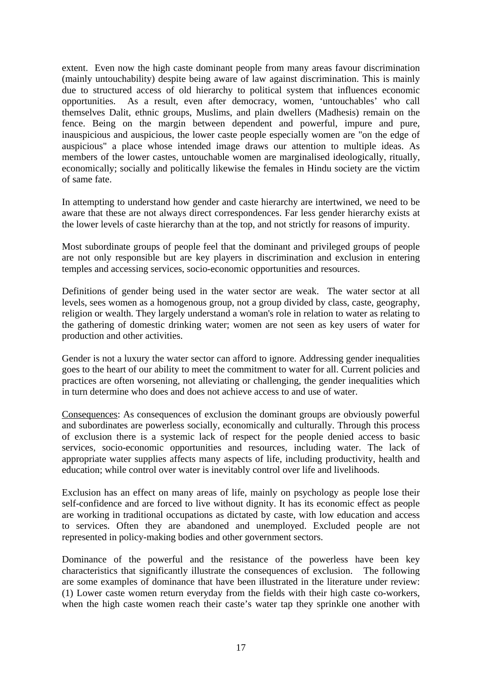extent. Even now the high caste dominant people from many areas favour discrimination (mainly untouchability) despite being aware of law against discrimination. This is mainly due to structured access of old hierarchy to political system that influences economic opportunities. As a result, even after democracy, women, 'untouchables' who call themselves Dalit, ethnic groups, Muslims, and plain dwellers (Madhesis) remain on the fence. Being on the margin between dependent and powerful, impure and pure, inauspicious and auspicious, the lower caste people especially women are "on the edge of auspicious" a place whose intended image draws our attention to multiple ideas. As members of the lower castes, untouchable women are marginalised ideologically, ritually, economically; socially and politically likewise the females in Hindu society are the victim of same fate.

In attempting to understand how gender and caste hierarchy are intertwined, we need to be aware that these are not always direct correspondences. Far less gender hierarchy exists at the lower levels of caste hierarchy than at the top, and not strictly for reasons of impurity.

Most subordinate groups of people feel that the dominant and privileged groups of people are not only responsible but are key players in discrimination and exclusion in entering temples and accessing services, socio-economic opportunities and resources.

Definitions of gender being used in the water sector are weak. The water sector at all levels, sees women as a homogenous group, not a group divided by class, caste, geography, religion or wealth. They largely understand a woman's role in relation to water as relating to the gathering of domestic drinking water; women are not seen as key users of water for production and other activities.

Gender is not a luxury the water sector can afford to ignore. Addressing gender inequalities goes to the heart of our ability to meet the commitment to water for all. Current policies and practices are often worsening, not alleviating or challenging, the gender inequalities which in turn determine who does and does not achieve access to and use of water.

Consequences: As consequences of exclusion the dominant groups are obviously powerful and subordinates are powerless socially, economically and culturally. Through this process of exclusion there is a systemic lack of respect for the people denied access to basic services, socio-economic opportunities and resources, including water. The lack of appropriate water supplies affects many aspects of life, including productivity, health and education; while control over water is inevitably control over life and livelihoods.

Exclusion has an effect on many areas of life, mainly on psychology as people lose their self-confidence and are forced to live without dignity. It has its economic effect as people are working in traditional occupations as dictated by caste, with low education and access to services. Often they are abandoned and unemployed. Excluded people are not represented in policy-making bodies and other government sectors.

Dominance of the powerful and the resistance of the powerless have been key characteristics that significantly illustrate the consequences of exclusion. The following are some examples of dominance that have been illustrated in the literature under review: (1) Lower caste women return everyday from the fields with their high caste co-workers, when the high caste women reach their caste's water tap they sprinkle one another with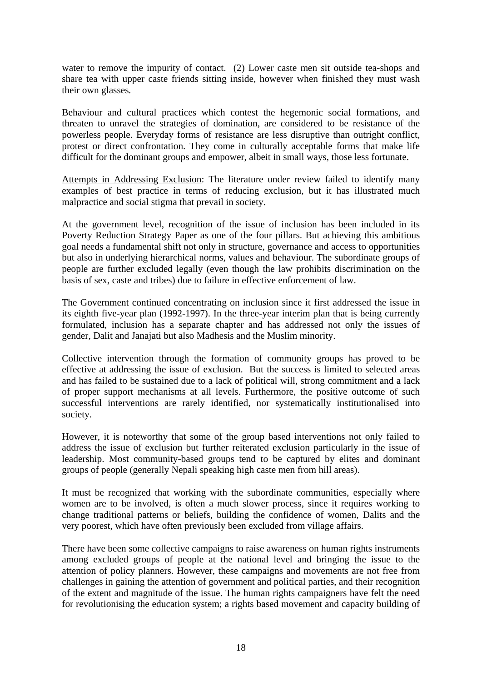water to remove the impurity of contact. (2) Lower caste men sit outside tea-shops and share tea with upper caste friends sitting inside, however when finished they must wash their own glasses*.*

Behaviour and cultural practices which contest the hegemonic social formations, and threaten to unravel the strategies of domination, are considered to be resistance of the powerless people. Everyday forms of resistance are less disruptive than outright conflict, protest or direct confrontation. They come in culturally acceptable forms that make life difficult for the dominant groups and empower, albeit in small ways, those less fortunate.

Attempts in Addressing Exclusion: The literature under review failed to identify many examples of best practice in terms of reducing exclusion, but it has illustrated much malpractice and social stigma that prevail in society.

At the government level, recognition of the issue of inclusion has been included in its Poverty Reduction Strategy Paper as one of the four pillars. But achieving this ambitious goal needs a fundamental shift not only in structure, governance and access to opportunities but also in underlying hierarchical norms, values and behaviour. The subordinate groups of people are further excluded legally (even though the law prohibits discrimination on the basis of sex, caste and tribes) due to failure in effective enforcement of law.

The Government continued concentrating on inclusion since it first addressed the issue in its eighth five-year plan (1992-1997). In the three-year interim plan that is being currently formulated, inclusion has a separate chapter and has addressed not only the issues of gender, Dalit and Janajati but also Madhesis and the Muslim minority.

Collective intervention through the formation of community groups has proved to be effective at addressing the issue of exclusion. But the success is limited to selected areas and has failed to be sustained due to a lack of political will, strong commitment and a lack of proper support mechanisms at all levels. Furthermore, the positive outcome of such successful interventions are rarely identified, nor systematically institutionalised into society.

However, it is noteworthy that some of the group based interventions not only failed to address the issue of exclusion but further reiterated exclusion particularly in the issue of leadership. Most community-based groups tend to be captured by elites and dominant groups of people (generally Nepali speaking high caste men from hill areas).

It must be recognized that working with the subordinate communities, especially where women are to be involved, is often a much slower process, since it requires working to change traditional patterns or beliefs, building the confidence of women, Dalits and the very poorest, which have often previously been excluded from village affairs.

There have been some collective campaigns to raise awareness on human rights instruments among excluded groups of people at the national level and bringing the issue to the attention of policy planners. However, these campaigns and movements are not free from challenges in gaining the attention of government and political parties, and their recognition of the extent and magnitude of the issue. The human rights campaigners have felt the need for revolutionising the education system; a rights based movement and capacity building of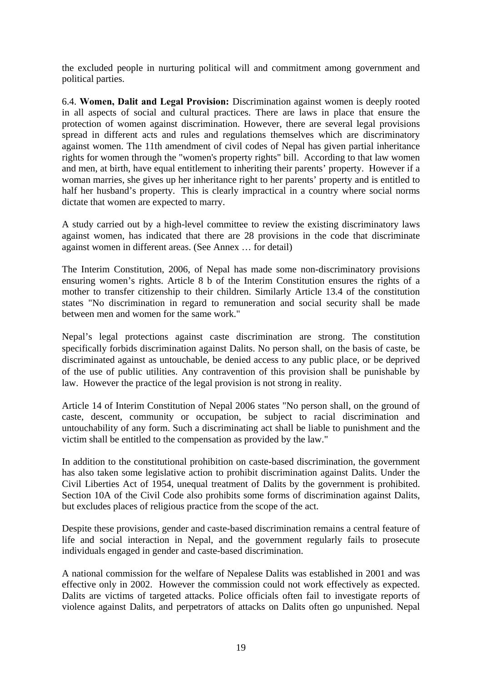the excluded people in nurturing political will and commitment among government and political parties.

6.4. **Women, Dalit and Legal Provision:** Discrimination against women is deeply rooted in all aspects of social and cultural practices. There are laws in place that ensure the protection of women against discrimination. However, there are several legal provisions spread in different acts and rules and regulations themselves which are discriminatory against women. The 11th amendment of civil codes of Nepal has given partial inheritance rights for women through the "women's property rights" bill. According to that law women and men, at birth, have equal entitlement to inheriting their parents' property. However if a woman marries, she gives up her inheritance right to her parents' property and is entitled to half her husband's property. This is clearly impractical in a country where social norms dictate that women are expected to marry.

A study carried out by a high-level committee to review the existing discriminatory laws against women, has indicated that there are 28 provisions in the code that discriminate against women in different areas. (See Annex … for detail)

The Interim Constitution, 2006, of Nepal has made some non-discriminatory provisions ensuring women's rights. Article 8 b of the Interim Constitution ensures the rights of a mother to transfer citizenship to their children. Similarly Article 13.4 of the constitution states "No discrimination in regard to remuneration and social security shall be made between men and women for the same work."

Nepal's legal protections against caste discrimination are strong. The constitution specifically forbids discrimination against Dalits. No person shall, on the basis of caste, be discriminated against as untouchable, be denied access to any public place, or be deprived of the use of public utilities. Any contravention of this provision shall be punishable by law. However the practice of the legal provision is not strong in reality.

Article 14 of Interim Constitution of Nepal 2006 states "No person shall, on the ground of caste, descent, community or occupation, be subject to racial discrimination and untouchability of any form. Such a discriminating act shall be liable to punishment and the victim shall be entitled to the compensation as provided by the law."

In addition to the constitutional prohibition on caste-based discrimination, the government has also taken some legislative action to prohibit discrimination against Dalits. Under the Civil Liberties Act of 1954, unequal treatment of Dalits by the government is prohibited. Section 10A of the Civil Code also prohibits some forms of discrimination against Dalits, but excludes places of religious practice from the scope of the act.

Despite these provisions, gender and caste-based discrimination remains a central feature of life and social interaction in Nepal, and the government regularly fails to prosecute individuals engaged in gender and caste-based discrimination.

A national commission for the welfare of Nepalese Dalits was established in 2001 and was effective only in 2002. However the commission could not work effectively as expected. Dalits are victims of targeted attacks. Police officials often fail to investigate reports of violence against Dalits, and perpetrators of attacks on Dalits often go unpunished. Nepal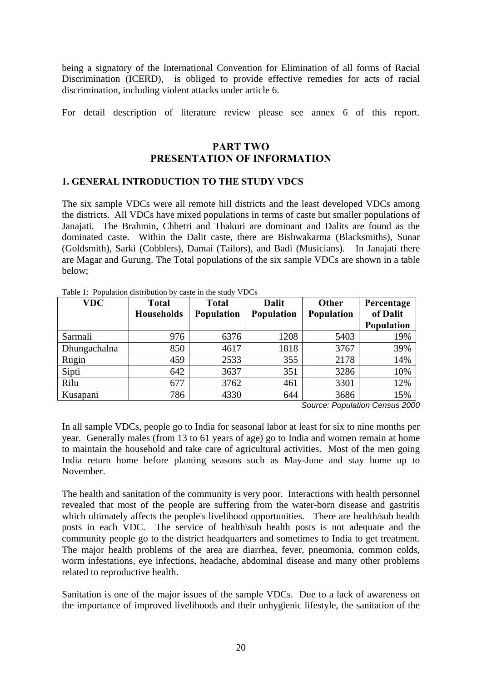being a signatory of the International Convention for Elimination of all forms of Racial Discrimination (ICERD), is obliged to provide effective remedies for acts of racial discrimination, including violent attacks under article 6.

For detail description of literature review please see annex 6 of this report.

## **PART TWO PRESENTATION OF INFORMATION**

#### **1. GENERAL INTRODUCTION TO THE STUDY VDCS**

The six sample VDCs were all remote hill districts and the least developed VDCs among the districts. All VDCs have mixed populations in terms of caste but smaller populations of Janajati. The Brahmin, Chhetri and Thakuri are dominant and Dalits are found as the dominated caste. Within the Dalit caste, there are Bishwakarma (Blacksmiths), Sunar (Goldsmith), Sarki (Cobblers), Damai (Tailors), and Badi (Musicians). In Janajati there are Magar and Gurung. The Total populations of the six sample VDCs are shown in a table below;

| <b>VDC</b>   | <b>Total</b>      | <b>Total</b> | <b>Dalit</b> | Other             | Percentage        |  |
|--------------|-------------------|--------------|--------------|-------------------|-------------------|--|
|              | <b>Households</b> | Population   | Population   | <b>Population</b> | of Dalit          |  |
|              |                   |              |              |                   | <b>Population</b> |  |
| Sarmali      | 976               | 6376         | 1208         | 5403              | 19%               |  |
| Dhungachalna | 850               | 4617         | 1818         | 3767              | 39%               |  |
| Rugin        | 459               | 2533         | 355          | 2178              | 14%               |  |
| Sipti        | 642               | 3637         | 351          | 3286              | 10%               |  |
| Rilu         | 677               | 3762         | 461          | 3301              | 12%               |  |
| Kusapani     | 786               | 4330         | 644          | 3686              | 15%               |  |

Table 1: Population distribution by caste in the study VDCs

*Source: Population Census 2000* 

In all sample VDCs, people go to India for seasonal labor at least for six to nine months per year. Generally males (from 13 to 61 years of age) go to India and women remain at home to maintain the household and take care of agricultural activities. Most of the men going India return home before planting seasons such as May-June and stay home up to November.

The health and sanitation of the community is very poor. Interactions with health personnel revealed that most of the people are suffering from the water-born disease and gastritis which ultimately affects the people's livelihood opportunities. There are health/sub health posts in each VDC. The service of health\sub health posts is not adequate and the community people go to the district headquarters and sometimes to India to get treatment. The major health problems of the area are diarrhea, fever, pneumonia, common colds, worm infestations, eye infections, headache, abdominal disease and many other problems related to reproductive health.

Sanitation is one of the major issues of the sample VDCs. Due to a lack of awareness on the importance of improved livelihoods and their unhygienic lifestyle, the sanitation of the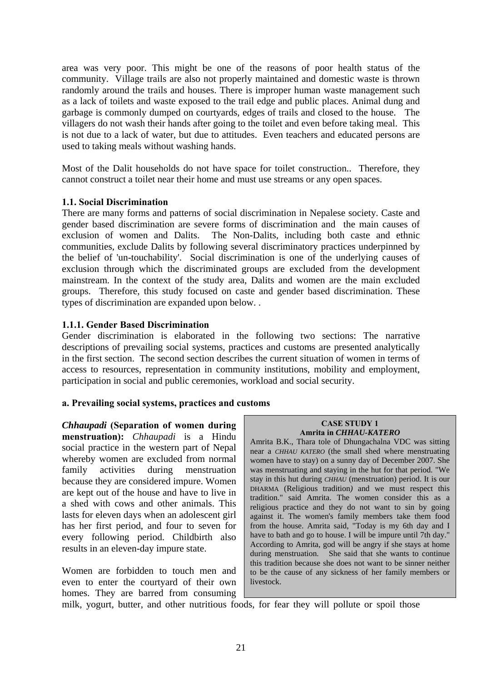area was very poor. This might be one of the reasons of poor health status of the community. Village trails are also not properly maintained and domestic waste is thrown randomly around the trails and houses. There is improper human waste management such as a lack of toilets and waste exposed to the trail edge and public places. Animal dung and garbage is commonly dumped on courtyards, edges of trails and closed to the house. The villagers do not wash their hands after going to the toilet and even before taking meal. This is not due to a lack of water, but due to attitudes. Even teachers and educated persons are used to taking meals without washing hands.

Most of the Dalit households do not have space for toilet construction.. Therefore, they cannot construct a toilet near their home and must use streams or any open spaces.

#### **1.1. Social Discrimination**

There are many forms and patterns of social discrimination in Nepalese society. Caste and gender based discrimination are severe forms of discrimination and the main causes of exclusion of women and Dalits. The Non-Dalits, including both caste and ethnic communities, exclude Dalits by following several discriminatory practices underpinned by the belief of 'un-touchability'. Social discrimination is one of the underlying causes of exclusion through which the discriminated groups are excluded from the development mainstream. In the context of the study area, Dalits and women are the main excluded groups. Therefore, this study focused on caste and gender based discrimination. These types of discrimination are expanded upon below. .

#### **1.1.1. Gender Based Discrimination**

Gender discrimination is elaborated in the following two sections: The narrative descriptions of prevailing social systems, practices and customs are presented analytically in the first section. The second section describes the current situation of women in terms of access to resources, representation in community institutions, mobility and employment, participation in social and public ceremonies, workload and social security.

#### **a. Prevailing social systems, practices and customs**

*Chhaupadi* **(Separation of women during menstruation):** *Chhaupadi* is a Hindu social practice in the western part of Nepal whereby women are excluded from normal family activities during menstruation because they are considered impure. Women are kept out of the house and have to live in a shed with cows and other animals. This lasts for eleven days when an adolescent girl has her first period, and four to seven for every following period. Childbirth also results in an eleven-day impure state.

Women are forbidden to touch men and even to enter the courtyard of their own homes. They are barred from consuming

#### **CASE STUDY 1 Amrita in** *CHHAU-KATERO*

Amrita B.K., Thara tole of Dhungachalna VDC was sitting near a *CHHAU KATERO* (the small shed where menstruating women have to stay) on a sunny day of December 2007. She was menstruating and staying in the hut for that period. "We stay in this hut during *CHHAU* (menstruation) period. It is our DHARMA (Religious tradition*)* and we must respect this tradition." said Amrita. The women consider this as a religious practice and they do not want to sin by going against it. The women's family members take them food from the house. Amrita said, "Today is my 6th day and I have to bath and go to house. I will be impure until 7th day." According to Amrita, god will be angry if she stays at home during menstruation. She said that she wants to continue this tradition because she does not want to be sinner neither to be the cause of any sickness of her family members or livestock.

milk, yogurt, butter, and other nutritious foods, for fear they will pollute or spoil those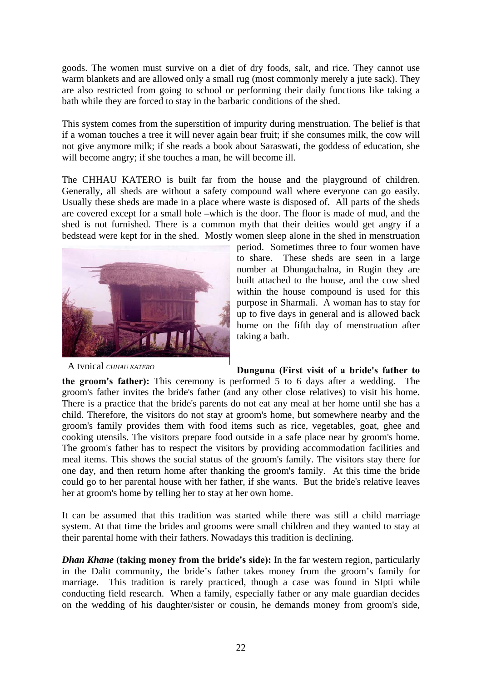goods. The women must survive on a diet of dry foods, salt, and rice. They cannot use warm blankets and are allowed only a small rug (most commonly merely a jute sack). They are also restricted from going to school or performing their daily functions like taking a bath while they are forced to stay in the barbaric conditions of the shed.

This system comes from the superstition of impurity during menstruation. The belief is that if a woman touches a tree it will never again bear fruit; if she consumes milk, the cow will not give anymore milk; if she reads a book about Saraswati, the goddess of education, she will become angry; if she touches a man, he will become ill.

The CHHAU KATERO is built far from the house and the playground of children. Generally, all sheds are without a safety compound wall where everyone can go easily. Usually these sheds are made in a place where waste is disposed of. All parts of the sheds are covered except for a small hole –which is the door. The floor is made of mud, and the shed is not furnished. There is a common myth that their deities would get angry if a bedstead were kept for in the shed. Mostly women sleep alone in the shed in menstruation



A typical *CHHAU KATERO*

period. Sometimes three to four women have to share. These sheds are seen in a large number at Dhungachalna, in Rugin they are built attached to the house, and the cow shed within the house compound is used for this purpose in Sharmali. A woman has to stay for up to five days in general and is allowed back home on the fifth day of menstruation after taking a bath.

## **Dunguna (First visit of a bride's father to**

**the groom's father):** This ceremony is performed 5 to 6 days after a wedding. The groom's father invites the bride's father (and any other close relatives) to visit his home. There is a practice that the bride's parents do not eat any meal at her home until she has a child. Therefore, the visitors do not stay at groom's home, but somewhere nearby and the groom's family provides them with food items such as rice, vegetables, goat, ghee and cooking utensils. The visitors prepare food outside in a safe place near by groom's home. The groom's father has to respect the visitors by providing accommodation facilities and meal items. This shows the social status of the groom's family. The visitors stay there for one day, and then return home after thanking the groom's family. At this time the bride could go to her parental house with her father, if she wants. But the bride's relative leaves her at groom's home by telling her to stay at her own home.

It can be assumed that this tradition was started while there was still a child marriage system. At that time the brides and grooms were small children and they wanted to stay at their parental home with their fathers. Nowadays this tradition is declining.

*Dhan Khane* **(taking money from the bride's side):** In the far western region, particularly in the Dalit community, the bride's father takes money from the groom's family for marriage. This tradition is rarely practiced, though a case was found in SIpti while conducting field research. When a family, especially father or any male guardian decides on the wedding of his daughter/sister or cousin, he demands money from groom's side,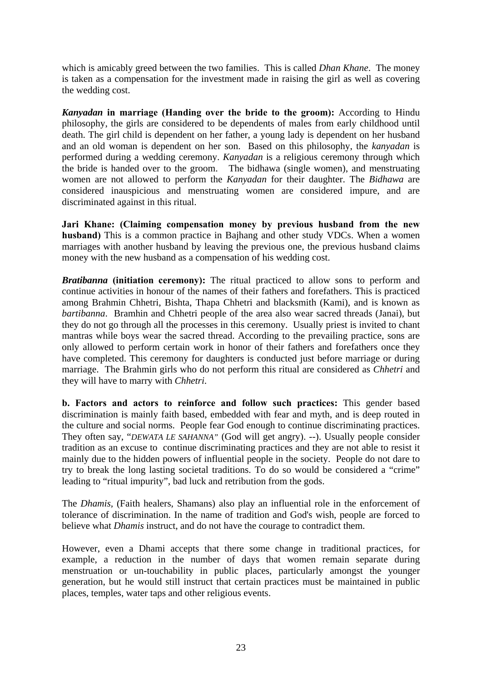which is amicably greed between the two families. This is called *Dhan Khane*. The money is taken as a compensation for the investment made in raising the girl as well as covering the wedding cost.

*Kanyadan* **in marriage (Handing over the bride to the groom):** According to Hindu philosophy, the girls are considered to be dependents of males from early childhood until death. The girl child is dependent on her father, a young lady is dependent on her husband and an old woman is dependent on her son. Based on this philosophy, the *kanyadan* is performed during a wedding ceremony. *Kanyadan* is a religious ceremony through which the bride is handed over to the groom. The bidhawa (single women), and menstruating women are not allowed to perform the *Kanyadan* for their daughter. The *Bidhawa* are considered inauspicious and menstruating women are considered impure, and are discriminated against in this ritual.

**Jari Khane: (Claiming compensation money by previous husband from the new husband)** This is a common practice in Bajhang and other study VDCs. When a women marriages with another husband by leaving the previous one, the previous husband claims money with the new husband as a compensation of his wedding cost.

*Bratibanna* (initiation ceremony): The ritual practiced to allow sons to perform and continue activities in honour of the names of their fathers and forefathers. This is practiced among Brahmin Chhetri, Bishta, Thapa Chhetri and blacksmith (Kami), and is known as *bartibanna*. Bramhin and Chhetri people of the area also wear sacred threads (Janai), but they do not go through all the processes in this ceremony. Usually priest is invited to chant mantras while boys wear the sacred thread. According to the prevailing practice, sons are only allowed to perform certain work in honor of their fathers and forefathers once they have completed. This ceremony for daughters is conducted just before marriage or during marriage. The Brahmin girls who do not perform this ritual are considered as *Chhetri* and they will have to marry with *Chhetri*.

**b. Factors and actors to reinforce and follow such practices:** This gender based discrimination is mainly faith based, embedded with fear and myth, and is deep routed in the culture and social norms. People fear God enough to continue discriminating practices. They often say, "*DEWATA LE SAHANNA"* (God will get angry). --). Usually people consider tradition as an excuse to continue discriminating practices and they are not able to resist it mainly due to the hidden powers of influential people in the society. People do not dare to try to break the long lasting societal traditions. To do so would be considered a "crime" leading to "ritual impurity", bad luck and retribution from the gods.

The *Dhamis,* (Faith healers, Shamans) also play an influential role in the enforcement of tolerance of discrimination. In the name of tradition and God's wish, people are forced to believe what *Dhamis* instruct, and do not have the courage to contradict them.

However, even a Dhami accepts that there some change in traditional practices, for example, a reduction in the number of days that women remain separate during menstruation or un-touchability in public places, particularly amongst the younger generation, but he would still instruct that certain practices must be maintained in public places, temples, water taps and other religious events.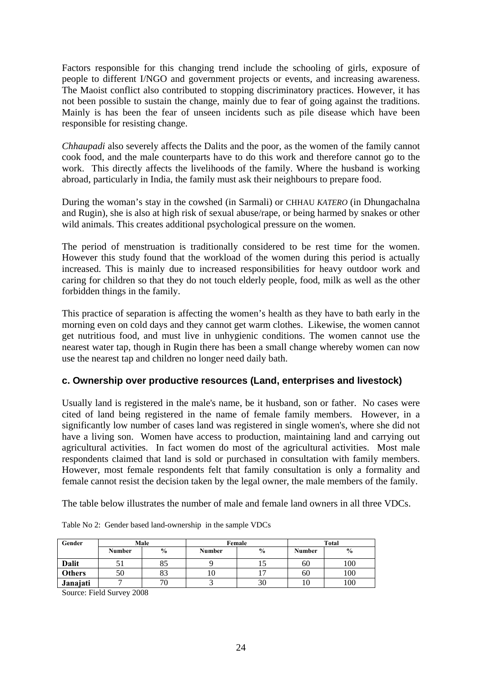Factors responsible for this changing trend include the schooling of girls, exposure of people to different I/NGO and government projects or events, and increasing awareness. The Maoist conflict also contributed to stopping discriminatory practices. However, it has not been possible to sustain the change, mainly due to fear of going against the traditions. Mainly is has been the fear of unseen incidents such as pile disease which have been responsible for resisting change.

*Chhaupadi* also severely affects the Dalits and the poor, as the women of the family cannot cook food, and the male counterparts have to do this work and therefore cannot go to the work. This directly affects the livelihoods of the family. Where the husband is working abroad, particularly in India, the family must ask their neighbours to prepare food.

During the woman's stay in the cowshed (in Sarmali) or CHHAU *KATERO* (in Dhungachalna and Rugin), she is also at high risk of sexual abuse/rape, or being harmed by snakes or other wild animals. This creates additional psychological pressure on the women.

The period of menstruation is traditionally considered to be rest time for the women. However this study found that the workload of the women during this period is actually increased. This is mainly due to increased responsibilities for heavy outdoor work and caring for children so that they do not touch elderly people, food, milk as well as the other forbidden things in the family.

This practice of separation is affecting the women's health as they have to bath early in the morning even on cold days and they cannot get warm clothes. Likewise, the women cannot get nutritious food, and must live in unhygienic conditions. The women cannot use the nearest water tap, though in Rugin there has been a small change whereby women can now use the nearest tap and children no longer need daily bath.

## **c. Ownership over productive resources (Land, enterprises and livestock)**

Usually land is registered in the male's name, be it husband, son or father. No cases were cited of land being registered in the name of female family members. However, in a significantly low number of cases land was registered in single women's, where she did not have a living son. Women have access to production, maintaining land and carrying out agricultural activities. In fact women do most of the agricultural activities. Most male respondents claimed that land is sold or purchased in consultation with family members. However, most female respondents felt that family consultation is only a formality and female cannot resist the decision taken by the legal owner, the male members of the family.

The table below illustrates the number of male and female land owners in all three VDCs.

| Gender        | Male          |               |        | Female        | <b>Total</b>  |               |  |
|---------------|---------------|---------------|--------|---------------|---------------|---------------|--|
|               | <b>Number</b> | $\frac{0}{0}$ | Number | $\frac{6}{9}$ | <b>Number</b> | $\frac{6}{9}$ |  |
| <b>Dalit</b>  |               | οJ            |        | ⊥J            | 60            | 100           |  |
| <b>Others</b> | 50            | 83            | ΙU     |               | 60            | 100           |  |
| Janajati      |               | 70 C          |        | 30            | 10            | 100           |  |

| Table No 2: Gender based land-ownership in the sample VDCs |  |
|------------------------------------------------------------|--|
|                                                            |  |
|                                                            |  |

Source: Field Survey 2008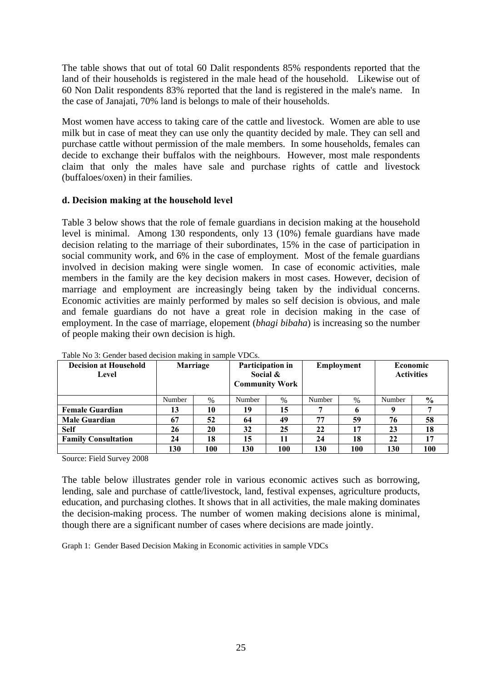The table shows that out of total 60 Dalit respondents 85% respondents reported that the land of their households is registered in the male head of the household. Likewise out of 60 Non Dalit respondents 83% reported that the land is registered in the male's name. In the case of Janajati, 70% land is belongs to male of their households.

Most women have access to taking care of the cattle and livestock. Women are able to use milk but in case of meat they can use only the quantity decided by male. They can sell and purchase cattle without permission of the male members. In some households, females can decide to exchange their buffalos with the neighbours. However, most male respondents claim that only the males have sale and purchase rights of cattle and livestock (buffaloes/oxen) in their families.

## **d. Decision making at the household level**

Table 3 below shows that the role of female guardians in decision making at the household level is minimal. Among 130 respondents, only 13 (10%) female guardians have made decision relating to the marriage of their subordinates, 15% in the case of participation in social community work, and 6% in the case of employment. Most of the female guardians involved in decision making were single women. In case of economic activities, male members in the family are the key decision makers in most cases. However, decision of marriage and employment are increasingly being taken by the individual concerns. Economic activities are mainly performed by males so self decision is obvious, and male and female guardians do not have a great role in decision making in the case of employment. In the case of marriage, elopement (*bhagi bibaha*) is increasing so the number of people making their own decision is high.

| <b>Decision at Household</b><br>Level | Marriage |      | Participation in<br>Social $\&$<br><b>Community Work</b> |      | Employment |      | Economic<br><b>Activities</b> |               |
|---------------------------------------|----------|------|----------------------------------------------------------|------|------------|------|-------------------------------|---------------|
|                                       | Number   | $\%$ | Number                                                   | $\%$ | Number     | $\%$ | Number                        | $\frac{6}{9}$ |
| <b>Female Guardian</b>                | 13       | 10   | 19                                                       | 15   |            |      | Q                             |               |
| <b>Male Guardian</b>                  | 67       | 52   | 64                                                       | 49   | 77         | 59   | 76                            | 58            |
| <b>Self</b>                           | 26       | 20   | 32                                                       | 25   | 22         | 17   | 23                            | 18            |
| <b>Family Consultation</b>            | 24       | 18   | 15                                                       | 11   | 24         | 18   | 22                            | 17            |
|                                       | 130      | 100  | 130                                                      | 100  | 130        | 100  | 130                           | 100           |

Table No 3: Gender based decision making in sample VDCs.

Source: Field Survey 2008

The table below illustrates gender role in various economic actives such as borrowing, lending, sale and purchase of cattle/livestock, land, festival expenses, agriculture products, education, and purchasing clothes. It shows that in all activities, the male making dominates the decision-making process. The number of women making decisions alone is minimal, though there are a significant number of cases where decisions are made jointly.

Graph 1: Gender Based Decision Making in Economic activities in sample VDCs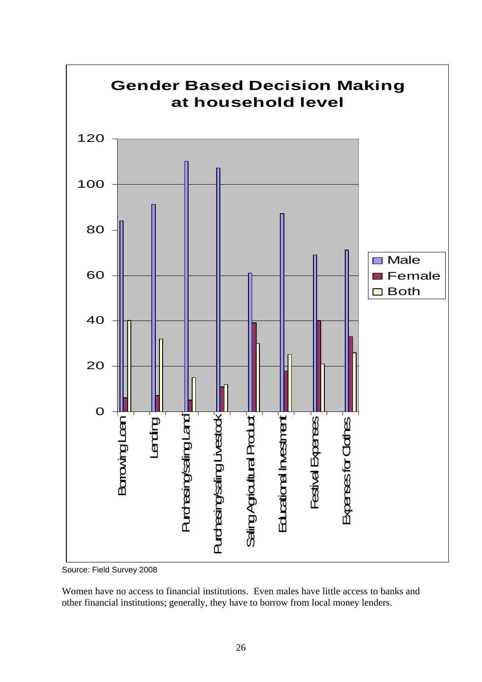

Source: Field Survey 2008

Women have no access to financial institutions. Even males have little access to banks and other financial institutions; generally, they have to borrow from local money lenders.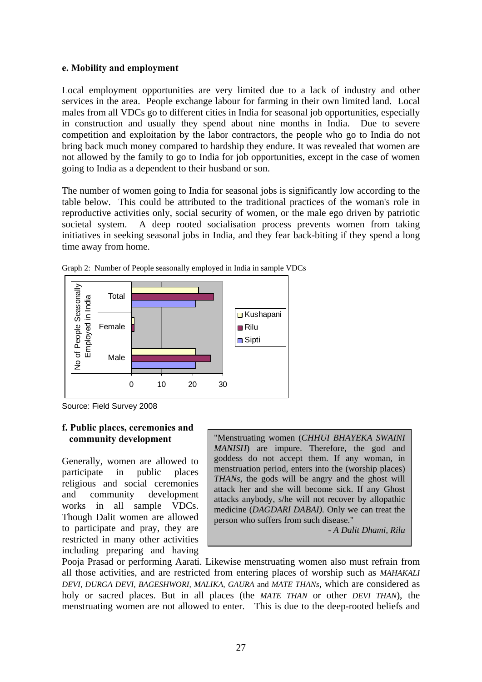#### **e. Mobility and employment**

Local employment opportunities are very limited due to a lack of industry and other services in the area. People exchange labour for farming in their own limited land. Local males from all VDCs go to different cities in India for seasonal job opportunities, especially in construction and usually they spend about nine months in India. Due to severe competition and exploitation by the labor contractors, the people who go to India do not bring back much money compared to hardship they endure. It was revealed that women are not allowed by the family to go to India for job opportunities, except in the case of women going to India as a dependent to their husband or son.

The number of women going to India for seasonal jobs is significantly low according to the table below. This could be attributed to the traditional practices of the woman's role in reproductive activities only, social security of women, or the male ego driven by patriotic societal system. A deep rooted socialisation process prevents women from taking initiatives in seeking seasonal jobs in India, and they fear back-biting if they spend a long time away from home.



Graph 2: Number of People seasonally employed in India in sample VDCs

Source: Field Survey 2008

## **f. Public places, ceremonies and community development**

Generally, women are allowed to participate in public places religious and social ceremonies and community development works in all sample VDCs. Though Dalit women are allowed to participate and pray, they are restricted in many other activities including preparing and having

"Menstruating women (*CHHUI BHAYEKA SWAINI MANISH*) are impure. Therefore, the god and goddess do not accept them. If any woman, in menstruation period, enters into the (worship places) *THANs*, the gods will be angry and the ghost will attack her and she will become sick. If any Ghost attacks anybody, s/he will not recover by allopathic medicine (*DAGDARI DABAI).* Only we can treat the person who suffers from such disease."

 *- A Dalit Dhami, Rilu* 

Pooja Prasad or performing Aarati. Likewise menstruating women also must refrain from all those activities, and are restricted from entering places of worship such as *MAHAKALI DEVI, DURGA DEVI, BAGESHWORI, MALIKA, GAURA* and *MATE THANs*, which are considered as holy or sacred places. But in all places (the *MATE THAN* or other *DEVI THAN*), the menstruating women are not allowed to enter. This is due to the deep-rooted beliefs and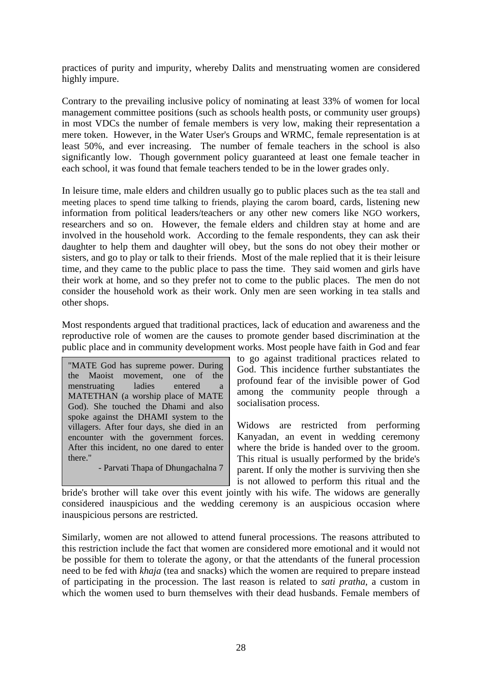practices of purity and impurity, whereby Dalits and menstruating women are considered highly impure.

Contrary to the prevailing inclusive policy of nominating at least 33% of women for local management committee positions (such as schools health posts, or community user groups) in most VDCs the number of female members is very low, making their representation a mere token. However, in the Water User's Groups and WRMC, female representation is at least 50%, and ever increasing. The number of female teachers in the school is also significantly low. Though government policy guaranteed at least one female teacher in each school, it was found that female teachers tended to be in the lower grades only.

In leisure time, male elders and children usually go to public places such as the tea stall and meeting places to spend time talking to friends, playing the carom board, cards, listening new information from political leaders/teachers or any other new comers like NGO workers, researchers and so on. However, the female elders and children stay at home and are involved in the household work. According to the female respondents, they can ask their daughter to help them and daughter will obey, but the sons do not obey their mother or sisters, and go to play or talk to their friends. Most of the male replied that it is their leisure time, and they came to the public place to pass the time. They said women and girls have their work at home, and so they prefer not to come to the public places. The men do not consider the household work as their work. Only men are seen working in tea stalls and other shops.

Most respondents argued that traditional practices, lack of education and awareness and the reproductive role of women are the causes to promote gender based discrimination at the public place and in community development works. Most people have faith in God and fear

"MATE God has supreme power. During the Maoist movement, one of the menstruating ladies entered a MATETHAN (a worship place of MATE God). She touched the Dhami and also spoke against the DHAMI system to the villagers. After four days, she died in an encounter with the government forces. After this incident, no one dared to enter there."

- Parvati Thapa of Dhungachalna 7

to go against traditional practices related to God. This incidence further substantiates the profound fear of the invisible power of God among the community people through a socialisation process.

Widows are restricted from performing Kanyadan, an event in wedding ceremony where the bride is handed over to the groom. This ritual is usually performed by the bride's parent. If only the mother is surviving then she is not allowed to perform this ritual and the

bride's brother will take over this event jointly with his wife. The widows are generally considered inauspicious and the wedding ceremony is an auspicious occasion where inauspicious persons are restricted.

Similarly, women are not allowed to attend funeral processions. The reasons attributed to this restriction include the fact that women are considered more emotional and it would not be possible for them to tolerate the agony, or that the attendants of the funeral procession need to be fed with *khaja* (tea and snacks) which the women are required to prepare instead of participating in the procession. The last reason is related to *sati pratha*, a custom in which the women used to burn themselves with their dead husbands. Female members of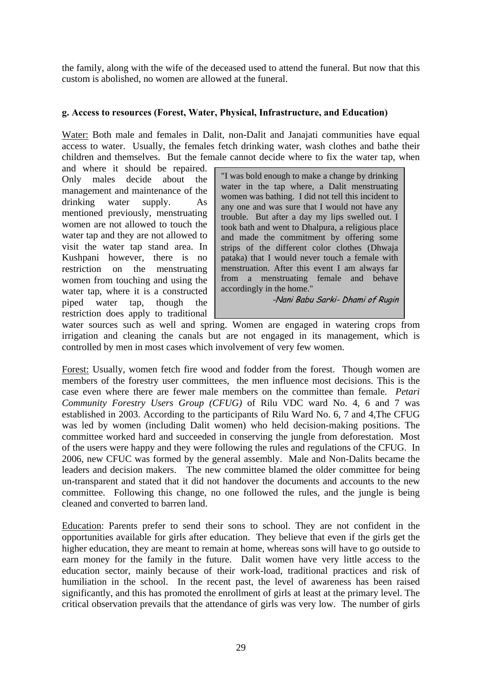the family, along with the wife of the deceased used to attend the funeral. But now that this custom is abolished, no women are allowed at the funeral.

## **g. Access to resources (Forest, Water, Physical, Infrastructure, and Education)**

Water: Both male and females in Dalit, non-Dalit and Janajati communities have equal access to water. Usually, the females fetch drinking water, wash clothes and bathe their children and themselves. But the female cannot decide where to fix the water tap, when

and where it should be repaired. Only males decide about the management and maintenance of the drinking water supply. As mentioned previously, menstruating women are not allowed to touch the water tap and they are not allowed to visit the water tap stand area. In Kushpani however, there is no restriction on the menstruating women from touching and using the water tap, where it is a constructed piped water tap, though the restriction does apply to traditional

"I was bold enough to make a change by drinking water in the tap where, a Dalit menstruating women was bathing. I did not tell this incident to any one and was sure that I would not have any trouble. But after a day my lips swelled out. I took bath and went to Dhalpura, a religious place and made the commitment by offering some strips of the different color clothes (Dhwaja pataka) that I would never touch a female with menstruation. After this event I am always far from a menstruating female and behave accordingly in the home."

-Nani Babu Sarki- Dhami of Rugin

water sources such as well and spring. Women are engaged in watering crops from irrigation and cleaning the canals but are not engaged in its management, which is controlled by men in most cases which involvement of very few women.

Forest: Usually, women fetch fire wood and fodder from the forest. Though women are members of the forestry user committees, the men influence most decisions. This is the case even where there are fewer male members on the committee than female. *Petari Community Forestry Users Group (CFUG)* of Rilu VDC ward No. 4, 6 and 7 was established in 2003. According to the participants of Rilu Ward No. 6, 7 and 4,The CFUG was led by women (including Dalit women) who held decision-making positions. The committee worked hard and succeeded in conserving the jungle from deforestation. Most of the users were happy and they were following the rules and regulations of the CFUG. In 2006, new CFUC was formed by the general assembly. Male and Non-Dalits became the leaders and decision makers. The new committee blamed the older committee for being un-transparent and stated that it did not handover the documents and accounts to the new committee. Following this change, no one followed the rules, and the jungle is being cleaned and converted to barren land.

Education: Parents prefer to send their sons to school. They are not confident in the opportunities available for girls after education. They believe that even if the girls get the higher education, they are meant to remain at home, whereas sons will have to go outside to earn money for the family in the future. Dalit women have very little access to the education sector, mainly because of their work-load, traditional practices and risk of humiliation in the school. In the recent past, the level of awareness has been raised significantly, and this has promoted the enrollment of girls at least at the primary level. The critical observation prevails that the attendance of girls was very low. The number of girls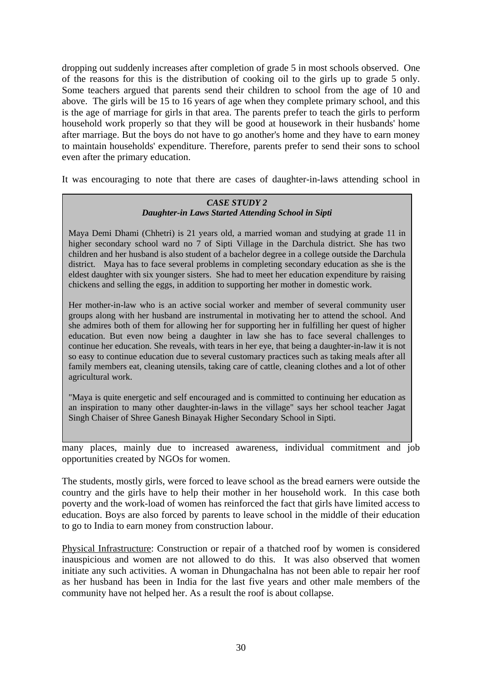dropping out suddenly increases after completion of grade 5 in most schools observed. One of the reasons for this is the distribution of cooking oil to the girls up to grade 5 only. Some teachers argued that parents send their children to school from the age of 10 and above. The girls will be 15 to 16 years of age when they complete primary school, and this is the age of marriage for girls in that area. The parents prefer to teach the girls to perform household work properly so that they will be good at housework in their husbands' home after marriage. But the boys do not have to go another's home and they have to earn money to maintain households' expenditure. Therefore, parents prefer to send their sons to school even after the primary education.

It was encouraging to note that there are cases of daughter-in-laws attending school in

#### *CASE STUDY 2 Daughter-in Laws Started Attending School in Sipti*

Maya Demi Dhami (Chhetri) is 21 years old, a married woman and studying at grade 11 in higher secondary school ward no 7 of Sipti Village in the Darchula district. She has two children and her husband is also student of a bachelor degree in a college outside the Darchula district. Maya has to face several problems in completing secondary education as she is the eldest daughter with six younger sisters. She had to meet her education expenditure by raising chickens and selling the eggs, in addition to supporting her mother in domestic work.

Her mother-in-law who is an active social worker and member of several community user groups along with her husband are instrumental in motivating her to attend the school. And she admires both of them for allowing her for supporting her in fulfilling her quest of higher education. But even now being a daughter in law she has to face several challenges to continue her education. She reveals, with tears in her eye, that being a daughter-in-law it is not so easy to continue education due to several customary practices such as taking meals after all family members eat, cleaning utensils, taking care of cattle, cleaning clothes and a lot of other agricultural work.

"Maya is quite energetic and self encouraged and is committed to continuing her education as an inspiration to many other daughter-in-laws in the village" says her school teacher Jagat Singh Chaiser of Shree Ganesh Binayak Higher Secondary School in Sipti.

many places, mainly due to increased awareness, individual commitment and job opportunities created by NGOs for women.

The students, mostly girls, were forced to leave school as the bread earners were outside the country and the girls have to help their mother in her household work. In this case both poverty and the work-load of women has reinforced the fact that girls have limited access to education. Boys are also forced by parents to leave school in the middle of their education to go to India to earn money from construction labour.

Physical Infrastructure: Construction or repair of a thatched roof by women is considered inauspicious and women are not allowed to do this. It was also observed that women initiate any such activities. A woman in Dhungachalna has not been able to repair her roof as her husband has been in India for the last five years and other male members of the community have not helped her. As a result the roof is about collapse.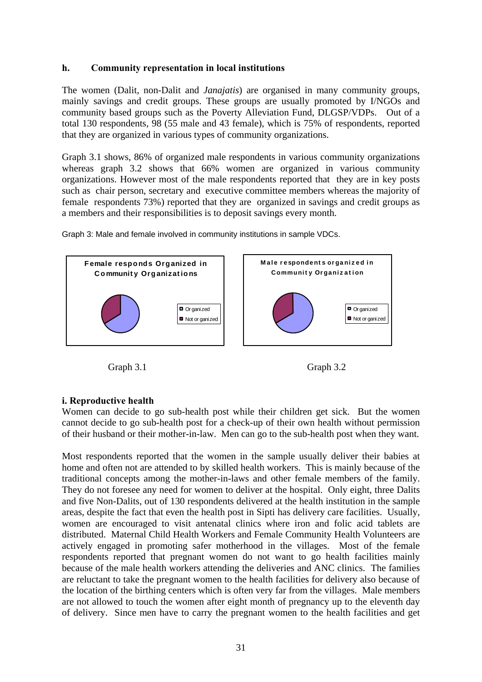#### **h. Community representation in local institutions**

The women (Dalit, non-Dalit and *Janajatis*) are organised in many community groups, mainly savings and credit groups. These groups are usually promoted by I/NGOs and community based groups such as the Poverty Alleviation Fund, DLGSP/VDPs. Out of a total 130 respondents, 98 (55 male and 43 female), which is 75% of respondents, reported that they are organized in various types of community organizations.

Graph 3.1 shows, 86% of organized male respondents in various community organizations whereas graph 3.2 shows that 66% women are organized in various community organizations. However most of the male respondents reported that they are in key posts such as chair person, secretary and executive committee members whereas the majority of female respondents 73%) reported that they are organized in savings and credit groups as a members and their responsibilities is to deposit savings every month.



Graph 3: Male and female involved in community institutions in sample VDCs.

Graph 3.1 Graph 3.2



## **i. Reproductive health**

Women can decide to go sub-health post while their children get sick. But the women cannot decide to go sub-health post for a check-up of their own health without permission of their husband or their mother-in-law. Men can go to the sub-health post when they want.

Most respondents reported that the women in the sample usually deliver their babies at home and often not are attended to by skilled health workers. This is mainly because of the traditional concepts among the mother-in-laws and other female members of the family. They do not foresee any need for women to deliver at the hospital. Only eight, three Dalits and five Non-Dalits, out of 130 respondents delivered at the health institution in the sample areas, despite the fact that even the health post in Sipti has delivery care facilities. Usually, women are encouraged to visit antenatal clinics where iron and folic acid tablets are distributed. Maternal Child Health Workers and Female Community Health Volunteers are actively engaged in promoting safer motherhood in the villages. Most of the female respondents reported that pregnant women do not want to go health facilities mainly because of the male health workers attending the deliveries and ANC clinics. The families are reluctant to take the pregnant women to the health facilities for delivery also because of the location of the birthing centers which is often very far from the villages. Male members are not allowed to touch the women after eight month of pregnancy up to the eleventh day of delivery. Since men have to carry the pregnant women to the health facilities and get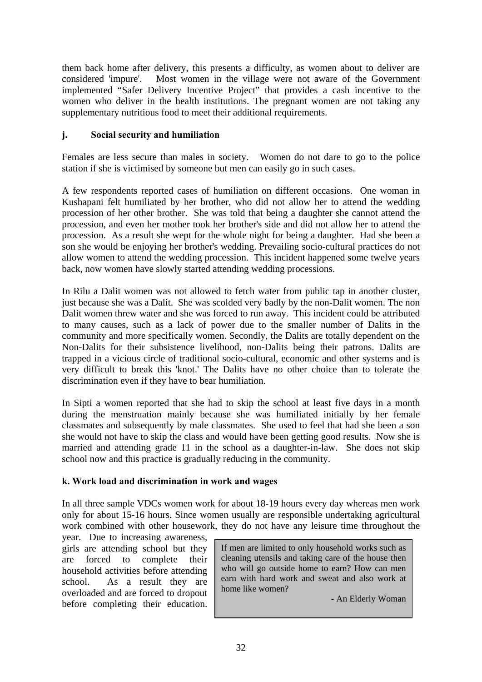them back home after delivery, this presents a difficulty, as women about to deliver are considered 'impure'. Most women in the village were not aware of the Government implemented "Safer Delivery Incentive Project" that provides a cash incentive to the women who deliver in the health institutions. The pregnant women are not taking any supplementary nutritious food to meet their additional requirements.

## **j. Social security and humiliation**

Females are less secure than males in society. Women do not dare to go to the police station if she is victimised by someone but men can easily go in such cases.

A few respondents reported cases of humiliation on different occasions. One woman in Kushapani felt humiliated by her brother, who did not allow her to attend the wedding procession of her other brother. She was told that being a daughter she cannot attend the procession, and even her mother took her brother's side and did not allow her to attend the procession. As a result she wept for the whole night for being a daughter. Had she been a son she would be enjoying her brother's wedding. Prevailing socio-cultural practices do not allow women to attend the wedding procession. This incident happened some twelve years back, now women have slowly started attending wedding processions.

In Rilu a Dalit women was not allowed to fetch water from public tap in another cluster, just because she was a Dalit. She was scolded very badly by the non-Dalit women. The non Dalit women threw water and she was forced to run away. This incident could be attributed to many causes, such as a lack of power due to the smaller number of Dalits in the community and more specifically women. Secondly, the Dalits are totally dependent on the Non-Dalits for their subsistence livelihood, non-Dalits being their patrons. Dalits are trapped in a vicious circle of traditional socio-cultural, economic and other systems and is very difficult to break this 'knot.' The Dalits have no other choice than to tolerate the discrimination even if they have to bear humiliation.

In Sipti a women reported that she had to skip the school at least five days in a month during the menstruation mainly because she was humiliated initially by her female classmates and subsequently by male classmates. She used to feel that had she been a son she would not have to skip the class and would have been getting good results. Now she is married and attending grade 11 in the school as a daughter-in-law. She does not skip school now and this practice is gradually reducing in the community.

## **k. Work load and discrimination in work and wages**

In all three sample VDCs women work for about 18-19 hours every day whereas men work only for about 15-16 hours. Since women usually are responsible undertaking agricultural work combined with other housework, they do not have any leisure time throughout the

year. Due to increasing awareness, girls are attending school but they are forced to complete their household activities before attending school. As a result they are overloaded and are forced to dropout before completing their education.

If men are limited to only household works such as cleaning utensils and taking care of the house then who will go outside home to earn? How can men earn with hard work and sweat and also work at home like women?

- An Elderly Woman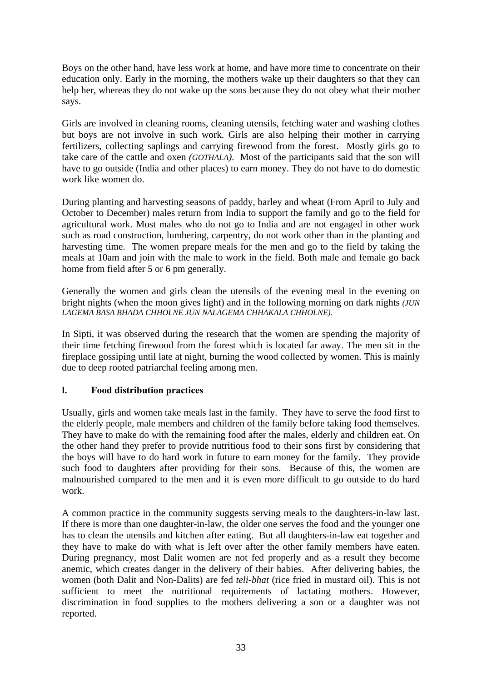Boys on the other hand, have less work at home, and have more time to concentrate on their education only. Early in the morning, the mothers wake up their daughters so that they can help her, whereas they do not wake up the sons because they do not obey what their mother says.

Girls are involved in cleaning rooms, cleaning utensils, fetching water and washing clothes but boys are not involve in such work. Girls are also helping their mother in carrying fertilizers, collecting saplings and carrying firewood from the forest. Mostly girls go to take care of the cattle and oxen *(GOTHALA)*. Most of the participants said that the son will have to go outside (India and other places) to earn money. They do not have to do domestic work like women do.

During planting and harvesting seasons of paddy, barley and wheat (From April to July and October to December) males return from India to support the family and go to the field for agricultural work. Most males who do not go to India and are not engaged in other work such as road construction, lumbering, carpentry, do not work other than in the planting and harvesting time. The women prepare meals for the men and go to the field by taking the meals at 10am and join with the male to work in the field. Both male and female go back home from field after 5 or 6 pm generally.

Generally the women and girls clean the utensils of the evening meal in the evening on bright nights (when the moon gives light) and in the following morning on dark nights *(JUN LAGEMA BASA BHADA CHHOLNE JUN NALAGEMA CHHAKALA CHHOLNE).*

In Sipti, it was observed during the research that the women are spending the majority of their time fetching firewood from the forest which is located far away. The men sit in the fireplace gossiping until late at night, burning the wood collected by women. This is mainly due to deep rooted patriarchal feeling among men.

## **l. Food distribution practices**

Usually, girls and women take meals last in the family. They have to serve the food first to the elderly people, male members and children of the family before taking food themselves. They have to make do with the remaining food after the males, elderly and children eat. On the other hand they prefer to provide nutritious food to their sons first by considering that the boys will have to do hard work in future to earn money for the family. They provide such food to daughters after providing for their sons. Because of this, the women are malnourished compared to the men and it is even more difficult to go outside to do hard work.

A common practice in the community suggests serving meals to the daughters-in-law last. If there is more than one daughter-in-law, the older one serves the food and the younger one has to clean the utensils and kitchen after eating. But all daughters-in-law eat together and they have to make do with what is left over after the other family members have eaten. During pregnancy, most Dalit women are not fed properly and as a result they become anemic, which creates danger in the delivery of their babies. After delivering babies, the women (both Dalit and Non-Dalits) are fed *teli*-*bhat* (rice fried in mustard oil). This is not sufficient to meet the nutritional requirements of lactating mothers. However, discrimination in food supplies to the mothers delivering a son or a daughter was not reported.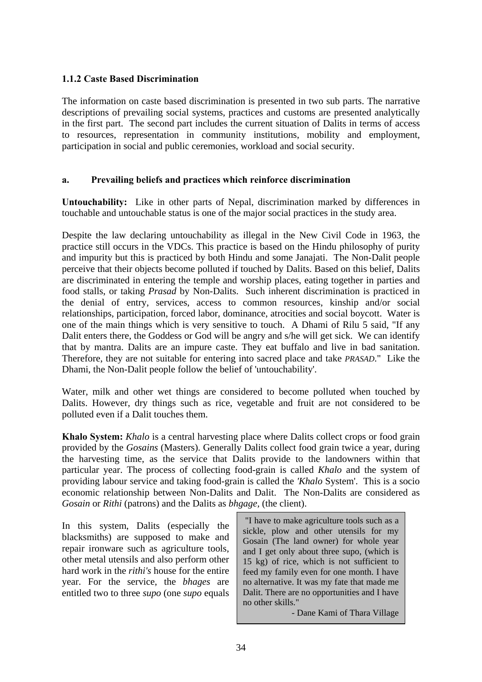## **1.1.2 Caste Based Discrimination**

The information on caste based discrimination is presented in two sub parts. The narrative descriptions of prevailing social systems, practices and customs are presented analytically in the first part. The second part includes the current situation of Dalits in terms of access to resources, representation in community institutions, mobility and employment, participation in social and public ceremonies, workload and social security.

#### **a. Prevailing beliefs and practices which reinforce discrimination**

**Untouchability:** Like in other parts of Nepal, discrimination marked by differences in touchable and untouchable status is one of the major social practices in the study area.

Despite the law declaring untouchability as illegal in the New Civil Code in 1963, the practice still occurs in the VDCs. This practice is based on the Hindu philosophy of purity and impurity but this is practiced by both Hindu and some Janajati. The Non-Dalit people perceive that their objects become polluted if touched by Dalits. Based on this belief, Dalits are discriminated in entering the temple and worship places, eating together in parties and food stalls, or taking *Prasad* by Non-Dalits. Such inherent discrimination is practiced in the denial of entry, services, access to common resources, kinship and/or social relationships, participation, forced labor, dominance, atrocities and social boycott. Water is one of the main things which is very sensitive to touch. A Dhami of Rilu 5 said, "If any Dalit enters there, the Goddess or God will be angry and s/he will get sick. We can identify that by mantra. Dalits are an impure caste. They eat buffalo and live in bad sanitation. Therefore, they are not suitable for entering into sacred place and take *PRASAD*." Like the Dhami, the Non-Dalit people follow the belief of 'untouchability'.

Water, milk and other wet things are considered to become polluted when touched by Dalits. However, dry things such as rice, vegetable and fruit are not considered to be polluted even if a Dalit touches them.

**Khalo System:** *Khalo* is a central harvesting place where Dalits collect crops or food grain provided by the *Gosains* (Masters). Generally Dalits collect food grain twice a year, during the harvesting time, as the service that Dalits provide to the landowners within that particular year. The process of collecting food-grain is called *Khalo* and the system of providing labour service and taking food-grain is called the *'Khalo* System'. This is a socio economic relationship between Non-Dalits and Dalit. The Non-Dalits are considered as *Gosain* or *Rithi* (patrons) and the Dalits as *bhgage,* (the client).

In this system, Dalits (especially the blacksmiths) are supposed to make and repair ironware such as agriculture tools, other metal utensils and also perform other hard work in the *rithi's* house for the entire year. For the service, the *bhages* are entitled two to three *supo* (one *supo* equals

 "I have to make agriculture tools such as a sickle, plow and other utensils for my Gosain (The land owner) for whole year and I get only about three supo, (which is 15 kg) of rice, which is not sufficient to feed my family even for one month. I have no alternative. It was my fate that made me Dalit. There are no opportunities and I have no other skills."

- Dane Kami of Thara Village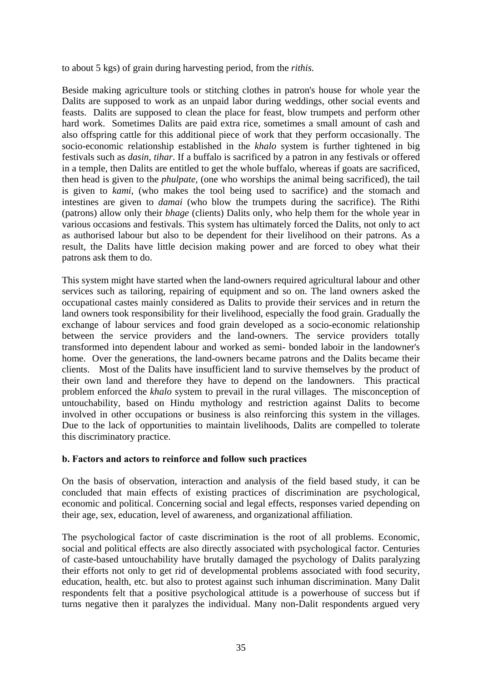to about 5 kgs) of grain during harvesting period, from the *rithis.* 

Beside making agriculture tools or stitching clothes in patron's house for whole year the Dalits are supposed to work as an unpaid labor during weddings, other social events and feasts. Dalits are supposed to clean the place for feast, blow trumpets and perform other hard work. Sometimes Dalits are paid extra rice, sometimes a small amount of cash and also offspring cattle for this additional piece of work that they perform occasionally. The socio-economic relationship established in the *khalo* system is further tightened in big festivals such as *dasin, tihar*. If a buffalo is sacrificed by a patron in any festivals or offered in a temple, then Dalits are entitled to get the whole buffalo, whereas if goats are sacrificed, then head is given to the *phulpate,* (one who worships the animal being sacrificed), the tail is given to *kami,* (who makes the tool being used to sacrifice) and the stomach and intestines are given to *damai* (who blow the trumpets during the sacrifice). The Rithi (patrons) allow only their *bhage* (clients) Dalits only, who help them for the whole year in various occasions and festivals. This system has ultimately forced the Dalits, not only to act as authorised labour but also to be dependent for their livelihood on their patrons. As a result, the Dalits have little decision making power and are forced to obey what their patrons ask them to do.

This system might have started when the land-owners required agricultural labour and other services such as tailoring, repairing of equipment and so on. The land owners asked the occupational castes mainly considered as Dalits to provide their services and in return the land owners took responsibility for their livelihood, especially the food grain. Gradually the exchange of labour services and food grain developed as a socio-economic relationship between the service providers and the land-owners. The service providers totally transformed into dependent labour and worked as semi- bonded laboir in the landowner's home. Over the generations, the land-owners became patrons and the Dalits became their clients. Most of the Dalits have insufficient land to survive themselves by the product of their own land and therefore they have to depend on the landowners. This practical problem enforced the *khalo* system to prevail in the rural villages. The misconception of untouchability, based on Hindu mythology and restriction against Dalits to become involved in other occupations or business is also reinforcing this system in the villages. Due to the lack of opportunities to maintain livelihoods, Dalits are compelled to tolerate this discriminatory practice.

## **b. Factors and actors to reinforce and follow such practices**

On the basis of observation, interaction and analysis of the field based study, it can be concluded that main effects of existing practices of discrimination are psychological, economic and political. Concerning social and legal effects, responses varied depending on their age, sex, education, level of awareness, and organizational affiliation.

The psychological factor of caste discrimination is the root of all problems. Economic, social and political effects are also directly associated with psychological factor. Centuries of caste-based untouchability have brutally damaged the psychology of Dalits paralyzing their efforts not only to get rid of developmental problems associated with food security, education, health, etc. but also to protest against such inhuman discrimination. Many Dalit respondents felt that a positive psychological attitude is a powerhouse of success but if turns negative then it paralyzes the individual. Many non-Dalit respondents argued very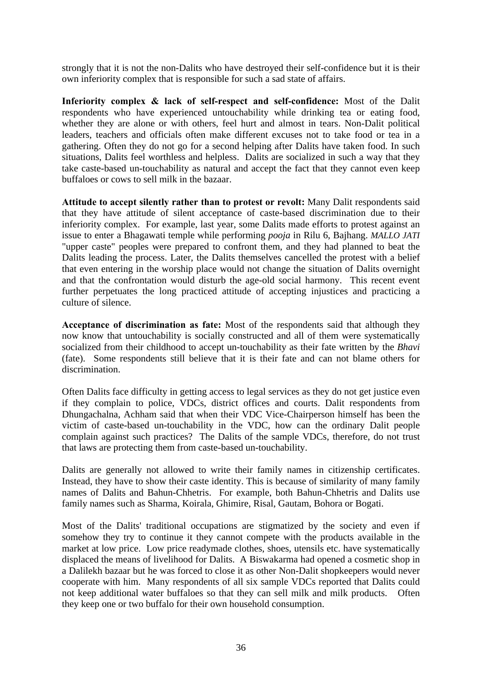strongly that it is not the non-Dalits who have destroyed their self-confidence but it is their own inferiority complex that is responsible for such a sad state of affairs.

**Inferiority complex & lack of self-respect and self-confidence:** Most of the Dalit respondents who have experienced untouchability while drinking tea or eating food, whether they are alone or with others, feel hurt and almost in tears. Non-Dalit political leaders, teachers and officials often make different excuses not to take food or tea in a gathering. Often they do not go for a second helping after Dalits have taken food. In such situations, Dalits feel worthless and helpless. Dalits are socialized in such a way that they take caste-based un-touchability as natural and accept the fact that they cannot even keep buffaloes or cows to sell milk in the bazaar.

**Attitude to accept silently rather than to protest or revolt:** Many Dalit respondents said that they have attitude of silent acceptance of caste-based discrimination due to their inferiority complex. For example, last year, some Dalits made efforts to protest against an issue to enter a Bhagawati temple while performing *pooja* in Rilu 6, Bajhang. *MALLO JATI* "upper caste" peoples were prepared to confront them, and they had planned to beat the Dalits leading the process. Later, the Dalits themselves cancelled the protest with a belief that even entering in the worship place would not change the situation of Dalits overnight and that the confrontation would disturb the age-old social harmony. This recent event further perpetuates the long practiced attitude of accepting injustices and practicing a culture of silence.

**Acceptance of discrimination as fate:** Most of the respondents said that although they now know that untouchability is socially constructed and all of them were systematically socialized from their childhood to accept un-touchability as their fate written by the *Bhavi*  (fate). Some respondents still believe that it is their fate and can not blame others for discrimination.

Often Dalits face difficulty in getting access to legal services as they do not get justice even if they complain to police, VDCs, district offices and courts. Dalit respondents from Dhungachalna, Achham said that when their VDC Vice-Chairperson himself has been the victim of caste-based un-touchability in the VDC, how can the ordinary Dalit people complain against such practices? The Dalits of the sample VDCs, therefore, do not trust that laws are protecting them from caste-based un-touchability.

Dalits are generally not allowed to write their family names in citizenship certificates. Instead, they have to show their caste identity. This is because of similarity of many family names of Dalits and Bahun-Chhetris. For example, both Bahun-Chhetris and Dalits use family names such as Sharma, Koirala, Ghimire, Risal, Gautam, Bohora or Bogati.

Most of the Dalits' traditional occupations are stigmatized by the society and even if somehow they try to continue it they cannot compete with the products available in the market at low price. Low price readymade clothes, shoes, utensils etc. have systematically displaced the means of livelihood for Dalits. A Biswakarma had opened a cosmetic shop in a Dalilekh bazaar but he was forced to close it as other Non-Dalit shopkeepers would never cooperate with him. Many respondents of all six sample VDCs reported that Dalits could not keep additional water buffaloes so that they can sell milk and milk products. Often they keep one or two buffalo for their own household consumption.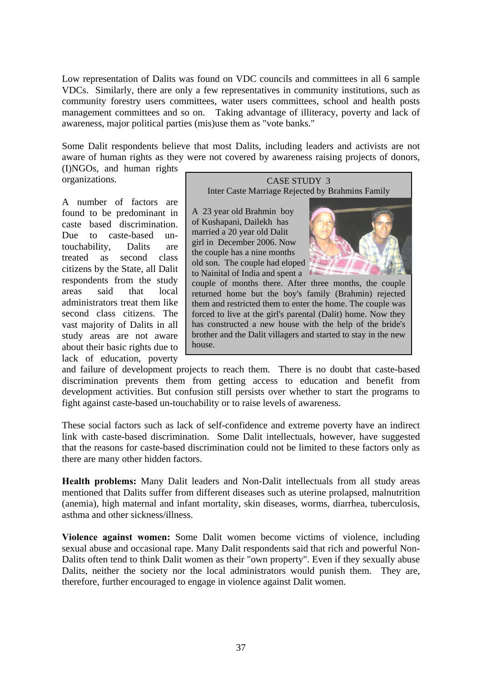Low representation of Dalits was found on VDC councils and committees in all 6 sample VDCs. Similarly, there are only a few representatives in community institutions, such as community forestry users committees, water users committees, school and health posts management committees and so on. Taking advantage of illiteracy, poverty and lack of awareness, major political parties (mis)use them as "vote banks."

Some Dalit respondents believe that most Dalits, including leaders and activists are not aware of human rights as they were not covered by awareness raising projects of donors, (I)NGOs, and human rights

organizations.

A number of factors are found to be predominant in caste based discrimination. Due to caste-based untouchability, Dalits are treated as second class citizens by the State, all Dalit respondents from the study areas said that local administrators treat them like second class citizens. The vast majority of Dalits in all study areas are not aware about their basic rights due to lack of education, poverty

CASE STUDY 3 Inter Caste Marriage Rejected by Brahmins Family

A 23 year old Brahmin boy of Kushapani, Dailekh has married a 20 year old Dalit girl in December 2006. Now the couple has a nine months old son. The couple had eloped to Nainital of India and spent a



couple of months there. After three months, the couple returned home but the boy's family (Brahmin) rejected them and restricted them to enter the home. The couple was forced to live at the girl's parental (Dalit) home. Now they has constructed a new house with the help of the bride's brother and the Dalit villagers and started to stay in the new house.

and failure of development projects to reach them. There is no doubt that caste-based discrimination prevents them from getting access to education and benefit from development activities. But confusion still persists over whether to start the programs to fight against caste-based un-touchability or to raise levels of awareness.

These social factors such as lack of self-confidence and extreme poverty have an indirect link with caste-based discrimination. Some Dalit intellectuals, however, have suggested that the reasons for caste-based discrimination could not be limited to these factors only as there are many other hidden factors.

**Health problems:** Many Dalit leaders and Non-Dalit intellectuals from all study areas mentioned that Dalits suffer from different diseases such as uterine prolapsed, malnutrition (anemia), high maternal and infant mortality, skin diseases, worms, diarrhea, tuberculosis, asthma and other sickness/illness.

**Violence against women:** Some Dalit women become victims of violence, including sexual abuse and occasional rape. Many Dalit respondents said that rich and powerful Non-Dalits often tend to think Dalit women as their "own property". Even if they sexually abuse Dalits, neither the society nor the local administrators would punish them. They are, therefore, further encouraged to engage in violence against Dalit women.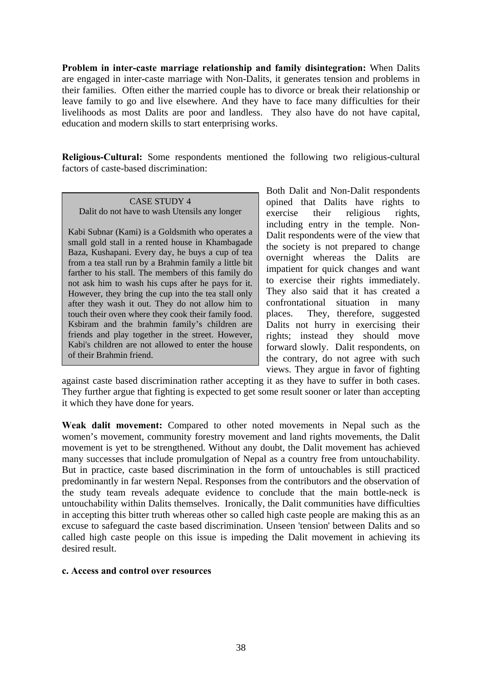**Problem in inter-caste marriage relationship and family disintegration:** When Dalits are engaged in inter-caste marriage with Non-Dalits, it generates tension and problems in their families. Often either the married couple has to divorce or break their relationship or leave family to go and live elsewhere. And they have to face many difficulties for their livelihoods as most Dalits are poor and landless. They also have do not have capital, education and modern skills to start enterprising works.

**Religious-Cultural:** Some respondents mentioned the following two religious-cultural factors of caste-based discrimination:

CASE STUDY 4 Dalit do not have to wash Utensils any longer

Kabi Subnar (Kami) is a Goldsmith who operates a small gold stall in a rented house in Khambagade Baza, Kushapani. Every day, he buys a cup of tea from a tea stall run by a Brahmin family a little bit farther to his stall. The members of this family do not ask him to wash his cups after he pays for it. However, they bring the cup into the tea stall only after they wash it out. They do not allow him to touch their oven where they cook their family food. Ksbiram and the brahmin family's children are friends and play together in the street. However, Kabi's children are not allowed to enter the house of their Brahmin friend.

Both Dalit and Non-Dalit respondents opined that Dalits have rights to exercise their religious rights, including entry in the temple. Non-Dalit respondents were of the view that the society is not prepared to change overnight whereas the Dalits are impatient for quick changes and want to exercise their rights immediately. They also said that it has created a confrontational situation in many places. They, therefore, suggested Dalits not hurry in exercising their rights; instead they should move forward slowly. Dalit respondents, on the contrary, do not agree with such views. They argue in favor of fighting

against caste based discrimination rather accepting it as they have to suffer in both cases. They further argue that fighting is expected to get some result sooner or later than accepting it which they have done for years.

**Weak dalit movement:** Compared to other noted movements in Nepal such as the women's movement, community forestry movement and land rights movements, the Dalit movement is yet to be strengthened. Without any doubt, the Dalit movement has achieved many successes that include promulgation of Nepal as a country free from untouchability. But in practice, caste based discrimination in the form of untouchables is still practiced predominantly in far western Nepal. Responses from the contributors and the observation of the study team reveals adequate evidence to conclude that the main bottle-neck is untouchability within Dalits themselves. Ironically, the Dalit communities have difficulties in accepting this bitter truth whereas other so called high caste people are making this as an excuse to safeguard the caste based discrimination. Unseen 'tension' between Dalits and so called high caste people on this issue is impeding the Dalit movement in achieving its desired result.

#### **c. Access and control over resources**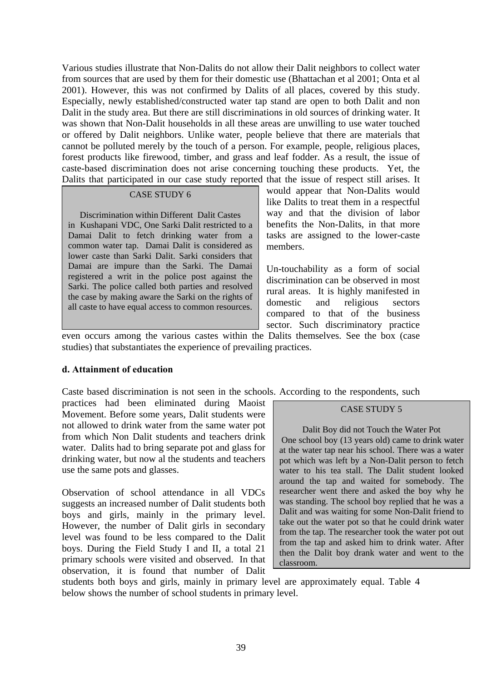Various studies illustrate that Non-Dalits do not allow their Dalit neighbors to collect water from sources that are used by them for their domestic use (Bhattachan et al 2001; Onta et al 2001). However, this was not confirmed by Dalits of all places, covered by this study. Especially, newly established/constructed water tap stand are open to both Dalit and non Dalit in the study area. But there are still discriminations in old sources of drinking water. It was shown that Non-Dalit households in all these areas are unwilling to use water touched or offered by Dalit neighbors. Unlike water, people believe that there are materials that cannot be polluted merely by the touch of a person. For example, people, religious places, forest products like firewood, timber, and grass and leaf fodder. As a result, the issue of caste-based discrimination does not arise concerning touching these products. Yet, the Dalits that participated in our case study reported that the issue of respect still arises. It

#### CASE STUDY 6

Discrimination within Different Dalit Castes in Kushapani VDC, One Sarki Dalit restricted to a Damai Dalit to fetch drinking water from a common water tap. Damai Dalit is considered as lower caste than Sarki Dalit. Sarki considers that Damai are impure than the Sarki. The Damai registered a writ in the police post against the Sarki. The police called both parties and resolved the case by making aware the Sarki on the rights of all caste to have equal access to common resources.

would appear that Non-Dalits would like Dalits to treat them in a respectful way and that the division of labor benefits the Non-Dalits, in that more tasks are assigned to the lower-caste members.

Un-touchability as a form of social discrimination can be observed in most rural areas. It is highly manifested in domestic and religious sectors compared to that of the business sector. Such discriminatory practice

even occurs among the various castes within the Dalits themselves. See the box (case studies) that substantiates the experience of prevailing practices.

## **d. Attainment of education**

Caste based discrimination is not seen in the schools. According to the respondents, such

practices had been eliminated during Maoist Movement. Before some years, Dalit students were not allowed to drink water from the same water pot from which Non Dalit students and teachers drink water. Dalits had to bring separate pot and glass for drinking water, but now al the students and teachers use the same pots and glasses.

Observation of school attendance in all VDCs suggests an increased number of Dalit students both boys and girls, mainly in the primary level. However, the number of Dalit girls in secondary level was found to be less compared to the Dalit boys. During the Field Study I and II, a total 21 primary schools were visited and observed. In that observation, it is found that number of Dalit

#### CASE STUDY 5

Dalit Boy did not Touch the Water Pot One school boy (13 years old) came to drink water at the water tap near his school. There was a water pot which was left by a Non-Dalit person to fetch water to his tea stall. The Dalit student looked around the tap and waited for somebody. The researcher went there and asked the boy why he was standing. The school boy replied that he was a Dalit and was waiting for some Non-Dalit friend to take out the water pot so that he could drink water from the tap. The researcher took the water pot out from the tap and asked him to drink water. After then the Dalit boy drank water and went to the classroom.

students both boys and girls, mainly in primary level are approximately equal. Table 4 below shows the number of school students in primary level.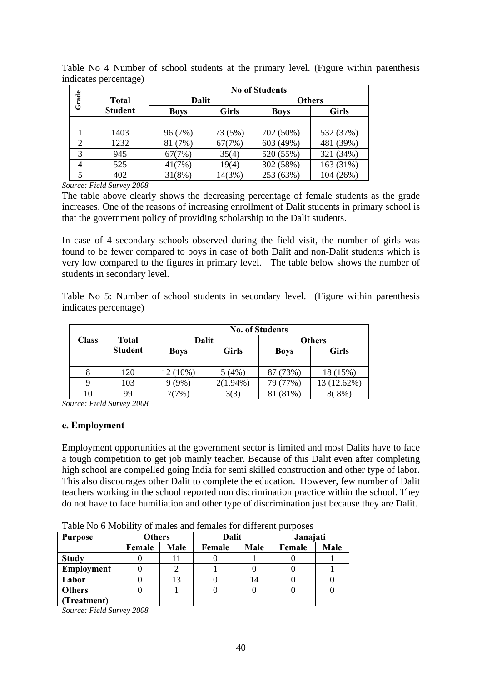|                |                |              | <b>No of Students</b> |               |              |  |  |
|----------------|----------------|--------------|-----------------------|---------------|--------------|--|--|
| Grade          | <b>Total</b>   | <b>Dalit</b> |                       | <b>Others</b> |              |  |  |
|                | <b>Student</b> | <b>Boys</b>  | <b>Girls</b>          | <b>Boys</b>   | <b>Girls</b> |  |  |
|                |                |              |                       |               |              |  |  |
|                | 1403           | 96 (7%)      | 73 (5%)               | 702 (50%)     | 532 (37%)    |  |  |
| $\overline{2}$ | 1232           | 81 (7%)      | 67(7%)                | 603 (49%)     | 481 (39%)    |  |  |
| 3              | 945            | 67(7%)       | 35(4)                 | 520 (55%)     | 321 (34%)    |  |  |
| 4              | 525            | 41(7%)       | 19(4)                 | 302 (58%)     | 163 (31%)    |  |  |
|                | 402            | 31(8%)       | 14(3%)                | 253 (63%)     | 104 (26%)    |  |  |

Table No 4 Number of school students at the primary level. (Figure within parenthesis indicates percentage)

*Source: Field Survey 2008* 

The table above clearly shows the decreasing percentage of female students as the grade increases. One of the reasons of increasing enrollment of Dalit students in primary school is that the government policy of providing scholarship to the Dalit students.

In case of 4 secondary schools observed during the field visit, the number of girls was found to be fewer compared to boys in case of both Dalit and non-Dalit students which is very low compared to the figures in primary level. The table below shows the number of students in secondary level.

Table No 5: Number of school students in secondary level. (Figure within parenthesis indicates percentage)

|              |                | <b>No. of Students</b> |              |               |              |  |
|--------------|----------------|------------------------|--------------|---------------|--------------|--|
| <b>Class</b> | Total          | <b>Dalit</b>           |              | <b>Others</b> |              |  |
|              | <b>Student</b> | <b>Boys</b>            | <b>Girls</b> | <b>Boys</b>   | <b>Girls</b> |  |
|              |                |                        |              |               |              |  |
|              | 120            | 12 (10%)               | 5(4%)        | 87 (73%)      | 18 (15%)     |  |
|              | 103            | $(9\%)$                | $2(1.94\%)$  | 79 (77%)      | 13 (12.62%)  |  |
|              | 99             | $7\%$                  | 3(3)         | (81%)         | 8%)          |  |

*Source: Field Survey 2008* 

## **e. Employment**

Employment opportunities at the government sector is limited and most Dalits have to face a tough competition to get job mainly teacher. Because of this Dalit even after completing high school are compelled going India for semi skilled construction and other type of labor. This also discourages other Dalit to complete the education. However, few number of Dalit teachers working in the school reported non discrimination practice within the school. They do not have to face humiliation and other type of discrimination just because they are Dalit.

| <b>Purpose</b>    | <b>Others</b> |      | Dalit  |      | Janajati |      |
|-------------------|---------------|------|--------|------|----------|------|
|                   | Female        | Male | Female | Male | Female   | Male |
| <b>Study</b>      |               |      |        |      |          |      |
| <b>Employment</b> |               |      |        |      |          |      |
| Labor             |               |      |        | 14   |          |      |
| <b>Others</b>     |               |      |        |      |          |      |
| (Treatment)       |               |      |        |      |          |      |

Table No 6 Mobility of males and females for different purposes

*Source: Field Survey 2008*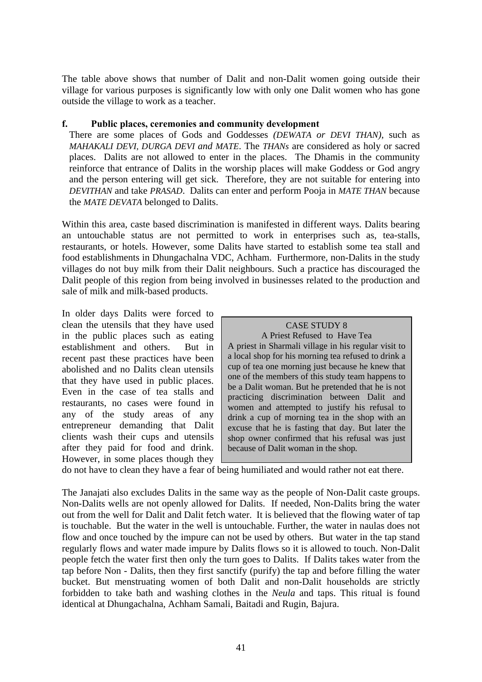The table above shows that number of Dalit and non-Dalit women going outside their village for various purposes is significantly low with only one Dalit women who has gone outside the village to work as a teacher.

## **f. Public places, ceremonies and community development**

There are some places of Gods and Goddesses *(DEWATA or DEVI THAN)*, such as *MAHAKALI DEVI, DURGA DEVI and MATE*. The *THANs* are considered as holy or sacred places. Dalits are not allowed to enter in the places. The Dhamis in the community reinforce that entrance of Dalits in the worship places will make Goddess or God angry and the person entering will get sick. Therefore, they are not suitable for entering into *DEVITHAN* and take *PRASAD*. Dalits can enter and perform Pooja in *MATE THAN* because the *MATE DEVATA* belonged to Dalits.

Within this area, caste based discrimination is manifested in different ways. Dalits bearing an untouchable status are not permitted to work in enterprises such as, tea-stalls, restaurants, or hotels. However, some Dalits have started to establish some tea stall and food establishments in Dhungachalna VDC, Achham. Furthermore, non-Dalits in the study villages do not buy milk from their Dalit neighbours. Such a practice has discouraged the Dalit people of this region from being involved in businesses related to the production and sale of milk and milk-based products.

In older days Dalits were forced to clean the utensils that they have used in the public places such as eating establishment and others. But in recent past these practices have been abolished and no Dalits clean utensils that they have used in public places. Even in the case of tea stalls and restaurants, no cases were found in any of the study areas of any entrepreneur demanding that Dalit clients wash their cups and utensils after they paid for food and drink. However, in some places though they

| <b>CASE STUDY 8</b> |
|---------------------|
|---------------------|

A Priest Refused to Have Tea A priest in Sharmali village in his regular visit to a local shop for his morning tea refused to drink a cup of tea one morning just because he knew that one of the members of this study team happens to be a Dalit woman. But he pretended that he is not practicing discrimination between Dalit and women and attempted to justify his refusal to drink a cup of morning tea in the shop with an excuse that he is fasting that day. But later the shop owner confirmed that his refusal was just because of Dalit woman in the shop*.*

do not have to clean they have a fear of being humiliated and would rather not eat there.

The Janajati also excludes Dalits in the same way as the people of Non-Dalit caste groups. Non-Dalits wells are not openly allowed for Dalits. If needed, Non-Dalits bring the water out from the well for Dalit and Dalit fetch water. It is believed that the flowing water of tap is touchable. But the water in the well is untouchable. Further, the water in naulas does not flow and once touched by the impure can not be used by others. But water in the tap stand regularly flows and water made impure by Dalits flows so it is allowed to touch. Non-Dalit people fetch the water first then only the turn goes to Dalits. If Dalits takes water from the tap before Non - Dalits, then they first sanctify (purify) the tap and before filling the water bucket. But menstruating women of both Dalit and non-Dalit households are strictly forbidden to take bath and washing clothes in the *Neula* and taps. This ritual is found identical at Dhungachalna, Achham Samali, Baitadi and Rugin, Bajura.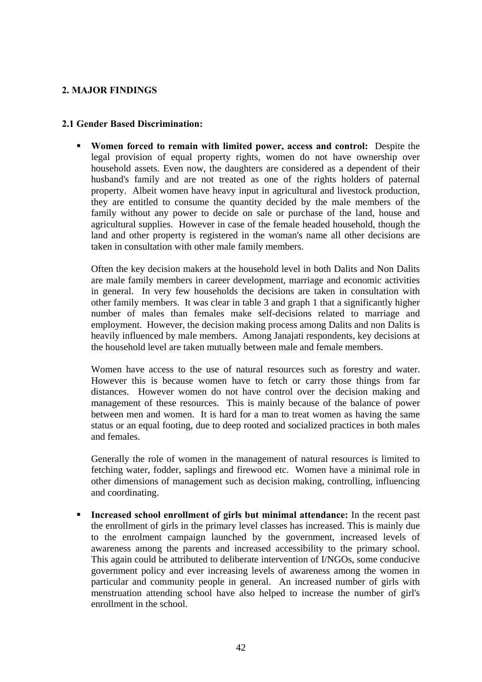## **2. MAJOR FINDINGS**

## **2.1 Gender Based Discrimination:**

 **Women forced to remain with limited power, access and control:** Despite the legal provision of equal property rights, women do not have ownership over household assets. Even now, the daughters are considered as a dependent of their husband's family and are not treated as one of the rights holders of paternal property. Albeit women have heavy input in agricultural and livestock production, they are entitled to consume the quantity decided by the male members of the family without any power to decide on sale or purchase of the land, house and agricultural supplies. However in case of the female headed household, though the land and other property is registered in the woman's name all other decisions are taken in consultation with other male family members.

Often the key decision makers at the household level in both Dalits and Non Dalits are male family members in career development, marriage and economic activities in general. In very few households the decisions are taken in consultation with other family members. It was clear in table 3 and graph 1 that a significantly higher number of males than females make self-decisions related to marriage and employment. However, the decision making process among Dalits and non Dalits is heavily influenced by male members. Among Janajati respondents, key decisions at the household level are taken mutually between male and female members.

Women have access to the use of natural resources such as forestry and water. However this is because women have to fetch or carry those things from far distances. However women do not have control over the decision making and management of these resources. This is mainly because of the balance of power between men and women. It is hard for a man to treat women as having the same status or an equal footing, due to deep rooted and socialized practices in both males and females.

Generally the role of women in the management of natural resources is limited to fetching water, fodder, saplings and firewood etc. Women have a minimal role in other dimensions of management such as decision making, controlling, influencing and coordinating.

 **Increased school enrollment of girls but minimal attendance:** In the recent past the enrollment of girls in the primary level classes has increased. This is mainly due to the enrolment campaign launched by the government, increased levels of awareness among the parents and increased accessibility to the primary school. This again could be attributed to deliberate intervention of I/NGOs, some conducive government policy and ever increasing levels of awareness among the women in particular and community people in general. An increased number of girls with menstruation attending school have also helped to increase the number of girl's enrollment in the school.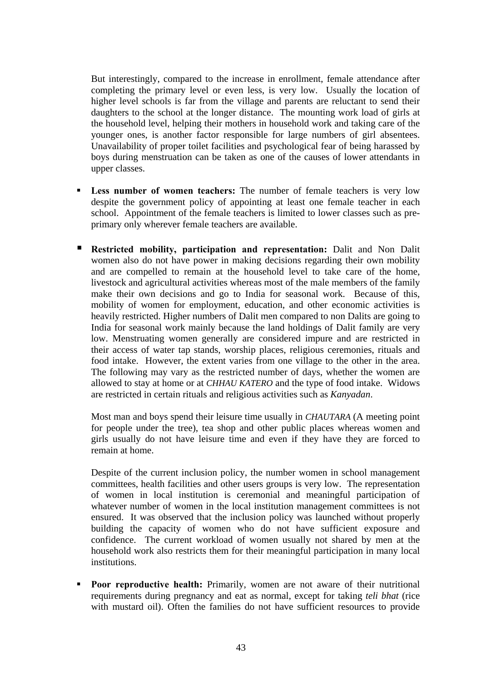But interestingly, compared to the increase in enrollment, female attendance after completing the primary level or even less, is very low. Usually the location of higher level schools is far from the village and parents are reluctant to send their daughters to the school at the longer distance. The mounting work load of girls at the household level, helping their mothers in household work and taking care of the younger ones, is another factor responsible for large numbers of girl absentees. Unavailability of proper toilet facilities and psychological fear of being harassed by boys during menstruation can be taken as one of the causes of lower attendants in upper classes.

- **Less number of women teachers:** The number of female teachers is very low despite the government policy of appointing at least one female teacher in each school. Appointment of the female teachers is limited to lower classes such as preprimary only wherever female teachers are available.
- **Restricted mobility, participation and representation:** Dalit and Non Dalit women also do not have power in making decisions regarding their own mobility and are compelled to remain at the household level to take care of the home, livestock and agricultural activities whereas most of the male members of the family make their own decisions and go to India for seasonal work. Because of this, mobility of women for employment, education, and other economic activities is heavily restricted. Higher numbers of Dalit men compared to non Dalits are going to India for seasonal work mainly because the land holdings of Dalit family are very low. Menstruating women generally are considered impure and are restricted in their access of water tap stands, worship places, religious ceremonies, rituals and food intake. However, the extent varies from one village to the other in the area. The following may vary as the restricted number of days, whether the women are allowed to stay at home or at *CHHAU KATERO* and the type of food intake. Widows are restricted in certain rituals and religious activities such as *Kanyadan*.

Most man and boys spend their leisure time usually in *CHAUTARA* (A meeting point for people under the tree), tea shop and other public places whereas women and girls usually do not have leisure time and even if they have they are forced to remain at home.

Despite of the current inclusion policy, the number women in school management committees, health facilities and other users groups is very low. The representation of women in local institution is ceremonial and meaningful participation of whatever number of women in the local institution management committees is not ensured. It was observed that the inclusion policy was launched without properly building the capacity of women who do not have sufficient exposure and confidence. The current workload of women usually not shared by men at the household work also restricts them for their meaningful participation in many local institutions.

Poor reproductive health: Primarily, women are not aware of their nutritional requirements during pregnancy and eat as normal, except for taking *teli bhat* (rice with mustard oil). Often the families do not have sufficient resources to provide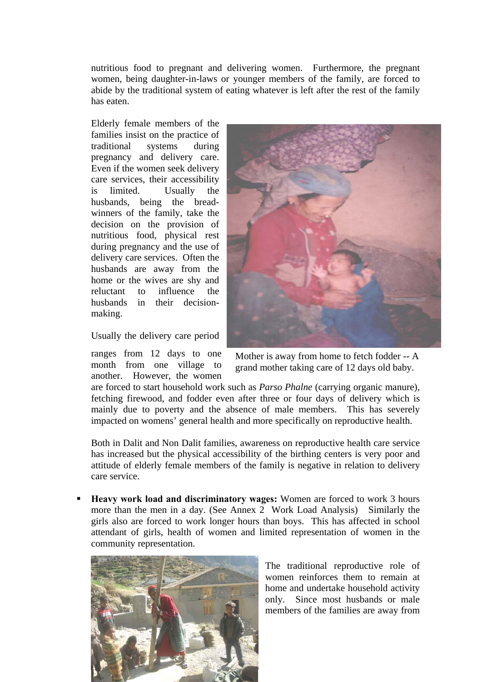nutritious food to pregnant and delivering women. Furthermore, the pregnant women, being daughter-in-laws or younger members of the family, are forced to abide by the traditional system of eating whatever is left after the rest of the family has eaten.

Elderly female members of the families insist on the practice of traditional systems during pregnancy and delivery care. Even if the women seek delivery care services, their accessibility is limited. Usually the husbands, being the breadwinners of the family, take the decision on the provision of nutritious food, physical rest during pregnancy and the use of delivery care services. Often the husbands are away from the home or the wives are shy and reluctant to influence the husbands in their decisionmaking.

Usually the delivery care period

ranges from 12 days to one month from one village to another. However, the women



Mother is away from home to fetch fodder -- A grand mother taking care of 12 days old baby.

are forced to start household work such as *Parso Phalne* (carrying organic manure), fetching firewood, and fodder even after three or four days of delivery which is mainly due to poverty and the absence of male members. This has severely impacted on womens' general health and more specifically on reproductive health.

Both in Dalit and Non Dalit families, awareness on reproductive health care service has increased but the physical accessibility of the birthing centers is very poor and attitude of elderly female members of the family is negative in relation to delivery care service.

 **Heavy work load and discriminatory wages:** Women are forced to work 3 hours more than the men in a day. (See Annex 2 Work Load Analysis) Similarly the girls also are forced to work longer hours than boys. This has affected in school attendant of girls, health of women and limited representation of women in the community representation.



The traditional reproductive role of women reinforces them to remain at home and undertake household activity only. Since most husbands or male members of the families are away from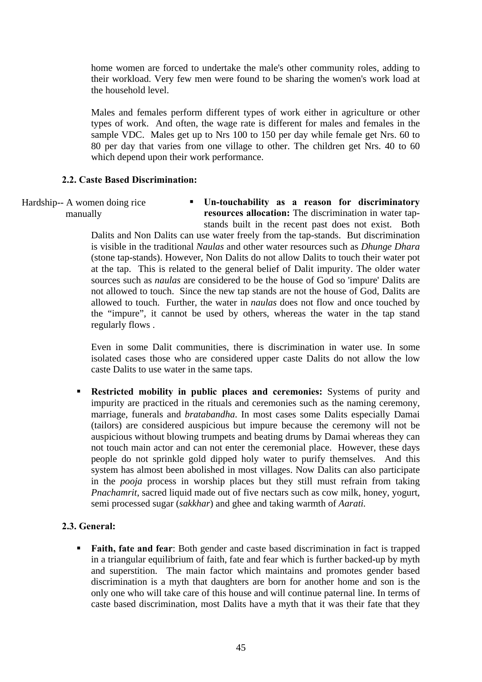home women are forced to undertake the male's other community roles, adding to their workload. Very few men were found to be sharing the women's work load at the household level.

Males and females perform different types of work either in agriculture or other types of work. And often, the wage rate is different for males and females in the sample VDC. Males get up to Nrs 100 to 150 per day while female get Nrs. 60 to 80 per day that varies from one village to other. The children get Nrs. 40 to 60 which depend upon their work performance.

## **2.2. Caste Based Discrimination:**

Hardship-- A women doing rice manually

 **Un-touchability as a reason for discriminatory resources allocation:** The discrimination in water tapstands built in the recent past does not exist. Both

Dalits and Non Dalits can use water freely from the tap-stands. But discrimination is visible in the traditional *Naulas* and other water resources such as *Dhunge Dhara*  (stone tap-stands). However, Non Dalits do not allow Dalits to touch their water pot at the tap. This is related to the general belief of Dalit impurity. The older water sources such as *naulas* are considered to be the house of God so 'impure' Dalits are not allowed to touch. Since the new tap stands are not the house of God, Dalits are allowed to touch. Further, the water in *naulas* does not flow and once touched by the "impure", it cannot be used by others, whereas the water in the tap stand regularly flows .

Even in some Dalit communities, there is discrimination in water use. In some isolated cases those who are considered upper caste Dalits do not allow the low caste Dalits to use water in the same taps.

**Restricted mobility in public places and ceremonies:** Systems of purity and impurity are practiced in the rituals and ceremonies such as the naming ceremony, marriage, funerals and *bratabandha*. In most cases some Dalits especially Damai (tailors) are considered auspicious but impure because the ceremony will not be auspicious without blowing trumpets and beating drums by Damai whereas they can not touch main actor and can not enter the ceremonial place. However, these days people do not sprinkle gold dipped holy water to purify themselves. And this system has almost been abolished in most villages. Now Dalits can also participate in the *pooja* process in worship places but they still must refrain from taking *Pnachamrit*, sacred liquid made out of five nectars such as cow milk, honey, yogurt, semi processed sugar (*sakkhar*) and ghee and taking warmth of *Aarati.*

## **2.3. General:**

 **Faith, fate and fear**: Both gender and caste based discrimination in fact is trapped in a triangular equilibrium of faith, fate and fear which is further backed-up by myth and superstition. The main factor which maintains and promotes gender based discrimination is a myth that daughters are born for another home and son is the only one who will take care of this house and will continue paternal line. In terms of caste based discrimination, most Dalits have a myth that it was their fate that they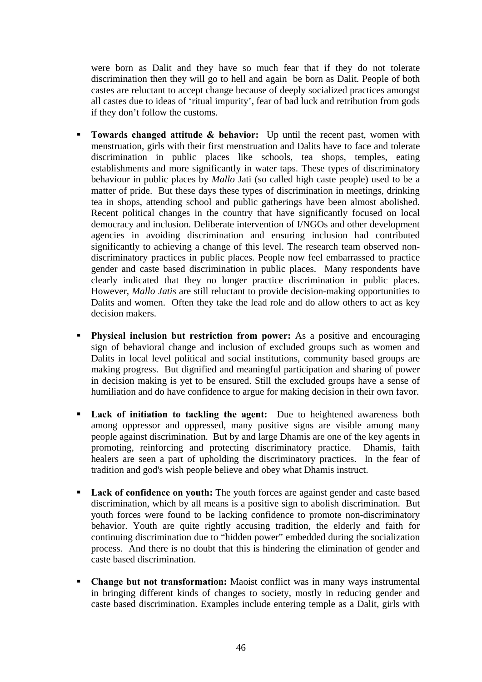were born as Dalit and they have so much fear that if they do not tolerate discrimination then they will go to hell and again be born as Dalit. People of both castes are reluctant to accept change because of deeply socialized practices amongst all castes due to ideas of 'ritual impurity', fear of bad luck and retribution from gods if they don't follow the customs.

- **Towards changed attitude & behavior:** Up until the recent past, women with menstruation, girls with their first menstruation and Dalits have to face and tolerate discrimination in public places like schools, tea shops, temples, eating establishments and more significantly in water taps. These types of discriminatory behaviour in public places by *Mallo* Jati (so called high caste people) used to be a matter of pride. But these days these types of discrimination in meetings, drinking tea in shops, attending school and public gatherings have been almost abolished. Recent political changes in the country that have significantly focused on local democracy and inclusion. Deliberate intervention of I/NGOs and other development agencies in avoiding discrimination and ensuring inclusion had contributed significantly to achieving a change of this level. The research team observed nondiscriminatory practices in public places. People now feel embarrassed to practice gender and caste based discrimination in public places. Many respondents have clearly indicated that they no longer practice discrimination in public places. However, *Mallo Jatis* are still reluctant to provide decision-making opportunities to Dalits and women. Often they take the lead role and do allow others to act as key decision makers.
- **Physical inclusion but restriction from power:** As a positive and encouraging sign of behavioral change and inclusion of excluded groups such as women and Dalits in local level political and social institutions, community based groups are making progress. But dignified and meaningful participation and sharing of power in decision making is yet to be ensured. Still the excluded groups have a sense of humiliation and do have confidence to argue for making decision in their own favor.
- Lack of initiation to tackling the agent: Due to heightened awareness both among oppressor and oppressed, many positive signs are visible among many people against discrimination. But by and large Dhamis are one of the key agents in promoting, reinforcing and protecting discriminatory practice. Dhamis, faith healers are seen a part of upholding the discriminatory practices. In the fear of tradition and god's wish people believe and obey what Dhamis instruct.
- Lack of confidence on youth: The youth forces are against gender and caste based discrimination, which by all means is a positive sign to abolish discrimination. But youth forces were found to be lacking confidence to promote non-discriminatory behavior. Youth are quite rightly accusing tradition, the elderly and faith for continuing discrimination due to "hidden power" embedded during the socialization process. And there is no doubt that this is hindering the elimination of gender and caste based discrimination.
- **Change but not transformation:** Maoist conflict was in many ways instrumental in bringing different kinds of changes to society, mostly in reducing gender and caste based discrimination. Examples include entering temple as a Dalit, girls with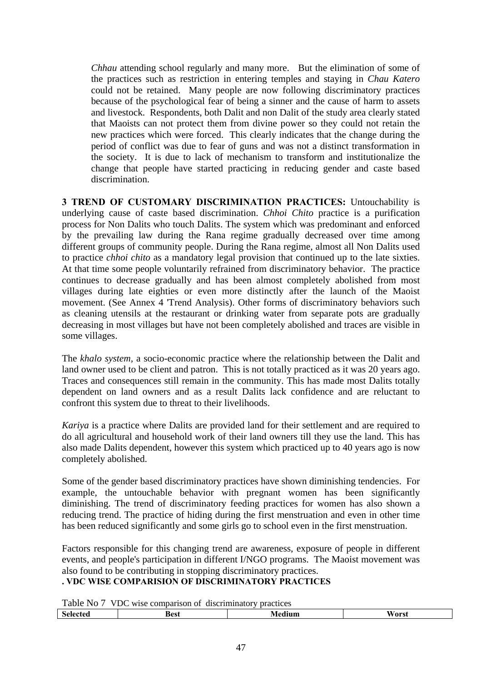*Chhau* attending school regularly and many more. But the elimination of some of the practices such as restriction in entering temples and staying in *Chau Katero* could not be retained. Many people are now following discriminatory practices because of the psychological fear of being a sinner and the cause of harm to assets and livestock. Respondents, both Dalit and non Dalit of the study area clearly stated that Maoists can not protect them from divine power so they could not retain the new practices which were forced. This clearly indicates that the change during the period of conflict was due to fear of guns and was not a distinct transformation in the society. It is due to lack of mechanism to transform and institutionalize the change that people have started practicing in reducing gender and caste based discrimination.

**3 TREND OF CUSTOMARY DISCRIMINATION PRACTICES:** Untouchability is underlying cause of caste based discrimination. *Chhoi Chito* practice is a purification process for Non Dalits who touch Dalits. The system which was predominant and enforced by the prevailing law during the Rana regime gradually decreased over time among different groups of community people. During the Rana regime, almost all Non Dalits used to practice *chhoi chito* as a mandatory legal provision that continued up to the late sixties. At that time some people voluntarily refrained from discriminatory behavior. The practice continues to decrease gradually and has been almost completely abolished from most villages during late eighties or even more distinctly after the launch of the Maoist movement. (See Annex 4 'Trend Analysis). Other forms of discriminatory behaviors such as cleaning utensils at the restaurant or drinking water from separate pots are gradually decreasing in most villages but have not been completely abolished and traces are visible in some villages.

The *khalo system,* a socio-economic practice where the relationship between the Dalit and land owner used to be client and patron. This is not totally practiced as it was 20 years ago. Traces and consequences still remain in the community. This has made most Dalits totally dependent on land owners and as a result Dalits lack confidence and are reluctant to confront this system due to threat to their livelihoods.

*Kariya* is a practice where Dalits are provided land for their settlement and are required to do all agricultural and household work of their land owners till they use the land. This has also made Dalits dependent, however this system which practiced up to 40 years ago is now completely abolished.

Some of the gender based discriminatory practices have shown diminishing tendencies. For example, the untouchable behavior with pregnant women has been significantly diminishing. The trend of discriminatory feeding practices for women has also shown a reducing trend. The practice of hiding during the first menstruation and even in other time has been reduced significantly and some girls go to school even in the first menstruation.

Factors responsible for this changing trend are awareness, exposure of people in different events, and people's participation in different I/NGO programs. The Maoist movement was also found to be contributing in stopping discriminatory practices.

**. VDC WISE COMPARISION OF DISCRIMINATORY PRACTICES** 

Table No 7 VDC wise comparison of discriminatory practices

| .                               |             | .<br>.<br>______ |             |
|---------------------------------|-------------|------------------|-------------|
| $\gamma$ tan<br>.9 <sup>2</sup> | <b>Best</b> | -----            | Worst<br>vы |
|                                 |             |                  |             |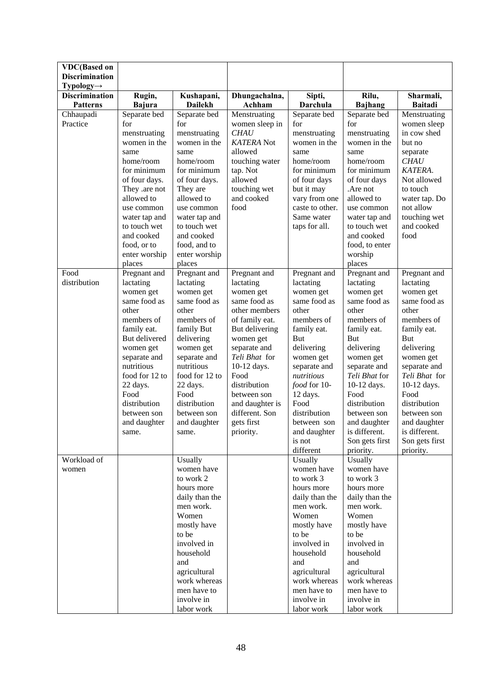| <b>VDC(Based on</b><br><b>Discrimination</b> |                              |                               |                               |                          |                             |                             |
|----------------------------------------------|------------------------------|-------------------------------|-------------------------------|--------------------------|-----------------------------|-----------------------------|
| $Typology \rightarrow$                       |                              |                               |                               |                          |                             |                             |
| <b>Discrimination</b><br><b>Patterns</b>     | Rugin,<br><b>Bajura</b>      | Kushapani,<br>Dailekh         | Dhungachalna,<br>Achham       | Sipti,<br>Darchula       | Rilu,<br><b>Bajhang</b>     | Sharmali,<br><b>Baitadi</b> |
| Chhaupadi                                    | Separate bed                 | Separate bed                  | Menstruating                  | Separate bed             | Separate bed                | Menstruating                |
| Practice                                     | for                          | for                           | women sleep in                | for                      | for                         | women sleep                 |
|                                              | menstruating                 | menstruating                  | <b>CHAU</b>                   | menstruating             | menstruating                | in cow shed                 |
|                                              | women in the<br>same         | women in the<br>same          | <b>KATERA</b> Not<br>allowed  | women in the<br>same     | women in the<br>same        | but no                      |
|                                              | home/room                    | home/room                     | touching water                | home/room                | home/room                   | separate<br><b>CHAU</b>     |
|                                              | for minimum                  | for minimum                   | tap. Not                      | for minimum              | for minimum                 | KATERA.                     |
|                                              | of four days.                | of four days.                 | allowed                       | of four days             | of four days                | Not allowed                 |
|                                              | They .are not                | They are                      | touching wet                  | but it may               | .Are not                    | to touch                    |
|                                              | allowed to                   | allowed to                    | and cooked                    | vary from one            | allowed to                  | water tap. Do               |
|                                              | use common                   | use common                    | food                          | caste to other.          | use common                  | not allow                   |
|                                              | water tap and                | water tap and                 |                               | Same water               | water tap and               | touching wet                |
|                                              | to touch wet                 | to touch wet                  |                               | taps for all.            | to touch wet                | and cooked                  |
|                                              | and cooked                   | and cooked                    |                               |                          | and cooked                  | food                        |
|                                              | food, or to<br>enter worship | food, and to<br>enter worship |                               |                          | food, to enter<br>worship   |                             |
|                                              | places                       | places                        |                               |                          | places                      |                             |
| Food                                         | Pregnant and                 | Pregnant and                  | Pregnant and                  | Pregnant and             | Pregnant and                | Pregnant and                |
| distribution                                 | lactating                    | lactating                     | lactating                     | lactating                | lactating                   | lactating                   |
|                                              | women get                    | women get                     | women get                     | women get                | women get                   | women get                   |
|                                              | same food as                 | same food as                  | same food as                  | same food as             | same food as                | same food as                |
|                                              | other                        | other                         | other members                 | other                    | other                       | other                       |
|                                              | members of                   | members of                    | of family eat.                | members of               | members of                  | members of                  |
|                                              | family eat.                  | family But                    | But delivering                | family eat.              | family eat.                 | family eat.                 |
|                                              | But delivered                | delivering                    | women get                     | <b>But</b><br>delivering | <b>But</b><br>delivering    | <b>But</b><br>delivering    |
|                                              | women get<br>separate and    | women get<br>separate and     | separate and<br>Teli Bhat for | women get                | women get                   | women get                   |
|                                              | nutritious                   | nutritious                    | 10-12 days.                   | separate and             | separate and                | separate and                |
|                                              | food for 12 to               | food for 12 to                | Food                          | nutritious               | Teli Bhat for               | Teli Bhat for               |
|                                              | 22 days.                     | 22 days.                      | distribution                  | food for 10-             | 10-12 days.                 | 10-12 days.                 |
|                                              | Food                         | Food                          | between son                   | 12 days.                 | Food                        | Food                        |
|                                              | distribution                 | distribution                  | and daughter is               | Food                     | distribution                | distribution                |
|                                              | between son                  | between son                   | different. Son                | distribution             | between son                 | between son                 |
|                                              | and daughter                 | and daughter                  | gets first                    | between son              | and daughter                | and daughter                |
|                                              | same.                        | same.                         | priority.                     | and daughter<br>is not   | is different.               | is different.               |
|                                              |                              |                               |                               | different                | Son gets first<br>priority. | Son gets first<br>priority. |
| Workload of                                  |                              | Usually                       |                               | Usually                  | Usually                     |                             |
| women                                        |                              | women have                    |                               | women have               | women have                  |                             |
|                                              |                              | to work 2                     |                               | to work 3                | to work 3                   |                             |
|                                              |                              | hours more                    |                               | hours more               | hours more                  |                             |
|                                              |                              | daily than the                |                               | daily than the           | daily than the              |                             |
|                                              |                              | men work.                     |                               | men work.                | men work.                   |                             |
|                                              |                              | Women                         |                               | Women                    | Women                       |                             |
|                                              |                              | mostly have                   |                               | mostly have              | mostly have                 |                             |
|                                              |                              | to be<br>involved in          |                               | to be<br>involved in     | to be<br>involved in        |                             |
|                                              |                              | household                     |                               | household                | household                   |                             |
|                                              |                              | and                           |                               | and                      | and                         |                             |
|                                              |                              | agricultural                  |                               | agricultural             | agricultural                |                             |
|                                              |                              | work whereas                  |                               | work whereas             | work whereas                |                             |
|                                              |                              | men have to                   |                               | men have to              | men have to                 |                             |
|                                              |                              | involve in                    |                               | involve in               | involve in                  |                             |
|                                              |                              | labor work                    |                               | labor work               | labor work                  |                             |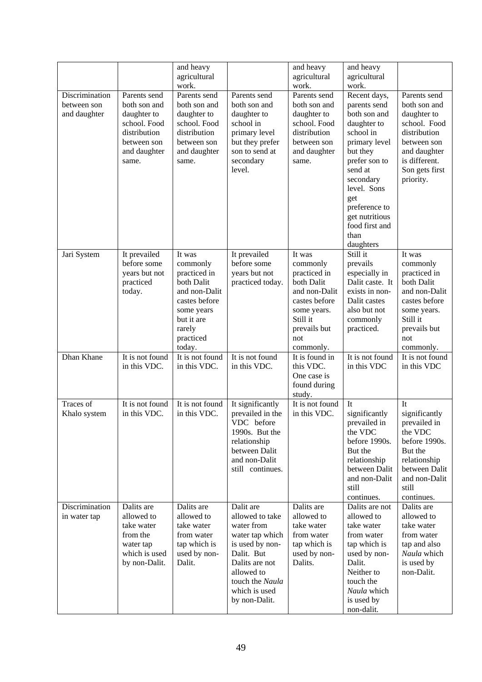|                                               |                                                                                                                     | and heavy<br>agricultural<br>work.                                                                                                              |                                                                                                                                                                                     | and heavy<br>agricultural<br>work.                                                                                                                | and heavy<br>agricultural<br>work.                                                                                                                                                                                                             |                                                                                                                                                            |
|-----------------------------------------------|---------------------------------------------------------------------------------------------------------------------|-------------------------------------------------------------------------------------------------------------------------------------------------|-------------------------------------------------------------------------------------------------------------------------------------------------------------------------------------|---------------------------------------------------------------------------------------------------------------------------------------------------|------------------------------------------------------------------------------------------------------------------------------------------------------------------------------------------------------------------------------------------------|------------------------------------------------------------------------------------------------------------------------------------------------------------|
| Discrimination<br>between son<br>and daughter | Parents send<br>both son and<br>daughter to<br>school. Food<br>distribution<br>between son<br>and daughter<br>same. | Parents send<br>both son and<br>daughter to<br>school. Food<br>distribution<br>between son<br>and daughter<br>same.                             | Parents send<br>both son and<br>daughter to<br>school in<br>primary level<br>but they prefer<br>son to send at<br>secondary<br>level.                                               | Parents send<br>both son and<br>daughter to<br>school. Food<br>distribution<br>between son<br>and daughter<br>same.                               | Recent days,<br>parents send<br>both son and<br>daughter to<br>school in<br>primary level<br>but they<br>prefer son to<br>send at<br>secondary<br>level. Sons<br>get<br>preference to<br>get nutritious<br>food first and<br>than<br>daughters | Parents send<br>both son and<br>daughter to<br>school. Food<br>distribution<br>between son<br>and daughter<br>is different.<br>Son gets first<br>priority. |
| Jari System                                   | It prevailed<br>before some<br>years but not<br>practiced<br>today.                                                 | It was<br>commonly<br>practiced in<br>both Dalit<br>and non-Dalit<br>castes before<br>some years<br>but it are<br>rarely<br>practiced<br>today. | It prevailed<br>before some<br>years but not<br>practiced today.                                                                                                                    | It was<br>commonly<br>practiced in<br>both Dalit<br>and non-Dalit<br>castes before<br>some years.<br>Still it<br>prevails but<br>not<br>commonly. | Still it<br>prevails<br>especially in<br>Dalit caste. It<br>exists in non-<br>Dalit castes<br>also but not<br>commonly<br>practiced.                                                                                                           | It was<br>commonly<br>practiced in<br>both Dalit<br>and non-Dalit<br>castes before<br>some years.<br>Still it<br>prevails but<br>not<br>commonly.          |
| Dhan Khane                                    | It is not found<br>in this VDC.                                                                                     | It is not found<br>in this VDC.                                                                                                                 | It is not found<br>in this VDC.                                                                                                                                                     | It is found in<br>this VDC.<br>One case is<br>found during<br>study.                                                                              | It is not found<br>in this VDC                                                                                                                                                                                                                 | It is not found<br>in this VDC                                                                                                                             |
| Traces of<br>Khalo system                     | It is not found<br>in this VDC.                                                                                     | It is not found<br>in this VDC.                                                                                                                 | It significantly<br>prevailed in the<br>VDC before<br>1990s. But the<br>relationship<br>between Dalit<br>and non-Dalit<br>still continues.                                          | It is not found<br>in this VDC.                                                                                                                   | It<br>significantly<br>prevailed in<br>the VDC<br>before 1990s.<br>But the<br>relationship<br>between Dalit<br>and non-Dalit<br>still<br>continues.                                                                                            | It<br>significantly<br>prevailed in<br>the VDC<br>before 1990s.<br>But the<br>relationship<br>between Dalit<br>and non-Dalit<br>still<br>continues.        |
| Discrimination<br>in water tap                | Dalits are<br>allowed to<br>take water<br>from the<br>water tap<br>which is used<br>by non-Dalit.                   | Dalits are<br>allowed to<br>take water<br>from water<br>tap which is<br>used by non-<br>Dalit.                                                  | Dalit are<br>allowed to take<br>water from<br>water tap which<br>is used by non-<br>Dalit. But<br>Dalits are not<br>allowed to<br>touch the Naula<br>which is used<br>by non-Dalit. | Dalits are<br>allowed to<br>take water<br>from water<br>tap which is<br>used by non-<br>Dalits.                                                   | Dalits are not<br>allowed to<br>take water<br>from water<br>tap which is<br>used by non-<br>Dalit.<br>Neither to<br>touch the<br>Naula which<br>is used by<br>non-dalit.                                                                       | Dalits are<br>allowed to<br>take water<br>from water<br>tap and also<br>Naula which<br>is used by<br>non-Dalit.                                            |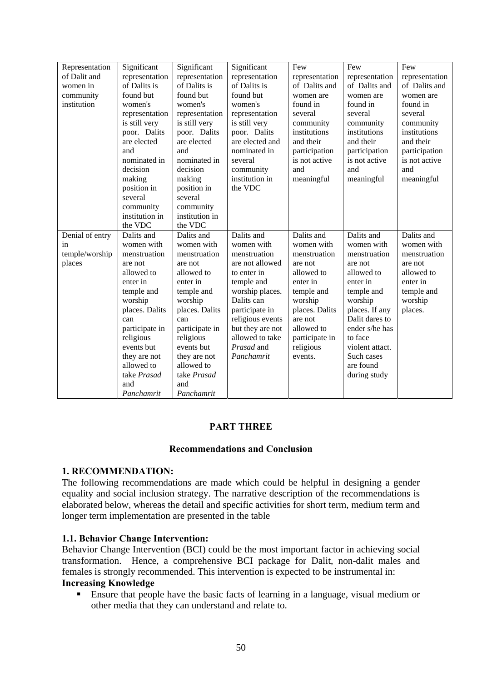| Representation<br>of Dalit and<br>women in<br>community<br>institution | Significant<br>representation<br>of Dalits is<br>found but<br>women's<br>representation<br>is still very<br>poor. Dalits | Significant<br>representation<br>of Dalits is<br>found but<br>women's<br>representation<br>is still very<br>poor. Dalits | Significant<br>representation<br>of Dalits is<br>found but<br>women's<br>representation<br>is still very<br>poor. Dalits | Few<br>representation<br>of Dalits and<br>women are<br>found in<br>several<br>community<br>institutions | Few<br>representation<br>of Dalits and<br>women are<br>found in<br>several<br>community<br>institutions | Few<br>representation<br>of Dalits and<br>women are<br>found in<br>several<br>community<br>institutions |
|------------------------------------------------------------------------|--------------------------------------------------------------------------------------------------------------------------|--------------------------------------------------------------------------------------------------------------------------|--------------------------------------------------------------------------------------------------------------------------|---------------------------------------------------------------------------------------------------------|---------------------------------------------------------------------------------------------------------|---------------------------------------------------------------------------------------------------------|
|                                                                        | are elected<br>and                                                                                                       | are elected<br>and                                                                                                       | are elected and<br>nominated in                                                                                          | and their<br>participation                                                                              | and their<br>participation                                                                              | and their<br>participation                                                                              |
|                                                                        | nominated in<br>decision                                                                                                 | nominated in<br>decision                                                                                                 | several                                                                                                                  | is not active<br>and                                                                                    | is not active<br>and                                                                                    | is not active<br>and                                                                                    |
|                                                                        | making                                                                                                                   | making                                                                                                                   | community<br>institution in                                                                                              | meaningful                                                                                              | meaningful                                                                                              | meaningful                                                                                              |
|                                                                        | position in<br>several                                                                                                   | position in<br>several                                                                                                   | the VDC                                                                                                                  |                                                                                                         |                                                                                                         |                                                                                                         |
|                                                                        | community                                                                                                                | community                                                                                                                |                                                                                                                          |                                                                                                         |                                                                                                         |                                                                                                         |
|                                                                        | institution in<br>the VDC                                                                                                | institution in<br>the VDC                                                                                                |                                                                                                                          |                                                                                                         |                                                                                                         |                                                                                                         |
| Denial of entry                                                        | Dalits and                                                                                                               | Dalits and                                                                                                               | Dalits and                                                                                                               | Dalits and                                                                                              | Dalits and                                                                                              | Dalits and                                                                                              |
| in                                                                     | women with                                                                                                               | women with                                                                                                               | women with                                                                                                               | women with                                                                                              | women with                                                                                              | women with                                                                                              |
| temple/worship                                                         | menstruation                                                                                                             | menstruation                                                                                                             | menstruation                                                                                                             | menstruation                                                                                            | menstruation                                                                                            | menstruation                                                                                            |
| places                                                                 | are not                                                                                                                  | are not                                                                                                                  | are not allowed                                                                                                          | are not                                                                                                 | are not                                                                                                 | are not                                                                                                 |
|                                                                        | allowed to                                                                                                               | allowed to                                                                                                               | to enter in                                                                                                              | allowed to                                                                                              | allowed to                                                                                              | allowed to                                                                                              |
|                                                                        | enter in                                                                                                                 | enter in                                                                                                                 | temple and<br>worship places.                                                                                            | enter in                                                                                                | enter in                                                                                                | enter in                                                                                                |
|                                                                        | temple and<br>worship                                                                                                    | temple and<br>worship                                                                                                    | Dalits can                                                                                                               | temple and<br>worship                                                                                   | temple and<br>worship                                                                                   | temple and<br>worship                                                                                   |
|                                                                        | places. Dalits                                                                                                           | places. Dalits                                                                                                           | participate in                                                                                                           | places. Dalits                                                                                          | places. If any                                                                                          | places.                                                                                                 |
|                                                                        | can                                                                                                                      | can                                                                                                                      | religious events                                                                                                         | are not                                                                                                 | Dalit dares to                                                                                          |                                                                                                         |
|                                                                        | participate in                                                                                                           | participate in                                                                                                           | but they are not                                                                                                         | allowed to                                                                                              | ender s/he has                                                                                          |                                                                                                         |
|                                                                        | religious                                                                                                                | religious                                                                                                                | allowed to take                                                                                                          | participate in                                                                                          | to face                                                                                                 |                                                                                                         |
|                                                                        | events but                                                                                                               | events but                                                                                                               | Prasad and                                                                                                               | religious                                                                                               | violent attact.                                                                                         |                                                                                                         |
|                                                                        | they are not                                                                                                             | they are not                                                                                                             | Panchamrit                                                                                                               | events.                                                                                                 | Such cases                                                                                              |                                                                                                         |
|                                                                        | allowed to                                                                                                               | allowed to                                                                                                               |                                                                                                                          |                                                                                                         | are found                                                                                               |                                                                                                         |
|                                                                        | take Prasad                                                                                                              | take Prasad                                                                                                              |                                                                                                                          |                                                                                                         | during study                                                                                            |                                                                                                         |
|                                                                        | and                                                                                                                      | and                                                                                                                      |                                                                                                                          |                                                                                                         |                                                                                                         |                                                                                                         |
|                                                                        | Panchamrit                                                                                                               | Panchamrit                                                                                                               |                                                                                                                          |                                                                                                         |                                                                                                         |                                                                                                         |

## **PART THREE**

## **Recommendations and Conclusion**

## **1. RECOMMENDATION:**

The following recommendations are made which could be helpful in designing a gender equality and social inclusion strategy. The narrative description of the recommendations is elaborated below, whereas the detail and specific activities for short term, medium term and longer term implementation are presented in the table

#### **1.1. Behavior Change Intervention:**

Behavior Change Intervention (BCI) could be the most important factor in achieving social transformation. Hence, a comprehensive BCI package for Dalit, non-dalit males and females is strongly recommended. This intervention is expected to be instrumental in: **Increasing Knowledge**

 Ensure that people have the basic facts of learning in a language, visual medium or other media that they can understand and relate to.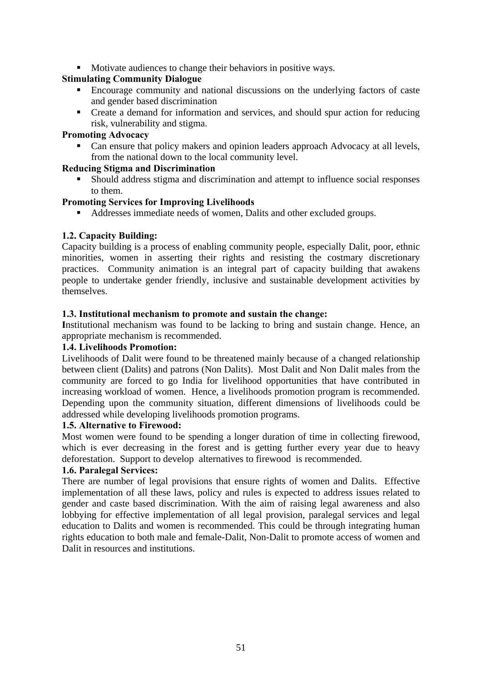• Motivate audiences to change their behaviors in positive ways.

## **Stimulating Community Dialogue**

- Encourage community and national discussions on the underlying factors of caste and gender based discrimination
- Create a demand for information and services, and should spur action for reducing risk, vulnerability and stigma.

## **Promoting Advocacy**

 Can ensure that policy makers and opinion leaders approach Advocacy at all levels, from the national down to the local community level.

## **Reducing Stigma and Discrimination**

 Should address stigma and discrimination and attempt to influence social responses to them.

## **Promoting Services for Improving Livelihoods**

Addresses immediate needs of women, Dalits and other excluded groups.

## **1.2. Capacity Building:**

Capacity building is a process of enabling community people, especially Dalit, poor, ethnic minorities, women in asserting their rights and resisting the costmary discretionary practices. Community animation is an integral part of capacity building that awakens people to undertake gender friendly, inclusive and sustainable development activities by themselves.

## **1.3. Institutional mechanism to promote and sustain the change:**

**I**nstitutional mechanism was found to be lacking to bring and sustain change. Hence, an appropriate mechanism is recommended.

## **1.4. Livelihoods Promotion:**

Livelihoods of Dalit were found to be threatened mainly because of a changed relationship between client (Dalits) and patrons (Non Dalits). Most Dalit and Non Dalit males from the community are forced to go India for livelihood opportunities that have contributed in increasing workload of women. Hence, a livelihoods promotion program is recommended. Depending upon the community situation, different dimensions of livelihoods could be addressed while developing livelihoods promotion programs.

## **1.5. Alternative to Firewood:**

Most women were found to be spending a longer duration of time in collecting firewood, which is ever decreasing in the forest and is getting further every year due to heavy deforestation. Support to develop alternatives to firewood is recommended.

## **1.6. Paralegal Services:**

There are number of legal provisions that ensure rights of women and Dalits. Effective implementation of all these laws, policy and rules is expected to address issues related to gender and caste based discrimination. With the aim of raising legal awareness and also lobbying for effective implementation of all legal provision, paralegal services and legal education to Dalits and women is recommended. This could be through integrating human rights education to both male and female-Dalit, Non-Dalit to promote access of women and Dalit in resources and institutions.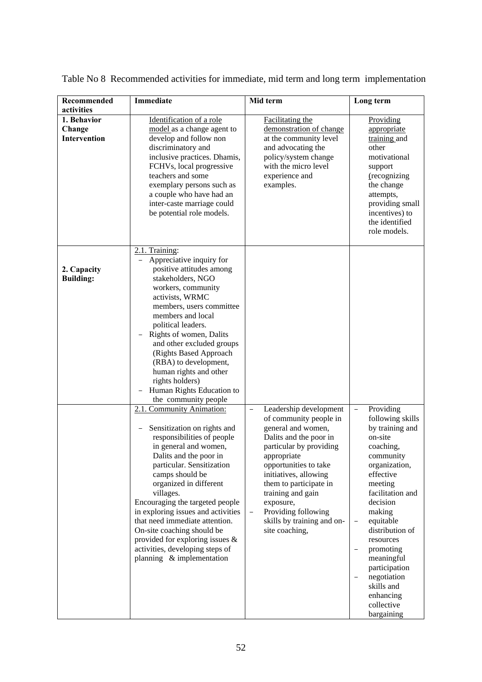| Recommended                           | Immediate                                                                                                                                                                                                                                                                                                                                                                                                                                                                       | Mid term                                                                                                                                                                                                                                                                                                                                                                  | Long term                                                                                                                                                                                                                                                                                                                                                                                |
|---------------------------------------|---------------------------------------------------------------------------------------------------------------------------------------------------------------------------------------------------------------------------------------------------------------------------------------------------------------------------------------------------------------------------------------------------------------------------------------------------------------------------------|---------------------------------------------------------------------------------------------------------------------------------------------------------------------------------------------------------------------------------------------------------------------------------------------------------------------------------------------------------------------------|------------------------------------------------------------------------------------------------------------------------------------------------------------------------------------------------------------------------------------------------------------------------------------------------------------------------------------------------------------------------------------------|
| activities                            |                                                                                                                                                                                                                                                                                                                                                                                                                                                                                 |                                                                                                                                                                                                                                                                                                                                                                           |                                                                                                                                                                                                                                                                                                                                                                                          |
| 1. Behavior<br>Change<br>Intervention | Identification of a role<br>model as a change agent to<br>develop and follow non<br>discriminatory and<br>inclusive practices. Dhamis,<br>FCHVs, local progressive<br>teachers and some<br>exemplary persons such as<br>a couple who have had an<br>inter-caste marriage could<br>be potential role models.                                                                                                                                                                     | <b>Facilitating the</b><br>demonstration of change<br>at the community level<br>and advocating the<br>policy/system change<br>with the micro level<br>experience and<br>examples.                                                                                                                                                                                         | Providing<br>appropriate<br>training and<br>other<br>motivational<br>support<br>(recognizing<br>the change<br>attempts,<br>providing small<br>incentives) to<br>the identified<br>role models.                                                                                                                                                                                           |
| 2. Capacity<br><b>Building:</b>       | 2.1. Training:<br>Appreciative inquiry for<br>positive attitudes among<br>stakeholders, NGO<br>workers, community<br>activists, WRMC<br>members, users committee<br>members and local<br>political leaders.<br>Rights of women, Dalits<br>and other excluded groups<br>(Rights Based Approach<br>(RBA) to development,<br>human rights and other<br>rights holders)<br>Human Rights Education to<br>the community people                                                        |                                                                                                                                                                                                                                                                                                                                                                           |                                                                                                                                                                                                                                                                                                                                                                                          |
|                                       | 2.1. Community Animation:<br>Sensitization on rights and<br>responsibilities of people<br>in general and women,<br>Dalits and the poor in<br>particular. Sensitization<br>camps should be<br>organized in different<br>villages.<br>Encouraging the targeted people<br>in exploring issues and activities<br>that need immediate attention.<br>On-site coaching should be<br>provided for exploring issues $\&$<br>activities, developing steps of<br>planning & implementation | Leadership development<br>$\qquad \qquad -$<br>of community people in<br>general and women,<br>Dalits and the poor in<br>particular by providing<br>appropriate<br>opportunities to take<br>initiatives, allowing<br>them to participate in<br>training and gain<br>exposure,<br>Providing following<br>$\qquad \qquad -$<br>skills by training and on-<br>site coaching, | Providing<br>$\overline{\phantom{m}}$<br>following skills<br>by training and<br>on-site<br>coaching,<br>community<br>organization,<br>effective<br>meeting<br>facilitation and<br>decision<br>making<br>equitable<br>$\qquad \qquad -$<br>distribution of<br>resources<br>promoting<br>meaningful<br>participation<br>negotiation<br>skills and<br>enhancing<br>collective<br>bargaining |

Table No 8 Recommended activities for immediate, mid term and long term implementation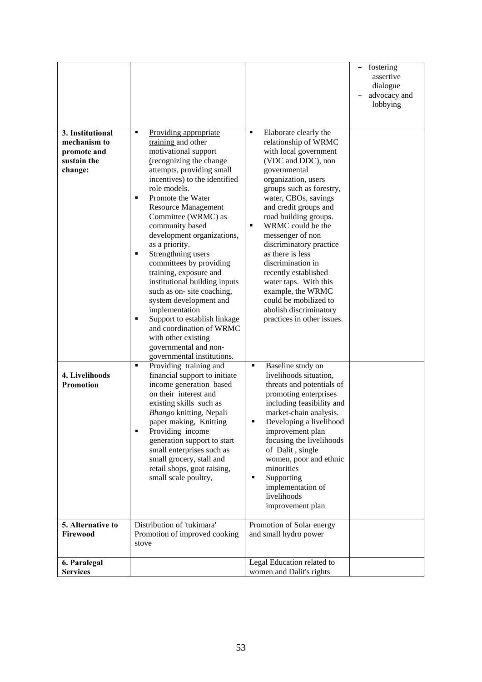|                                                                           |                                                                                                                                                                                                                                                                                                                                                                                                                                                                                                                                                                                                                                                                                           |                                                                                                                                                                                                                                                                                                                                                                                                                                                                                                                                                   | fostering<br>assertive<br>dialogue<br>advocacy and<br>lobbying |
|---------------------------------------------------------------------------|-------------------------------------------------------------------------------------------------------------------------------------------------------------------------------------------------------------------------------------------------------------------------------------------------------------------------------------------------------------------------------------------------------------------------------------------------------------------------------------------------------------------------------------------------------------------------------------------------------------------------------------------------------------------------------------------|---------------------------------------------------------------------------------------------------------------------------------------------------------------------------------------------------------------------------------------------------------------------------------------------------------------------------------------------------------------------------------------------------------------------------------------------------------------------------------------------------------------------------------------------------|----------------------------------------------------------------|
| 3. Institutional<br>mechanism to<br>promote and<br>sustain the<br>change: | $\blacksquare$<br>Providing appropriate<br>training and other<br>motivational support<br>(recognizing the change<br>attempts, providing small<br>incentives) to the identified<br>role models.<br>Promote the Water<br>٠<br><b>Resource Management</b><br>Committee (WRMC) as<br>community based<br>development organizations,<br>as a priority.<br>Strengthning users<br>٠<br>committees by providing<br>training, exposure and<br>institutional building inputs<br>such as on-site coaching,<br>system development and<br>implementation<br>Support to establish linkage<br>٠<br>and coordination of WRMC<br>with other existing<br>governmental and non-<br>governmental institutions. | Elaborate clearly the<br>$\blacksquare$<br>relationship of WRMC<br>with local government<br>(VDC and DDC), non<br>governmental<br>organization, users<br>groups such as forestry,<br>water, CBOs, savings<br>and credit groups and<br>road building groups.<br>WRMC could be the<br>$\blacksquare$<br>messenger of non<br>discriminatory practice<br>as there is less<br>discrimination in<br>recently established<br>water taps. With this<br>example, the WRMC<br>could be mobilized to<br>abolish discriminatory<br>practices in other issues. |                                                                |
| 4. Livelihoods<br><b>Promotion</b>                                        | Providing training and<br>$\blacksquare$<br>financial support to initiate<br>income generation based<br>on their interest and<br>existing skills such as<br>Bhango knitting, Nepali<br>paper making, Knitting<br>Providing income<br>٠<br>generation support to start<br>small enterprises such as<br>small grocery, stall and<br>retail shops, goat raising,<br>small scale poultry,                                                                                                                                                                                                                                                                                                     | Baseline study on<br>٠<br>livelihoods situation,<br>threats and potentials of<br>promoting enterprises<br>including feasibility and<br>market-chain analysis.<br>Developing a livelihood<br>improvement plan<br>focusing the livelihoods<br>of Dalit, single<br>women, poor and ethnic<br>minorities<br>Supporting<br>٠<br>implementation of<br>livelihoods<br>improvement plan                                                                                                                                                                   |                                                                |
| 5. Alternative to<br>Firewood                                             | Distribution of 'tukimara'<br>Promotion of improved cooking<br>stove                                                                                                                                                                                                                                                                                                                                                                                                                                                                                                                                                                                                                      | Promotion of Solar energy<br>and small hydro power                                                                                                                                                                                                                                                                                                                                                                                                                                                                                                |                                                                |
| 6. Paralegal                                                              |                                                                                                                                                                                                                                                                                                                                                                                                                                                                                                                                                                                                                                                                                           | Legal Education related to                                                                                                                                                                                                                                                                                                                                                                                                                                                                                                                        |                                                                |
| <b>Services</b>                                                           |                                                                                                                                                                                                                                                                                                                                                                                                                                                                                                                                                                                                                                                                                           | women and Dalit's rights                                                                                                                                                                                                                                                                                                                                                                                                                                                                                                                          |                                                                |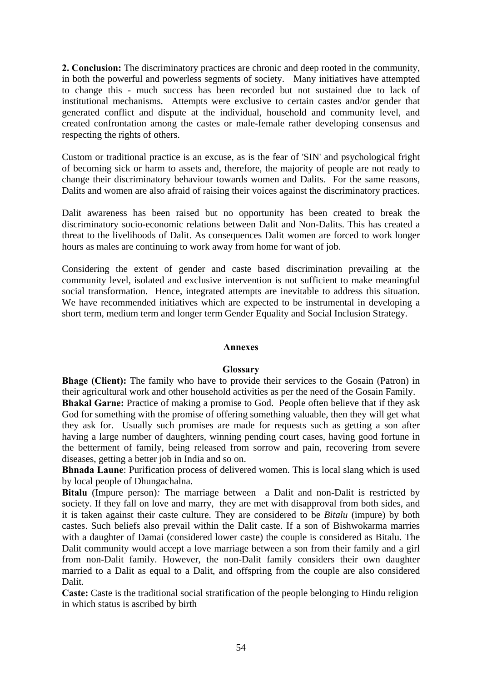**2. Conclusion:** The discriminatory practices are chronic and deep rooted in the community, in both the powerful and powerless segments of society. Many initiatives have attempted to change this - much success has been recorded but not sustained due to lack of institutional mechanisms. Attempts were exclusive to certain castes and/or gender that generated conflict and dispute at the individual, household and community level, and created confrontation among the castes or male-female rather developing consensus and respecting the rights of others.

Custom or traditional practice is an excuse, as is the fear of 'SIN' and psychological fright of becoming sick or harm to assets and, therefore, the majority of people are not ready to change their discriminatory behaviour towards women and Dalits. For the same reasons, Dalits and women are also afraid of raising their voices against the discriminatory practices.

Dalit awareness has been raised but no opportunity has been created to break the discriminatory socio-economic relations between Dalit and Non-Dalits. This has created a threat to the livelihoods of Dalit. As consequences Dalit women are forced to work longer hours as males are continuing to work away from home for want of job.

Considering the extent of gender and caste based discrimination prevailing at the community level, isolated and exclusive intervention is not sufficient to make meaningful social transformation. Hence, integrated attempts are inevitable to address this situation. We have recommended initiatives which are expected to be instrumental in developing a short term, medium term and longer term Gender Equality and Social Inclusion Strategy.

## **Annexes**

## **Glossary**

**Bhage (Client):** The family who have to provide their services to the Gosain (Patron) in their agricultural work and other household activities as per the need of the Gosain Family. **Bhakal Garne:** Practice of making a promise to God. People often believe that if they ask God for something with the promise of offering something valuable, then they will get what they ask for. Usually such promises are made for requests such as getting a son after having a large number of daughters, winning pending court cases, having good fortune in the betterment of family, being released from sorrow and pain, recovering from severe diseases, getting a better job in India and so on.

**Bhnada Laune**: Purification process of delivered women. This is local slang which is used by local people of Dhungachalna.

**Bitalu** (Impure person)*:* The marriage between a Dalit and non-Dalit is restricted by society. If they fall on love and marry, they are met with disapproval from both sides, and it is taken against their caste culture. They are considered to be *Bitalu* (impure) by both castes. Such beliefs also prevail within the Dalit caste. If a son of Bishwokarma marries with a daughter of Damai (considered lower caste) the couple is considered as Bitalu. The Dalit community would accept a love marriage between a son from their family and a girl from non-Dalit family. However, the non-Dalit family considers their own daughter married to a Dalit as equal to a Dalit, and offspring from the couple are also considered Dalit.

**Caste:** Caste is the traditional social stratification of the people belonging to Hindu religion in which status is ascribed by birth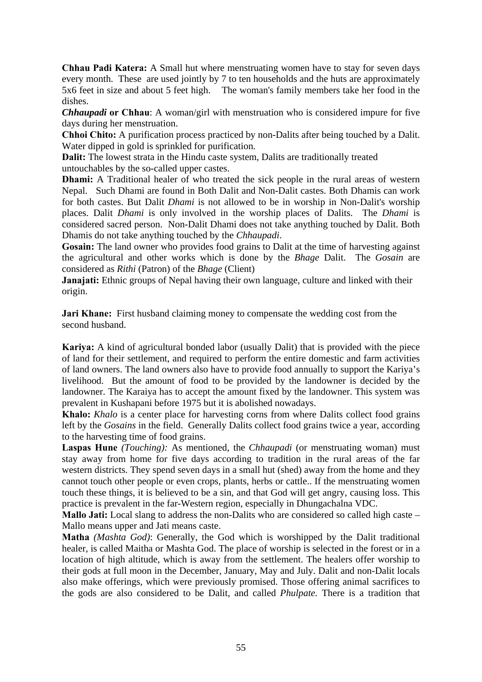**Chhau Padi Katera:** A Small hut where menstruating women have to stay for seven days every month. These are used jointly by 7 to ten households and the huts are approximately 5x6 feet in size and about 5 feet high. The woman's family members take her food in the dishes.

*Chhaupadi* **or Chhau**: A woman/girl with menstruation who is considered impure for five days during her menstruation.

**Chhoi Chito:** A purification process practiced by non-Dalits after being touched by a Dalit. Water dipped in gold is sprinkled for purification.

**Dalit:** The lowest strata in the Hindu caste system, Dalits are traditionally treated untouchables by the so-called upper castes.

**Dhami:** A Traditional healer of who treated the sick people in the rural areas of western Nepal. Such Dhami are found in Both Dalit and Non-Dalit castes. Both Dhamis can work for both castes. But Dalit *Dhami* is not allowed to be in worship in Non-Dalit's worship places. Dalit *Dhami* is only involved in the worship places of Dalits. The *Dhami* is considered sacred person. Non-Dalit Dhami does not take anything touched by Dalit. Both Dhamis do not take anything touched by the *Chhaupadi*.

**Gosain:** The land owner who provides food grains to Dalit at the time of harvesting against the agricultural and other works which is done by the *Bhage* Dalit. The *Gosain* are considered as *Rithi* (Patron) of the *Bhage* (Client)

**Janajati:** Ethnic groups of Nepal having their own language, culture and linked with their origin.

**Jari Khane:** First husband claiming money to compensate the wedding cost from the second husband.

**Kariya:** A kind of agricultural bonded labor (usually Dalit) that is provided with the piece of land for their settlement, and required to perform the entire domestic and farm activities of land owners. The land owners also have to provide food annually to support the Kariya's livelihood. But the amount of food to be provided by the landowner is decided by the landowner. The Karaiya has to accept the amount fixed by the landowner. This system was prevalent in Kushapani before 1975 but it is abolished nowadays.

**Khalo:** *Khalo* is a center place for harvesting corns from where Dalits collect food grains left by the *Gosains* in the field. Generally Dalits collect food grains twice a year, according to the harvesting time of food grains.

**Laspas Hune** *(Touching):* As mentioned, the *Chhaupadi* (or menstruating woman) must stay away from home for five days according to tradition in the rural areas of the far western districts. They spend seven days in a small hut (shed) away from the home and they cannot touch other people or even crops, plants, herbs or cattle.. If the menstruating women touch these things, it is believed to be a sin, and that God will get angry, causing loss. This practice is prevalent in the far-Western region, especially in Dhungachalna VDC.

Mallo Jati: Local slang to address the non-Dalits who are considered so called high caste – Mallo means upper and Jati means caste.

**Matha** *(Mashta God)*: Generally, the God which is worshipped by the Dalit traditional healer, is called Maitha or Mashta God. The place of worship is selected in the forest or in a location of high altitude, which is away from the settlement. The healers offer worship to their gods at full moon in the December, January, May and July. Dalit and non-Dalit locals also make offerings, which were previously promised. Those offering animal sacrifices to the gods are also considered to be Dalit, and called *Phulpate.* There is a tradition that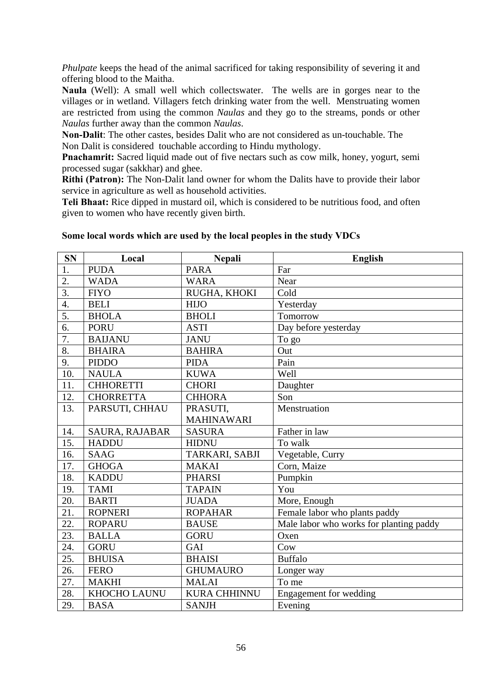*Phulpate* keeps the head of the animal sacrificed for taking responsibility of severing it and offering blood to the Maitha.

**Naula** (Well): A small well which collectswater. The wells are in gorges near to the villages or in wetland. Villagers fetch drinking water from the well. Menstruating women are restricted from using the common *Naulas* and they go to the streams, ponds or other *Naulas* further away than the common *Naulas*.

**Non-Dalit**: The other castes, besides Dalit who are not considered as un-touchable. The Non Dalit is considered touchable according to Hindu mythology.

**Pnachamrit:** Sacred liquid made out of five nectars such as cow milk, honey, yogurt, semi processed sugar (sakkhar) and ghee.

**Rithi (Patron):** The Non-Dalit land owner for whom the Dalits have to provide their labor service in agriculture as well as household activities.

**Teli Bhaat:** Rice dipped in mustard oil, which is considered to be nutritious food, and often given to women who have recently given birth.

| <b>SN</b>        | Local            | <b>Nepali</b>       | <b>English</b>                          |
|------------------|------------------|---------------------|-----------------------------------------|
| 1.               | <b>PUDA</b>      | <b>PARA</b>         | Far                                     |
| 2.               | <b>WADA</b>      | <b>WARA</b>         | Near                                    |
| $\overline{3}$ . | <b>FIYO</b>      | RUGHA, KHOKI        | Cold                                    |
| $\overline{4}$ . | <b>BELI</b>      | <b>HIJO</b>         | Yesterday                               |
| 5.               | <b>BHOLA</b>     | <b>BHOLI</b>        | Tomorrow                                |
| 6.               | <b>PORU</b>      | <b>ASTI</b>         | Day before yesterday                    |
| 7.               | <b>BAIJANU</b>   | <b>JANU</b>         | To go                                   |
| 8.               | <b>BHAIRA</b>    | <b>BAHIRA</b>       | Out                                     |
| 9.               | <b>PIDDO</b>     | <b>PIDA</b>         | Pain                                    |
| 10.              | <b>NAULA</b>     | <b>KUWA</b>         | Well                                    |
| 11.              | <b>CHHORETTI</b> | <b>CHORI</b>        | Daughter                                |
| 12.              | <b>CHORRETTA</b> | <b>CHHORA</b>       | Son                                     |
| 13.              | PARSUTI, CHHAU   | PRASUTI,            | Menstruation                            |
|                  |                  | <b>MAHINAWARI</b>   |                                         |
| 14.              | SAURA, RAJABAR   | <b>SASURA</b>       | Father in law                           |
| 15.              | <b>HADDU</b>     | <b>HIDNU</b>        | To walk                                 |
| 16.              | <b>SAAG</b>      | TARKARI, SABJI      | Vegetable, Curry                        |
| 17.              | <b>GHOGA</b>     | <b>MAKAI</b>        | Corn, Maize                             |
| 18.              | <b>KADDU</b>     | <b>PHARSI</b>       | Pumpkin                                 |
| 19.              | <b>TAMI</b>      | <b>TAPAIN</b>       | You                                     |
| 20.              | <b>BARTI</b>     | <b>JUADA</b>        | More, Enough                            |
| 21.              | <b>ROPNERI</b>   | <b>ROPAHAR</b>      | Female labor who plants paddy           |
| 22.              | <b>ROPARU</b>    | <b>BAUSE</b>        | Male labor who works for planting paddy |
| 23.              | <b>BALLA</b>     | <b>GORU</b>         | Oxen                                    |
| 24.              | <b>GORU</b>      | GAI                 | Cow                                     |
| 25.              | <b>BHUISA</b>    | <b>BHAISI</b>       | <b>Buffalo</b>                          |
| 26.              | <b>FERO</b>      | <b>GHUMAURO</b>     | Longer way                              |
| 27.              | <b>MAKHI</b>     | <b>MALAI</b>        | To me                                   |
| 28.              | KHOCHO LAUNU     | <b>KURA CHHINNU</b> | Engagement for wedding                  |
| 29.              | <b>BASA</b>      | <b>SANJH</b>        | Evening                                 |

## **Some local words which are used by the local peoples in the study VDCs**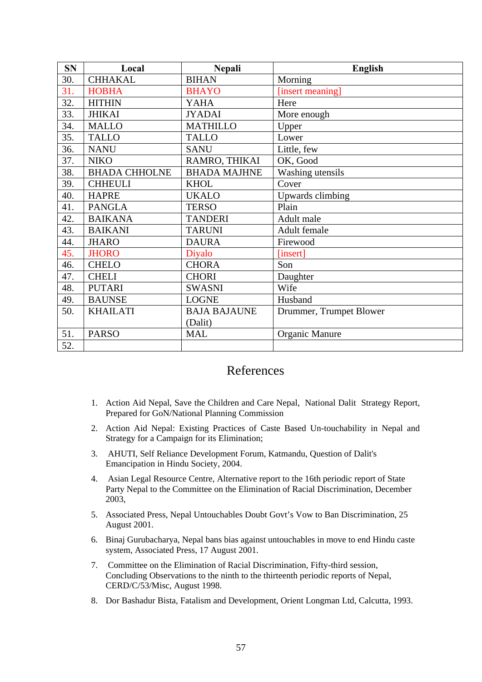| <b>SN</b> | Local                | <b>Nepali</b>       | <b>English</b>          |
|-----------|----------------------|---------------------|-------------------------|
| 30.       | <b>CHHAKAL</b>       | <b>BIHAN</b>        | Morning                 |
| 31.       | <b>HOBHA</b>         | <b>BHAYO</b>        | [insert meaning]        |
| 32.       | <b>HITHIN</b>        | <b>YAHA</b>         | Here                    |
| 33.       | <b>JHIKAI</b>        | <b>JYADAI</b>       | More enough             |
| 34.       | <b>MALLO</b>         | <b>MATHILLO</b>     | Upper                   |
| 35.       | <b>TALLO</b>         | <b>TALLO</b>        | Lower                   |
| 36.       | <b>NANU</b>          | <b>SANU</b>         | Little, few             |
| 37.       | <b>NIKO</b>          | RAMRO, THIKAI       | OK, Good                |
| 38.       | <b>BHADA CHHOLNE</b> | <b>BHADA MAJHNE</b> | Washing utensils        |
| 39.       | <b>CHHEULI</b>       | <b>KHOL</b>         | Cover                   |
| 40.       | <b>HAPRE</b>         | <b>UKALO</b>        | Upwards climbing        |
| 41.       | <b>PANGLA</b>        | <b>TERSO</b>        | Plain                   |
| 42.       | <b>BAIKANA</b>       | <b>TANDERI</b>      | Adult male              |
| 43.       | <b>BAIKANI</b>       | <b>TARUNI</b>       | Adult female            |
| 44.       | <b>JHARO</b>         | <b>DAURA</b>        | Firewood                |
| 45.       | <b>JHORO</b>         | Diyalo              | [insert]                |
| 46.       | <b>CHELO</b>         | <b>CHORA</b>        | Son                     |
| 47.       | <b>CHELI</b>         | <b>CHORI</b>        | Daughter                |
| 48.       | <b>PUTARI</b>        | <b>SWASNI</b>       | Wife                    |
| 49.       | <b>BAUNSE</b>        | <b>LOGNE</b>        | Husband                 |
| 50.       | <b>KHAILATI</b>      | <b>BAJA BAJAUNE</b> | Drummer, Trumpet Blower |
|           |                      | (Dalit)             |                         |
| 51.       | <b>PARSO</b>         | <b>MAL</b>          | <b>Organic Manure</b>   |
| 52.       |                      |                     |                         |

# References

- 1. Action Aid Nepal, Save the Children and Care Nepal, National Dalit Strategy Report, Prepared for GoN/National Planning Commission
- 2. Action Aid Nepal: Existing Practices of Caste Based Un-touchability in Nepal and Strategy for a Campaign for its Elimination;
- 3. AHUTI, Self Reliance Development Forum, Katmandu, Question of Dalit's Emancipation in Hindu Society, 2004.
- 4. Asian Legal Resource Centre, Alternative report to the 16th periodic report of State Party Nepal to the Committee on the Elimination of Racial Discrimination, December 2003,
- 5. Associated Press, Nepal Untouchables Doubt Govt's Vow to Ban Discrimination, 25 August 2001.
- 6. Binaj Gurubacharya, Nepal bans bias against untouchables in move to end Hindu caste system, Associated Press, 17 August 2001.
- 7. Committee on the Elimination of Racial Discrimination, Fifty-third session, Concluding Observations to the ninth to the thirteenth periodic reports of Nepal, CERD/C/53/Misc, August 1998.
- 8. Dor Bashadur Bista, Fatalism and Development, Orient Longman Ltd, Calcutta, 1993.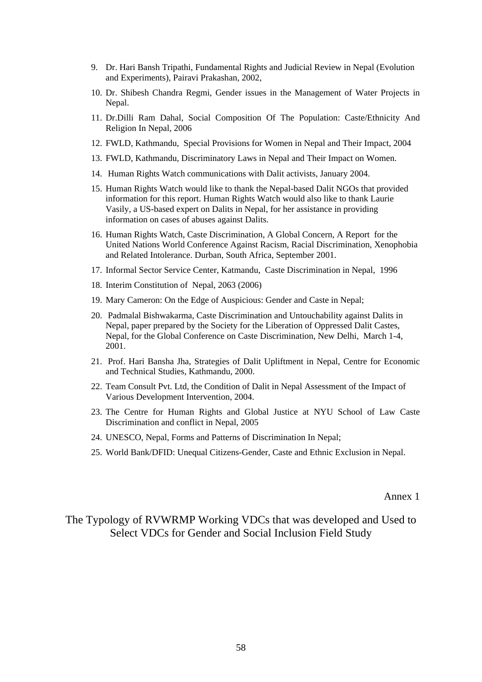- 9. Dr. Hari Bansh Tripathi, Fundamental Rights and Judicial Review in Nepal (Evolution and Experiments), Pairavi Prakashan, 2002,
- 10. Dr. Shibesh Chandra Regmi, Gender issues in the Management of Water Projects in Nepal.
- 11. Dr.Dilli Ram Dahal, Social Composition Of The Population: Caste/Ethnicity And Religion In Nepal, 2006
- 12. FWLD, Kathmandu, Special Provisions for Women in Nepal and Their Impact, 2004
- 13. FWLD, Kathmandu, Discriminatory Laws in Nepal and Their Impact on Women.
- 14. Human Rights Watch communications with Dalit activists, January 2004.
- 15. Human Rights Watch would like to thank the Nepal-based Dalit NGOs that provided information for this report. Human Rights Watch would also like to thank Laurie Vasily, a US-based expert on Dalits in Nepal, for her assistance in providing information on cases of abuses against Dalits.
- 16. Human Rights Watch, Caste Discrimination, A Global Concern, A Report for the United Nations World Conference Against Racism, Racial Discrimination, Xenophobia and Related Intolerance. Durban, South Africa, September 2001.
- 17. Informal Sector Service Center, Katmandu, Caste Discrimination in Nepal, 1996
- 18. Interim Constitution of Nepal, 2063 (2006)
- 19. Mary Cameron: On the Edge of Auspicious: Gender and Caste in Nepal;
- 20. Padmalal Bishwakarma, Caste Discrimination and Untouchability against Dalits in Nepal, paper prepared by the Society for the Liberation of Oppressed Dalit Castes, Nepal, for the Global Conference on Caste Discrimination, New Delhi, March 1-4, 2001.
- 21. Prof. Hari Bansha Jha, Strategies of Dalit Upliftment in Nepal, Centre for Economic and Technical Studies, Kathmandu, 2000.
- 22. Team Consult Pvt. Ltd, the Condition of Dalit in Nepal Assessment of the Impact of Various Development Intervention, 2004.
- 23. The Centre for Human Rights and Global Justice at NYU School of Law Caste Discrimination and conflict in Nepal, 2005
- 24. UNESCO, Nepal, Forms and Patterns of Discrimination In Nepal;
- 25. World Bank/DFID: Unequal Citizens-Gender, Caste and Ethnic Exclusion in Nepal.

Annex 1

# The Typology of RVWRMP Working VDCs that was developed and Used to Select VDCs for Gender and Social Inclusion Field Study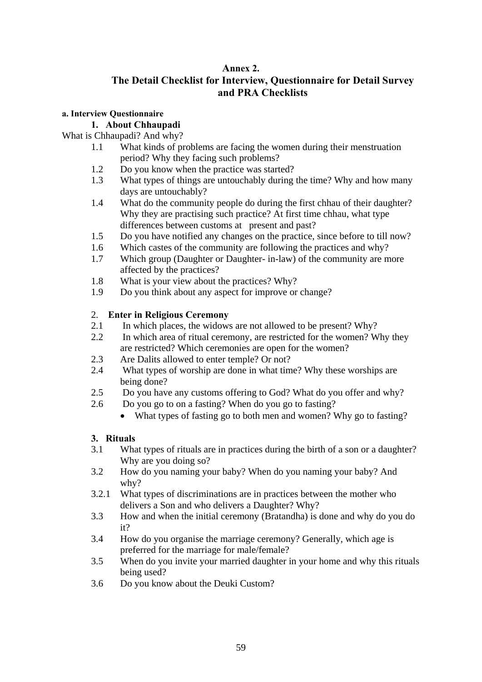# **Annex 2.**

# **The Detail Checklist for Interview, Questionnaire for Detail Survey and PRA Checklists**

## **a. Interview Questionnaire**

## **1. About Chhaupadi**

## What is Chhaupadi? And why?

- 1.1 What kinds of problems are facing the women during their menstruation period? Why they facing such problems?
- 1.2 Do you know when the practice was started?
- 1.3 What types of things are untouchably during the time? Why and how many days are untouchably?
- 1.4 What do the community people do during the first chhau of their daughter? Why they are practising such practice? At first time chhau, what type differences between customs at present and past?
- 1.5 Do you have notified any changes on the practice, since before to till now?
- 1.6 Which castes of the community are following the practices and why?
- 1.7 Which group (Daughter or Daughter- in-law) of the community are more affected by the practices?
- 1.8 What is your view about the practices? Why?
- 1.9 Do you think about any aspect for improve or change?

## 2. **Enter in Religious Ceremony**

- 2.1 In which places, the widows are not allowed to be present? Why?
- 2.2 In which area of ritual ceremony, are restricted for the women? Why they are restricted? Which ceremonies are open for the women?
- 2.3 Are Dalits allowed to enter temple? Or not?
- 2.4 What types of worship are done in what time? Why these worships are being done?
- 2.5 Do you have any customs offering to God? What do you offer and why?
- 2.6 Do you go to on a fasting? When do you go to fasting?
	- What types of fasting go to both men and women? Why go to fasting?

## **3. Rituals**

- 3.1 What types of rituals are in practices during the birth of a son or a daughter? Why are you doing so?
- 3.2 How do you naming your baby? When do you naming your baby? And why?
- 3.2.1 What types of discriminations are in practices between the mother who delivers a Son and who delivers a Daughter? Why?
- 3.3 How and when the initial ceremony (Bratandha) is done and why do you do it?
- 3.4 How do you organise the marriage ceremony? Generally, which age is preferred for the marriage for male/female?
- 3.5 When do you invite your married daughter in your home and why this rituals being used?
- 3.6 Do you know about the Deuki Custom?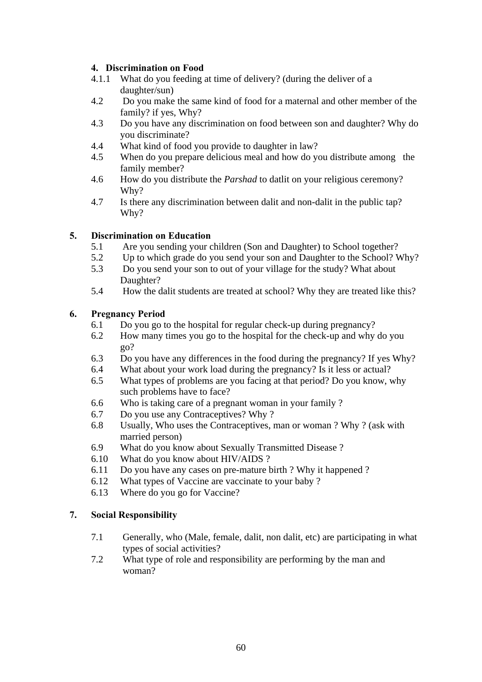## **4. Discrimination on Food**

- 4.1.1 What do you feeding at time of delivery? (during the deliver of a daughter/sun)
- 4.2 Do you make the same kind of food for a maternal and other member of the family? if yes, Why?
- 4.3 Do you have any discrimination on food between son and daughter? Why do you discriminate?
- 4.4 What kind of food you provide to daughter in law?
- 4.5 When do you prepare delicious meal and how do you distribute among the family member?
- 4.6 How do you distribute the *Parshad* to datlit on your religious ceremony? Why?
- 4.7 Is there any discrimination between dalit and non-dalit in the public tap? Why?

# **5. Discrimination on Education**

- 5.1 Are you sending your children (Son and Daughter) to School together?
- 5.2 Up to which grade do you send your son and Daughter to the School? Why?
- 5.3 Do you send your son to out of your village for the study? What about Daughter?
- 5.4 How the dalit students are treated at school? Why they are treated like this?

## **6. Pregnancy Period**

- 6.1 Do you go to the hospital for regular check-up during pregnancy?
- 6.2 How many times you go to the hospital for the check-up and why do you go?
- 6.3 Do you have any differences in the food during the pregnancy? If yes Why?
- 6.4 What about your work load during the pregnancy? Is it less or actual?
- 6.5 What types of problems are you facing at that period? Do you know, why such problems have to face?
- 6.6 Who is taking care of a pregnant woman in your family ?
- 6.7 Do you use any Contraceptives? Why ?
- 6.8 Usually, Who uses the Contraceptives, man or woman ? Why ? (ask with married person)
- 6.9 What do you know about Sexually Transmitted Disease ?
- 6.10 What do you know about HIV/AIDS ?
- 6.11 Do you have any cases on pre-mature birth ? Why it happened ?
- 6.12 What types of Vaccine are vaccinate to your baby ?
- 6.13 Where do you go for Vaccine?

## **7. Social Responsibility**

- 7.1 Generally, who (Male, female, dalit, non dalit, etc) are participating in what types of social activities?
- 7.2 What type of role and responsibility are performing by the man and woman?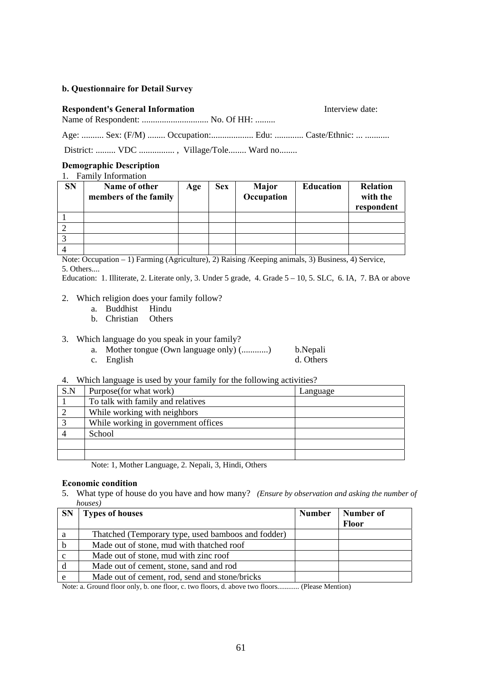#### **b. Questionnaire for Detail Survey**

# **Respondent's General Information Interview date:** Name of Respondent: ................................ No. Of HH: .........

Age: .......... Sex: (F/M) ........ Occupation:....................... Edu: .............. Caste/Ethnic: ... ...........

District: ......... VDC ................, Village/Tole........ Ward no........

#### **Demographic Description**

#### 1. Family Information

| <b>SN</b> | Name of other<br>members of the family | Age | <b>Sex</b> | Major<br>Occupation | <b>Education</b> | <b>Relation</b><br>with the<br>respondent |
|-----------|----------------------------------------|-----|------------|---------------------|------------------|-------------------------------------------|
|           |                                        |     |            |                     |                  |                                           |
|           |                                        |     |            |                     |                  |                                           |
|           |                                        |     |            |                     |                  |                                           |
|           |                                        |     |            |                     |                  |                                           |

Note: Occupation – 1) Farming (Agriculture), 2) Raising /Keeping animals, 3) Business, 4) Service, 5. Others....

Education: 1. Illiterate, 2. Literate only, 3. Under 5 grade, 4. Grade 5 – 10, 5. SLC, 6. IA, 7. BA or above

#### 2. Which religion does your family follow?

- a. Buddhist Hindu
- b. Christian Others
- 3. Which language do you speak in your family?
	- a. Mother tongue (Own language only) (............) b.Nepali
	- c. English d. Others
- 4. Which language is used by your family for the following activities?

| S.N | Purpose (for what work)             | Language |
|-----|-------------------------------------|----------|
|     | To talk with family and relatives   |          |
|     | While working with neighbors        |          |
|     | While working in government offices |          |
|     | School                              |          |
|     |                                     |          |
|     |                                     |          |

Note: 1, Mother Language, 2. Nepali, 3, Hindi, Others

#### **Economic condition**

5. What type of house do you have and how many? *(Ensure by observation and asking the number of houses)*

| <b>SN</b> | <b>Types of houses</b>                             | <b>Number</b> | Number of    |
|-----------|----------------------------------------------------|---------------|--------------|
|           |                                                    |               | <b>Floor</b> |
| a         | Thatched (Temporary type, used bamboos and fodder) |               |              |
| b         | Made out of stone, mud with thatched roof          |               |              |
|           | Made out of stone, mud with zinc roof              |               |              |
|           | Made out of cement, stone, sand and rod            |               |              |
| e         | Made out of cement, rod, send and stone/bricks     |               |              |

Note: a. Ground floor only, b. one floor, c. two floors, d. above two floors............ (Please Mention)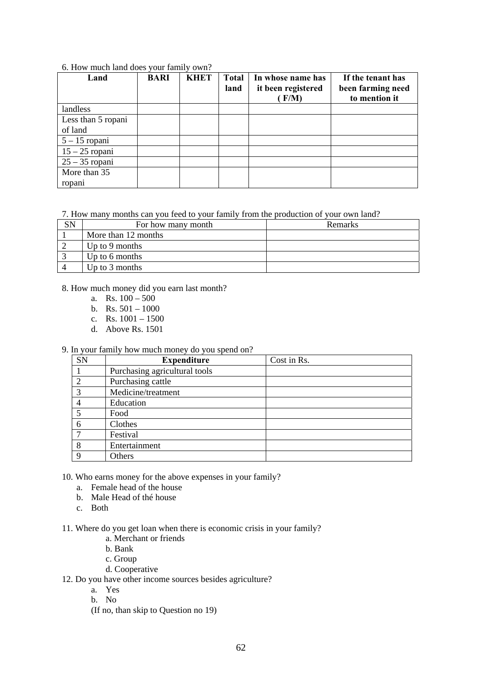| Land               | <b>BARI</b> | <b>KHET</b> | Total<br>land | In whose name has<br>it been registered<br>F/M | If the tenant has<br>been farming need<br>to mention it |
|--------------------|-------------|-------------|---------------|------------------------------------------------|---------------------------------------------------------|
| landless           |             |             |               |                                                |                                                         |
| Less than 5 ropani |             |             |               |                                                |                                                         |
| of land            |             |             |               |                                                |                                                         |
| $5 - 15$ ropani    |             |             |               |                                                |                                                         |
| $15 - 25$ ropani   |             |             |               |                                                |                                                         |
| $25 - 35$ ropani   |             |             |               |                                                |                                                         |
| More than 35       |             |             |               |                                                |                                                         |
| ropani             |             |             |               |                                                |                                                         |

#### 6. How much land does your family own?

7. How many months can you feed to your family from the production of your own land?

| For how many month  | <b>Remarks</b> |
|---------------------|----------------|
| More than 12 months |                |
| Up to 9 months      |                |
| Up to 6 months      |                |
| Up to $3$ months    |                |

#### 8. How much money did you earn last month?

- a. Rs.  $100 500$
- b. Rs.  $501 1000$
- c. Rs.  $1001 1500$
- d. Above Rs. 1501

## 9. In your family how much money do you spend on?

| <b>SN</b> | <b>Expenditure</b>            | Cost in Rs. |
|-----------|-------------------------------|-------------|
|           | Purchasing agricultural tools |             |
|           | Purchasing cattle             |             |
| 3         | Medicine/treatment            |             |
| 4         | Education                     |             |
|           | Food                          |             |
| 6         | Clothes                       |             |
|           | Festival                      |             |
| 8         | Entertainment                 |             |
| Q         | Others                        |             |

10. Who earns money for the above expenses in your family?

- a. Female head of the house
- b. Male Head of thé house
- c. Both

11. Where do you get loan when there is economic crisis in your family?

- a. Merchant or friends
- b. Bank
- c. Group
- d. Cooperative

12. Do you have other income sources besides agriculture?

- a. Yes
- b. No
- (If no, than skip to Question no 19)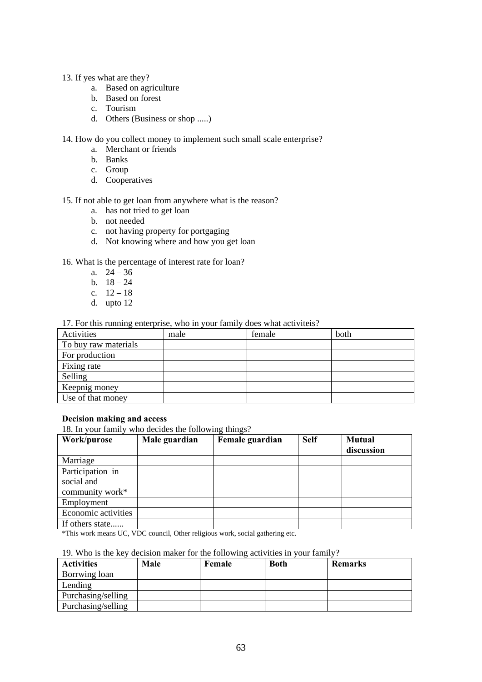- 13. If yes what are they?
	- a. Based on agriculture
	- b. Based on forest
	- c. Tourism
	- d. Others (Business or shop .....)

#### 14. How do you collect money to implement such small scale enterprise?

- a. Merchant or friends
- b. Banks
- c. Group
- d. Cooperatives

#### 15. If not able to get loan from anywhere what is the reason?

- a. has not tried to get loan
- b. not needed
- c. not having property for portgaging
- d. Not knowing where and how you get loan

#### 16. What is the percentage of interest rate for loan?

- a.  $24 36$
- b.  $18 24$
- c.  $12 18$
- d. upto 12

#### 17. For this running enterprise, who in your family does what activiteis?

| Activities           | male | female | both |
|----------------------|------|--------|------|
| To buy raw materials |      |        |      |
| For production       |      |        |      |
| Fixing rate          |      |        |      |
| Selling              |      |        |      |
| Keepnig money        |      |        |      |
| Use of that money    |      |        |      |

#### **Decision making and access**

18. In your family who decides the following things?

| Work/purose         | Male guardian | Female guardian | <b>Self</b> | <b>Mutual</b> |
|---------------------|---------------|-----------------|-------------|---------------|
|                     |               |                 |             | discussion    |
| Marriage            |               |                 |             |               |
| Participation in    |               |                 |             |               |
| social and          |               |                 |             |               |
| community work*     |               |                 |             |               |
| Employment          |               |                 |             |               |
| Economic activities |               |                 |             |               |
| If others state     |               |                 |             |               |

\*This work means UC, VDC council, Other religious work, social gathering etc.

#### 19. Who is the key decision maker for the following activities in your family?

| <b>Activities</b>  | Male | Female | <b>Both</b> | <b>Remarks</b> |
|--------------------|------|--------|-------------|----------------|
| Borrwing loan      |      |        |             |                |
| Lending            |      |        |             |                |
| Purchasing/selling |      |        |             |                |
| Purchasing/selling |      |        |             |                |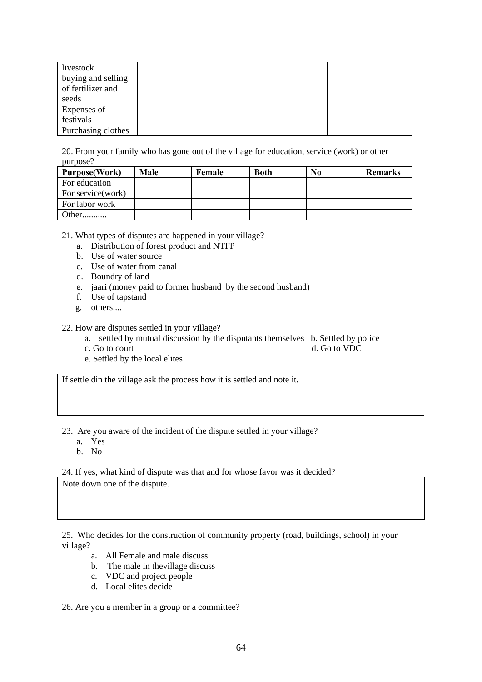| livestock                                        |  |  |
|--------------------------------------------------|--|--|
| buying and selling<br>of fertilizer and<br>seeds |  |  |
| Expenses of<br>festivals                         |  |  |
| Purchasing clothes                               |  |  |

20. From your family who has gone out of the village for education, service (work) or other purpose?

| <b>Purpose</b> (Work) | <b>Male</b> | Female | <b>Both</b> | N <sub>0</sub> | <b>Remarks</b> |
|-----------------------|-------------|--------|-------------|----------------|----------------|
| For education         |             |        |             |                |                |
| For service(work)     |             |        |             |                |                |
| For labor work        |             |        |             |                |                |
|                       |             |        |             |                |                |

21. What types of disputes are happened in your village?

- a. Distribution of forest product and NTFP
- b. Use of water source
- c. Use of water from canal
- d. Boundry of land
- e. jaari (money paid to former husband by the second husband)
- f. Use of tapstand
- g. others....

22. How are disputes settled in your village?

- a. settled by mutual discussion by the disputants themselves b. Settled by police
- c. Go to court d. Go to VDC
- e. Settled by the local elites

If settle din the village ask the process how it is settled and note it.

23. Are you aware of the incident of the dispute settled in your village?

- a. Yes
- b. No

24. If yes, what kind of dispute was that and for whose favor was it decided? Note down one of the dispute.

25. Who decides for the construction of community property (road, buildings, school) in your village?

- a. All Female and male discuss
- b. The male in thevillage discuss
- c. VDC and project people
- d. Local elites decide

26. Are you a member in a group or a committee?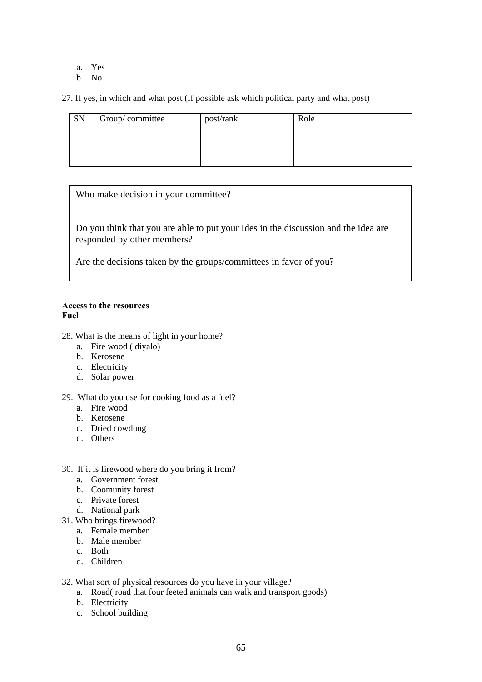- a. Yes
- b. No

27. If yes, in which and what post (If possible ask which political party and what post)

| SN | Group/committee | post/rank | Role |
|----|-----------------|-----------|------|
|    |                 |           |      |
|    |                 |           |      |
|    |                 |           |      |
|    |                 |           |      |

Who make decision in your committee?

Do you think that you are able to put your Ides in the discussion and the idea are responded by other members?

Are the decisions taken by the groups/committees in favor of you?

#### **Access to the resources Fuel**

- 28. What is the means of light in your home?
	- a. Fire wood ( diyalo)
	- b. Kerosene
	- c. Electricity
	- d. Solar power

#### 29. What do you use for cooking food as a fuel?

- a. Fire wood
- b. Kerosene
- c. Dried cowdung
- d. Others
- 30. If it is firewood where do you bring it from?
	- a. Government forest
	- b. Coomunity forest
	- c. Private forest
	- d. National park
- 31. Who brings firewood?
	- a. Female member
	- b. Male member
	- c. Both
	- d. Children
- 32. What sort of physical resources do you have in your village?
	- a. Road( road that four feeted animals can walk and transport goods)
	- b. Electricity
	- c. School building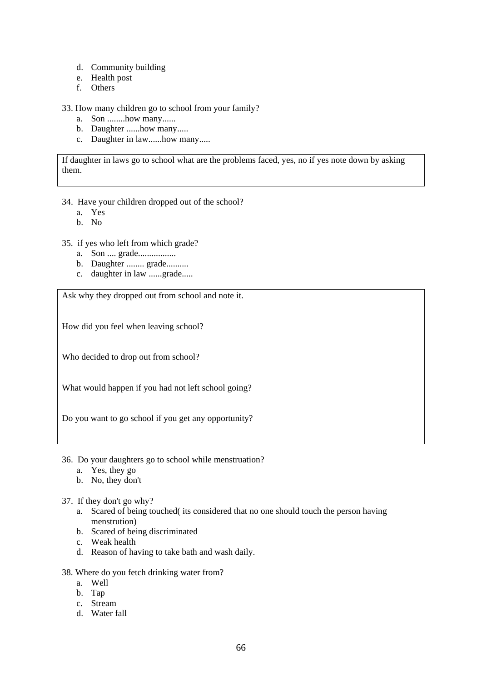- d. Community building
- e. Health post
- f. Others

#### 33. How many children go to school from your family?

- a. Son ........how many......
- b. Daughter ......how many.....
- c. Daughter in law......how many.....

If daughter in laws go to school what are the problems faced, yes, no if yes note down by asking them.

#### 34. Have your children dropped out of the school?

- a. Yes
- b. No
- 35. if yes who left from which grade?
	- a. Son .... grade.................
	- b. Daughter ........ grade..........
	- c. daughter in law ......grade.....

Ask why they dropped out from school and note it.

How did you feel when leaving school?

Who decided to drop out from school?

What would happen if you had not left school going?

Do you want to go school if you get any opportunity?

- 36. Do your daughters go to school while menstruation?
	- a. Yes, they go
	- b. No, they don't

## 37. If they don't go why?

- a. Scared of being touched( its considered that no one should touch the person having menstrution)
- b. Scared of being discriminated
- c. Weak health
- d. Reason of having to take bath and wash daily.

#### 38. Where do you fetch drinking water from?

- a. Well
- b. Tap
- c. Stream
- d. Water fall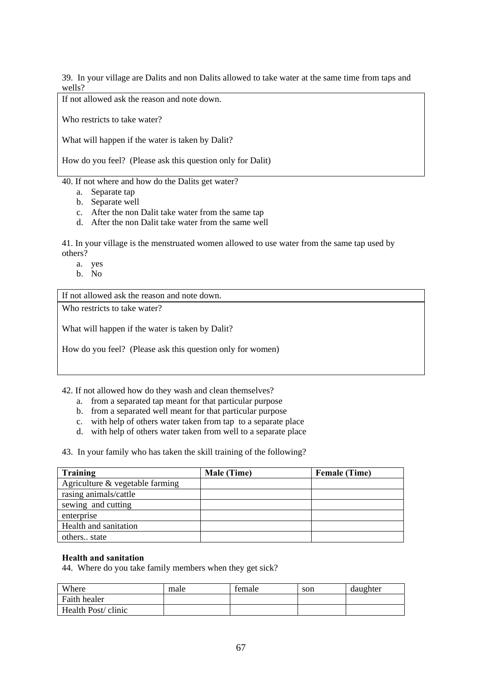39. In your village are Dalits and non Dalits allowed to take water at the same time from taps and wells?

If not allowed ask the reason and note down.

Who restricts to take water?

What will happen if the water is taken by Dalit?

How do you feel? (Please ask this question only for Dalit)

40. If not where and how do the Dalits get water?

- a. Separate tap
- b. Separate well
- c. After the non Dalit take water from the same tap
- d. After the non Dalit take water from the same well

41. In your village is the menstruated women allowed to use water from the same tap used by others?

- a. yes
- b. No

If not allowed ask the reason and note down.

Who restricts to take water?

What will happen if the water is taken by Dalit?

How do you feel? (Please ask this question only for women)

42. If not allowed how do they wash and clean themselves?

- a. from a separated tap meant for that particular purpose
- b. from a separated well meant for that particular purpose
- c. with help of others water taken from tap to a separate place
- d. with help of others water taken from well to a separate place

43. In your family who has taken the skill training of the following?

| <b>Training</b>                 | Male (Time) | <b>Female (Time)</b> |
|---------------------------------|-------------|----------------------|
| Agriculture & vegetable farming |             |                      |
| rasing animals/cattle           |             |                      |
| sewing and cutting              |             |                      |
| enterprise                      |             |                      |
| Health and sanitation           |             |                      |
| others state                    |             |                      |

#### **Health and sanitation**

44. Where do you take family members when they get sick?

| Where              | male | temale | son | daughter |
|--------------------|------|--------|-----|----------|
| Faith healer       |      |        |     |          |
| Health Post/clinic |      |        |     |          |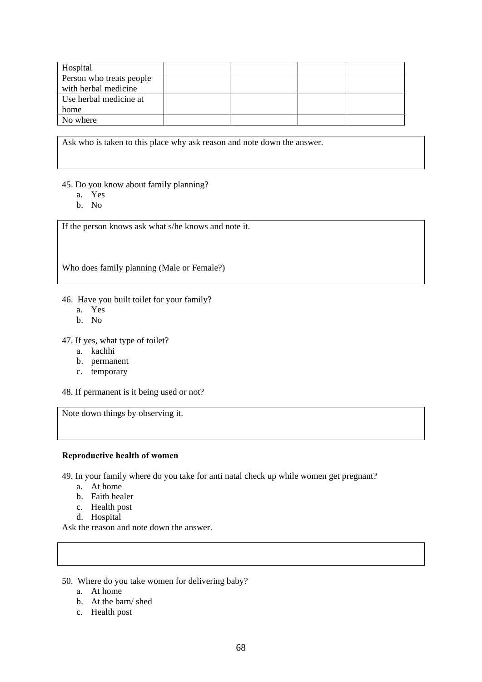| Hospital                 |  |  |
|--------------------------|--|--|
| Person who treats people |  |  |
| with herbal medicine     |  |  |
| Use herbal medicine at   |  |  |
| home                     |  |  |
| No where                 |  |  |

Ask who is taken to this place why ask reason and note down the answer.

- 45. Do you know about family planning?
	- a. Yes
	- b. No

If the person knows ask what s/he knows and note it.

Who does family planning (Male or Female?)

46. Have you built toilet for your family?

- a. Yes
- b. No

47. If yes, what type of toilet?

- a. kachhi
- b. permanent
- c. temporary

48. If permanent is it being used or not?

Note down things by observing it.

#### **Reproductive health of women**

49. In your family where do you take for anti natal check up while women get pregnant?

- a. At home
- b. Faith healer
- c. Health post
- d. Hospital

Ask the reason and note down the answer.

- 50. Where do you take women for delivering baby?
	- a. At home
	- b. At the barn/ shed
	- c. Health post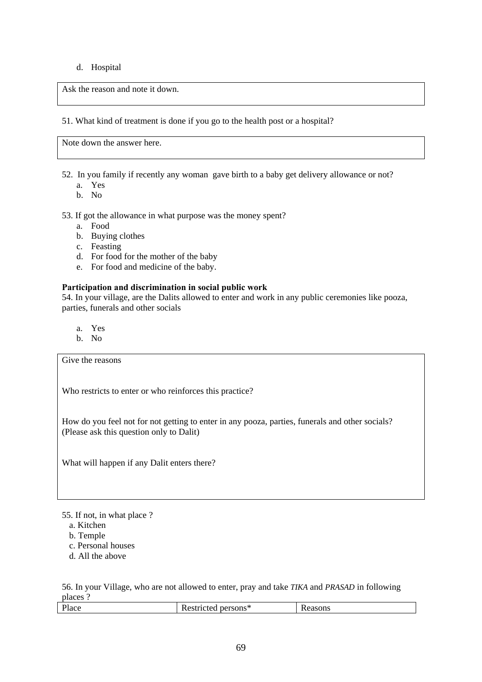#### d. Hospital

Ask the reason and note it down.

51. What kind of treatment is done if you go to the health post or a hospital?

Note down the answer here.

52. In you family if recently any woman gave birth to a baby get delivery allowance or not?

- a. Yes
- b. No

53. If got the allowance in what purpose was the money spent?

- a. Food
- b. Buying clothes
- c. Feasting
- d. For food for the mother of the baby
- e. For food and medicine of the baby.

#### **Participation and discrimination in social public work**

54. In your village, are the Dalits allowed to enter and work in any public ceremonies like pooza, parties, funerals and other socials

- a. Yes
- b. No

Give the reasons

Who restricts to enter or who reinforces this practice?

How do you feel not for not getting to enter in any pooza, parties, funerals and other socials? (Please ask this question only to Dalit)

What will happen if any Dalit enters there?

55. If not, in what place ?

- a. Kitchen
- b. Temple
- c. Personal houses
- d. All the above

56. In your Village, who are not allowed to enter, pray and take *TIKA* and *PRASAD* in following places ?

| .                     |                                      |        |
|-----------------------|--------------------------------------|--------|
| $\mathbf{r}$<br>Place | . persons $\gamma$<br>.<br>resulciea | easons |
|                       |                                      |        |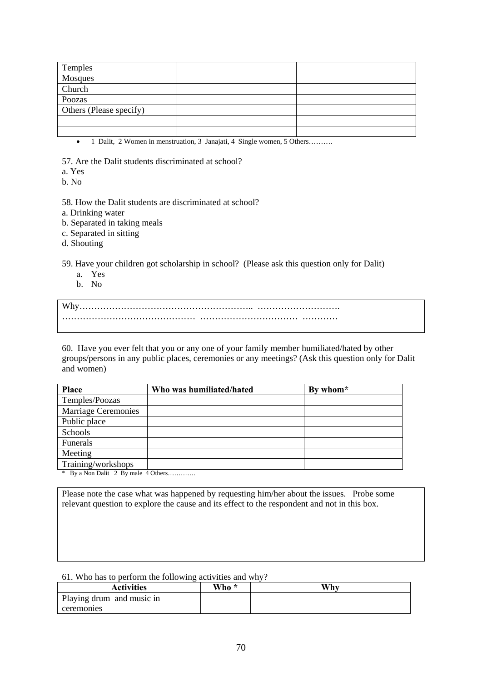| Temples                 |  |
|-------------------------|--|
| Mosques                 |  |
| Church                  |  |
| Poozas                  |  |
| Others (Please specify) |  |
|                         |  |
|                         |  |

• 1 Dalit, 2 Women in menstruation, 3 Janajati, 4 Single women, 5 Others……….

57. Are the Dalit students discriminated at school?

a. Yes

b. No

58. How the Dalit students are discriminated at school?

- a. Drinking water
- b. Separated in taking meals
- c. Separated in sitting
- d. Shouting

59. Have your children got scholarship in school? (Please ask this question only for Dalit)

- a. Yes
- b. No

Why………………………………………………….. ………………………. ……………………………………… …………………………… …………

60. Have you ever felt that you or any one of your family member humiliated/hated by other groups/persons in any public places, ceremonies or any meetings? (Ask this question only for Dalit and women)

| <b>Place</b>               | Who was humiliated/hated | By whom* |
|----------------------------|--------------------------|----------|
| Temples/Poozas             |                          |          |
| <b>Marriage Ceremonies</b> |                          |          |
| Public place               |                          |          |
| Schools                    |                          |          |
| Funerals                   |                          |          |
| Meeting                    |                          |          |
| Training/workshops         |                          |          |
|                            |                          |          |

\* By a Non Dalit 2 By male 4 Others………….

Please note the case what was happened by requesting him/her about the issues. Probe some relevant question to explore the cause and its effect to the respondent and not in this box.

#### 61. Who has to perform the following activities and why?

| <b>Activities</b>         | Who * | Why |
|---------------------------|-------|-----|
| Playing drum and music in |       |     |
| ceremonies                |       |     |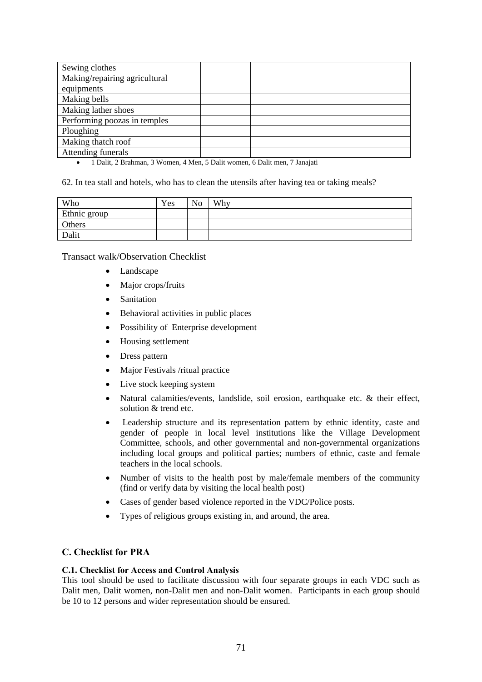| Sewing clothes                |  |
|-------------------------------|--|
| Making/repairing agricultural |  |
| equipments                    |  |
| Making bells                  |  |
| Making lather shoes           |  |
| Performing poozas in temples  |  |
| Ploughing                     |  |
| Making thatch roof            |  |
| Attending funerals            |  |

• 1 Dalit, 2 Brahman, 3 Women, 4 Men, 5 Dalit women, 6 Dalit men, 7 Janajati

62. In tea stall and hotels, who has to clean the utensils after having tea or taking meals?

| Who          | Yes | LТ.<br>√ດ<br>1V | Why |
|--------------|-----|-----------------|-----|
| Ethnic group |     |                 |     |
| Others       |     |                 |     |
| Dalit        |     |                 |     |

Transact walk/Observation Checklist

- Landscape
- Major crops/fruits
- **Sanitation**
- Behavioral activities in public places
- Possibility of Enterprise development
- Housing settlement
- Dress pattern
- Major Festivals /ritual practice
- Live stock keeping system
- Natural calamities/events, landslide, soil erosion, earthquake etc. & their effect, solution & trend etc.
- Leadership structure and its representation pattern by ethnic identity, caste and gender of people in local level institutions like the Village Development Committee, schools, and other governmental and non-governmental organizations including local groups and political parties; numbers of ethnic, caste and female teachers in the local schools.
- Number of visits to the health post by male/female members of the community (find or verify data by visiting the local health post)
- Cases of gender based violence reported in the VDC/Police posts.
- Types of religious groups existing in, and around, the area.

## **C. Checklist for PRA**

## **C.1. Checklist for Access and Control Analysis**

This tool should be used to facilitate discussion with four separate groups in each VDC such as Dalit men, Dalit women, non-Dalit men and non-Dalit women. Participants in each group should be 10 to 12 persons and wider representation should be ensured.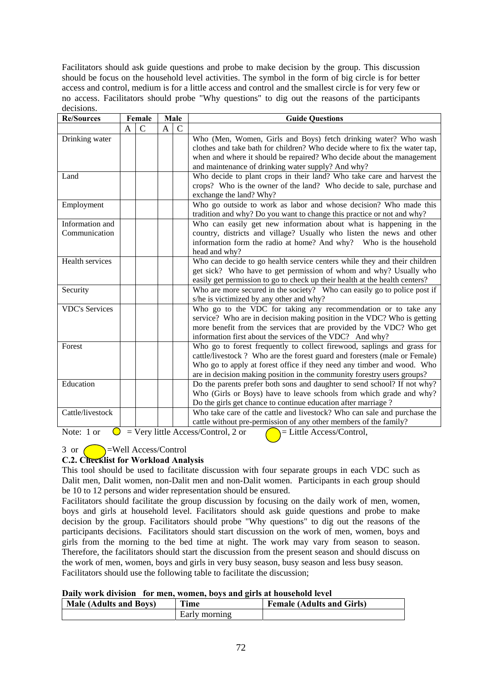Facilitators should ask guide questions and probe to make decision by the group. This discussion should be focus on the household level activities. The symbol in the form of big circle is for better access and control, medium is for a little access and control and the smallest circle is for very few or no access. Facilitators should probe "Why questions" to dig out the reasons of the participants decisions.

| <b>Re/Sources</b>                |   | Female        | Male           |                | <b>Guide Questions</b>                                                                                                                                                                                                                                                                                    |
|----------------------------------|---|---------------|----------------|----------------|-----------------------------------------------------------------------------------------------------------------------------------------------------------------------------------------------------------------------------------------------------------------------------------------------------------|
|                                  | A | $\mathcal{C}$ | $\overline{A}$ | $\overline{C}$ |                                                                                                                                                                                                                                                                                                           |
| Drinking water                   |   |               |                |                | Who (Men, Women, Girls and Boys) fetch drinking water? Who wash<br>clothes and take bath for children? Who decide where to fix the water tap,<br>when and where it should be repaired? Who decide about the management<br>and maintenance of drinking water supply? And why?                              |
| Land                             |   |               |                |                | Who decide to plant crops in their land? Who take care and harvest the<br>crops? Who is the owner of the land? Who decide to sale, purchase and<br>exchange the land? Why?                                                                                                                                |
| Employment                       |   |               |                |                | Who go outside to work as labor and whose decision? Who made this<br>tradition and why? Do you want to change this practice or not and why?                                                                                                                                                               |
| Information and<br>Communication |   |               |                |                | Who can easily get new information about what is happening in the<br>country, districts and village? Usually who listen the news and other<br>information form the radio at home? And why? Who is the household                                                                                           |
| Health services                  |   |               |                |                | head and why?<br>Who can decide to go health service centers while they and their children<br>get sick? Who have to get permission of whom and why? Usually who<br>easily get permission to go to check up their health at the health centers?                                                            |
| Security                         |   |               |                |                | Who are more secured in the society? Who can easily go to police post if<br>s/he is victimized by any other and why?                                                                                                                                                                                      |
| <b>VDC's Services</b>            |   |               |                |                | Who go to the VDC for taking any recommendation or to take any<br>service? Who are in decision making position in the VDC? Who is getting<br>more benefit from the services that are provided by the VDC? Who get<br>information first about the services of the VDC? And why?                            |
| Forest                           |   |               |                |                | Who go to forest frequently to collect firewood, saplings and grass for<br>cattle/livestock? Who are the forest guard and foresters (male or Female)<br>Who go to apply at forest office if they need any timber and wood. Who<br>are in decision making position in the community forestry users groups? |
| Education                        |   |               |                |                | Do the parents prefer both sons and daughter to send school? If not why?<br>Who (Girls or Boys) have to leave schools from which grade and why?<br>Do the girls get chance to continue education after marriage?                                                                                          |
| Cattle/livestock                 |   |               |                |                | Who take care of the cattle and livestock? Who can sale and purchase the<br>cattle without pre-permission of any other members of the family?                                                                                                                                                             |

Note: 1 or  $\bigcirc$  = Very little Access/Control, 2 or  $\bigcirc$  = Little Access/Control,

# $3$  or  $\bigcirc$  =Well Access/Control

## **C.2. Checklist for Workload Analysis**

This tool should be used to facilitate discussion with four separate groups in each VDC such as Dalit men, Dalit women, non-Dalit men and non-Dalit women. Participants in each group should be 10 to 12 persons and wider representation should be ensured.

Facilitators should facilitate the group discussion by focusing on the daily work of men, women, boys and girls at household level. Facilitators should ask guide questions and probe to make decision by the group. Facilitators should probe "Why questions" to dig out the reasons of the participants decisions. Facilitators should start discussion on the work of men, women, boys and girls from the morning to the bed time at night. The work may vary from season to season. Therefore, the facilitators should start the discussion from the present season and should discuss on the work of men, women, boys and girls in very busy season, busy season and less busy season. Facilitators should use the following table to facilitate the discussion;

## **Daily work division for men, women, boys and girls at household level**

| <b>Male (Adults and Boys)</b> | `ime          | <b>Female (Adults and Girls)</b> |
|-------------------------------|---------------|----------------------------------|
|                               | Early morning |                                  |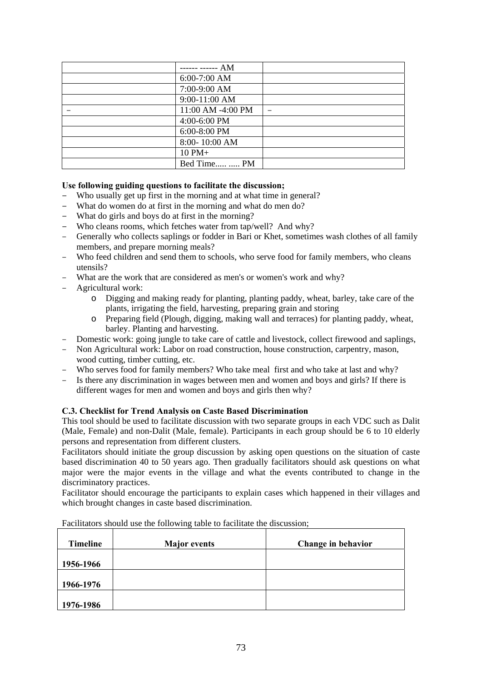| ------ ------ AM  |  |
|-------------------|--|
| $6:00-7:00$ AM    |  |
| 7:00-9:00 AM      |  |
| 9:00-11:00 AM     |  |
| 11:00 AM -4:00 PM |  |
| 4:00-6:00 PM      |  |
| 6:00-8:00 PM      |  |
| 8:00-10:00 AM     |  |
| $10$ PM $+$       |  |
| Bed Time  PM      |  |

### **Use following guiding questions to facilitate the discussion;**

- Who usually get up first in the morning and at what time in general?
- What do women do at first in the morning and what do men do?
- What do girls and boys do at first in the morning?
- Who cleans rooms, which fetches water from tap/well? And why?
- Generally who collects saplings or fodder in Bari or Khet, sometimes wash clothes of all family members, and prepare morning meals?
- Who feed children and send them to schools, who serve food for family members, who cleans utensils?
- What are the work that are considered as men's or women's work and why?
- Agricultural work:
	- o Digging and making ready for planting, planting paddy, wheat, barley, take care of the plants, irrigating the field, harvesting, preparing grain and storing
	- o Preparing field (Plough, digging, making wall and terraces) for planting paddy, wheat, barley. Planting and harvesting.
- Domestic work: going jungle to take care of cattle and livestock, collect firewood and saplings,
- Non Agricultural work: Labor on road construction, house construction, carpentry, mason, wood cutting, timber cutting, etc.
- Who serves food for family members? Who take meal first and who take at last and why?
- Is there any discrimination in wages between men and women and boys and girls? If there is different wages for men and women and boys and girls then why?

# **C.3. Checklist for Trend Analysis on Caste Based Discrimination**

This tool should be used to facilitate discussion with two separate groups in each VDC such as Dalit (Male, Female) and non-Dalit (Male, female). Participants in each group should be 6 to 10 elderly persons and representation from different clusters.

Facilitators should initiate the group discussion by asking open questions on the situation of caste based discrimination 40 to 50 years ago. Then gradually facilitators should ask questions on what major were the major events in the village and what the events contributed to change in the discriminatory practices.

Facilitator should encourage the participants to explain cases which happened in their villages and which brought changes in caste based discrimination.

| <b>Timeline</b> | <b>Major</b> events | Change in behavior |
|-----------------|---------------------|--------------------|
| 1956-1966       |                     |                    |
| 1966-1976       |                     |                    |
| 1976-1986       |                     |                    |

Facilitators should use the following table to facilitate the discussion;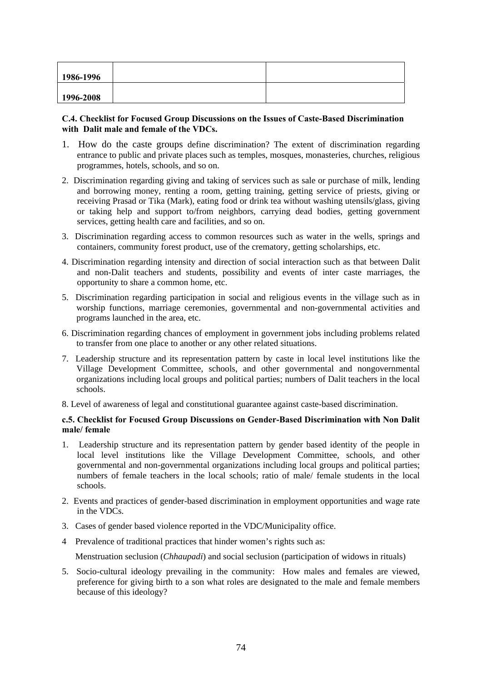| 1986-1996 |  |
|-----------|--|
| 1996-2008 |  |

### **C.4. Checklist for Focused Group Discussions on the Issues of Caste-Based Discrimination with Dalit male and female of the VDCs.**

- 1. How do the caste groups define discrimination? The extent of discrimination regarding entrance to public and private places such as temples, mosques, monasteries, churches, religious programmes, hotels, schools, and so on.
- 2. Discrimination regarding giving and taking of services such as sale or purchase of milk, lending and borrowing money, renting a room, getting training, getting service of priests, giving or receiving Prasad or Tika (Mark), eating food or drink tea without washing utensils/glass, giving or taking help and support to/from neighbors, carrying dead bodies, getting government services, getting health care and facilities, and so on.
- 3. Discrimination regarding access to common resources such as water in the wells, springs and containers, community forest product, use of the crematory, getting scholarships, etc.
- 4. Discrimination regarding intensity and direction of social interaction such as that between Dalit and non-Dalit teachers and students, possibility and events of inter caste marriages, the opportunity to share a common home, etc.
- 5. Discrimination regarding participation in social and religious events in the village such as in worship functions, marriage ceremonies, governmental and non-governmental activities and programs launched in the area, etc.
- 6. Discrimination regarding chances of employment in government jobs including problems related to transfer from one place to another or any other related situations.
- 7. Leadership structure and its representation pattern by caste in local level institutions like the Village Development Committee, schools, and other governmental and nongovernmental organizations including local groups and political parties; numbers of Dalit teachers in the local schools.

8. Level of awareness of legal and constitutional guarantee against caste-based discrimination.

### **c.5. Checklist for Focused Group Discussions on Gender-Based Discrimination with Non Dalit male/ female**

- 1. Leadership structure and its representation pattern by gender based identity of the people in local level institutions like the Village Development Committee, schools, and other governmental and non-governmental organizations including local groups and political parties; numbers of female teachers in the local schools; ratio of male/ female students in the local schools.
- 2. Events and practices of gender-based discrimination in employment opportunities and wage rate in the VDCs.
- 3. Cases of gender based violence reported in the VDC/Municipality office.
- 4 Prevalence of traditional practices that hinder women's rights such as:

Menstruation seclusion (*Chhaupadi*) and social seclusion (participation of widows in rituals)

5. Socio-cultural ideology prevailing in the community: How males and females are viewed, preference for giving birth to a son what roles are designated to the male and female members because of this ideology?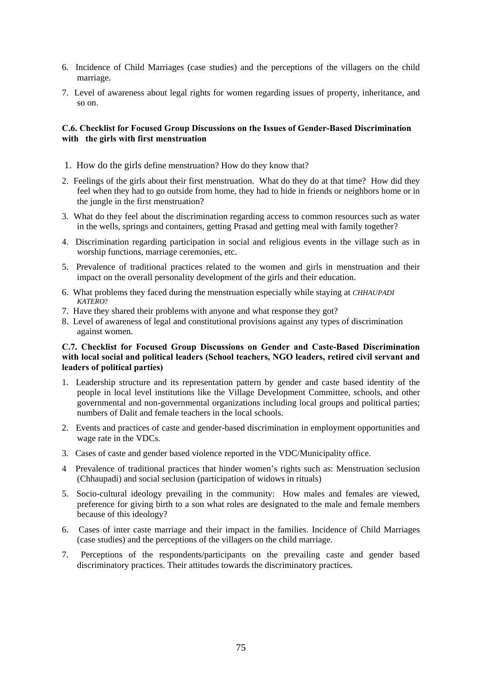- 6. Incidence of Child Marriages (case studies) and the perceptions of the villagers on the child marriage.
- 7. Level of awareness about legal rights for women regarding issues of property, inheritance, and so on.

### **C.6. Checklist for Focused Group Discussions on the Issues of Gender-Based Discrimination with the girls with first menstruation**

- 1. How do the girls define menstruation? How do they know that?
- 2. Feelings of the girls about their first menstruation. What do they do at that time? How did they feel when they had to go outside from home, they had to hide in friends or neighbors home or in the jungle in the first menstruation?
- 3. What do they feel about the discrimination regarding access to common resources such as water in the wells, springs and containers, getting Prasad and getting meal with family together?
- 4. Discrimination regarding participation in social and religious events in the village such as in worship functions, marriage ceremonies, etc.
- 5. Prevalence of traditional practices related to the women and girls in menstruation and their impact on the overall personality development of the girls and their education.
- 6. What problems they faced during the menstruation especially while staying at *CHHAUPADI KATERO*?
- 7. Have they shared their problems with anyone and what response they got?
- 8. Level of awareness of legal and constitutional provisions against any types of discrimination against women.

### **C.7. Checklist for Focused Group Discussions on Gender and Caste-Based Discrimination with local social and political leaders (School teachers, NGO leaders, retired civil servant and leaders of political parties)**

- 1. Leadership structure and its representation pattern by gender and caste based identity of the people in local level institutions like the Village Development Committee, schools, and other governmental and non-governmental organizations including local groups and political parties; numbers of Dalit and female teachers in the local schools.
- 2. Events and practices of caste and gender-based discrimination in employment opportunities and wage rate in the VDCs.
- 3. Cases of caste and gender based violence reported in the VDC/Municipality office.
- 4 Prevalence of traditional practices that hinder women's rights such as: Menstruation seclusion (Chhaupadi) and social seclusion (participation of widows in rituals)
- 5. Socio-cultural ideology prevailing in the community: How males and females are viewed, preference for giving birth to a son what roles are designated to the male and female members because of this ideology?
- 6. Cases of inter caste marriage and their impact in the families. Incidence of Child Marriages (case studies) and the perceptions of the villagers on the child marriage.
- 7. Perceptions of the respondents/participants on the prevailing caste and gender based discriminatory practices. Their attitudes towards the discriminatory practices.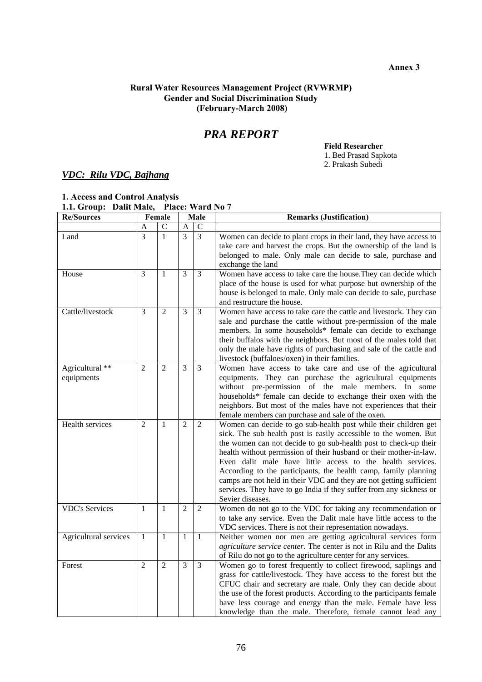**Annex 3** 

### **Rural Water Resources Management Project (RVWRMP) Gender and Social Discrimination Study (February-March 2008)**

# *PRA REPORT*

**Field Researcher** 

1. Bed Prasad Sapkota

2. Prakash Subedi

# *VDC: Rilu VDC, Bajhang*

# **1. Access and Control Analysis 1.1. Group: Dalit Male, Place: Ward No 7**

| <b>Re/Sources</b>             | Female         |                | Male           |                | <b>Remarks (Justification)</b>                                                                                                                                                                                                                                                                                                                                                                                                                                                                                                                                                   |  |  |  |
|-------------------------------|----------------|----------------|----------------|----------------|----------------------------------------------------------------------------------------------------------------------------------------------------------------------------------------------------------------------------------------------------------------------------------------------------------------------------------------------------------------------------------------------------------------------------------------------------------------------------------------------------------------------------------------------------------------------------------|--|--|--|
|                               | A              | $\mathcal{C}$  | $\mathbf{A}$   | $\mathbf C$    |                                                                                                                                                                                                                                                                                                                                                                                                                                                                                                                                                                                  |  |  |  |
| Land                          | $\overline{3}$ | $\mathbf{1}$   | $\overline{3}$ | $\overline{3}$ | Women can decide to plant crops in their land, they have access to<br>take care and harvest the crops. But the ownership of the land is<br>belonged to male. Only male can decide to sale, purchase and<br>exchange the land                                                                                                                                                                                                                                                                                                                                                     |  |  |  |
| House                         | 3              | $\mathbf{1}$   | $\overline{3}$ | $\overline{3}$ | Women have access to take care the house. They can decide which<br>place of the house is used for what purpose but ownership of the<br>house is belonged to male. Only male can decide to sale, purchase<br>and restructure the house.                                                                                                                                                                                                                                                                                                                                           |  |  |  |
| Cattle/livestock              | $\overline{3}$ | $\overline{2}$ | 3              | $\overline{3}$ | Women have access to take care the cattle and livestock. They can<br>sale and purchase the cattle without pre-permission of the male<br>members. In some households* female can decide to exchange<br>their buffalos with the neighbors. But most of the males told that<br>only the male have rights of purchasing and sale of the cattle and<br>livestock (buffaloes/oxen) in their families.                                                                                                                                                                                  |  |  |  |
| Agricultural **<br>equipments | $\overline{2}$ | $\overline{2}$ | 3              | $\overline{3}$ | Women have access to take care and use of the agricultural<br>equipments. They can purchase the agricultural equipments<br>without pre-permission of the male members. In some<br>households* female can decide to exchange their oxen with the<br>neighbors. But most of the males have not experiences that their<br>female members can purchase and sale of the oxen.                                                                                                                                                                                                         |  |  |  |
| Health services               | $\overline{2}$ | 1              | 2              | $\overline{2}$ | Women can decide to go sub-health post while their children get<br>sick. The sub health post is easily accessible to the women. But<br>the women can not decide to go sub-health post to check-up their<br>health without permission of their husband or their mother-in-law.<br>Even dalit male have little access to the health services.<br>According to the participants, the health camp, family planning<br>camps are not held in their VDC and they are not getting sufficient<br>services. They have to go India if they suffer from any sickness or<br>Sevier diseases. |  |  |  |
| <b>VDC's Services</b>         | $\mathbf{1}$   | $\mathbf{1}$   | $\overline{2}$ | $\overline{2}$ | Women do not go to the VDC for taking any recommendation or<br>to take any service. Even the Dalit male have little access to the<br>VDC services. There is not their representation nowadays.                                                                                                                                                                                                                                                                                                                                                                                   |  |  |  |
| Agricultural services         | $\mathbf{1}$   | $\mathbf{1}$   | $\mathbf{1}$   | $\mathbf{1}$   | Neither women nor men are getting agricultural services form<br>agriculture service center. The center is not in Rilu and the Dalits<br>of Rilu do not go to the agriculture center for any services.                                                                                                                                                                                                                                                                                                                                                                            |  |  |  |
| Forest                        | $\overline{2}$ | $\overline{2}$ | 3              | $\overline{3}$ | Women go to forest frequently to collect firewood, saplings and<br>grass for cattle/livestock. They have access to the forest but the<br>CFUC chair and secretary are male. Only they can decide about<br>the use of the forest products. According to the participants female<br>have less courage and energy than the male. Female have less<br>knowledge than the male. Therefore, female cannot lead any                                                                                                                                                                     |  |  |  |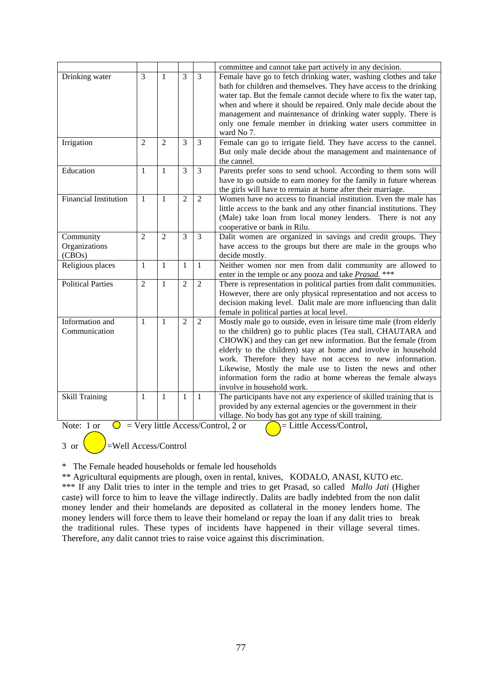|                              |                |                |                |                | committee and cannot take part actively in any decision.                                                          |
|------------------------------|----------------|----------------|----------------|----------------|-------------------------------------------------------------------------------------------------------------------|
| Drinking water               | 3              | $\mathbf{1}$   | $\overline{3}$ | $\overline{3}$ | Female have go to fetch drinking water, washing clothes and take                                                  |
|                              |                |                |                |                | bath for children and themselves. They have access to the drinking                                                |
|                              |                |                |                |                | water tap. But the female cannot decide where to fix the water tap,                                               |
|                              |                |                |                |                | when and where it should be repaired. Only male decide about the                                                  |
|                              |                |                |                |                | management and maintenance of drinking water supply. There is                                                     |
|                              |                |                |                |                | only one female member in drinking water users committee in                                                       |
|                              |                |                |                |                | ward No 7.                                                                                                        |
| Irrigation                   | $\overline{2}$ | $\overline{2}$ | $\overline{3}$ | $\overline{3}$ | Female can go to irrigate field. They have access to the cannel.                                                  |
|                              |                |                |                |                | But only male decide about the management and maintenance of                                                      |
|                              |                |                |                |                | the cannel.                                                                                                       |
| Education                    | 1              | $\mathbf{1}$   | 3              | $\overline{3}$ | Parents prefer sons to send school. According to them sons will                                                   |
|                              |                |                |                |                | have to go outside to earn money for the family in future whereas                                                 |
|                              |                |                |                |                | the girls will have to remain at home after their marriage.                                                       |
| <b>Financial Institution</b> | 1              | 1              | $\overline{2}$ | $\overline{2}$ | Women have no access to financial institution. Even the male has                                                  |
|                              |                |                |                |                | little access to the bank and any other financial institutions. They                                              |
|                              |                |                |                |                | (Male) take loan from local money lenders. There is not any                                                       |
|                              |                |                |                |                | cooperative or bank in Rilu.                                                                                      |
| Community                    | $\overline{2}$ | $\overline{2}$ | 3              | $\overline{3}$ | Dalit women are organized in savings and credit groups. They                                                      |
| Organizations                |                |                |                |                | have access to the groups but there are male in the groups who                                                    |
| (CBOs)                       |                |                |                |                | decide mostly.                                                                                                    |
| Religious places             | $\mathbf{1}$   | 1              | 1              | $\mathbf{1}$   | Neither women nor men from dalit community are allowed to                                                         |
|                              |                |                |                |                | enter in the temple or any pooza and take Prasad. ***                                                             |
| <b>Political Parties</b>     | $\overline{2}$ | 1              | $\overline{2}$ | $\overline{2}$ | There is representation in political parties from dalit communities.                                              |
|                              |                |                |                |                | However, there are only physical representation and not access to                                                 |
|                              |                |                |                |                | decision making level. Dalit male are more influencing than dalit                                                 |
| Information and              | $\mathbf{1}$   | $\mathbf{1}$   | $\overline{2}$ | $\overline{2}$ | female in political parties at local level.<br>Mostly male go to outside, even in leisure time male (from elderly |
| Communication                |                |                |                |                | to the children) go to public places (Tea stall, CHAUTARA and                                                     |
|                              |                |                |                |                | CHOWK) and they can get new information. But the female (from                                                     |
|                              |                |                |                |                | elderly to the children) stay at home and involve in household                                                    |
|                              |                |                |                |                | work. Therefore they have not access to new information.                                                          |
|                              |                |                |                |                | Likewise, Mostly the male use to listen the news and other                                                        |
|                              |                |                |                |                | information form the radio at home whereas the female always                                                      |
|                              |                |                |                |                | involve in household work.                                                                                        |
| <b>Skill Training</b>        | 1              | $\mathbf{1}$   | $\mathbf{1}$   | $\mathbf{1}$   | The participants have not any experience of skilled training that is                                              |
|                              |                |                |                |                | provided by any external agencies or the government in their                                                      |
|                              |                |                |                |                | village. No body has got any type of skill training.                                                              |
| Note: 1 or<br>$\bigcirc$     |                |                |                |                | $=$ Very little Access/Control, 2 or<br>$=$ Little Access/Control,                                                |

3 or  $\left( \qquad \right)$ =Well Access/Control

\* The Female headed households or female led households

\*\* Agricultural equipments are plough, oxen in rental, knives, KODALO, ANASI, KUTO etc.

\*\*\* If any Dalit tries to inter in the temple and tries to get Prasad, so called *Mallo Jati* (Higher caste) will force to him to leave the village indirectly. Dalits are badly indebted from the non dalit money lender and their homelands are deposited as collateral in the money lenders home. The money lenders will force them to leave their homeland or repay the loan if any dalit tries to break the traditional rules. These types of incidents have happened in their village several times. Therefore, any dalit cannot tries to raise voice against this discrimination.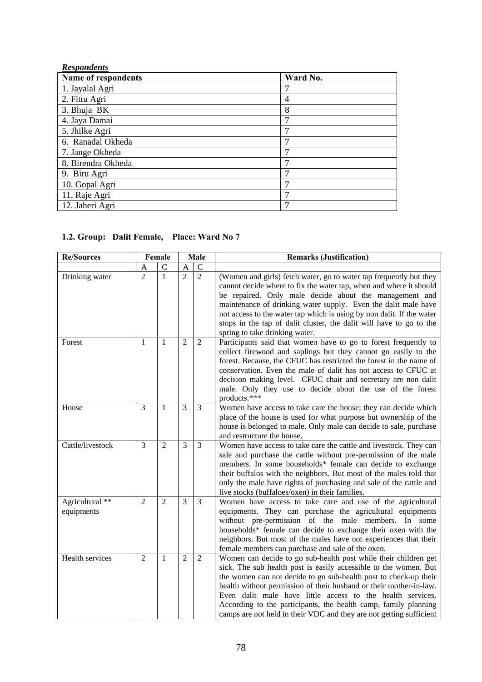| <b>Respondents</b>  |                |
|---------------------|----------------|
| Name of respondents | Ward No.       |
| 1. Jayalal Agri     | 7              |
| 2. Fittu Agri       | $\overline{4}$ |
| 3. Bhuja BK         | 8              |
| 4. Jaya Damai       | 7              |
| 5. Jhilke Agri      | 7              |
| 6. Ranadal Okheda   | 7              |
| 7. Jange Okheda     | 7              |
| 8. Birendra Okheda  | 7              |
| 9. Biru Agri        | $\mathcal{L}$  |
| 10. Gopal Agri      | 7              |
| 11. Raje Agri       | 7              |
| 12. Jaheri Agri     | 7              |

# **1.2. Group: Dalit Female, Place: Ward No 7**

| <b>Re/Sources</b>                        |                | Female         | Male           |                | <b>Remarks (Justification)</b>                                                                                                                                                                                                                                                                                                                                                                                                                                                        |
|------------------------------------------|----------------|----------------|----------------|----------------|---------------------------------------------------------------------------------------------------------------------------------------------------------------------------------------------------------------------------------------------------------------------------------------------------------------------------------------------------------------------------------------------------------------------------------------------------------------------------------------|
|                                          | A              | $\mathsf{C}$   | $\mathbf{A}$   | $\mathbf C$    |                                                                                                                                                                                                                                                                                                                                                                                                                                                                                       |
| Drinking water                           | $\overline{2}$ | $\mathbf{1}$   | $\overline{2}$ | $\overline{2}$ | (Women and girls) fetch water, go to water tap frequently but they<br>cannot decide where to fix the water tap, when and where it should<br>be repaired. Only male decide about the management and<br>maintenance of drinking water supply. Even the dalit male have<br>not access to the water tap which is using by non dalit. If the water<br>stops in the tap of dalit cluster, the dalit will have to go to the<br>spring to take drinking water.                                |
| Forest                                   | 1              | $\mathbf{1}$   | $\overline{2}$ | $\overline{2}$ | Participants said that women have to go to forest frequently to<br>collect firewood and saplings but they cannot go easily to the<br>forest. Because, the CFUC has restricted the forest in the name of<br>conservation. Even the male of dalit has not access to CFUC at<br>decision making level. CFUC chair and secretary are non dalit<br>male. Only they use to decide about the use of the forest<br>products.***                                                               |
| House                                    | 3              | 1              | 3              | 3              | Women have access to take care the house; they can decide which<br>place of the house is used for what purpose but ownership of the<br>house is belonged to male. Only male can decide to sale, purchase<br>and restructure the house.                                                                                                                                                                                                                                                |
| Cattle/livestock                         | 3              | $\overline{2}$ | 3              | $\overline{3}$ | Women have access to take care the cattle and livestock. They can<br>sale and purchase the cattle without pre-permission of the male<br>members. In some households* female can decide to exchange<br>their buffalos with the neighbors. But most of the males told that<br>only the male have rights of purchasing and sale of the cattle and<br>live stocks (buffaloes/oxen) in their families.                                                                                     |
| Agricultural <sup>**</sup><br>equipments | $\overline{2}$ | $\overline{2}$ | 3              | 3              | Women have access to take care and use of the agricultural<br>equipments. They can purchase the agricultural equipments<br>without pre-permission of the male members. In some<br>households* female can decide to exchange their oxen with the<br>neighbors. But most of the males have not experiences that their<br>female members can purchase and sale of the oxen.                                                                                                              |
| Health services                          | $\overline{2}$ | $\mathbf{1}$   | $\overline{2}$ | $\overline{2}$ | Women can decide to go sub-health post while their children get<br>sick. The sub health post is easily accessible to the women. But<br>the women can not decide to go sub-health post to check-up their<br>health without permission of their husband or their mother-in-law.<br>Even dalit male have little access to the health services.<br>According to the participants, the health camp, family planning<br>camps are not held in their VDC and they are not getting sufficient |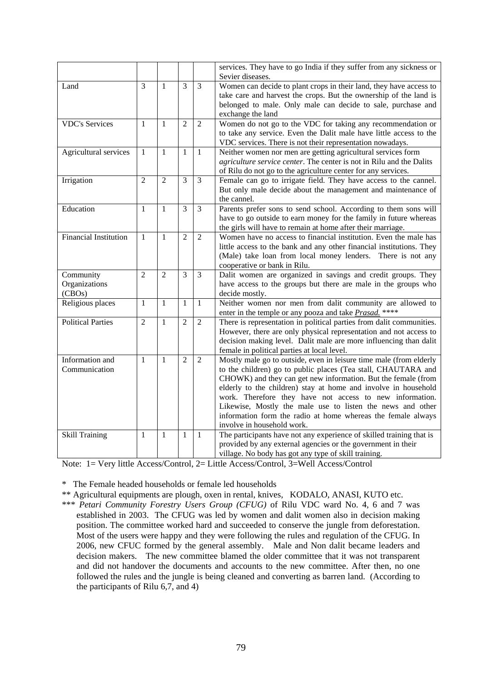|                                      |                |                |                |                | services. They have to go India if they suffer from any sickness or                                                                                                                                                                                                                                                                                                                                                                                                                            |  |  |
|--------------------------------------|----------------|----------------|----------------|----------------|------------------------------------------------------------------------------------------------------------------------------------------------------------------------------------------------------------------------------------------------------------------------------------------------------------------------------------------------------------------------------------------------------------------------------------------------------------------------------------------------|--|--|
|                                      |                |                |                |                | Sevier diseases.                                                                                                                                                                                                                                                                                                                                                                                                                                                                               |  |  |
| Land                                 | $\overline{3}$ | $\mathbf{1}$   | $\overline{3}$ | $\overline{3}$ | Women can decide to plant crops in their land, they have access to<br>take care and harvest the crops. But the ownership of the land is<br>belonged to male. Only male can decide to sale, purchase and<br>exchange the land                                                                                                                                                                                                                                                                   |  |  |
| <b>VDC's Services</b>                | 1              | $\mathbf{1}$   | $\overline{2}$ | $\overline{2}$ | Women do not go to the VDC for taking any recommendation or<br>to take any service. Even the Dalit male have little access to the<br>VDC services. There is not their representation nowadays.                                                                                                                                                                                                                                                                                                 |  |  |
| Agricultural services                | $\mathbf{1}$   | $\mathbf{1}$   | $\mathbf{1}$   | $\mathbf{1}$   | Neither women nor men are getting agricultural services form<br>agriculture service center. The center is not in Rilu and the Dalits<br>of Rilu do not go to the agriculture center for any services.                                                                                                                                                                                                                                                                                          |  |  |
| Irrigation                           | $\overline{2}$ | $\overline{2}$ | $\overline{3}$ | $\overline{3}$ | Female can go to irrigate field. They have access to the cannel.<br>But only male decide about the management and maintenance of<br>the cannel.                                                                                                                                                                                                                                                                                                                                                |  |  |
| Education                            | $\mathbf{1}$   | $\mathbf{1}$   | 3              | $\overline{3}$ | Parents prefer sons to send school. According to them sons will<br>have to go outside to earn money for the family in future whereas<br>the girls will have to remain at home after their marriage.                                                                                                                                                                                                                                                                                            |  |  |
| <b>Financial Institution</b>         | $\mathbf{1}$   | $\mathbf{1}$   | $\overline{2}$ | $\overline{2}$ | Women have no access to financial institution. Even the male has<br>little access to the bank and any other financial institutions. They<br>(Male) take loan from local money lenders. There is not any<br>cooperative or bank in Rilu.                                                                                                                                                                                                                                                        |  |  |
| Community<br>Organizations<br>(CBOs) | $\overline{2}$ | $\overline{2}$ | 3              | $\overline{3}$ | Dalit women are organized in savings and credit groups. They<br>have access to the groups but there are male in the groups who<br>decide mostly.                                                                                                                                                                                                                                                                                                                                               |  |  |
| Religious places                     | $\mathbf{1}$   | $\mathbf{1}$   | $\mathbf{1}$   | $\mathbf{1}$   | Neither women nor men from dalit community are allowed to<br>enter in the temple or any pooza and take Prasad. ****                                                                                                                                                                                                                                                                                                                                                                            |  |  |
| <b>Political Parties</b>             | $\overline{2}$ | $\mathbf{1}$   | $\overline{2}$ | $\overline{2}$ | There is representation in political parties from dalit communities.<br>However, there are only physical representation and not access to<br>decision making level. Dalit male are more influencing than dalit<br>female in political parties at local level.                                                                                                                                                                                                                                  |  |  |
| Information and<br>Communication     | $\mathbf{1}$   | $\mathbf{1}$   | $\overline{2}$ | $\overline{2}$ | Mostly male go to outside, even in leisure time male (from elderly<br>to the children) go to public places (Tea stall, CHAUTARA and<br>CHOWK) and they can get new information. But the female (from<br>elderly to the children) stay at home and involve in household<br>work. Therefore they have not access to new information.<br>Likewise, Mostly the male use to listen the news and other<br>information form the radio at home whereas the female always<br>involve in household work. |  |  |
| <b>Skill Training</b>                | $\mathbf{1}$   | $\mathbf{1}$   | $\mathbf{1}$   | $\mathbf{1}$   | The participants have not any experience of skilled training that is<br>provided by any external agencies or the government in their<br>village. No body has got any type of skill training.                                                                                                                                                                                                                                                                                                   |  |  |

Note: 1= Very little Access/Control, 2= Little Access/Control, 3=Well Access/Control

\* The Female headed households or female led households

\*\* Agricultural equipments are plough, oxen in rental, knives, KODALO, ANASI, KUTO etc.

\*\*\* *Petari Community Forestry Users Group (CFUG)* of Rilu VDC ward No. 4, 6 and 7 was established in 2003. The CFUG was led by women and dalit women also in decision making position. The committee worked hard and succeeded to conserve the jungle from deforestation. Most of the users were happy and they were following the rules and regulation of the CFUG. In 2006, new CFUC formed by the general assembly. Male and Non dalit became leaders and decision makers. The new committee blamed the older committee that it was not transparent and did not handover the documents and accounts to the new committee. After then, no one followed the rules and the jungle is being cleaned and converting as barren land. (According to the participants of Rilu 6,7, and 4)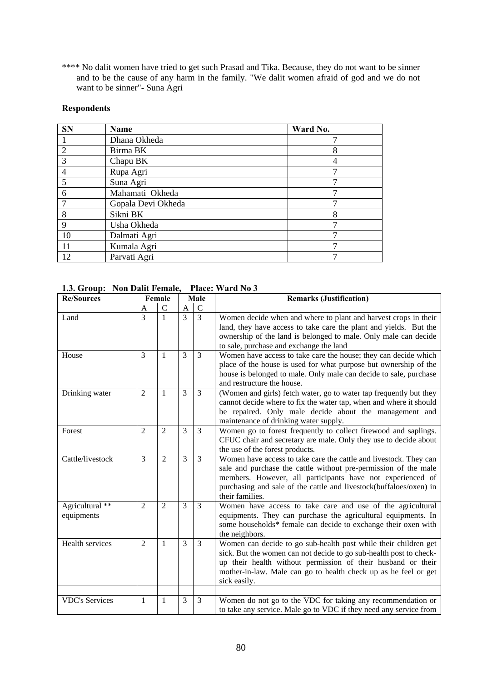\*\*\*\* No dalit women have tried to get such Prasad and Tika. Because, they do not want to be sinner and to be the cause of any harm in the family. "We dalit women afraid of god and we do not want to be sinner"- Suna Agri

# **Respondents**

| <b>SN</b>      | Name               | Ward No. |
|----------------|--------------------|----------|
|                | Dhana Okheda       |          |
| 2              | Birma BK           |          |
| 3              | Chapu BK           |          |
| $\overline{4}$ | Rupa Agri          |          |
| 5              | Suna Agri          |          |
| 6              | Mahamati Okheda    |          |
|                | Gopala Devi Okheda |          |
| 8              | Sikni BK           | 8        |
| $\mathbf Q$    | Usha Okheda        |          |
| 10             | Dalmati Agri       |          |
| 11             | Kumala Agri        |          |
| 12             | Parvati Agri       |          |

# **1.3. Group: Non Dalit Female, Place: Ward No 3**

| $\mathbf C$<br>$\mathcal{C}$<br>A<br>A<br>$\overline{3}$<br>$\overline{3}$<br>$\overline{\mathcal{E}}$<br>$\mathbf{1}$<br>Land<br>Women decide when and where to plant and harvest crops in their<br>land, they have access to take care the plant and yields. But the<br>ownership of the land is belonged to male. Only male can decide<br>to sale, purchase and exchange the land<br>3<br>3<br>House<br>3<br>Women have access to take care the house; they can decide which<br>$\mathbf{1}$<br>place of the house is used for what purpose but ownership of the<br>house is belonged to male. Only male can decide to sale, purchase<br>and restructure the house.<br>3<br>3<br>$\overline{2}$<br>(Women and girls) fetch water, go to water tap frequently but they<br>Drinking water<br>1<br>cannot decide where to fix the water tap, when and where it should<br>be repaired. Only male decide about the management and<br>maintenance of drinking water supply.<br>3<br>3<br>Women go to forest frequently to collect firewood and saplings.<br>$\overline{2}$<br>$\overline{2}$<br>Forest<br>CFUC chair and secretary are male. Only they use to decide about<br>the use of the forest products.<br>3<br>$\overline{3}$<br>Cattle/livestock<br>3<br>$\overline{2}$<br>Women have access to take care the cattle and livestock. They can<br>sale and purchase the cattle without pre-permission of the male<br>members. However, all participants have not experienced of<br>purchasing and sale of the cattle and livestock(buffaloes/oxen) in<br>their families.<br>Agricultural **<br>3<br>3<br>$\overline{2}$<br>$\overline{2}$<br>Women have access to take care and use of the agricultural<br>equipments. They can purchase the agricultural equipments. In<br>equipments<br>some households* female can decide to exchange their oxen with<br>the neighbors.<br>Health services<br>3<br>Women can decide to go sub-health post while their children get<br>2<br>3<br>1<br>sick. But the women can not decide to go sub-health post to check-<br>up their health without permission of their husband or their<br>mother-in-law. Male can go to health check up as he feel or get<br>sick easily. | <b>Re/Sources</b> | Female |  | Male |  | <b>Remarks (Justification)</b> |
|------------------------------------------------------------------------------------------------------------------------------------------------------------------------------------------------------------------------------------------------------------------------------------------------------------------------------------------------------------------------------------------------------------------------------------------------------------------------------------------------------------------------------------------------------------------------------------------------------------------------------------------------------------------------------------------------------------------------------------------------------------------------------------------------------------------------------------------------------------------------------------------------------------------------------------------------------------------------------------------------------------------------------------------------------------------------------------------------------------------------------------------------------------------------------------------------------------------------------------------------------------------------------------------------------------------------------------------------------------------------------------------------------------------------------------------------------------------------------------------------------------------------------------------------------------------------------------------------------------------------------------------------------------------------------------------------------------------------------------------------------------------------------------------------------------------------------------------------------------------------------------------------------------------------------------------------------------------------------------------------------------------------------------------------------------------------------------------------------------------------------------------------------------------------------------------------------------------|-------------------|--------|--|------|--|--------------------------------|
|                                                                                                                                                                                                                                                                                                                                                                                                                                                                                                                                                                                                                                                                                                                                                                                                                                                                                                                                                                                                                                                                                                                                                                                                                                                                                                                                                                                                                                                                                                                                                                                                                                                                                                                                                                                                                                                                                                                                                                                                                                                                                                                                                                                                                  |                   |        |  |      |  |                                |
|                                                                                                                                                                                                                                                                                                                                                                                                                                                                                                                                                                                                                                                                                                                                                                                                                                                                                                                                                                                                                                                                                                                                                                                                                                                                                                                                                                                                                                                                                                                                                                                                                                                                                                                                                                                                                                                                                                                                                                                                                                                                                                                                                                                                                  |                   |        |  |      |  |                                |
|                                                                                                                                                                                                                                                                                                                                                                                                                                                                                                                                                                                                                                                                                                                                                                                                                                                                                                                                                                                                                                                                                                                                                                                                                                                                                                                                                                                                                                                                                                                                                                                                                                                                                                                                                                                                                                                                                                                                                                                                                                                                                                                                                                                                                  |                   |        |  |      |  |                                |
|                                                                                                                                                                                                                                                                                                                                                                                                                                                                                                                                                                                                                                                                                                                                                                                                                                                                                                                                                                                                                                                                                                                                                                                                                                                                                                                                                                                                                                                                                                                                                                                                                                                                                                                                                                                                                                                                                                                                                                                                                                                                                                                                                                                                                  |                   |        |  |      |  |                                |
|                                                                                                                                                                                                                                                                                                                                                                                                                                                                                                                                                                                                                                                                                                                                                                                                                                                                                                                                                                                                                                                                                                                                                                                                                                                                                                                                                                                                                                                                                                                                                                                                                                                                                                                                                                                                                                                                                                                                                                                                                                                                                                                                                                                                                  |                   |        |  |      |  |                                |
|                                                                                                                                                                                                                                                                                                                                                                                                                                                                                                                                                                                                                                                                                                                                                                                                                                                                                                                                                                                                                                                                                                                                                                                                                                                                                                                                                                                                                                                                                                                                                                                                                                                                                                                                                                                                                                                                                                                                                                                                                                                                                                                                                                                                                  |                   |        |  |      |  |                                |
|                                                                                                                                                                                                                                                                                                                                                                                                                                                                                                                                                                                                                                                                                                                                                                                                                                                                                                                                                                                                                                                                                                                                                                                                                                                                                                                                                                                                                                                                                                                                                                                                                                                                                                                                                                                                                                                                                                                                                                                                                                                                                                                                                                                                                  |                   |        |  |      |  |                                |
|                                                                                                                                                                                                                                                                                                                                                                                                                                                                                                                                                                                                                                                                                                                                                                                                                                                                                                                                                                                                                                                                                                                                                                                                                                                                                                                                                                                                                                                                                                                                                                                                                                                                                                                                                                                                                                                                                                                                                                                                                                                                                                                                                                                                                  |                   |        |  |      |  |                                |
|                                                                                                                                                                                                                                                                                                                                                                                                                                                                                                                                                                                                                                                                                                                                                                                                                                                                                                                                                                                                                                                                                                                                                                                                                                                                                                                                                                                                                                                                                                                                                                                                                                                                                                                                                                                                                                                                                                                                                                                                                                                                                                                                                                                                                  |                   |        |  |      |  |                                |
|                                                                                                                                                                                                                                                                                                                                                                                                                                                                                                                                                                                                                                                                                                                                                                                                                                                                                                                                                                                                                                                                                                                                                                                                                                                                                                                                                                                                                                                                                                                                                                                                                                                                                                                                                                                                                                                                                                                                                                                                                                                                                                                                                                                                                  |                   |        |  |      |  |                                |
|                                                                                                                                                                                                                                                                                                                                                                                                                                                                                                                                                                                                                                                                                                                                                                                                                                                                                                                                                                                                                                                                                                                                                                                                                                                                                                                                                                                                                                                                                                                                                                                                                                                                                                                                                                                                                                                                                                                                                                                                                                                                                                                                                                                                                  |                   |        |  |      |  |                                |
|                                                                                                                                                                                                                                                                                                                                                                                                                                                                                                                                                                                                                                                                                                                                                                                                                                                                                                                                                                                                                                                                                                                                                                                                                                                                                                                                                                                                                                                                                                                                                                                                                                                                                                                                                                                                                                                                                                                                                                                                                                                                                                                                                                                                                  |                   |        |  |      |  |                                |
|                                                                                                                                                                                                                                                                                                                                                                                                                                                                                                                                                                                                                                                                                                                                                                                                                                                                                                                                                                                                                                                                                                                                                                                                                                                                                                                                                                                                                                                                                                                                                                                                                                                                                                                                                                                                                                                                                                                                                                                                                                                                                                                                                                                                                  |                   |        |  |      |  |                                |
|                                                                                                                                                                                                                                                                                                                                                                                                                                                                                                                                                                                                                                                                                                                                                                                                                                                                                                                                                                                                                                                                                                                                                                                                                                                                                                                                                                                                                                                                                                                                                                                                                                                                                                                                                                                                                                                                                                                                                                                                                                                                                                                                                                                                                  |                   |        |  |      |  |                                |
|                                                                                                                                                                                                                                                                                                                                                                                                                                                                                                                                                                                                                                                                                                                                                                                                                                                                                                                                                                                                                                                                                                                                                                                                                                                                                                                                                                                                                                                                                                                                                                                                                                                                                                                                                                                                                                                                                                                                                                                                                                                                                                                                                                                                                  |                   |        |  |      |  |                                |
|                                                                                                                                                                                                                                                                                                                                                                                                                                                                                                                                                                                                                                                                                                                                                                                                                                                                                                                                                                                                                                                                                                                                                                                                                                                                                                                                                                                                                                                                                                                                                                                                                                                                                                                                                                                                                                                                                                                                                                                                                                                                                                                                                                                                                  |                   |        |  |      |  |                                |
|                                                                                                                                                                                                                                                                                                                                                                                                                                                                                                                                                                                                                                                                                                                                                                                                                                                                                                                                                                                                                                                                                                                                                                                                                                                                                                                                                                                                                                                                                                                                                                                                                                                                                                                                                                                                                                                                                                                                                                                                                                                                                                                                                                                                                  |                   |        |  |      |  |                                |
|                                                                                                                                                                                                                                                                                                                                                                                                                                                                                                                                                                                                                                                                                                                                                                                                                                                                                                                                                                                                                                                                                                                                                                                                                                                                                                                                                                                                                                                                                                                                                                                                                                                                                                                                                                                                                                                                                                                                                                                                                                                                                                                                                                                                                  |                   |        |  |      |  |                                |
|                                                                                                                                                                                                                                                                                                                                                                                                                                                                                                                                                                                                                                                                                                                                                                                                                                                                                                                                                                                                                                                                                                                                                                                                                                                                                                                                                                                                                                                                                                                                                                                                                                                                                                                                                                                                                                                                                                                                                                                                                                                                                                                                                                                                                  |                   |        |  |      |  |                                |
|                                                                                                                                                                                                                                                                                                                                                                                                                                                                                                                                                                                                                                                                                                                                                                                                                                                                                                                                                                                                                                                                                                                                                                                                                                                                                                                                                                                                                                                                                                                                                                                                                                                                                                                                                                                                                                                                                                                                                                                                                                                                                                                                                                                                                  |                   |        |  |      |  |                                |
|                                                                                                                                                                                                                                                                                                                                                                                                                                                                                                                                                                                                                                                                                                                                                                                                                                                                                                                                                                                                                                                                                                                                                                                                                                                                                                                                                                                                                                                                                                                                                                                                                                                                                                                                                                                                                                                                                                                                                                                                                                                                                                                                                                                                                  |                   |        |  |      |  |                                |
|                                                                                                                                                                                                                                                                                                                                                                                                                                                                                                                                                                                                                                                                                                                                                                                                                                                                                                                                                                                                                                                                                                                                                                                                                                                                                                                                                                                                                                                                                                                                                                                                                                                                                                                                                                                                                                                                                                                                                                                                                                                                                                                                                                                                                  |                   |        |  |      |  |                                |
|                                                                                                                                                                                                                                                                                                                                                                                                                                                                                                                                                                                                                                                                                                                                                                                                                                                                                                                                                                                                                                                                                                                                                                                                                                                                                                                                                                                                                                                                                                                                                                                                                                                                                                                                                                                                                                                                                                                                                                                                                                                                                                                                                                                                                  |                   |        |  |      |  |                                |
|                                                                                                                                                                                                                                                                                                                                                                                                                                                                                                                                                                                                                                                                                                                                                                                                                                                                                                                                                                                                                                                                                                                                                                                                                                                                                                                                                                                                                                                                                                                                                                                                                                                                                                                                                                                                                                                                                                                                                                                                                                                                                                                                                                                                                  |                   |        |  |      |  |                                |
|                                                                                                                                                                                                                                                                                                                                                                                                                                                                                                                                                                                                                                                                                                                                                                                                                                                                                                                                                                                                                                                                                                                                                                                                                                                                                                                                                                                                                                                                                                                                                                                                                                                                                                                                                                                                                                                                                                                                                                                                                                                                                                                                                                                                                  |                   |        |  |      |  |                                |
|                                                                                                                                                                                                                                                                                                                                                                                                                                                                                                                                                                                                                                                                                                                                                                                                                                                                                                                                                                                                                                                                                                                                                                                                                                                                                                                                                                                                                                                                                                                                                                                                                                                                                                                                                                                                                                                                                                                                                                                                                                                                                                                                                                                                                  |                   |        |  |      |  |                                |
|                                                                                                                                                                                                                                                                                                                                                                                                                                                                                                                                                                                                                                                                                                                                                                                                                                                                                                                                                                                                                                                                                                                                                                                                                                                                                                                                                                                                                                                                                                                                                                                                                                                                                                                                                                                                                                                                                                                                                                                                                                                                                                                                                                                                                  |                   |        |  |      |  |                                |
|                                                                                                                                                                                                                                                                                                                                                                                                                                                                                                                                                                                                                                                                                                                                                                                                                                                                                                                                                                                                                                                                                                                                                                                                                                                                                                                                                                                                                                                                                                                                                                                                                                                                                                                                                                                                                                                                                                                                                                                                                                                                                                                                                                                                                  |                   |        |  |      |  |                                |
| 3<br>$\mathfrak{Z}$<br><b>VDC's Services</b><br>Women do not go to the VDC for taking any recommendation or<br>1<br>1                                                                                                                                                                                                                                                                                                                                                                                                                                                                                                                                                                                                                                                                                                                                                                                                                                                                                                                                                                                                                                                                                                                                                                                                                                                                                                                                                                                                                                                                                                                                                                                                                                                                                                                                                                                                                                                                                                                                                                                                                                                                                            |                   |        |  |      |  |                                |
| to take any service. Male go to VDC if they need any service from                                                                                                                                                                                                                                                                                                                                                                                                                                                                                                                                                                                                                                                                                                                                                                                                                                                                                                                                                                                                                                                                                                                                                                                                                                                                                                                                                                                                                                                                                                                                                                                                                                                                                                                                                                                                                                                                                                                                                                                                                                                                                                                                                |                   |        |  |      |  |                                |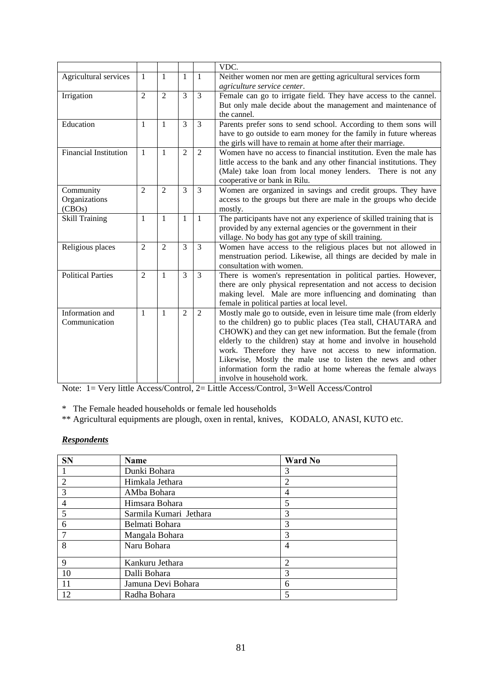|                              |                |                |                |                | VDC.                                                                 |  |  |  |
|------------------------------|----------------|----------------|----------------|----------------|----------------------------------------------------------------------|--|--|--|
| Agricultural services        | 1              | $\mathbf{1}$   | $\mathbf{1}$   | $\mathbf{1}$   | Neither women nor men are getting agricultural services form         |  |  |  |
|                              |                |                |                |                | agriculture service center.                                          |  |  |  |
| Irrigation                   | $\overline{2}$ | $\overline{2}$ | 3              | $\overline{3}$ | Female can go to irrigate field. They have access to the cannel.     |  |  |  |
|                              |                |                |                |                | But only male decide about the management and maintenance of         |  |  |  |
|                              |                |                |                |                | the cannel.                                                          |  |  |  |
| Education                    | $\mathbf{1}$   | 1              | 3              | 3              | Parents prefer sons to send school. According to them sons will      |  |  |  |
|                              |                |                |                |                | have to go outside to earn money for the family in future whereas    |  |  |  |
|                              |                |                |                |                | the girls will have to remain at home after their marriage.          |  |  |  |
| <b>Financial Institution</b> | $\mathbf{1}$   | $\mathbf{1}$   | $\overline{2}$ | $\overline{2}$ | Women have no access to financial institution. Even the male has     |  |  |  |
|                              |                |                |                |                | little access to the bank and any other financial institutions. They |  |  |  |
|                              |                |                |                |                | (Male) take loan from local money lenders. There is not any          |  |  |  |
|                              |                |                |                |                | cooperative or bank in Rilu.                                         |  |  |  |
| Community                    | $\overline{2}$ | $\mathfrak{D}$ | 3              | $\overline{3}$ | Women are organized in savings and credit groups. They have          |  |  |  |
| Organizations                |                |                |                |                | access to the groups but there are male in the groups who decide     |  |  |  |
| (CBOs)                       |                |                |                |                | mostly.                                                              |  |  |  |
| <b>Skill Training</b>        | 1              | $\mathbf{1}$   | $\mathbf{1}$   | $\mathbf{1}$   | The participants have not any experience of skilled training that is |  |  |  |
|                              |                |                |                |                | provided by any external agencies or the government in their         |  |  |  |
|                              |                |                |                |                | village. No body has got any type of skill training.                 |  |  |  |
| Religious places             | $\overline{2}$ | $\overline{2}$ | 3              | 3              | Women have access to the religious places but not allowed in         |  |  |  |
|                              |                |                |                |                | menstruation period. Likewise, all things are decided by male in     |  |  |  |
|                              |                |                |                |                | consultation with women.                                             |  |  |  |
| <b>Political Parties</b>     | $\overline{2}$ | $\mathbf{1}$   | $\overline{3}$ | $\overline{3}$ | There is women's representation in political parties. However,       |  |  |  |
|                              |                |                |                |                | there are only physical representation and not access to decision    |  |  |  |
|                              |                |                |                |                | making level. Male are more influencing and dominating than          |  |  |  |
|                              |                |                |                |                | female in political parties at local level.                          |  |  |  |
| Information and              | -1             | 1              | $\overline{2}$ | 2              | Mostly male go to outside, even in leisure time male (from elderly   |  |  |  |
| Communication                |                |                |                |                | to the children) go to public places (Tea stall, CHAUTARA and        |  |  |  |
|                              |                |                |                |                | CHOWK) and they can get new information. But the female (from        |  |  |  |
|                              |                |                |                |                | elderly to the children) stay at home and involve in household       |  |  |  |
|                              |                |                |                |                | work. Therefore they have not access to new information.             |  |  |  |
|                              |                |                |                |                | Likewise, Mostly the male use to listen the news and other           |  |  |  |
|                              |                |                |                |                | information form the radio at home whereas the female always         |  |  |  |
|                              |                |                |                |                | involve in household work.                                           |  |  |  |

Note: 1= Very little Access/Control, 2= Little Access/Control, 3=Well Access/Control

\* The Female headed households or female led households

\*\* Agricultural equipments are plough, oxen in rental, knives, KODALO, ANASI, KUTO etc.

# *Respondents*

| <b>SN</b>      | <b>Name</b>            | <b>Ward No</b> |  |
|----------------|------------------------|----------------|--|
|                | Dunki Bohara           | 3              |  |
| $\overline{2}$ | Himkala Jethara        | $\overline{2}$ |  |
| 3              | AMba Bohara            | $\overline{4}$ |  |
| 4              | Himsara Bohara         | 5              |  |
| 5              | Sarmila Kumari Jethara | 3              |  |
| 6              | Belmati Bohara         | 3              |  |
|                | Mangala Bohara         | 3              |  |
| 8              | Naru Bohara            | $\overline{4}$ |  |
| 9              | Kankuru Jethara        | 2              |  |
| 10             | Dalli Bohara           | 3              |  |
| 11             | Jamuna Devi Bohara     | 6              |  |
| 12             | Radha Bohara           | 5              |  |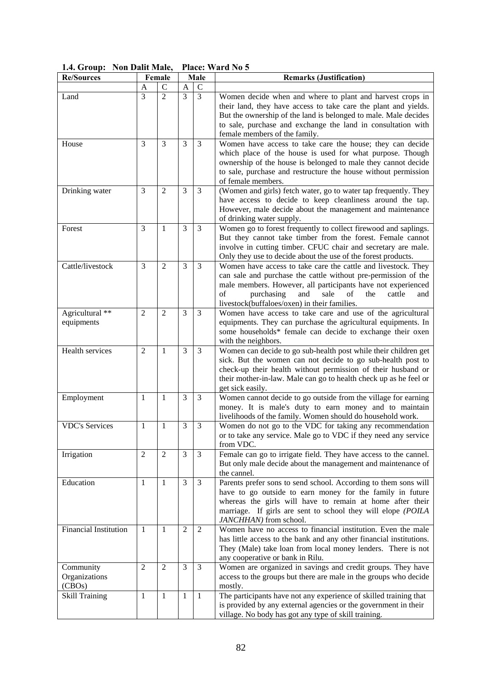|  |  |  | 1.4. Group: Non Dalit Male, Place: Ward No 5 |
|--|--|--|----------------------------------------------|
|--|--|--|----------------------------------------------|

| <b>Re/Sources</b>            |                | Female         | Male           |                  | <b>Remarks (Justification)</b>                                      |  |
|------------------------------|----------------|----------------|----------------|------------------|---------------------------------------------------------------------|--|
|                              | A              | $\mathsf{C}$   | A              | C                |                                                                     |  |
| Land                         | 3              | $\overline{2}$ | 3              | 3                | Women decide when and where to plant and harvest crops in           |  |
|                              |                |                |                |                  | their land, they have access to take care the plant and yields.     |  |
|                              |                |                |                |                  | But the ownership of the land is belonged to male. Male decides     |  |
|                              |                |                |                |                  | to sale, purchase and exchange the land in consultation with        |  |
|                              |                |                |                |                  | female members of the family.                                       |  |
| House                        | 3              | 3              | 3              | 3                | Women have access to take care the house; they can decide           |  |
|                              |                |                |                |                  | which place of the house is used for what purpose. Though           |  |
|                              |                |                |                |                  | ownership of the house is belonged to male they cannot decide       |  |
|                              |                |                |                |                  | to sale, purchase and restructure the house without permission      |  |
|                              |                |                |                |                  | of female members.                                                  |  |
| Drinking water               | 3              | $\mathfrak{2}$ | 3              | 3                | (Women and girls) fetch water, go to water tap frequently. They     |  |
|                              |                |                |                |                  | have access to decide to keep cleanliness around the tap.           |  |
|                              |                |                |                |                  | However, male decide about the management and maintenance           |  |
|                              |                |                |                |                  | of drinking water supply.                                           |  |
| Forest                       | 3              | 1              | 3              | 3                | Women go to forest frequently to collect firewood and saplings.     |  |
|                              |                |                |                |                  | But they cannot take timber from the forest. Female cannot          |  |
|                              |                |                |                |                  | involve in cutting timber. CFUC chair and secretary are male.       |  |
|                              |                |                |                |                  | Only they use to decide about the use of the forest products.       |  |
| Cattle/livestock             | 3              | $\overline{2}$ | 3              | 3                | Women have access to take care the cattle and livestock. They       |  |
|                              |                |                |                |                  | can sale and purchase the cattle without pre-permission of the      |  |
|                              |                |                |                |                  | male members. However, all participants have not experienced        |  |
|                              |                |                |                |                  | of<br>purchasing<br>and<br>sale<br>of<br>the<br>cattle<br>and       |  |
|                              |                |                |                |                  | livestock(buffaloes/oxen) in their families.                        |  |
| Agricultural **              | $\overline{2}$ | $\overline{2}$ | 3              | 3                | Women have access to take care and use of the agricultural          |  |
| equipments                   |                |                |                |                  | equipments. They can purchase the agricultural equipments. In       |  |
|                              |                |                |                |                  | some households* female can decide to exchange their oxen           |  |
|                              |                |                |                |                  | with the neighbors.                                                 |  |
| Health services              | 2              | 1              | 3              | 3                | Women can decide to go sub-health post while their children get     |  |
|                              |                |                |                |                  | sick. But the women can not decide to go sub-health post to         |  |
|                              |                |                |                |                  | check-up their health without permission of their husband or        |  |
|                              |                |                |                |                  | their mother-in-law. Male can go to health check up as he feel or   |  |
|                              |                |                |                |                  | get sick easily.                                                    |  |
| Employment                   | 1              | $\mathbf{1}$   | 3              | 3                | Women cannot decide to go outside from the village for earning      |  |
|                              |                |                |                |                  | money. It is male's duty to earn money and to maintain              |  |
|                              |                |                |                |                  | livelihoods of the family. Women should do household work.          |  |
| <b>VDC's Services</b>        | 1              | 1              | 3              | 3                | Women do not go to the VDC for taking any recommendation            |  |
|                              |                |                |                |                  | or to take any service. Male go to VDC if they need any service     |  |
|                              |                |                |                |                  | from VDC.                                                           |  |
| Irrigation                   | $\overline{2}$ | $\overline{2}$ | 3              | 3                | Female can go to irrigate field. They have access to the cannel.    |  |
|                              |                |                |                |                  | But only male decide about the management and maintenance of        |  |
|                              |                |                |                |                  | the cannel.                                                         |  |
| Education                    | 1              | $\mathbf{1}$   | 3              | 3                | Parents prefer sons to send school. According to them sons will     |  |
|                              |                |                |                |                  | have to go outside to earn money for the family in future           |  |
|                              |                |                |                |                  | whereas the girls will have to remain at home after their           |  |
|                              |                |                |                |                  | marriage. If girls are sent to school they will elope (POILA        |  |
|                              |                |                |                |                  | JANCHHAN) from school.                                              |  |
| <b>Financial Institution</b> | 1              | 1              | $\overline{c}$ | $\boldsymbol{2}$ | Women have no access to financial institution. Even the male        |  |
|                              |                |                |                |                  | has little access to the bank and any other financial institutions. |  |
|                              |                |                |                |                  | They (Male) take loan from local money lenders. There is not        |  |
|                              |                |                |                |                  | any cooperative or bank in Rilu.                                    |  |
| Community                    | 2              | $\overline{2}$ | 3              | 3                | Women are organized in savings and credit groups. They have         |  |
| Organizations                |                |                |                |                  | access to the groups but there are male in the groups who decide    |  |
| (CBOs)                       |                |                |                |                  | mostly.                                                             |  |
| <b>Skill Training</b>        | 1              | 1              | $\mathbf{1}$   | $\mathbf{1}$     | The participants have not any experience of skilled training that   |  |
|                              |                |                |                |                  | is provided by any external agencies or the government in their     |  |
|                              |                |                |                |                  | village. No body has got any type of skill training.                |  |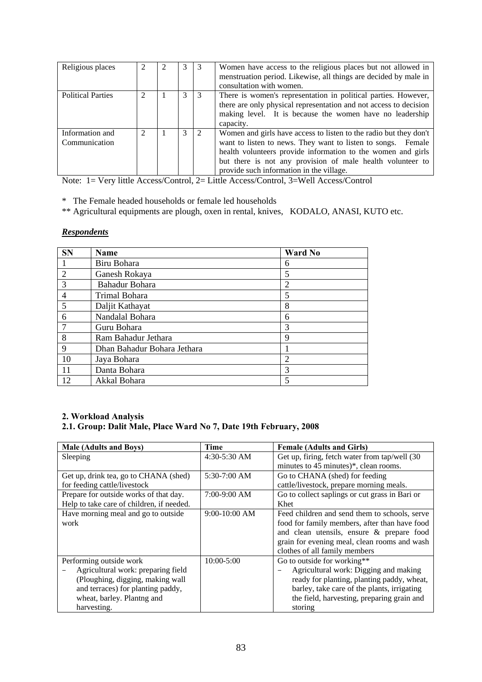| Religious places                 |  | 3 | -3            | Women have access to the religious places but not allowed in<br>menstruation period. Likewise, all things are decided by male in<br>consultation with women.                                                                                                                                                |
|----------------------------------|--|---|---------------|-------------------------------------------------------------------------------------------------------------------------------------------------------------------------------------------------------------------------------------------------------------------------------------------------------------|
| <b>Political Parties</b>         |  | 3 | -3            | There is women's representation in political parties. However,<br>there are only physical representation and not access to decision<br>making level. It is because the women have no leadership<br>capacity.                                                                                                |
| Information and<br>Communication |  | 3 | $\mathcal{L}$ | Women and girls have access to listen to the radio but they don't<br>want to listen to news. They want to listen to songs. Female<br>health volunteers provide information to the women and girls<br>but there is not any provision of male health volunteer to<br>provide such information in the village. |

Note: 1= Very little Access/Control, 2= Little Access/Control, 3=Well Access/Control

\* The Female headed households or female led households

\*\* Agricultural equipments are plough, oxen in rental, knives, KODALO, ANASI, KUTO etc.

### *Respondents*

| <b>SN</b>      | Name                        | Ward No        |
|----------------|-----------------------------|----------------|
|                | Biru Bohara                 | 6              |
| $\overline{2}$ | Ganesh Rokaya               | 5              |
| 3              | Bahadur Bohara              | $\overline{2}$ |
| $\overline{4}$ | Trimal Bohara               | 5              |
| 5              | Daljit Kathayat             | 8              |
| 6              | Nandalal Bohara             | 6              |
|                | Guru Bohara                 | 3              |
| 8              | Ram Bahadur Jethara         | 9              |
| 9              | Dhan Bahadur Bohara Jethara |                |
| 10             | Jaya Bohara                 | $\overline{2}$ |
| 11             | Danta Bohara                | 3              |
| 12             | Akkal Bohara                | 5              |

# **2. Workload Analysis 2.1. Group: Dalit Male, Place Ward No 7, Date 19th February, 2008**

| <b>Male (Adults and Boys)</b>             | Time            | <b>Female (Adults and Girls)</b>               |  |
|-------------------------------------------|-----------------|------------------------------------------------|--|
| Sleeping                                  | $4:30-5:30$ AM  | Get up, firing, fetch water from tap/well (30) |  |
|                                           |                 | minutes to 45 minutes)*, clean rooms.          |  |
| Get up, drink tea, go to CHANA (shed)     | 5:30-7:00 AM    | Go to CHANA (shed) for feeding                 |  |
| for feeding cattle/livestock              |                 | cattle/livestock, prepare morning meals.       |  |
| Prepare for outside works of that day.    | $7:00-9:00$ AM  | Go to collect saplings or cut grass in Bari or |  |
| Help to take care of children, if needed. |                 | Khet                                           |  |
| Have morning meal and go to outside       | $9:00-10:00$ AM | Feed children and send them to schools, serve  |  |
| work                                      |                 | food for family members, after than have food  |  |
|                                           |                 | and clean utensils, ensure & prepare food      |  |
|                                           |                 | grain for evening meal, clean rooms and wash   |  |
|                                           |                 | clothes of all family members                  |  |
| Performing outside work                   | $10:00 - 5:00$  | Go to outside for working**                    |  |
| Agricultural work: preparing field        |                 | Agricultural work: Digging and making          |  |
| (Ploughing, digging, making wall          |                 | ready for planting, planting paddy, wheat,     |  |
| and terraces) for planting paddy,         |                 | barley, take care of the plants, irrigating    |  |
| wheat, barley. Plantng and                |                 | the field, harvesting, preparing grain and     |  |
| harvesting.                               |                 | storing                                        |  |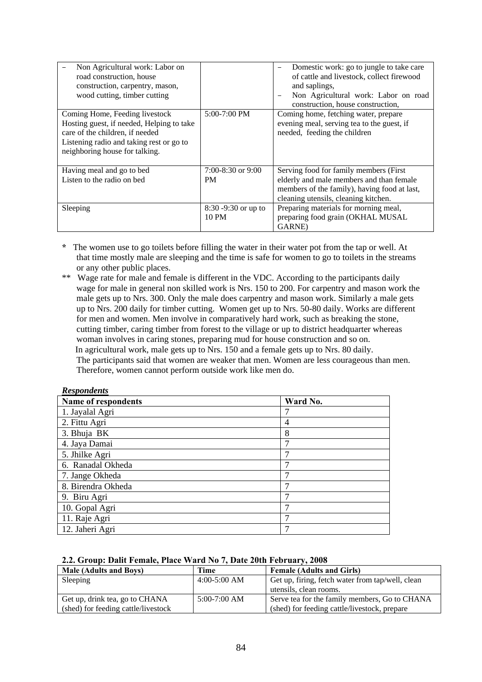| Non Agricultural work: Labor on<br>road construction, house<br>construction, carpentry, mason,<br>wood cutting, timber cutting                                                               |                                 | Domestic work: go to jungle to take care<br>of cattle and livestock, collect firewood<br>and saplings,<br>Non Agricultural work: Labor on road<br>construction, house construction, |
|----------------------------------------------------------------------------------------------------------------------------------------------------------------------------------------------|---------------------------------|-------------------------------------------------------------------------------------------------------------------------------------------------------------------------------------|
| Coming Home, Feeding livestock<br>Hosting guest, if needed, Helping to take<br>care of the children, if needed<br>Listening radio and taking rest or go to<br>neighboring house for talking. | $5:00-7:00$ PM                  | Coming home, fetching water, prepare<br>evening meal, serving tea to the guest, if<br>needed, feeding the children                                                                  |
| Having meal and go to bed                                                                                                                                                                    | $7:00-8:30$ or 9:00             | Serving food for family members (First)                                                                                                                                             |
| Listen to the radio on bed                                                                                                                                                                   | <b>PM</b>                       | elderly and male members and than female<br>members of the family), having food at last,<br>cleaning utensils, cleaning kitchen.                                                    |
| Sleeping                                                                                                                                                                                     | $8:30 - 9:30$ or up to<br>10 PM | Preparing materials for morning meal,<br>preparing food grain (OKHAL MUSAL<br>GARNE)                                                                                                |

**\*** The women use to go toilets before filling the water in their water pot from the tap or well. At that time mostly male are sleeping and the time is safe for women to go to toilets in the streams or any other public places.

\*\* Wage rate for male and female is different in the VDC. According to the participants daily wage for male in general non skilled work is Nrs. 150 to 200. For carpentry and mason work the male gets up to Nrs. 300. Only the male does carpentry and mason work. Similarly a male gets up to Nrs. 200 daily for timber cutting. Women get up to Nrs. 50-80 daily. Works are different for men and women. Men involve in comparatively hard work, such as breaking the stone, cutting timber, caring timber from forest to the village or up to district headquarter whereas woman involves in caring stones, preparing mud for house construction and so on. In agricultural work, male gets up to Nrs. 150 and a female gets up to Nrs. 80 daily. The participants said that women are weaker that men. Women are less courageous than men. Therefore, women cannot perform outside work like men do.

| <b>Respondents</b>  |                |
|---------------------|----------------|
| Name of respondents | Ward No.       |
| 1. Jayalal Agri     |                |
| 2. Fittu Agri       | $\overline{4}$ |
| 3. Bhuja BK         | 8              |
| 4. Jaya Damai       | 7              |
| 5. Jhilke Agri      | 7              |
| 6. Ranadal Okheda   |                |
| 7. Jange Okheda     | ⇁              |
| 8. Birendra Okheda  | 7              |
| 9. Biru Agri        |                |
| 10. Gopal Agri      |                |
| 11. Raje Agri       |                |
| 12. Jaheri Agri     |                |

#### **2.2. Group: Dalit Female, Place Ward No 7, Date 20th February, 2008**

| <b>Male (Adults and Boys)</b><br>Time            |  | <b>Female (Adults and Girls)</b>                 |  |
|--------------------------------------------------|--|--------------------------------------------------|--|
| $4:00-5:00$ AM<br>Sleeping                       |  | Get up, firing, fetch water from tap/well, clean |  |
|                                                  |  | utensils, clean rooms.                           |  |
| $5:00-7:00$ AM<br>Get up, drink tea, go to CHANA |  | Serve tea for the family members, Go to CHANA    |  |
| (shed) for feeding cattle/livestock              |  | (shed) for feeding cattle/livestock, prepare     |  |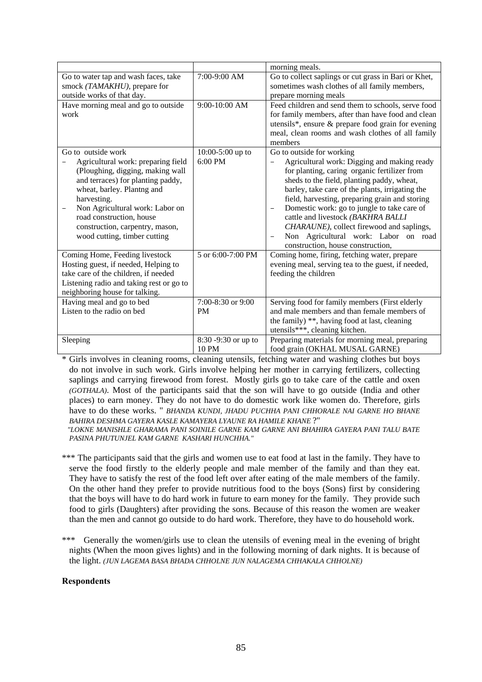|                                                                                                                                                                                                                                                                                                                  |                                | morning meals.                                                                                                                                                                                                                                                                                                                                                                                                                                                                                                                                     |
|------------------------------------------------------------------------------------------------------------------------------------------------------------------------------------------------------------------------------------------------------------------------------------------------------------------|--------------------------------|----------------------------------------------------------------------------------------------------------------------------------------------------------------------------------------------------------------------------------------------------------------------------------------------------------------------------------------------------------------------------------------------------------------------------------------------------------------------------------------------------------------------------------------------------|
| Go to water tap and wash faces, take<br>smock (TAMAKHU), prepare for<br>outside works of that day.                                                                                                                                                                                                               | 7:00-9:00 AM                   | Go to collect saplings or cut grass in Bari or Khet,<br>sometimes wash clothes of all family members,<br>prepare morning meals                                                                                                                                                                                                                                                                                                                                                                                                                     |
| Have morning meal and go to outside<br>work                                                                                                                                                                                                                                                                      | 9:00-10:00 AM                  | Feed children and send them to schools, serve food<br>for family members, after than have food and clean<br>utensils*, ensure & prepare food grain for evening<br>meal, clean rooms and wash clothes of all family<br>members                                                                                                                                                                                                                                                                                                                      |
| Go to outside work<br>Agricultural work: preparing field<br>(Ploughing, digging, making wall<br>and terraces) for planting paddy,<br>wheat, barley. Plantng and<br>harvesting.<br>Non Agricultural work: Labor on<br>road construction, house<br>construction, carpentry, mason,<br>wood cutting, timber cutting | 10:00-5:00 up to<br>6:00 PM    | Go to outside for working<br>Agricultural work: Digging and making ready<br>for planting, caring organic fertilizer from<br>sheds to the field, planting paddy, wheat,<br>barley, take care of the plants, irrigating the<br>field, harvesting, preparing grain and storing<br>Domestic work: go to jungle to take care of<br>$\overline{\phantom{m}}$<br>cattle and livestock (BAKHRA BALLI<br>CHARAUNE), collect firewood and saplings,<br>Non Agricultural work: Labor on road<br>$\overline{\phantom{0}}$<br>construction, house construction, |
| Coming Home, Feeding livestock<br>Hosting guest, if needed, Helping to<br>take care of the children, if needed<br>Listening radio and taking rest or go to<br>neighboring house for talking.                                                                                                                     | 5 or 6:00-7:00 PM              | Coming home, firing, fetching water, prepare<br>evening meal, serving tea to the guest, if needed,<br>feeding the children                                                                                                                                                                                                                                                                                                                                                                                                                         |
| Having meal and go to bed<br>Listen to the radio on bed                                                                                                                                                                                                                                                          | 7:00-8:30 or 9:00<br><b>PM</b> | Serving food for family members (First elderly<br>and male members and than female members of<br>the family) **, having food at last, cleaning<br>utensils***, cleaning kitchen.                                                                                                                                                                                                                                                                                                                                                                   |
| Sleeping                                                                                                                                                                                                                                                                                                         | 8:30 -9:30 or up to<br>10 PM   | Preparing materials for morning meal, preparing<br>food grain (OKHAL MUSAL GARNE)                                                                                                                                                                                                                                                                                                                                                                                                                                                                  |

\* Girls involves in cleaning rooms, cleaning utensils, fetching water and washing clothes but boys do not involve in such work. Girls involve helping her mother in carrying fertilizers, collecting saplings and carrying firewood from forest. Mostly girls go to take care of the cattle and oxen *(GOTHALA)*. Most of the participants said that the son will have to go outside (India and other places) to earn money. They do not have to do domestic work like women do. Therefore, girls have to do these works. " *BHANDA KUNDI, JHADU PUCHHA PANI CHHORALE NAI GARNE HO BHANE BAHIRA DESHMA GAYERA KASLE KAMAYERA LYAUNE RA HAMILE KHANE* ?"

 *"LOKNE MANISHLE GHARAMA PANI SOINILE GARNE KAM GARNE ANI BHAHIRA GAYERA PANI TALU BATE PASINA PHUTUNJEL KAM GARNE KASHARI HUNCHHA."* 

\*\*\* The participants said that the girls and women use to eat food at last in the family. They have to serve the food firstly to the elderly people and male member of the family and than they eat. They have to satisfy the rest of the food left over after eating of the male members of the family. On the other hand they prefer to provide nutritious food to the boys (Sons) first by considering that the boys will have to do hard work in future to earn money for the family. They provide such food to girls (Daughters) after providing the sons. Because of this reason the women are weaker than the men and cannot go outside to do hard work. Therefore, they have to do household work.

\*\*\* Generally the women/girls use to clean the utensils of evening meal in the evening of bright nights (When the moon gives lights) and in the following morning of dark nights. It is because of the light. *(JUN LAGEMA BASA BHADA CHHOLNE JUN NALAGEMA CHHAKALA CHHOLNE)*

### **Respondents**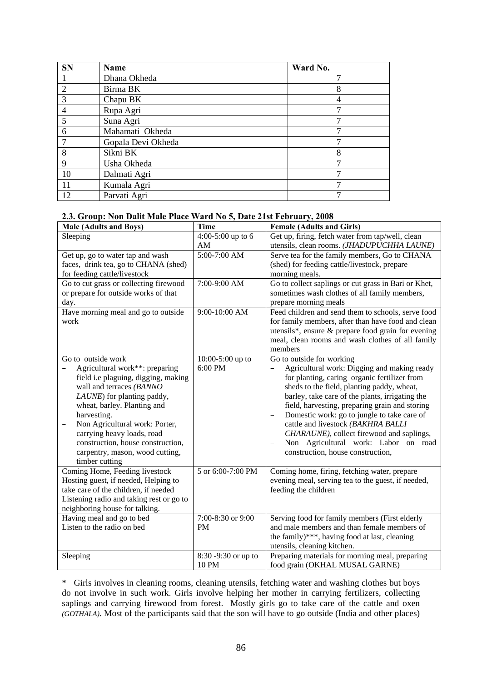| <b>SN</b>      | Name               | Ward No. |
|----------------|--------------------|----------|
|                | Dhana Okheda       |          |
| $\overline{2}$ | Birma BK           | 8        |
| 3              | Chapu BK           |          |
|                | Rupa Agri          |          |
| 5              | Suna Agri          |          |
| 6              | Mahamati Okheda    | ⇁        |
| $\mathcal{I}$  | Gopala Devi Okheda |          |
| 8              | Sikni BK           | 8        |
| $\mathbf Q$    | Usha Okheda        | ⇁        |
| 10             | Dalmati Agri       |          |
| 11             | Kumala Agri        |          |
| 12             | Parvati Agri       |          |

### **2.3. Group: Non Dalit Male Place Ward No 5, Date 21st February, 2008**

| <b>Male (Adults and Boys)</b>            | <b>Time</b>         | <b>Female (Adults and Girls)</b>                     |
|------------------------------------------|---------------------|------------------------------------------------------|
| Sleeping                                 | 4:00-5:00 up to 6   | Get up, firing, fetch water from tap/well, clean     |
|                                          | AM                  | utensils, clean rooms. (JHADUPUCHHA LAUNE)           |
| Get up, go to water tap and wash         | 5:00-7:00 AM        | Serve tea for the family members, Go to CHANA        |
| faces, drink tea, go to CHANA (shed)     |                     | (shed) for feeding cattle/livestock, prepare         |
| for feeding cattle/livestock             |                     | morning meals.                                       |
| Go to cut grass or collecting firewood   | 7:00-9:00 AM        | Go to collect saplings or cut grass in Bari or Khet, |
| or prepare for outside works of that     |                     | sometimes wash clothes of all family members,        |
| day.                                     |                     | prepare morning meals                                |
| Have morning meal and go to outside      | 9:00-10:00 AM       | Feed children and send them to schools, serve food   |
| work                                     |                     | for family members, after than have food and clean   |
|                                          |                     | utensils*, ensure & prepare food grain for evening   |
|                                          |                     | meal, clean rooms and wash clothes of all family     |
|                                          |                     | members                                              |
| Go to outside work                       | 10:00-5:00 up to    | Go to outside for working                            |
| Agricultural work**: preparing           | 6:00 PM             | Agricultural work: Digging and making ready          |
| field i.e plaguing, digging, making      |                     | for planting, caring organic fertilizer from         |
| wall and terraces (BANNO                 |                     | sheds to the field, planting paddy, wheat,           |
| LAUNE) for planting paddy,               |                     | barley, take care of the plants, irrigating the      |
| wheat, barley. Planting and              |                     | field, harvesting, preparing grain and storing       |
| harvesting.                              |                     | Domestic work: go to jungle to take care of          |
| Non Agricultural work: Porter,           |                     | cattle and livestock (BAKHRA BALLI                   |
| carrying heavy loads, road               |                     | CHARAUNE), collect firewood and saplings,            |
| construction, house construction,        |                     | Non Agricultural work: Labor on road                 |
| carpentry, mason, wood cutting,          |                     | construction, house construction,                    |
| timber cutting                           |                     |                                                      |
| Coming Home, Feeding livestock           | 5 or 6:00-7:00 PM   | Coming home, firing, fetching water, prepare         |
| Hosting guest, if needed, Helping to     |                     | evening meal, serving tea to the guest, if needed,   |
| take care of the children, if needed     |                     | feeding the children                                 |
| Listening radio and taking rest or go to |                     |                                                      |
| neighboring house for talking.           |                     |                                                      |
| Having meal and go to bed                | 7:00-8:30 or 9:00   | Serving food for family members (First elderly       |
| Listen to the radio on bed               | PM                  | and male members and than female members of          |
|                                          |                     | the family)***, having food at last, cleaning        |
|                                          |                     | utensils, cleaning kitchen.                          |
| Sleeping                                 | 8:30 -9:30 or up to | Preparing materials for morning meal, preparing      |
|                                          | 10 PM               | food grain (OKHAL MUSAL GARNE)                       |

\* Girls involves in cleaning rooms, cleaning utensils, fetching water and washing clothes but boys do not involve in such work. Girls involve helping her mother in carrying fertilizers, collecting saplings and carrying firewood from forest. Mostly girls go to take care of the cattle and oxen *(GOTHALA)*. Most of the participants said that the son will have to go outside (India and other places)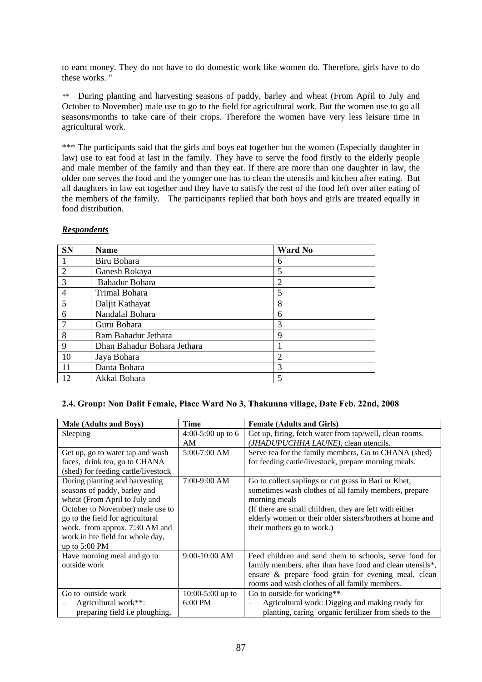to earn money. They do not have to do domestic work like women do. Therefore, girls have to do these works. "

*\*\** During planting and harvesting seasons of paddy, barley and wheat (From April to July and October to November) male use to go to the field for agricultural work. But the women use to go all seasons/months to take care of their crops. Therefore the women have very less leisure time in agricultural work.

\*\*\* The participants said that the girls and boys eat together but the women (Especially daughter in law) use to eat food at last in the family. They have to serve the food firstly to the elderly people and male member of the family and than they eat. If there are more than one daughter in law, the older one serves the food and the younger one has to clean the utensils and kitchen after eating. But all daughters in law eat together and they have to satisfy the rest of the food left over after eating of the members of the family. The participants replied that both boys and girls are treated equally in food distribution.

| <b>SN</b>      | <b>Name</b>                 | <b>Ward No</b> |
|----------------|-----------------------------|----------------|
| -1             | Biru Bohara                 | 6              |
| 2              | Ganesh Rokaya               | 5              |
| 3              | Bahadur Bohara              | 2              |
| $\overline{4}$ | Trimal Bohara               | 5              |
| 5              | Daljit Kathayat             | 8              |
| 6              | Nandalal Bohara             | 6              |
| $\overline{7}$ | Guru Bohara                 | 3              |
| 8              | Ram Bahadur Jethara         | 9              |
| 9              | Dhan Bahadur Bohara Jethara |                |
| 10             | Jaya Bohara                 | $\overline{2}$ |
| 11             | Danta Bohara                | 3              |
| 12             | Akkal Bohara                | 5              |

### *Respondents*

### **2.4. Group: Non Dalit Female, Place Ward No 3, Thakunna village, Date Feb. 22nd, 2008**

| <b>Male (Adults and Boys)</b>       | <b>Time</b>        | <b>Female (Adults and Girls)</b>                                            |
|-------------------------------------|--------------------|-----------------------------------------------------------------------------|
| Sleeping                            | 4:00-5:00 up to 6  | Get up, firing, fetch water from tap/well, clean rooms.                     |
|                                     | AM                 | (JHADUPUCHHA LAUNE), clean utencils.                                        |
| Get up, go to water tap and wash    | $5:00-7:00$ AM     | Serve tea for the family members, Go to CHANA (shed)                        |
| faces, drink tea, go to CHANA       |                    | for feeding cattle/livestock, prepare morning meals.                        |
| (shed) for feeding cattle/livestock |                    |                                                                             |
| During planting and harvesting      | 7:00-9:00 AM       | Go to collect saplings or cut grass in Bari or Khet,                        |
| seasons of paddy, barley and        |                    | sometimes wash clothes of all family members, prepare                       |
| wheat (From April to July and       |                    | morning meals                                                               |
| October to November) male use to    |                    | (If there are small children, they are left with either                     |
| go to the field for agricultural    |                    | elderly women or their older sisters/brothers at home and                   |
| work. from approx. 7:30 AM and      |                    | their mothers go to work.)                                                  |
| work in hte field for whole day,    |                    |                                                                             |
| up to $5:00 \text{ PM}$             |                    |                                                                             |
| Have morning meal and go to         | 9:00-10:00 AM      | Feed children and send them to schools, serve food for                      |
| outside work                        |                    | family members, after than have food and clean utensils*,                   |
|                                     |                    | ensure & prepare food grain for evening meal, clean                         |
|                                     |                    | rooms and wash clothes of all family members.                               |
| Go to outside work                  | $10:00-5:00$ up to | Go to outside for working**                                                 |
| Agricultural work**:                | $6:00$ PM          | Agricultural work: Digging and making ready for<br>$\overline{\phantom{m}}$ |
| preparing field i.e ploughing,      |                    | planting, caring organic fertilizer from sheds to the                       |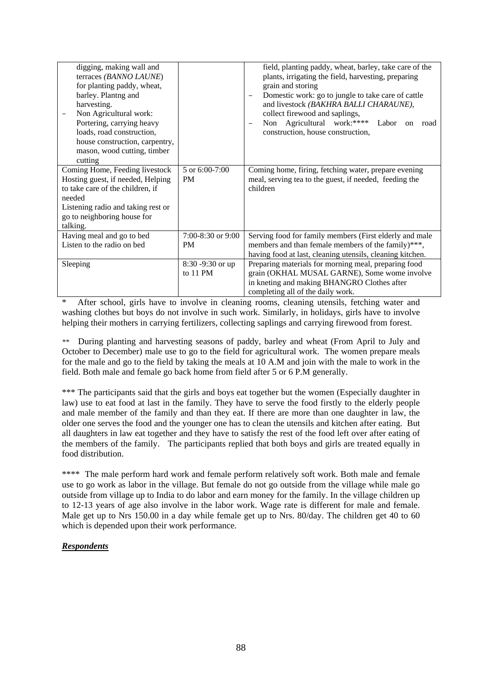| digging, making wall and<br>terraces (BANNO LAUNE)<br>for planting paddy, wheat,<br>barley. Plantng and<br>harvesting.<br>Non Agricultural work:<br>Portering, carrying heavy<br>loads, road construction,<br>house construction, carpentry,<br>mason, wood cutting, timber<br>cutting |                      | field, planting paddy, wheat, barley, take care of the<br>plants, irrigating the field, harvesting, preparing<br>grain and storing<br>Domestic work: go to jungle to take care of cattle<br>and livestock (BAKHRA BALLI CHARAUNE),<br>collect firewood and saplings,<br>Non Agricultural work:****<br>Labor<br>road<br><sub>on</sub><br>construction, house construction, |
|----------------------------------------------------------------------------------------------------------------------------------------------------------------------------------------------------------------------------------------------------------------------------------------|----------------------|---------------------------------------------------------------------------------------------------------------------------------------------------------------------------------------------------------------------------------------------------------------------------------------------------------------------------------------------------------------------------|
| Coming Home, Feeding livestock<br>Hosting guest, if needed, Helping                                                                                                                                                                                                                    | 5 or 6:00-7:00<br>PM | Coming home, firing, fetching water, prepare evening<br>meal, serving tea to the guest, if needed, feeding the                                                                                                                                                                                                                                                            |
| to take care of the children, if                                                                                                                                                                                                                                                       |                      | children                                                                                                                                                                                                                                                                                                                                                                  |
| needed                                                                                                                                                                                                                                                                                 |                      |                                                                                                                                                                                                                                                                                                                                                                           |
| Listening radio and taking rest or                                                                                                                                                                                                                                                     |                      |                                                                                                                                                                                                                                                                                                                                                                           |
| go to neighboring house for                                                                                                                                                                                                                                                            |                      |                                                                                                                                                                                                                                                                                                                                                                           |
| talking.                                                                                                                                                                                                                                                                               |                      |                                                                                                                                                                                                                                                                                                                                                                           |
| Having meal and go to bed                                                                                                                                                                                                                                                              | 7:00-8:30 or 9:00    | Serving food for family members (First elderly and male                                                                                                                                                                                                                                                                                                                   |
| Listen to the radio on bed                                                                                                                                                                                                                                                             | PM                   | members and than female members of the family)***,                                                                                                                                                                                                                                                                                                                        |
|                                                                                                                                                                                                                                                                                        |                      | having food at last, cleaning utensils, cleaning kitchen.                                                                                                                                                                                                                                                                                                                 |
| Sleeping                                                                                                                                                                                                                                                                               | 8:30 -9:30 or up     | Preparing materials for morning meal, preparing food                                                                                                                                                                                                                                                                                                                      |
|                                                                                                                                                                                                                                                                                        | to 11 PM             | grain (OKHAL MUSAL GARNE), Some wome involve                                                                                                                                                                                                                                                                                                                              |
|                                                                                                                                                                                                                                                                                        |                      | in kneting and making BHANGRO Clothes after                                                                                                                                                                                                                                                                                                                               |
|                                                                                                                                                                                                                                                                                        |                      | completing all of the daily work.                                                                                                                                                                                                                                                                                                                                         |

After school, girls have to involve in cleaning rooms, cleaning utensils, fetching water and washing clothes but boys do not involve in such work. Similarly, in holidays, girls have to involve helping their mothers in carrying fertilizers, collecting saplings and carrying firewood from forest.

*\*\** During planting and harvesting seasons of paddy, barley and wheat (From April to July and October to December) male use to go to the field for agricultural work. The women prepare meals for the male and go to the field by taking the meals at 10 A.M and join with the male to work in the field. Both male and female go back home from field after 5 or 6 P.M generally.

\*\*\* The participants said that the girls and boys eat together but the women (Especially daughter in law) use to eat food at last in the family. They have to serve the food firstly to the elderly people and male member of the family and than they eat. If there are more than one daughter in law, the older one serves the food and the younger one has to clean the utensils and kitchen after eating. But all daughters in law eat together and they have to satisfy the rest of the food left over after eating of the members of the family. The participants replied that both boys and girls are treated equally in food distribution.

\*\*\*\* The male perform hard work and female perform relatively soft work. Both male and female use to go work as labor in the village. But female do not go outside from the village while male go outside from village up to India to do labor and earn money for the family. In the village children up to 12-13 years of age also involve in the labor work. Wage rate is different for male and female. Male get up to Nrs 150.00 in a day while female get up to Nrs. 80/day. The children get 40 to 60 which is depended upon their work performance.

# *Respondents*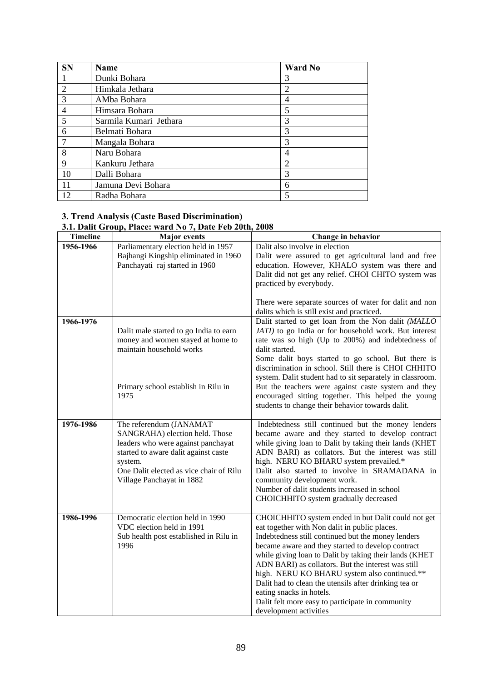| <b>SN</b>      | Name                   | <b>Ward No</b> |
|----------------|------------------------|----------------|
|                | Dunki Bohara           | 3              |
| $\overline{2}$ | Himkala Jethara        | $\overline{2}$ |
| $\mathcal{R}$  | AMba Bohara            | 4              |
| 4              | Himsara Bohara         | 5              |
| 5              | Sarmila Kumari Jethara | 3              |
| 6              | Belmati Bohara         | 3              |
| $\overline{7}$ | Mangala Bohara         | 3              |
| 8              | Naru Bohara            | 4              |
| 9              | Kankuru Jethara        | 2              |
| 10             | Dalli Bohara           | 3              |
| 11             | Jamuna Devi Bohara     | 6              |
| 12             | Radha Bohara           |                |

#### **3. Trend Analysis (Caste Based Discrimination)**

# **3.1. Dalit Group, Place: ward No 7, Date Feb 20th, 2008**

| <b>Timeline</b> | <b>Major</b> events                                                                                                                                                                                                        | Change in behavior                                                                                                                                                                                                                                                                                                                                                                                                                                                                                                                                |
|-----------------|----------------------------------------------------------------------------------------------------------------------------------------------------------------------------------------------------------------------------|---------------------------------------------------------------------------------------------------------------------------------------------------------------------------------------------------------------------------------------------------------------------------------------------------------------------------------------------------------------------------------------------------------------------------------------------------------------------------------------------------------------------------------------------------|
| 1956-1966       | Parliamentary election held in 1957<br>Bajhangi Kingship eliminated in 1960<br>Panchayati raj started in 1960                                                                                                              | Dalit also involve in election<br>Dalit were assured to get agricultural land and free<br>education. However, KHALO system was there and<br>Dalit did not get any relief. CHOI CHITO system was<br>practiced by everybody.                                                                                                                                                                                                                                                                                                                        |
|                 |                                                                                                                                                                                                                            | There were separate sources of water for dalit and non<br>dalits which is still exist and practiced.                                                                                                                                                                                                                                                                                                                                                                                                                                              |
| 1966-1976       | Dalit male started to go India to earn<br>money and women stayed at home to<br>maintain household works<br>Primary school establish in Rilu in                                                                             | Dalit started to get loan from the Non dalit (MALLO<br>JATI) to go India or for household work. But interest<br>rate was so high (Up to 200%) and indebtedness of<br>dalit started.<br>Some dalit boys started to go school. But there is<br>discrimination in school. Still there is CHOI CHHITO<br>system. Dalit student had to sit separately in classroom.<br>But the teachers were against caste system and they                                                                                                                             |
|                 | 1975                                                                                                                                                                                                                       | encouraged sitting together. This helped the young<br>students to change their behavior towards dalit.                                                                                                                                                                                                                                                                                                                                                                                                                                            |
| 1976-1986       | The referendum (JANAMAT<br>SANGRAHA) election held. Those<br>leaders who were against panchayat<br>started to aware dalit against caste<br>system.<br>One Dalit elected as vice chair of Rilu<br>Village Panchayat in 1882 | Indebtedness still continued but the money lenders<br>became aware and they started to develop contract<br>while giving loan to Dalit by taking their lands (KHET<br>ADN BARI) as collators. But the interest was still<br>high. NERU KO BHARU system prevailed.*<br>Dalit also started to involve in SRAMADANA in<br>community development work.<br>Number of dalit students increased in school<br>CHOICHHITO system gradually decreased                                                                                                        |
| 1986-1996       | Democratic election held in 1990<br>VDC election held in 1991<br>Sub health post established in Rilu in<br>1996                                                                                                            | CHOICHHITO system ended in but Dalit could not get<br>eat together with Non dalit in public places.<br>Indebtedness still continued but the money lenders<br>became aware and they started to develop contract<br>while giving loan to Dalit by taking their lands (KHET<br>ADN BARI) as collators. But the interest was still<br>high. NERU KO BHARU system also continued.**<br>Dalit had to clean the utensils after drinking tea or<br>eating snacks in hotels.<br>Dalit felt more easy to participate in community<br>development activities |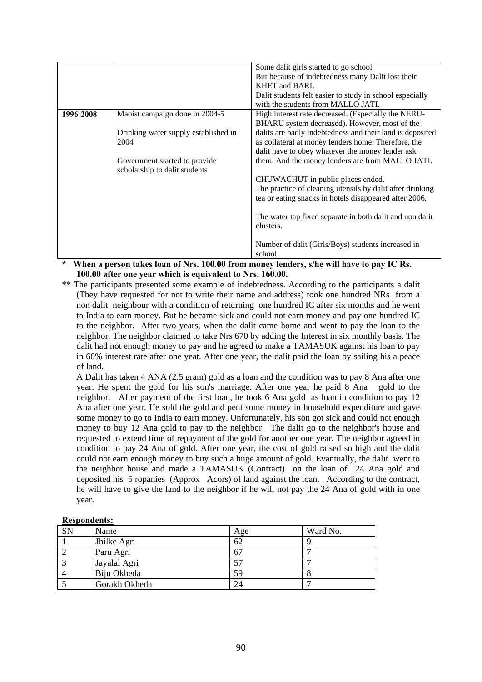|           |                                      | Some dalit girls started to go school                     |
|-----------|--------------------------------------|-----------------------------------------------------------|
|           |                                      | But because of indebtedness many Dalit lost their         |
|           |                                      | <b>KHET and BARL</b>                                      |
|           |                                      | Dalit students felt easier to study in school especially  |
|           |                                      | with the students from MALLO JATI.                        |
| 1996-2008 | Maoist campaign done in 2004-5       | High interest rate decreased. (Especially the NERU-       |
|           |                                      | BHARU system decreased). However, most of the             |
|           | Drinking water supply established in | dalits are badly indebtedness and their land is deposited |
|           | 2004                                 | as collateral at money lenders home. Therefore, the       |
|           |                                      | dalit have to obey whatever the money lender ask          |
|           | Government started to provide        | them. And the money lenders are from MALLO JATI.          |
|           | scholarship to dalit students        |                                                           |
|           |                                      | CHUWACHUT in public places ended.                         |
|           |                                      | The practice of cleaning utensils by dalit after drinking |
|           |                                      | tea or eating snacks in hotels disappeared after 2006.    |
|           |                                      |                                                           |
|           |                                      | The water tap fixed separate in both dalit and non dalit  |
|           |                                      | clusters.                                                 |
|           |                                      |                                                           |
|           |                                      | Number of dalit (Girls/Boys) students increased in        |
|           |                                      | school.                                                   |
|           |                                      |                                                           |

**\* When a person takes loan of Nrs. 100.00 from money lenders, s/he will have to pay IC Rs. 100.00 after one year which is equivalent to Nrs. 160.00.** 

\*\* The participants presented some example of indebtedness. According to the participants a dalit (They have requested for not to write their name and address) took one hundred NRs from a non dalit neighbour with a condition of returning one hundred IC after six months and he went to India to earn money. But he became sick and could not earn money and pay one hundred IC to the neighbor. After two years, when the dalit came home and went to pay the loan to the neighbor. The neighbor claimed to take Nrs 670 by adding the Interest in six monthly basis. The dalit had not enough money to pay and he agreed to make a TAMASUK against his loan to pay in 60% interest rate after one yeat. After one year, the dalit paid the loan by sailing his a peace of land.

 A Dalit has taken 4 ANA (2.5 gram) gold as a loan and the condition was to pay 8 Ana after one year. He spent the gold for his son's marriage. After one year he paid 8 Ana gold to the neighbor. After payment of the first loan, he took 6 Ana gold as loan in condition to pay 12 Ana after one year. He sold the gold and pent some money in household expenditure and gave some money to go to India to earn money. Unfortunately, his son got sick and could not enough money to buy 12 Ana gold to pay to the neighbor. The dalit go to the neighbor's house and requested to extend time of repayment of the gold for another one year. The neighbor agreed in condition to pay 24 Ana of gold. After one year, the cost of gold raised so high and the dalit could not earn enough money to buy such a huge amount of gold. Evantually, the dalit went to the neighbor house and made a TAMASUK (Contract) on the loan of 24 Ana gold and deposited his 5 ropanies (Approx Acors) of land against the loan. According to the contract, he will have to give the land to the neighbor if he will not pay the 24 Ana of gold with in one year.

|           | пемонисть.    |     |          |  |  |  |  |  |  |  |
|-----------|---------------|-----|----------|--|--|--|--|--|--|--|
| <b>SN</b> | Name          | Age | Ward No. |  |  |  |  |  |  |  |
|           | Jhilke Agri   | 62  |          |  |  |  |  |  |  |  |
|           | Paru Agri     | 67  |          |  |  |  |  |  |  |  |
|           | Jayalal Agri  | 57  |          |  |  |  |  |  |  |  |
|           | Biju Okheda   | 59  |          |  |  |  |  |  |  |  |
|           | Gorakh Okheda | 24  |          |  |  |  |  |  |  |  |

# **Respondents:**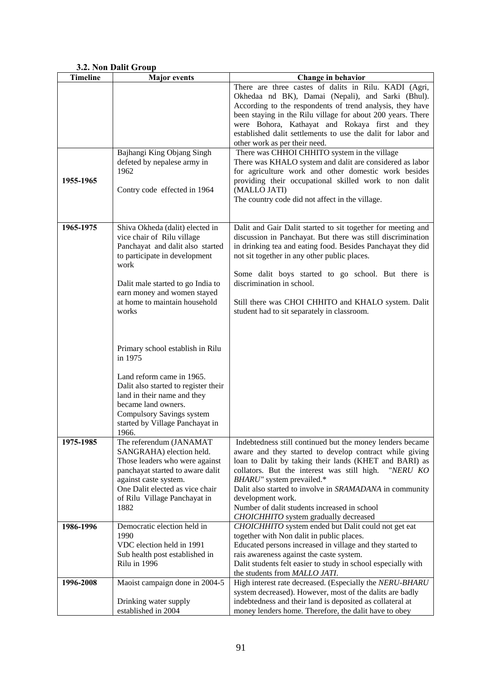|                 | J.4. IWII DAIIU UTUUP                 |                                                                                                             |
|-----------------|---------------------------------------|-------------------------------------------------------------------------------------------------------------|
| <b>Timeline</b> | <b>Major</b> events                   | Change in behavior                                                                                          |
|                 |                                       | There are three castes of dalits in Rilu. KADI (Agri,                                                       |
|                 |                                       | Okhedaa nd BK), Damai (Nepali), and Sarki (Bhul).                                                           |
|                 |                                       | According to the respondents of trend analysis, they have                                                   |
|                 |                                       | been staying in the Rilu village for about 200 years. There                                                 |
|                 |                                       | were Bohora, Kathayat and Rokaya first and they                                                             |
|                 |                                       | established dalit settlements to use the dalit for labor and                                                |
|                 |                                       | other work as per their need.                                                                               |
|                 | Bajhangi King Objang Singh            | There was CHHOI CHHITO system in the village                                                                |
|                 | defeted by nepalese army in           | There was KHALO system and dalit are considered as labor                                                    |
|                 | 1962                                  | for agriculture work and other domestic work besides                                                        |
| 1955-1965       |                                       | providing their occupational skilled work to non dalit                                                      |
|                 | Contry code effected in 1964          | (MALLO JATI)                                                                                                |
|                 |                                       | The country code did not affect in the village.                                                             |
|                 |                                       |                                                                                                             |
|                 |                                       |                                                                                                             |
| 1965-1975       | Shiva Okheda (dalit) elected in       | Dalit and Gair Dalit started to sit together for meeting and                                                |
|                 | vice chair of Rilu village            | discussion in Panchayat. But there was still discrimination                                                 |
|                 |                                       |                                                                                                             |
|                 | Panchayat and dalit also started      | in drinking tea and eating food. Besides Panchayat they did<br>not sit together in any other public places. |
|                 | to participate in development<br>work |                                                                                                             |
|                 |                                       |                                                                                                             |
|                 |                                       | Some dalit boys started to go school. But there is                                                          |
|                 | Dalit male started to go India to     | discrimination in school.                                                                                   |
|                 | earn money and women stayed           |                                                                                                             |
|                 | at home to maintain household         | Still there was CHOI CHHITO and KHALO system. Dalit                                                         |
|                 | works                                 | student had to sit separately in classroom.                                                                 |
|                 |                                       |                                                                                                             |
|                 |                                       |                                                                                                             |
|                 |                                       |                                                                                                             |
|                 | Primary school establish in Rilu      |                                                                                                             |
|                 | in 1975                               |                                                                                                             |
|                 |                                       |                                                                                                             |
|                 | Land reform came in 1965.             |                                                                                                             |
|                 | Dalit also started to register their  |                                                                                                             |
|                 | land in their name and they           |                                                                                                             |
|                 | became land owners.                   |                                                                                                             |
|                 | Compulsory Savings system             |                                                                                                             |
|                 | started by Village Panchayat in       |                                                                                                             |
|                 | 1966.                                 |                                                                                                             |
| 1975-1985       | The referendum (JANAMAT               | Indebtedness still continued but the money lenders became                                                   |
|                 | SANGRAHA) election held.              | aware and they started to develop contract while giving                                                     |
|                 | Those leaders who were against        | loan to Dalit by taking their lands (KHET and BARI) as                                                      |
|                 | panchayat started to aware dalit      | collators. But the interest was still high.<br>"NERU KO                                                     |
|                 | against caste system.                 | BHARU" system prevailed.*                                                                                   |
|                 | One Dalit elected as vice chair       | Dalit also started to involve in SRAMADANA in community                                                     |
|                 | of Rilu Village Panchayat in          | development work.                                                                                           |
|                 | 1882                                  | Number of dalit students increased in school                                                                |
|                 |                                       | CHOICHHITO system gradually decreased                                                                       |
| 1986-1996       | Democratic election held in           | CHOICHHITO system ended but Dalit could not get eat                                                         |
|                 | 1990                                  | together with Non dalit in public places.                                                                   |
|                 | VDC election held in 1991             | Educated persons increased in village and they started to                                                   |
|                 | Sub health post established in        | rais awareness against the caste system.                                                                    |
|                 | Rilu in 1996                          |                                                                                                             |
|                 |                                       | Dalit students felt easier to study in school especially with                                               |
|                 |                                       | the students from MALLO JATI.                                                                               |
| 1996-2008       | Maoist campaign done in 2004-5        | High interest rate decreased. (Especially the NERU-BHARU                                                    |
|                 |                                       | system decreased). However, most of the dalits are badly                                                    |
|                 | Drinking water supply                 | indebtedness and their land is deposited as collateral at                                                   |
|                 | established in 2004                   | money lenders home. Therefore, the dalit have to obey                                                       |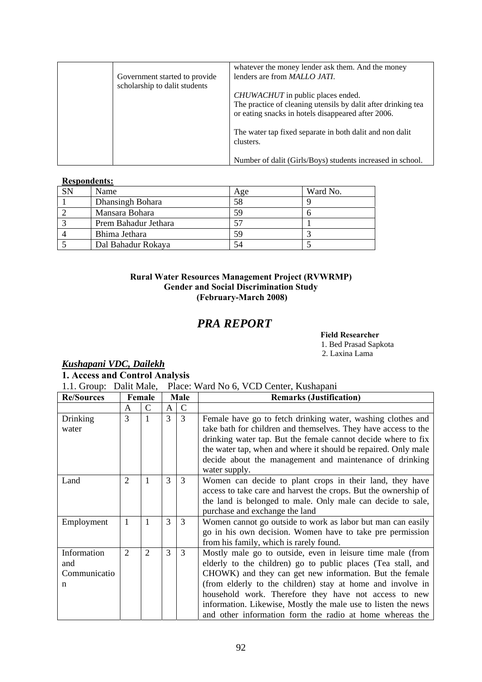|                               | whatever the money lender ask them. And the money             |
|-------------------------------|---------------------------------------------------------------|
| Government started to provide | lenders are from <i>MALLO JATI</i> .                          |
| scholarship to dalit students |                                                               |
|                               | <i>CHUWACHUT</i> in public places ended.                      |
|                               | The practice of cleaning utensils by dalit after drinking tea |
|                               | or eating snacks in hotels disappeared after 2006.            |
|                               |                                                               |
|                               | The water tap fixed separate in both dalit and non dalit      |
|                               | clusters.                                                     |
|                               |                                                               |
|                               | Number of dalit (Girls/Boys) students increased in school.    |

### **Respondents:**

| <b>SN</b> | Name                 | Age | Ward No. |
|-----------|----------------------|-----|----------|
|           | Dhansingh Bohara     | 58  |          |
|           | Mansara Bohara       | 59  |          |
|           | Prem Bahadur Jethara |     |          |
|           | Bhima Jethara        | 59  |          |
|           | Dal Bahadur Rokaya   | 54  |          |

# **Rural Water Resources Management Project (RVWRMP) Gender and Social Discrimination Study (February-March 2008)**

# *PRA REPORT*

## **Field Researcher**

1. Bed Prasad Sapkota 2. Laxina Lama

# *Kushapani VDC, Dailekh*

# **1. Access and Control Analysis**

1.1. Group: Dalit Male, Place: Ward No 6, VCD Center, Kushapani

| <b>Re/Sources</b>                       |                | Female         |              | <b>Male</b> | <b>Remarks (Justification)</b>                                                                                                                                                                                                                                                                                                                                                                                                            |
|-----------------------------------------|----------------|----------------|--------------|-------------|-------------------------------------------------------------------------------------------------------------------------------------------------------------------------------------------------------------------------------------------------------------------------------------------------------------------------------------------------------------------------------------------------------------------------------------------|
|                                         | A              | C              | $\mathsf{A}$ | C           |                                                                                                                                                                                                                                                                                                                                                                                                                                           |
| Drinking<br>water                       | 3              |                | 3            | 3           | Female have go to fetch drinking water, washing clothes and<br>take bath for children and themselves. They have access to the<br>drinking water tap. But the female cannot decide where to fix<br>the water tap, when and where it should be repaired. Only male<br>decide about the management and maintenance of drinking<br>water supply.                                                                                              |
| Land                                    | $\overline{2}$ | 1              | 3            | 3           | Women can decide to plant crops in their land, they have<br>access to take care and harvest the crops. But the ownership of<br>the land is belonged to male. Only male can decide to sale,<br>purchase and exchange the land                                                                                                                                                                                                              |
| Employment                              | 1              |                | 3            | 3           | Women cannot go outside to work as labor but man can easily<br>go in his own decision. Women have to take pre permission<br>from his family, which is rarely found.                                                                                                                                                                                                                                                                       |
| Information<br>and<br>Communicatio<br>n | $\overline{2}$ | $\overline{2}$ | 3            | 3           | Mostly male go to outside, even in leisure time male (from<br>elderly to the children) go to public places (Tea stall, and<br>CHOWK) and they can get new information. But the female<br>(from elderly to the children) stay at home and involve in<br>household work. Therefore they have not access to new<br>information. Likewise, Mostly the male use to listen the news<br>and other information form the radio at home whereas the |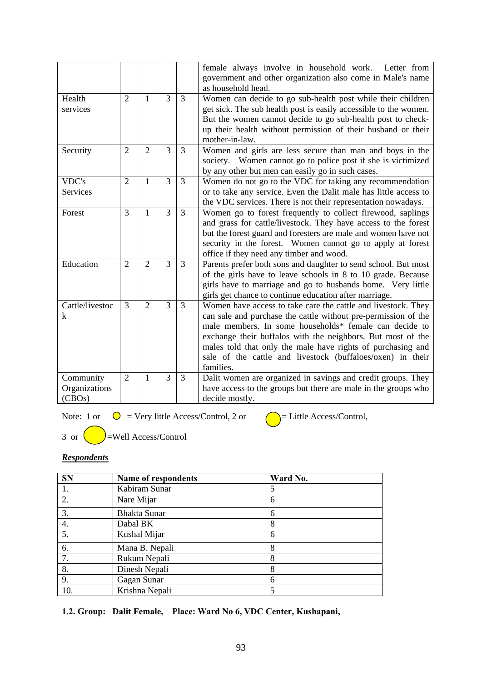|                 |                |                |                |                | female always involve in household work.<br>Letter from<br>government and other organization also come in Male's name<br>as household head. |
|-----------------|----------------|----------------|----------------|----------------|---------------------------------------------------------------------------------------------------------------------------------------------|
| Health          | $\overline{2}$ | 1              | $\overline{3}$ | $\overline{3}$ | Women can decide to go sub-health post while their children                                                                                 |
| services        |                |                |                |                | get sick. The sub health post is easily accessible to the women.                                                                            |
|                 |                |                |                |                | But the women cannot decide to go sub-health post to check-                                                                                 |
|                 |                |                |                |                | up their health without permission of their husband or their                                                                                |
|                 |                |                |                |                | mother-in-law.                                                                                                                              |
| Security        | $\overline{2}$ | $\overline{2}$ | $\overline{3}$ | $\overline{3}$ | Women and girls are less secure than man and boys in the                                                                                    |
|                 |                |                |                |                | society. Women cannot go to police post if she is victimized                                                                                |
|                 |                |                |                |                | by any other but men can easily go in such cases.                                                                                           |
| VDC's           | $\overline{2}$ | $\mathbf{1}$   | 3              | 3              | Women do not go to the VDC for taking any recommendation                                                                                    |
| Services        |                |                |                |                | or to take any service. Even the Dalit male has little access to                                                                            |
|                 |                |                |                |                | the VDC services. There is not their representation nowadays.                                                                               |
| Forest          | 3              | 1              | 3              | $\overline{3}$ | Women go to forest frequently to collect firewood, saplings                                                                                 |
|                 |                |                |                |                | and grass for cattle/livestock. They have access to the forest                                                                              |
|                 |                |                |                |                | but the forest guard and foresters are male and women have not                                                                              |
|                 |                |                |                |                | security in the forest. Women cannot go to apply at forest                                                                                  |
|                 |                |                |                |                | office if they need any timber and wood.                                                                                                    |
| Education       | $\overline{2}$ | $\overline{2}$ | 3              | $\overline{3}$ | Parents prefer both sons and daughter to send school. But most                                                                              |
|                 |                |                |                |                | of the girls have to leave schools in 8 to 10 grade. Because                                                                                |
|                 |                |                |                |                | girls have to marriage and go to husbands home. Very little                                                                                 |
|                 |                |                |                |                | girls get chance to continue education after marriage.                                                                                      |
| Cattle/livestoc | 3              | $\overline{2}$ | 3              | $\overline{3}$ | Women have access to take care the cattle and livestock. They                                                                               |
| k               |                |                |                |                | can sale and purchase the cattle without pre-permission of the                                                                              |
|                 |                |                |                |                | male members. In some households* female can decide to                                                                                      |
|                 |                |                |                |                | exchange their buffalos with the neighbors. But most of the                                                                                 |
|                 |                |                |                |                | males told that only the male have rights of purchasing and<br>sale of the cattle and livestock (buffaloes/oxen) in their                   |
|                 |                |                |                |                | families.                                                                                                                                   |
| Community       | $\overline{2}$ | 1              | 3              | 3              | Dalit women are organized in savings and credit groups. They                                                                                |
| Organizations   |                |                |                |                | have access to the groups but there are male in the groups who                                                                              |
| (CBOs)          |                |                |                |                | decide mostly.                                                                                                                              |
|                 |                |                |                |                |                                                                                                                                             |

Note: 1 or  $\bigcirc$  = Very little Access/Control, 2 or  $\bigcirc$  = Little Access/Control,

 $3$  or  $\bigcirc$ =Well Access/Control

# *Respondents*

| <b>SN</b> | Name of respondents | Ward No. |  |
|-----------|---------------------|----------|--|
| 1.        | Kabiram Sunar       | 5        |  |
| 2.        | Nare Mijar          | 6        |  |
| 3.        | <b>Bhakta Sunar</b> | 6        |  |
| 4.        | Dabal BK            | 8        |  |
| 5.        | Kushal Mijar        | 6        |  |
| 6.        | Mana B. Nepali      | 8        |  |
| 7.        | Rukum Nepali        | 8        |  |
| 8.        | Dinesh Nepali       | 8        |  |
| 9.        | Gagan Sunar         | 6        |  |
| 10.       | Krishna Nepali      | 5        |  |

**1.2. Group: Dalit Female, Place: Ward No 6, VDC Center, Kushapani,**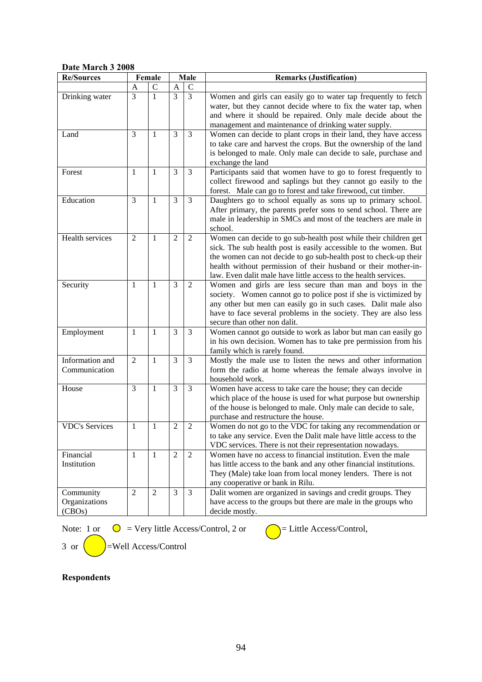# **Date March 3 2008**

| Re/Sources                           |                | Female         | Male           |                | <b>Remarks (Justification)</b>                                                                                                                                                                                                                                                                                                               |
|--------------------------------------|----------------|----------------|----------------|----------------|----------------------------------------------------------------------------------------------------------------------------------------------------------------------------------------------------------------------------------------------------------------------------------------------------------------------------------------------|
|                                      | A              | $\mathsf C$    | A              | $\mathcal{C}$  |                                                                                                                                                                                                                                                                                                                                              |
| Drinking water                       | 3              | $\mathbf{1}$   | $\overline{3}$ | $\overline{3}$ | Women and girls can easily go to water tap frequently to fetch<br>water, but they cannot decide where to fix the water tap, when<br>and where it should be repaired. Only male decide about the<br>management and maintenance of drinking water supply.                                                                                      |
| Land                                 | 3              | $\mathbf{1}$   | 3              | 3              | Women can decide to plant crops in their land, they have access<br>to take care and harvest the crops. But the ownership of the land<br>is belonged to male. Only male can decide to sale, purchase and<br>exchange the land                                                                                                                 |
| Forest                               | $\mathbf{1}$   | $\mathbf{1}$   | 3              | $\overline{3}$ | Participants said that women have to go to forest frequently to<br>collect firewood and saplings but they cannot go easily to the<br>forest. Male can go to forest and take firewood, cut timber.                                                                                                                                            |
| Education                            | 3              | $\mathbf{1}$   | 3              | 3              | Daughters go to school equally as sons up to primary school.<br>After primary, the parents prefer sons to send school. There are<br>male in leadership in SMCs and most of the teachers are male in<br>school.                                                                                                                               |
| Health services                      | $\overline{2}$ | $\mathbf{1}$   | $\overline{2}$ | $\mathfrak{2}$ | Women can decide to go sub-health post while their children get<br>sick. The sub health post is easily accessible to the women. But<br>the women can not decide to go sub-health post to check-up their<br>health without permission of their husband or their mother-in-<br>law. Even dalit male have little access to the health services. |
| Security                             | $\mathbf{1}$   | $\mathbf{1}$   | 3              | $\overline{2}$ | Women and girls are less secure than man and boys in the<br>society. Women cannot go to police post if she is victimized by<br>any other but men can easily go in such cases. Dalit male also<br>have to face several problems in the society. They are also less<br>secure than other non dalit.                                            |
| Employment                           | $\mathbf{1}$   | $\mathbf{1}$   | 3              | 3              | Women cannot go outside to work as labor but man can easily go<br>in his own decision. Women has to take pre permission from his<br>family which is rarely found.                                                                                                                                                                            |
| Information and<br>Communication     | $\overline{2}$ | $\mathbf{1}$   | 3              | 3              | Mostly the male use to listen the news and other information<br>form the radio at home whereas the female always involve in<br>household work.                                                                                                                                                                                               |
| House                                | 3              | 1              | 3              | 3              | Women have access to take care the house; they can decide<br>which place of the house is used for what purpose but ownership<br>of the house is belonged to male. Only male can decide to sale,<br>purchase and restructure the house.                                                                                                       |
| <b>VDC's Services</b>                | 1              | 1              | $\overline{2}$ | $\overline{2}$ | Women do not go to the VDC for taking any recommendation or<br>to take any service. Even the Dalit male have little access to the<br>VDC services. There is not their representation nowadays.                                                                                                                                               |
| Financial<br>Institution             | $\mathbf{1}$   | $\mathbf{1}$   | $\overline{2}$ | $\overline{2}$ | Women have no access to financial institution. Even the male<br>has little access to the bank and any other financial institutions.<br>They (Male) take loan from local money lenders. There is not<br>any cooperative or bank in Rilu.                                                                                                      |
| Community<br>Organizations<br>(CBOs) | $\overline{2}$ | $\overline{2}$ | 3              | 3              | Dalit women are organized in savings and credit groups. They<br>have access to the groups but there are male in the groups who<br>decide mostly.                                                                                                                                                                                             |

Note: 1 or  $\bigcirc$  = Very little Access/Control, 2 or  $\bigcirc$  = Little Access/Control,

3 or  $\left($  = Well Access/Control



**Respondents**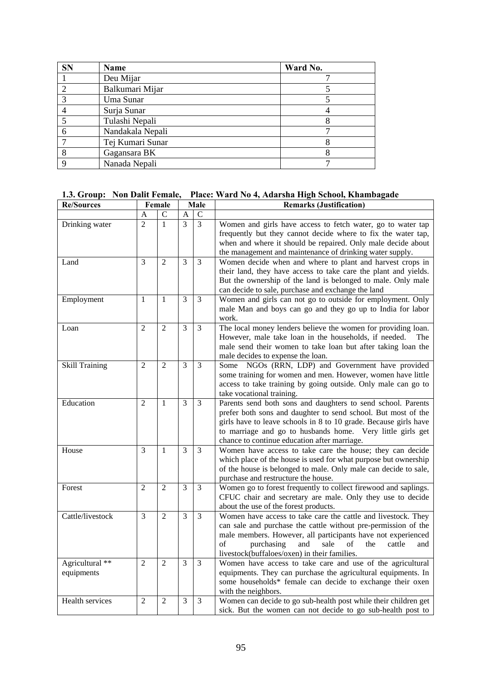| <b>SN</b>      | Name             | Ward No. |
|----------------|------------------|----------|
|                | Deu Mijar        |          |
| $\overline{c}$ | Balkumari Mijar  |          |
|                | Uma Sunar        |          |
|                | Surja Sunar      |          |
|                | Tulashi Nepali   |          |
| 6              | Nandakala Nepali |          |
|                | Tej Kumari Sunar |          |
| 8              | Gagansara BK     |          |
| Q              | Nanada Nepali    |          |

### **1.3. Group: Non Dalit Female, Place: Ward No 4, Adarsha High School, Khambagade**

| <b>Re/Sources</b>     |                | Female         |               | Male          | <b>Remarks (Justification)</b>                                                   |
|-----------------------|----------------|----------------|---------------|---------------|----------------------------------------------------------------------------------|
|                       | A              | $\mathcal{C}$  | А             | $\mathcal{C}$ |                                                                                  |
| Drinking water        | $\mathfrak{D}$ | 1              | $\mathcal{R}$ | 3             | Women and girls have access to fetch water, go to water tap                      |
|                       |                |                |               |               | frequently but they cannot decide where to fix the water tap,                    |
|                       |                |                |               |               | when and where it should be repaired. Only male decide about                     |
|                       |                |                |               |               | the management and maintenance of drinking water supply.                         |
| Land                  | 3              | $\overline{2}$ | 3             | 3             | Women decide when and where to plant and harvest crops in                        |
|                       |                |                |               |               | their land, they have access to take care the plant and yields.                  |
|                       |                |                |               |               | But the ownership of the land is belonged to male. Only male                     |
|                       |                |                |               |               | can decide to sale, purchase and exchange the land                               |
| Employment            | $\mathbf{1}$   | 1              | 3             | 3             | Women and girls can not go to outside for employment. Only                       |
|                       |                |                |               |               | male Man and boys can go and they go up to India for labor                       |
|                       |                |                |               |               | work.                                                                            |
| Loan                  | $\overline{2}$ | $\overline{2}$ | 3             | 3             | The local money lenders believe the women for providing loan.                    |
|                       |                |                |               |               | However, male take loan in the households, if needed.<br>The                     |
|                       |                |                |               |               | male send their women to take loan but after taking loan the                     |
|                       |                |                |               |               | male decides to expense the loan.                                                |
| <b>Skill Training</b> | $\overline{2}$ | $\overline{2}$ | 3             | 3             | Some NGOs (RRN, LDP) and Government have provided                                |
|                       |                |                |               |               | some training for women and men. However, women have little                      |
|                       |                |                |               |               | access to take training by going outside. Only male can go to                    |
|                       |                |                |               |               | take vocational training.                                                        |
| Education             | $\overline{2}$ | $\mathbf{1}$   | 3             | 3             | Parents send both sons and daughters to send school. Parents                     |
|                       |                |                |               |               | prefer both sons and daughter to send school. But most of the                    |
|                       |                |                |               |               | girls have to leave schools in 8 to 10 grade. Because girls have                 |
|                       |                |                |               |               | to marriage and go to husbands home. Very little girls get                       |
|                       |                |                |               |               | chance to continue education after marriage.                                     |
| House                 | $\mathcal{E}$  | 1              | 3             | 3             | Women have access to take care the house; they can decide                        |
|                       |                |                |               |               | which place of the house is used for what purpose but ownership                  |
|                       |                |                |               |               | of the house is belonged to male. Only male can decide to sale,                  |
|                       |                |                |               |               | purchase and restructure the house.                                              |
| Forest                | $\overline{2}$ | $\overline{2}$ | 3             | 3             | Women go to forest frequently to collect firewood and saplings.                  |
|                       |                |                |               |               | CFUC chair and secretary are male. Only they use to decide                       |
|                       |                |                |               |               | about the use of the forest products.                                            |
| Cattle/livestock      | $\overline{3}$ | $\overline{2}$ | 3             | 3             | Women have access to take care the cattle and livestock. They                    |
|                       |                |                |               |               | can sale and purchase the cattle without pre-permission of the                   |
|                       |                |                |               |               | male members. However, all participants have not experienced                     |
|                       |                |                |               |               | of<br>sale<br>purchasing<br>and<br>of<br>the<br>cattle<br>and                    |
|                       | $\mathfrak{D}$ | $\overline{2}$ | 3             |               | livestock(buffaloes/oxen) in their families.                                     |
| Agricultural **       |                |                |               | 3             | Women have access to take care and use of the agricultural                       |
| equipments            |                |                |               |               | equipments. They can purchase the agricultural equipments. In                    |
|                       |                |                |               |               | some households* female can decide to exchange their oxen<br>with the neighbors. |
| Health services       | $\overline{2}$ | $\overline{2}$ | 3             | 3             | Women can decide to go sub-health post while their children get                  |
|                       |                |                |               |               | sick. But the women can not decide to go sub-health post to                      |
|                       |                |                |               |               |                                                                                  |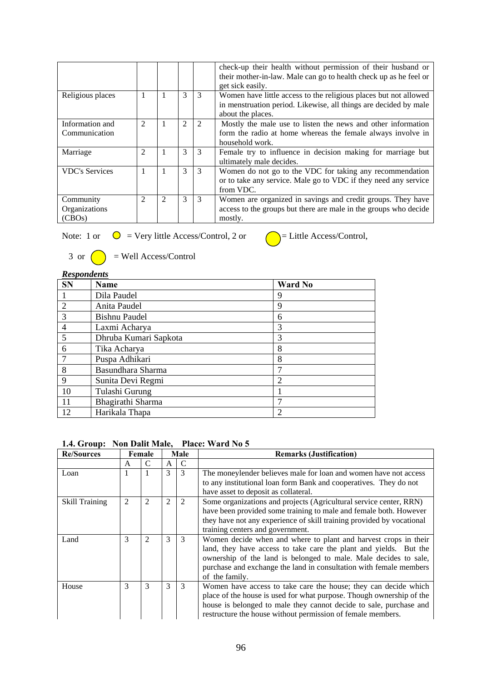|                                      |                          |   |                |   | check-up their health without permission of their husband or<br>their mother-in-law. Male can go to health check up as he feel or<br>get sick easily.     |
|--------------------------------------|--------------------------|---|----------------|---|-----------------------------------------------------------------------------------------------------------------------------------------------------------|
| Religious places                     |                          | 1 | 3              | 3 | Women have little access to the religious places but not allowed<br>in menstruation period. Likewise, all things are decided by male<br>about the places. |
| Information and<br>Communication     | $\mathfrak{D}$           | 1 | $\mathfrak{D}$ | 2 | Mostly the male use to listen the news and other information<br>form the radio at home whereas the female always involve in<br>household work.            |
| Marriage                             | 2                        |   | 3              | 3 | Female try to influence in decision making for marriage but<br>ultimately male decides.                                                                   |
| <b>VDC's Services</b>                |                          |   | 3              | 3 | Women do not go to the VDC for taking any recommendation<br>or to take any service. Male go to VDC if they need any service<br>from VDC.                  |
| Community<br>Organizations<br>(CBOs) | $\overline{\mathcal{L}}$ | 2 | 3              | 3 | Women are organized in savings and credit groups. They have<br>access to the groups but there are male in the groups who decide<br>mostly.                |

Note: 1 or  $\bigcirc$  = Very little Access/Control, 2 or  $\bigcirc$  = Little Access/Control,



|  | 3 or $\bigcirc$ = Well Access/Control |
|--|---------------------------------------|
|--|---------------------------------------|

| <b>Respondents</b> |                       |                |  |  |  |  |  |
|--------------------|-----------------------|----------------|--|--|--|--|--|
| <b>SN</b>          | Name                  | <b>Ward No</b> |  |  |  |  |  |
|                    | Dila Paudel           | 9              |  |  |  |  |  |
| $\overline{2}$     | Anita Paudel          | 9              |  |  |  |  |  |
| 3                  | Bishnu Paudel         | 6              |  |  |  |  |  |
| $\overline{4}$     | Laxmi Acharya         | 3              |  |  |  |  |  |
| 5                  | Dhruba Kumari Sapkota | 3              |  |  |  |  |  |
| 6                  | Tika Acharya          | 8              |  |  |  |  |  |
| 7                  | Puspa Adhikari        | 8              |  |  |  |  |  |
| 8                  | Basundhara Sharma     |                |  |  |  |  |  |
| 9                  | Sunita Devi Regmi     | $\overline{2}$ |  |  |  |  |  |
| 10                 | Tulashi Gurung        |                |  |  |  |  |  |
| 11                 | Bhagirathi Sharma     |                |  |  |  |  |  |
| 12                 | Harikala Thapa        | $\overline{2}$ |  |  |  |  |  |

### **1.4. Group: Non Dalit Male, Place: Ward No 5**

| <b>Re/Sources</b>     |   | Female         |              | Male          | <b>Remarks (Justification)</b>                                                                                                                                                                                                                                                                   |
|-----------------------|---|----------------|--------------|---------------|--------------------------------------------------------------------------------------------------------------------------------------------------------------------------------------------------------------------------------------------------------------------------------------------------|
|                       | A | C              | $\mathbf{A}$ | C             |                                                                                                                                                                                                                                                                                                  |
| Loan                  |   |                | 3            | 3             | The moneylender believes male for loan and women have not access                                                                                                                                                                                                                                 |
|                       |   |                |              |               | to any institutional loan form Bank and cooperatives. They do not<br>have asset to deposit as collateral.                                                                                                                                                                                        |
| <b>Skill Training</b> | 2 | 2              | 2            | 2             | Some organizations and projects (Agricultural service center, RRN)<br>have been provided some training to male and female both. However<br>they have not any experience of skill training provided by vocational<br>training centers and government.                                             |
| Land                  | 3 | $\mathfrak{D}$ | 3            | 3             | Women decide when and where to plant and harvest crops in their<br>land, they have access to take care the plant and yields. But the<br>ownership of the land is belonged to male. Male decides to sale,<br>purchase and exchange the land in consultation with female members<br>of the family. |
| House                 | 3 | 3              | 3            | $\mathcal{F}$ | Women have access to take care the house; they can decide which<br>place of the house is used for what purpose. Though ownership of the<br>house is belonged to male they cannot decide to sale, purchase and<br>restructure the house without permission of female members.                     |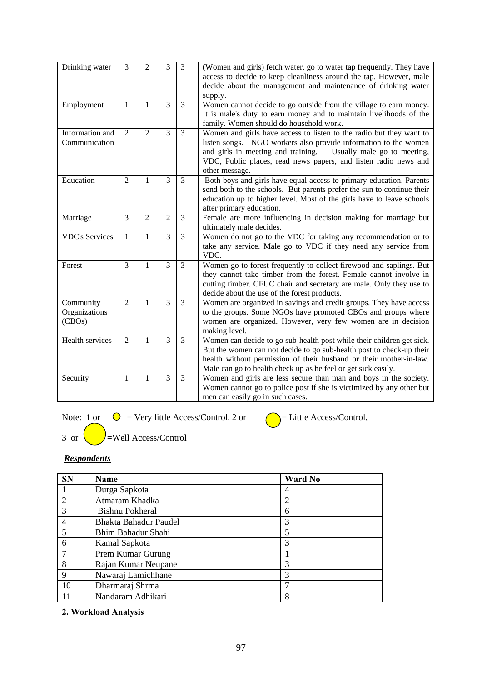| Drinking water                       | 3              | 2              | 3              | 3              | (Women and girls) fetch water, go to water tap frequently. They have<br>access to decide to keep cleanliness around the tap. However, male<br>decide about the management and maintenance of drinking water<br>supply.                                                                           |
|--------------------------------------|----------------|----------------|----------------|----------------|--------------------------------------------------------------------------------------------------------------------------------------------------------------------------------------------------------------------------------------------------------------------------------------------------|
| Employment                           | $\mathbf{1}$   | $\mathbf{1}$   | 3              | 3              | Women cannot decide to go outside from the village to earn money.<br>It is male's duty to earn money and to maintain livelihoods of the<br>family. Women should do household work.                                                                                                               |
| Information and<br>Communication     | $\overline{2}$ | $\overline{2}$ | 3              | $\overline{3}$ | Women and girls have access to listen to the radio but they want to<br>listen songs. NGO workers also provide information to the women<br>and girls in meeting and training.<br>Usually male go to meeting,<br>VDC, Public places, read news papers, and listen radio news and<br>other message. |
| Education                            | $\overline{2}$ | $\mathbf{1}$   | 3              | 3              | Both boys and girls have equal access to primary education. Parents<br>send both to the schools. But parents prefer the sun to continue their<br>education up to higher level. Most of the girls have to leave schools<br>after primary education.                                               |
| Marriage                             | 3              | $\overline{2}$ | $\overline{2}$ | 3              | Female are more influencing in decision making for marriage but<br>ultimately male decides.                                                                                                                                                                                                      |
| <b>VDC's Services</b>                | $\mathbf{1}$   | $\mathbf{1}$   | 3              | 3              | Women do not go to the VDC for taking any recommendation or to<br>take any service. Male go to VDC if they need any service from<br>VDC.                                                                                                                                                         |
| Forest                               | 3              | $\mathbf{1}$   | 3              | $\overline{3}$ | Women go to forest frequently to collect firewood and saplings. But<br>they cannot take timber from the forest. Female cannot involve in<br>cutting timber. CFUC chair and secretary are male. Only they use to<br>decide about the use of the forest products.                                  |
| Community<br>Organizations<br>(CBOs) | $\overline{2}$ | $\mathbf{1}$   | 3              | 3              | Women are organized in savings and credit groups. They have access<br>to the groups. Some NGOs have promoted CBOs and groups where<br>women are organized. However, very few women are in decision<br>making level.                                                                              |
| Health services                      | $\overline{2}$ | $\mathbf{1}$   | 3              | 3              | Women can decide to go sub-health post while their children get sick.<br>But the women can not decide to go sub-health post to check-up their<br>health without permission of their husband or their mother-in-law.<br>Male can go to health check up as he feel or get sick easily.             |
| Security                             | 1              | $\mathbf{1}$   | 3              | 3              | Women and girls are less secure than man and boys in the society.<br>Women cannot go to police post if she is victimized by any other but<br>men can easily go in such cases.                                                                                                                    |

Note: 1 or  $\bigcirc$  = Very little Access/Control, 2 or  $\bigcirc$  = Little Access/Control,

 $3 \text{ or } \left( \longrightarrow \right)$ =Well Access/Control

# *Respondents*

| <b>SN</b>      | <b>Name</b>           | <b>Ward No</b> |
|----------------|-----------------------|----------------|
|                | Durga Sapkota         | 4              |
| $\overline{2}$ | Atmaram Khadka        | 2              |
| 3              | Bishnu Pokheral       | 6              |
| 4              | Bhakta Bahadur Paudel | 3              |
| 5              | Bhim Bahadur Shahi    | 5              |
| 6              | Kamal Sapkota         | 3              |
|                | Prem Kumar Gurung     |                |
| 8              | Rajan Kumar Neupane   | 3              |
| $\mathbf Q$    | Nawaraj Lamichhane    | 3              |
| 10             | Dharmaraj Shrma       | ┑              |
|                | Nandaram Adhikari     | 8              |

**2. Workload Analysis**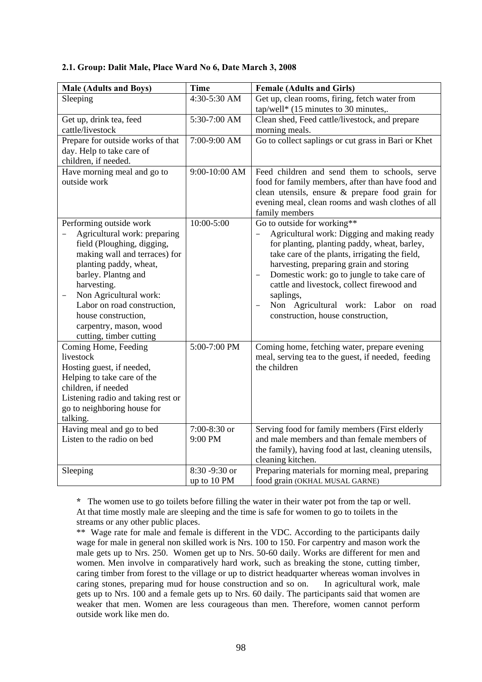### **2.1. Group: Dalit Male, Place Ward No 6, Date March 3, 2008**

| <b>Male (Adults and Boys)</b>      | <b>Time</b>   | <b>Female (Adults and Girls)</b>                                        |
|------------------------------------|---------------|-------------------------------------------------------------------------|
| Sleeping                           | 4:30-5:30 AM  | Get up, clean rooms, firing, fetch water from                           |
|                                    |               | tap/well* $(15 \text{ minutes to } 30 \text{ minutes})$ .               |
| Get up, drink tea, feed            | 5:30-7:00 AM  | Clean shed, Feed cattle/livestock, and prepare                          |
| cattle/livestock                   |               | morning meals.                                                          |
| Prepare for outside works of that  | 7:00-9:00 AM  | Go to collect saplings or cut grass in Bari or Khet                     |
| day. Help to take care of          |               |                                                                         |
| children, if needed.               |               |                                                                         |
| Have morning meal and go to        | 9:00-10:00 AM | Feed children and send them to schools, serve                           |
| outside work                       |               | food for family members, after than have food and                       |
|                                    |               | clean utensils, ensure & prepare food grain for                         |
|                                    |               | evening meal, clean rooms and wash clothes of all                       |
|                                    |               | family members                                                          |
| Performing outside work            | 10:00-5:00    | Go to outside for working**                                             |
| Agricultural work: preparing       |               | Agricultural work: Digging and making ready<br>$\overline{\phantom{0}}$ |
| field (Ploughing, digging,         |               | for planting, planting paddy, wheat, barley,                            |
| making wall and terraces) for      |               | take care of the plants, irrigating the field,                          |
| planting paddy, wheat,             |               | harvesting, preparing grain and storing                                 |
| barley. Plantng and                |               | Domestic work: go to jungle to take care of                             |
| harvesting.                        |               | cattle and livestock, collect firewood and                              |
| Non Agricultural work:             |               | saplings,                                                               |
| Labor on road construction,        |               | Non Agricultural work: Labor on road                                    |
| house construction,                |               | construction, house construction,                                       |
| carpentry, mason, wood             |               |                                                                         |
| cutting, timber cutting            |               |                                                                         |
| Coming Home, Feeding               | 5:00-7:00 PM  | Coming home, fetching water, prepare evening                            |
| livestock                          |               | meal, serving tea to the guest, if needed, feeding                      |
| Hosting guest, if needed,          |               | the children                                                            |
| Helping to take care of the        |               |                                                                         |
| children, if needed                |               |                                                                         |
| Listening radio and taking rest or |               |                                                                         |
| go to neighboring house for        |               |                                                                         |
| talking.                           |               |                                                                         |
| Having meal and go to bed          | 7:00-8:30 or  | Serving food for family members (First elderly                          |
| Listen to the radio on bed         | 9:00 PM       | and male members and than female members of                             |
|                                    |               | the family), having food at last, cleaning utensils,                    |
|                                    |               | cleaning kitchen.                                                       |
| Sleeping                           | 8:30 -9:30 or | Preparing materials for morning meal, preparing                         |
|                                    | up to 10 PM   | food grain (OKHAL MUSAL GARNE)                                          |

 **\*** The women use to go toilets before filling the water in their water pot from the tap or well. At that time mostly male are sleeping and the time is safe for women to go to toilets in the streams or any other public places.

 \*\* Wage rate for male and female is different in the VDC. According to the participants daily wage for male in general non skilled work is Nrs. 100 to 150. For carpentry and mason work the male gets up to Nrs. 250. Women get up to Nrs. 50-60 daily. Works are different for men and women. Men involve in comparatively hard work, such as breaking the stone, cutting timber, caring timber from forest to the village or up to district headquarter whereas woman involves in caring stones, preparing mud for house construction and so on. In agricultural work, male gets up to Nrs. 100 and a female gets up to Nrs. 60 daily. The participants said that women are weaker that men. Women are less courageous than men. Therefore, women cannot perform outside work like men do.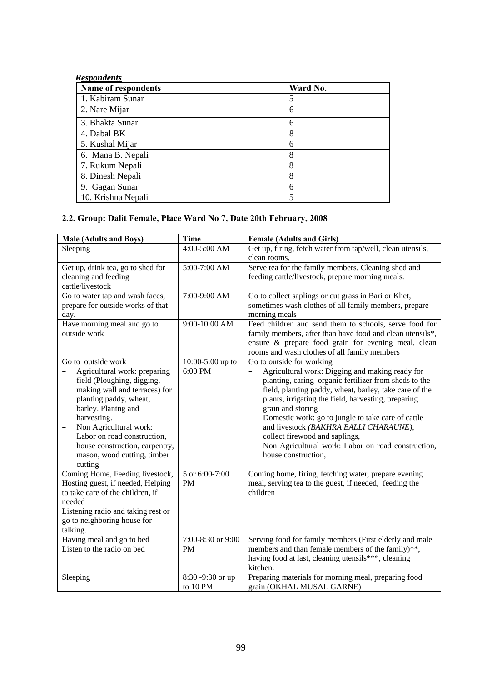| <b>Name of respondents</b> | Ward No. |
|----------------------------|----------|
| 1. Kabiram Sunar           | 5        |
| 2. Nare Mijar              | 6        |
| 3. Bhakta Sunar            | 6        |
| 4. Dabal BK                | 8        |
| 5. Kushal Mijar            | 6        |
| 6. Mana B. Nepali          | 8        |
| 7. Rukum Nepali            | 8        |
| 8. Dinesh Nepali           | 8        |
| 9. Gagan Sunar             | 6        |
| 10. Krishna Nepali         | 5        |

# **2.2. Group: Dalit Female, Place Ward No 7, Date 20th February, 2008**

| <b>Male (Adults and Boys)</b>                                                                                                                                                                                                                                                                                          | <b>Time</b>                    | <b>Female (Adults and Girls)</b>                                                                                                                                                                                                                                                                                                                                                                                                                                                           |
|------------------------------------------------------------------------------------------------------------------------------------------------------------------------------------------------------------------------------------------------------------------------------------------------------------------------|--------------------------------|--------------------------------------------------------------------------------------------------------------------------------------------------------------------------------------------------------------------------------------------------------------------------------------------------------------------------------------------------------------------------------------------------------------------------------------------------------------------------------------------|
| Sleeping                                                                                                                                                                                                                                                                                                               | 4:00-5:00 AM                   | Get up, firing, fetch water from tap/well, clean utensils,<br>clean rooms.                                                                                                                                                                                                                                                                                                                                                                                                                 |
| Get up, drink tea, go to shed for<br>cleaning and feeding<br>cattle/livestock                                                                                                                                                                                                                                          | 5:00-7:00 AM                   | Serve tea for the family members, Cleaning shed and<br>feeding cattle/livestock, prepare morning meals.                                                                                                                                                                                                                                                                                                                                                                                    |
| Go to water tap and wash faces,<br>prepare for outside works of that<br>day.                                                                                                                                                                                                                                           | 7:00-9:00 AM                   | Go to collect saplings or cut grass in Bari or Khet,<br>sometimes wash clothes of all family members, prepare<br>morning meals                                                                                                                                                                                                                                                                                                                                                             |
| Have morning meal and go to<br>outside work                                                                                                                                                                                                                                                                            | 9:00-10:00 AM                  | Feed children and send them to schools, serve food for<br>family members, after than have food and clean utensils*,<br>ensure & prepare food grain for evening meal, clean<br>rooms and wash clothes of all family members                                                                                                                                                                                                                                                                 |
| Go to outside work<br>Agricultural work: preparing<br>field (Ploughing, digging,<br>making wall and terraces) for<br>planting paddy, wheat,<br>barley. Plantng and<br>harvesting.<br>Non Agricultural work:<br>Labor on road construction,<br>house construction, carpentry,<br>mason, wood cutting, timber<br>cutting | 10:00-5:00 up to<br>6:00 PM    | Go to outside for working<br>Agricultural work: Digging and making ready for<br>planting, caring organic fertilizer from sheds to the<br>field, planting paddy, wheat, barley, take care of the<br>plants, irrigating the field, harvesting, preparing<br>grain and storing<br>Domestic work: go to jungle to take care of cattle<br>and livestock (BAKHRA BALLI CHARAUNE),<br>collect firewood and saplings,<br>Non Agricultural work: Labor on road construction,<br>house construction, |
| Coming Home, Feeding livestock,<br>Hosting guest, if needed, Helping<br>to take care of the children, if<br>needed<br>Listening radio and taking rest or<br>go to neighboring house for<br>talking.                                                                                                                    | 5 or 6:00-7:00<br><b>PM</b>    | Coming home, firing, fetching water, prepare evening<br>meal, serving tea to the guest, if needed, feeding the<br>children                                                                                                                                                                                                                                                                                                                                                                 |
| Having meal and go to bed<br>Listen to the radio on bed                                                                                                                                                                                                                                                                | 7:00-8:30 or 9:00<br><b>PM</b> | Serving food for family members (First elderly and male<br>members and than female members of the family)**,<br>having food at last, cleaning utensils***, cleaning<br>kitchen.                                                                                                                                                                                                                                                                                                            |
| Sleeping                                                                                                                                                                                                                                                                                                               | 8:30 -9:30 or up<br>to 10 PM   | Preparing materials for morning meal, preparing food<br>grain (OKHAL MUSAL GARNE)                                                                                                                                                                                                                                                                                                                                                                                                          |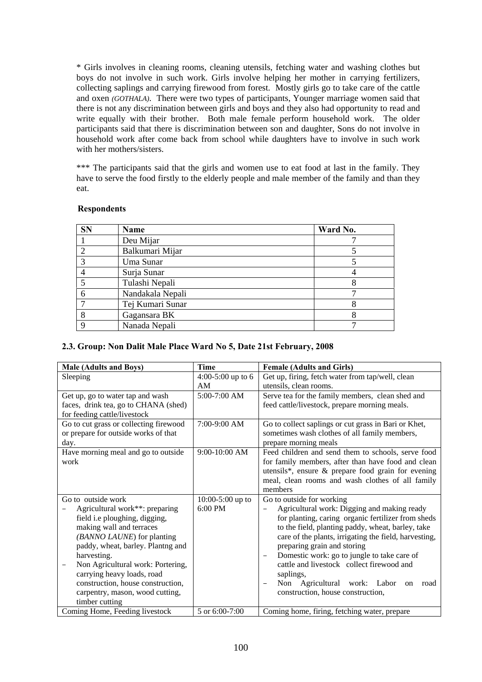\* Girls involves in cleaning rooms, cleaning utensils, fetching water and washing clothes but boys do not involve in such work. Girls involve helping her mother in carrying fertilizers, collecting saplings and carrying firewood from forest. Mostly girls go to take care of the cattle and oxen *(GOTHALA)*. There were two types of participants, Younger marriage women said that there is not any discrimination between girls and boys and they also had opportunity to read and write equally with their brother. Both male female perform household work. The older participants said that there is discrimination between son and daughter, Sons do not involve in household work after come back from school while daughters have to involve in such work with her mothers/sisters.

\*\*\* The participants said that the girls and women use to eat food at last in the family. They have to serve the food firstly to the elderly people and male member of the family and than they eat.

### **Respondents**

| <b>SN</b> | Name             | Ward No. |
|-----------|------------------|----------|
|           | Deu Mijar        |          |
|           | Balkumari Mijar  |          |
|           | Uma Sunar        |          |
|           | Surja Sunar      |          |
|           | Tulashi Nepali   |          |
|           | Nandakala Nepali |          |
|           | Tej Kumari Sunar |          |
|           | Gagansara BK     |          |
|           | Nanada Nepali    |          |

# **2.3. Group: Non Dalit Male Place Ward No 5, Date 21st February, 2008**

| <b>Male (Adults and Boys)</b>          | <b>Time</b>         | <b>Female (Adults and Girls)</b>                                       |
|----------------------------------------|---------------------|------------------------------------------------------------------------|
| Sleeping                               | $4:00-5:00$ up to 6 | Get up, firing, fetch water from tap/well, clean                       |
|                                        | AM                  | utensils, clean rooms.                                                 |
| Get up, go to water tap and wash       | 5:00-7:00 AM        | Serve tea for the family members, clean shed and                       |
| faces, drink tea, go to CHANA (shed)   |                     | feed cattle/livestock, prepare morning meals.                          |
| for feeding cattle/livestock           |                     |                                                                        |
| Go to cut grass or collecting firewood | 7:00-9:00 AM        | Go to collect saplings or cut grass in Bari or Khet,                   |
| or prepare for outside works of that   |                     | sometimes wash clothes of all family members,                          |
| day.                                   |                     | prepare morning meals                                                  |
| Have morning meal and go to outside    | 9:00-10:00 AM       | Feed children and send them to schools, serve food                     |
| work                                   |                     | for family members, after than have food and clean                     |
|                                        |                     | utensils*, ensure & prepare food grain for evening                     |
|                                        |                     | meal, clean rooms and wash clothes of all family                       |
|                                        |                     | members                                                                |
| Go to outside work                     | $10:00-5:00$ up to  | Go to outside for working                                              |
| Agricultural work**: preparing         | 6:00 PM             | Agricultural work: Digging and making ready                            |
| field i.e ploughing, digging,          |                     | for planting, caring organic fertilizer from sheds                     |
| making wall and terraces               |                     | to the field, planting paddy, wheat, barley, take                      |
| (BANNO LAUNE) for planting             |                     | care of the plants, irrigating the field, harvesting,                  |
| paddy, wheat, barley. Plantng and      |                     | preparing grain and storing                                            |
| harvesting.                            |                     | Domestic work: go to jungle to take care of                            |
| Non Agricultural work: Portering,      |                     | cattle and livestock collect firewood and                              |
| carrying heavy loads, road             |                     | saplings,                                                              |
| construction, house construction,      |                     | Non Agricultural work: Labor<br>road<br>on<br>$\overline{\phantom{0}}$ |
| carpentry, mason, wood cutting,        |                     | construction, house construction,                                      |
| timber cutting                         |                     |                                                                        |
| Coming Home, Feeding livestock         | 5 or 6:00-7:00      | Coming home, firing, fetching water, prepare                           |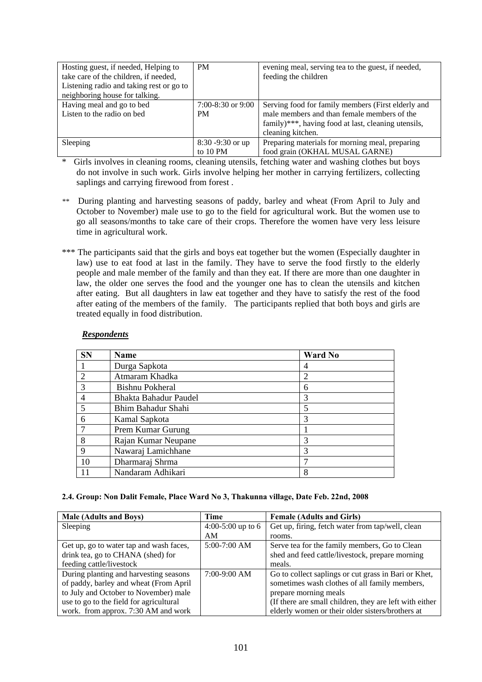| Hosting guest, if needed, Helping to<br>take care of the children, if needed, | <b>PM</b>           | evening meal, serving tea to the guest, if needed,  |
|-------------------------------------------------------------------------------|---------------------|-----------------------------------------------------|
|                                                                               |                     | feeding the children                                |
| Listening radio and taking rest or go to                                      |                     |                                                     |
| neighboring house for talking.                                                |                     |                                                     |
| Having meal and go to bed                                                     | $7:00-8:30$ or 9:00 | Serving food for family members (First elderly and  |
| Listen to the radio on bed                                                    | <b>PM</b>           | male members and than female members of the         |
|                                                                               |                     | family)***, having food at last, cleaning utensils, |
|                                                                               |                     | cleaning kitchen.                                   |
| Sleeping                                                                      | $8:30 - 9:30$ or up | Preparing materials for morning meal, preparing     |
|                                                                               | to $10 \text{ PM}$  | food grain (OKHAL MUSAL GARNE)                      |

\* Girls involves in cleaning rooms, cleaning utensils, fetching water and washing clothes but boys do not involve in such work. Girls involve helping her mother in carrying fertilizers, collecting saplings and carrying firewood from forest .

- *\*\** During planting and harvesting seasons of paddy, barley and wheat (From April to July and October to November) male use to go to the field for agricultural work. But the women use to go all seasons/months to take care of their crops. Therefore the women have very less leisure time in agricultural work.
- \*\*\* The participants said that the girls and boys eat together but the women (Especially daughter in law) use to eat food at last in the family. They have to serve the food firstly to the elderly people and male member of the family and than they eat. If there are more than one daughter in law, the older one serves the food and the younger one has to clean the utensils and kitchen after eating. But all daughters in law eat together and they have to satisfy the rest of the food after eating of the members of the family. The participants replied that both boys and girls are treated equally in food distribution.

### *Respondents*

| <b>SN</b>      | Name                  | <b>Ward No</b> |
|----------------|-----------------------|----------------|
|                | Durga Sapkota         | 4              |
| $\overline{2}$ | Atmaram Khadka        | $\overline{c}$ |
| 3              | Bishnu Pokheral       | 6              |
| 4              | Bhakta Bahadur Paudel | 3              |
| 5              | Bhim Bahadur Shahi    | 5              |
| 6              | Kamal Sapkota         | 3              |
| 7              | Prem Kumar Gurung     |                |
| 8              | Rajan Kumar Neupane   | 3              |
| 9              | Nawaraj Lamichhane    | 3              |
| 10             | Dharmaraj Shrma       | 7              |
|                | Nandaram Adhikari     | 8              |

### **2.4. Group: Non Dalit Female, Place Ward No 3, Thakunna village, Date Feb. 22nd, 2008**

| <b>Male (Adults and Boys)</b>           | Time                | <b>Female (Adults and Girls)</b>                        |
|-----------------------------------------|---------------------|---------------------------------------------------------|
| Sleeping                                | $4:00-5:00$ up to 6 | Get up, firing, fetch water from tap/well, clean        |
|                                         | AM                  | rooms.                                                  |
| Get up, go to water tap and wash faces, | $5:00-7:00$ AM      | Serve tea for the family members, Go to Clean           |
| drink tea, go to CHANA (shed) for       |                     | shed and feed cattle/livestock, prepare morning         |
| feeding cattle/livestock                |                     | meals.                                                  |
| During planting and harvesting seasons  | $7:00-9:00$ AM      | Go to collect saplings or cut grass in Bari or Khet,    |
| of paddy, barley and wheat (From April  |                     | sometimes wash clothes of all family members,           |
| to July and October to November) male   |                     | prepare morning meals                                   |
| use to go to the field for agricultural |                     | (If there are small children, they are left with either |
| work. from approx. 7:30 AM and work     |                     | elderly women or their older sisters/brothers at        |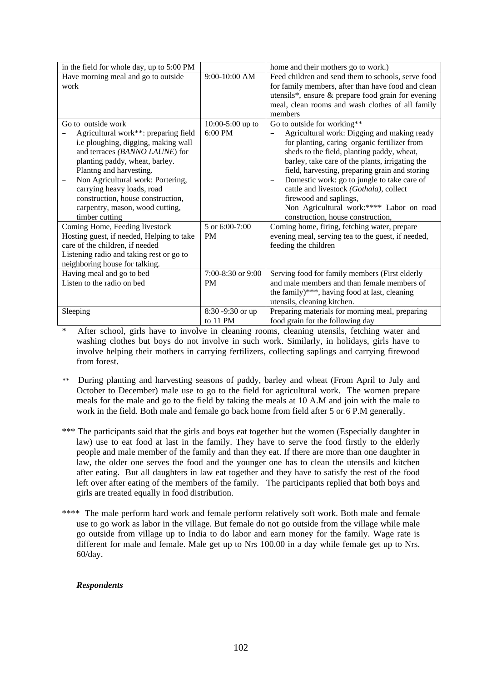| in the field for whole day, up to 5:00 PM |                    | home and their mothers go to work.)                                     |
|-------------------------------------------|--------------------|-------------------------------------------------------------------------|
| Have morning meal and go to outside       | 9:00-10:00 AM      | Feed children and send them to schools, serve food                      |
| work                                      |                    | for family members, after than have food and clean                      |
|                                           |                    | utensils*, ensure & prepare food grain for evening                      |
|                                           |                    | meal, clean rooms and wash clothes of all family                        |
|                                           |                    | members                                                                 |
| Go to outside work                        | $10:00-5:00$ up to | Go to outside for working**                                             |
| Agricultural work**: preparing field      | 6:00 PM            | Agricultural work: Digging and making ready                             |
| i.e ploughing, digging, making wall       |                    | for planting, caring organic fertilizer from                            |
| and terraces (BANNO LAUNE) for            |                    | sheds to the field, planting paddy, wheat,                              |
| planting paddy, wheat, barley.            |                    | barley, take care of the plants, irrigating the                         |
| Plantng and harvesting.                   |                    | field, harvesting, preparing grain and storing                          |
| Non Agricultural work: Portering,         |                    | Domestic work: go to jungle to take care of<br>$\overline{\phantom{m}}$ |
| carrying heavy loads, road                |                    | cattle and livestock (Gothala), collect                                 |
| construction, house construction,         |                    | firewood and saplings,                                                  |
| carpentry, mason, wood cutting,           |                    | Non Agricultural work:**** Labor on road<br>$\overline{\phantom{m}}$    |
| timber cutting                            |                    | construction, house construction,                                       |
| Coming Home, Feeding livestock            | 5 or 6:00-7:00     | Coming home, firing, fetching water, prepare                            |
| Hosting guest, if needed, Helping to take | <b>PM</b>          | evening meal, serving tea to the guest, if needed,                      |
| care of the children, if needed           |                    | feeding the children                                                    |
| Listening radio and taking rest or go to  |                    |                                                                         |
| neighboring house for talking.            |                    |                                                                         |
| Having meal and go to bed                 | 7:00-8:30 or 9:00  | Serving food for family members (First elderly                          |
| Listen to the radio on bed                | <b>PM</b>          | and male members and than female members of                             |
|                                           |                    | the family)***, having food at last, cleaning                           |
|                                           |                    | utensils, cleaning kitchen.                                             |
| Sleeping                                  | 8:30 -9:30 or up   | Preparing materials for morning meal, preparing                         |
|                                           | to 11 PM           | food grain for the following day                                        |

After school, girls have to involve in cleaning rooms, cleaning utensils, fetching water and washing clothes but boys do not involve in such work. Similarly, in holidays, girls have to involve helping their mothers in carrying fertilizers, collecting saplings and carrying firewood from forest.

- *\*\** During planting and harvesting seasons of paddy, barley and wheat (From April to July and October to December) male use to go to the field for agricultural work. The women prepare meals for the male and go to the field by taking the meals at 10 A.M and join with the male to work in the field. Both male and female go back home from field after 5 or 6 P.M generally.
- \*\*\* The participants said that the girls and boys eat together but the women (Especially daughter in law) use to eat food at last in the family. They have to serve the food firstly to the elderly people and male member of the family and than they eat. If there are more than one daughter in law, the older one serves the food and the younger one has to clean the utensils and kitchen after eating. But all daughters in law eat together and they have to satisfy the rest of the food left over after eating of the members of the family. The participants replied that both boys and girls are treated equally in food distribution.
- \*\*\*\* The male perform hard work and female perform relatively soft work. Both male and female use to go work as labor in the village. But female do not go outside from the village while male go outside from village up to India to do labor and earn money for the family. Wage rate is different for male and female. Male get up to Nrs 100.00 in a day while female get up to Nrs. 60/day.

# *Respondents*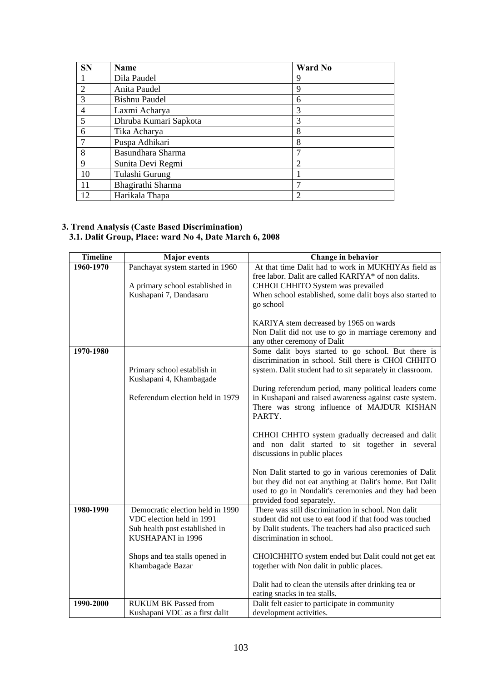| <b>SN</b>      | Name                  | <b>Ward No</b> |
|----------------|-----------------------|----------------|
|                | Dila Paudel           | 9              |
| $\overline{2}$ | Anita Paudel          | 9              |
| 3              | <b>Bishnu Paudel</b>  | 6              |
| 4              | Laxmi Acharya         | 3              |
| 5              | Dhruba Kumari Sapkota | 3              |
| 6              | Tika Acharya          | 8              |
| $\overline{7}$ | Puspa Adhikari        | 8              |
| 8              | Basundhara Sharma     | 7              |
| 9              | Sunita Devi Regmi     | $\overline{c}$ |
| 10             | Tulashi Gurung        |                |
| 11             | Bhagirathi Sharma     | ┑              |
| 12             | Harikala Thapa        | $\overline{2}$ |

#### **3. Trend Analysis (Caste Based Discrimination) 3.1. Dalit Group, Place: ward No 4, Date March 6, 2008**

| <b>Timeline</b> | <b>Major</b> events                                 | Change in behavior                                                                                               |
|-----------------|-----------------------------------------------------|------------------------------------------------------------------------------------------------------------------|
| $1960 - 1970$   | Panchayat system started in 1960                    | At that time Dalit had to work in MUKHIYAs field as                                                              |
|                 |                                                     | free labor. Dalit are called KARIYA* of non dalits.                                                              |
|                 | A primary school established in                     | CHHOI CHHITO System was prevailed                                                                                |
|                 | Kushapani 7, Dandasaru                              | When school established, some dalit boys also started to<br>go school                                            |
|                 |                                                     |                                                                                                                  |
|                 |                                                     | KARIYA stem decreased by 1965 on wards                                                                           |
|                 |                                                     | Non Dalit did not use to go in marriage ceremony and                                                             |
|                 |                                                     | any other ceremony of Dalit                                                                                      |
| 1970-1980       |                                                     | Some dalit boys started to go school. But there is                                                               |
|                 |                                                     | discrimination in school. Still there is CHOI CHHITO                                                             |
|                 | Primary school establish in                         | system. Dalit student had to sit separately in classroom.                                                        |
|                 | Kushapani 4, Khambagade                             |                                                                                                                  |
|                 | Referendum election held in 1979                    | During referendum period, many political leaders come<br>in Kushapani and raised awareness against caste system. |
|                 |                                                     | There was strong influence of MAJDUR KISHAN                                                                      |
|                 |                                                     | PARTY.                                                                                                           |
|                 |                                                     |                                                                                                                  |
|                 |                                                     | CHHOI CHHTO system gradually decreased and dalit                                                                 |
|                 |                                                     | and non dalit started to sit together in several                                                                 |
|                 |                                                     | discussions in public places                                                                                     |
|                 |                                                     | Non Dalit started to go in various ceremonies of Dalit                                                           |
|                 |                                                     | but they did not eat anything at Dalit's home. But Dalit                                                         |
|                 |                                                     | used to go in Nondalit's ceremonies and they had been                                                            |
|                 |                                                     | provided food separately.                                                                                        |
| 1980-1990       | Democratic election held in 1990                    | There was still discrimination in school. Non dalit                                                              |
|                 | VDC election held in 1991                           | student did not use to eat food if that food was touched                                                         |
|                 | Sub health post established in<br>KUSHAPANI in 1996 | by Dalit students. The teachers had also practiced such<br>discrimination in school.                             |
|                 |                                                     |                                                                                                                  |
|                 | Shops and tea stalls opened in                      | CHOICHHITO system ended but Dalit could not get eat                                                              |
|                 | Khambagade Bazar                                    | together with Non dalit in public places.                                                                        |
|                 |                                                     |                                                                                                                  |
|                 |                                                     | Dalit had to clean the utensils after drinking tea or                                                            |
| 1990-2000       | <b>RUKUM BK Passed from</b>                         | eating snacks in tea stalls.                                                                                     |
|                 | Kushapani VDC as a first dalit                      | Dalit felt easier to participate in community<br>development activities.                                         |
|                 |                                                     |                                                                                                                  |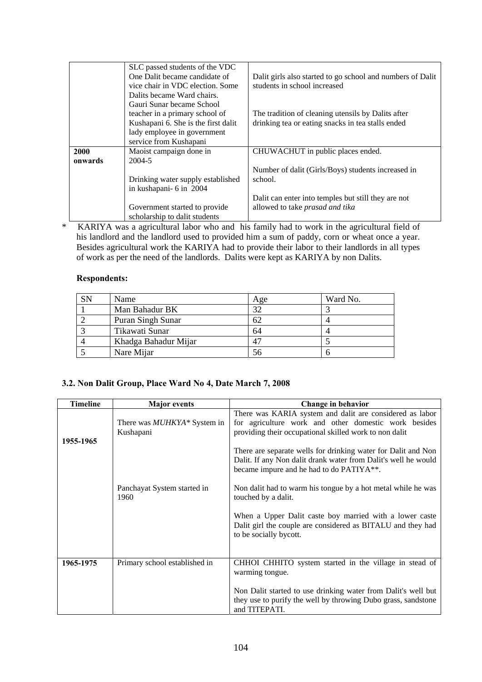|         | SLC passed students of the VDC      |                                                            |
|---------|-------------------------------------|------------------------------------------------------------|
|         | One Dalit became candidate of       | Dalit girls also started to go school and numbers of Dalit |
|         | vice chair in VDC election. Some    | students in school increased                               |
|         | Dalits became Ward chairs.          |                                                            |
|         | Gauri Sunar became School           |                                                            |
|         | teacher in a primary school of      | The tradition of cleaning utensils by Dalits after         |
|         | Kushapani 6. She is the first dalit | drinking tea or eating snacks in tea stalls ended          |
|         | lady employee in government         |                                                            |
|         | service from Kushapani              |                                                            |
| 2000    | Maoist campaign done in             | CHUWACHUT in public places ended.                          |
| onwards | 2004-5                              |                                                            |
|         |                                     | Number of dalit (Girls/Boys) students increased in         |
|         | Drinking water supply established   | school.                                                    |
|         | in kushapani- 6 in 2004             |                                                            |
|         |                                     | Dalit can enter into temples but still they are not        |
|         | Government started to provide       | allowed to take prasad and tika                            |
|         | scholarship to dalit students       |                                                            |

\* KARIYA was a agricultural labor who and his family had to work in the agricultural field of his landlord and the landlord used to provided him a sum of paddy, corn or wheat once a year. Besides agricultural work the KARIYA had to provide their labor to their landlords in all types of work as per the need of the landlords. Dalits were kept as KARIYA by non Dalits.

### **Respondents:**

| SN | Name                 | Age | Ward No. |
|----|----------------------|-----|----------|
|    | Man Bahadur BK       | 32  |          |
|    | Puran Singh Sunar    | 62  |          |
|    | Tikawati Sunar       | 64  |          |
|    | Khadga Bahadur Mijar | 47  |          |
|    | Nare Mijar           | 56  |          |

# **3.2. Non Dalit Group, Place Ward No 4, Date March 7, 2008**

| <b>Timeline</b> | <b>Major</b> events                              | Change in behavior                                                                                                                                                          |
|-----------------|--------------------------------------------------|-----------------------------------------------------------------------------------------------------------------------------------------------------------------------------|
| 1955-1965       | There was <i>MUHKYA</i> * System in<br>Kushapani | There was KARIA system and dalit are considered as labor<br>for agriculture work and other domestic work besides<br>providing their occupational skilled work to non dalit  |
|                 |                                                  | There are separate wells for drinking water for Dalit and Non<br>Dalit. If any Non dalit drank water from Dalit's well he would<br>became impure and he had to do PATIYA**. |
|                 | Panchayat System started in<br>1960              | Non dalit had to warm his tongue by a hot metal while he was<br>touched by a dalit.                                                                                         |
|                 |                                                  | When a Upper Dalit caste boy married with a lower caste<br>Dalit girl the couple are considered as BITALU and they had<br>to be socially bycott.                            |
| 1965-1975       | Primary school established in                    | CHHOI CHHITO system started in the village in stead of<br>warming tongue.                                                                                                   |
|                 |                                                  | Non Dalit started to use drinking water from Dalit's well but<br>they use to purify the well by throwing Dubo grass, sandstone<br>and TITEPATI.                             |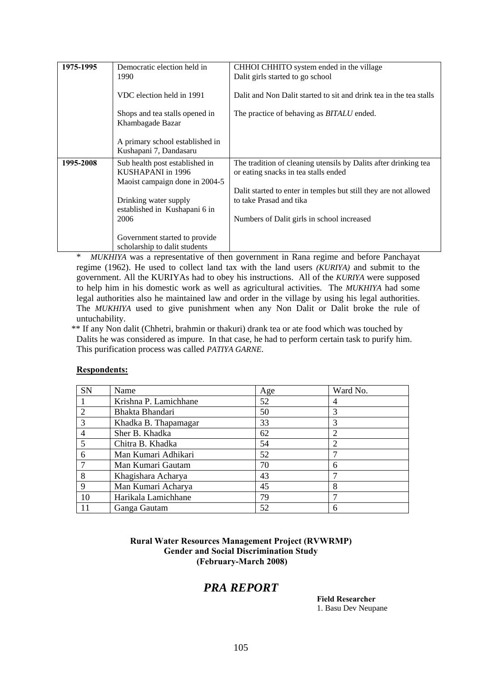| 1975-1995 | Democratic election held in<br>1990                                                   | CHHOI CHHITO system ended in the village<br>Dalit girls started to go school                            |
|-----------|---------------------------------------------------------------------------------------|---------------------------------------------------------------------------------------------------------|
|           | VDC election held in 1991                                                             | Dalit and Non Dalit started to sit and drink tea in the tea stalls                                      |
|           | Shops and tea stalls opened in<br>Khambagade Bazar                                    | The practice of behaving as <i>BITALU</i> ended.                                                        |
|           | A primary school established in<br>Kushapani 7, Dandasaru                             |                                                                                                         |
| 1995-2008 | Sub health post established in<br>KUSHAPANI in 1996<br>Maoist campaign done in 2004-5 | The tradition of cleaning utensils by Dalits after drinking tea<br>or eating snacks in tea stalls ended |
|           | Drinking water supply<br>established in Kushapani 6 in                                | Dalit started to enter in temples but still they are not allowed<br>to take Prasad and tika             |
|           | 2006                                                                                  | Numbers of Dalit girls in school increased                                                              |
|           | Government started to provide<br>scholarship to dalit students                        |                                                                                                         |

\* *MUKHIYA* was a representative of then government in Rana regime and before Panchayat regime (1962). He used to collect land tax with the land users *(KURIYA)* and submit to the government. All the KURIYAs had to obey his instructions. All of the *KURIYA* were supposed to help him in his domestic work as well as agricultural activities. The *MUKHIYA* had some legal authorities also he maintained law and order in the village by using his legal authorities. The *MUKHIYA* used to give punishment when any Non Dalit or Dalit broke the rule of untuchability.

 \*\* If any Non dalit (Chhetri, brahmin or thakuri) drank tea or ate food which was touched by Dalits he was considered as impure. In that case, he had to perform certain task to purify him. This purification process was called *PATIYA GARNE*.

| SN                          | Name                  | Age | Ward No.       |
|-----------------------------|-----------------------|-----|----------------|
|                             | Krishna P. Lamichhane | 52  | 4              |
| $\mathcal{D}_{\mathcal{A}}$ | Bhakta Bhandari       | 50  | 3              |
| $\mathcal{R}$               | Khadka B. Thapamagar  | 33  | 3              |
|                             | Sher B. Khadka        | 62  | 2              |
| 5                           | Chitra B. Khadka      | 54  | $\overline{2}$ |
| 6                           | Man Kumari Adhikari   | 52  |                |
| 7                           | Man Kumari Gautam     | 70  | 6              |
| 8                           | Khagishara Acharya    | 43  |                |
| $\mathbf Q$                 | Man Kumari Acharya    | 45  | 8              |
| 10                          | Harikala Lamichhane   | 79  |                |
| 11                          | Ganga Gautam          | 52  | 6              |

### **Respondents:**

**Rural Water Resources Management Project (RVWRMP) Gender and Social Discrimination Study (February-March 2008)** 

# *PRA REPORT*

**Field Researcher**  1. Basu Dev Neupane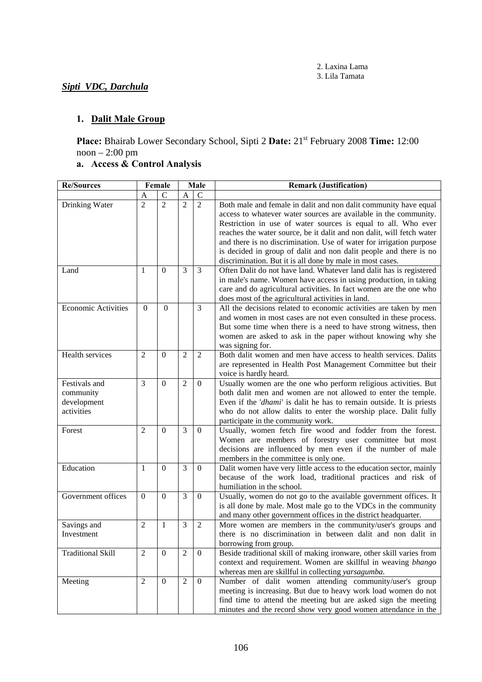# *Sipti VDC, Darchula*

# **1. Dalit Male Group**

**Place:** Bhairab Lower Secondary School, Sipti 2 **Date:** 21st February 2008 **Time:** 12:00 noon – 2:00 pm

# **a. Access & Control Analysis**

| <b>Re/Sources</b>                                       | Female              |                                  | Male                |                                  | <b>Remark (Justification)</b>                                                                                                                                                                                                                                                                                                                                                                                                                                                                                                                                  |  |  |
|---------------------------------------------------------|---------------------|----------------------------------|---------------------|----------------------------------|----------------------------------------------------------------------------------------------------------------------------------------------------------------------------------------------------------------------------------------------------------------------------------------------------------------------------------------------------------------------------------------------------------------------------------------------------------------------------------------------------------------------------------------------------------------|--|--|
|                                                         | A                   | $\mathcal{C}$                    | A                   | $\mathbf C$                      |                                                                                                                                                                                                                                                                                                                                                                                                                                                                                                                                                                |  |  |
| Drinking Water                                          | $\overline{2}$<br>1 | $\overline{2}$<br>$\overline{0}$ | $\overline{2}$<br>3 | $\overline{2}$<br>$\overline{3}$ | Both male and female in dalit and non dalit community have equal<br>access to whatever water sources are available in the community.<br>Restriction in use of water sources is equal to all. Who ever<br>reaches the water source, be it dalit and non dalit, will fetch water<br>and there is no discrimination. Use of water for irrigation purpose<br>is decided in group of dalit and non dalit people and there is no<br>discrimination. But it is all done by male in most cases.<br>Often Dalit do not have land. Whatever land dalit has is registered |  |  |
| Land                                                    |                     |                                  |                     |                                  | in male's name. Women have access in using production, in taking<br>care and do agricultural activities. In fact women are the one who<br>does most of the agricultural activities in land.                                                                                                                                                                                                                                                                                                                                                                    |  |  |
| <b>Economic Activities</b>                              | $\mathbf{0}$        | $\boldsymbol{0}$                 |                     | 3                                | All the decisions related to economic activities are taken by men<br>and women in most cases are not even consulted in these process.<br>But some time when there is a need to have strong witness, then<br>women are asked to ask in the paper without knowing why she<br>was signing for.                                                                                                                                                                                                                                                                    |  |  |
| Health services                                         | $\overline{2}$      | $\theta$                         | $\overline{2}$      | $\overline{2}$                   | Both dalit women and men have access to health services. Dalits<br>are represented in Health Post Management Committee but their<br>voice is hardly heard.                                                                                                                                                                                                                                                                                                                                                                                                     |  |  |
| Festivals and<br>community<br>development<br>activities | 3                   | $\overline{0}$                   | $\overline{2}$      | $\theta$                         | Usually women are the one who perform religious activities. But<br>both dalit men and women are not allowed to enter the temple.<br>Even if the 'dhami' is dalit he has to remain outside. It is priests<br>who do not allow dalits to enter the worship place. Dalit fully<br>participate in the community work.                                                                                                                                                                                                                                              |  |  |
| Forest                                                  | $\overline{2}$      | $\overline{0}$                   | 3                   | $\mathbf{0}$                     | Usually, women fetch fire wood and fodder from the forest.<br>Women are members of forestry user committee but most<br>decisions are influenced by men even if the number of male<br>members in the committee is only one.                                                                                                                                                                                                                                                                                                                                     |  |  |
| Education                                               | 1                   | $\Omega$                         | 3                   | $\mathbf{0}$                     | Dalit women have very little access to the education sector, mainly<br>because of the work load, traditional practices and risk of<br>humiliation in the school.                                                                                                                                                                                                                                                                                                                                                                                               |  |  |
| Government offices                                      | $\Omega$            | $\overline{0}$                   | 3                   | $\mathbf{0}$                     | Usually, women do not go to the available government offices. It<br>is all done by male. Most male go to the VDCs in the community<br>and many other government offices in the district headquarter.                                                                                                                                                                                                                                                                                                                                                           |  |  |
| Savings and<br>Investment                               | $\overline{2}$      | $\mathbf{1}$                     | 3                   | $\overline{2}$                   | More women are members in the community/user's groups and<br>there is no discrimination in between dalit and non dalit in<br>borrowing from group.                                                                                                                                                                                                                                                                                                                                                                                                             |  |  |
| <b>Traditional Skill</b>                                | $\overline{2}$      | $\boldsymbol{0}$                 | $\overline{2}$      | $\boldsymbol{0}$                 | Beside traditional skill of making ironware, other skill varies from<br>context and requirement. Women are skillful in weaving bhango<br>whereas men are skillful in collecting yarsagumba.                                                                                                                                                                                                                                                                                                                                                                    |  |  |
| Meeting                                                 | $\overline{2}$      | $\boldsymbol{0}$                 | $\overline{2}$      | $\mathbf{0}$                     | Number of dalit women attending community/user's group<br>meeting is increasing. But due to heavy work load women do not<br>find time to attend the meeting but are asked sign the meeting<br>minutes and the record show very good women attendance in the                                                                                                                                                                                                                                                                                                    |  |  |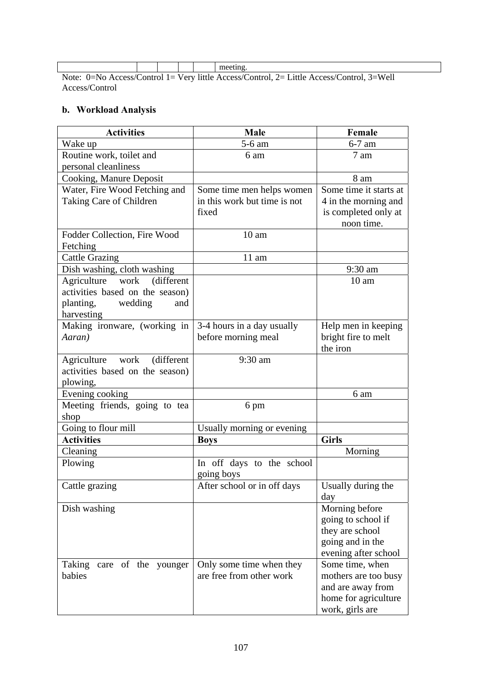|                                                                                                 |  |  |  |  | meeting. |
|-------------------------------------------------------------------------------------------------|--|--|--|--|----------|
| Note: $0=No$ Access/Control 1 = Very little Access/Control, 2 = Little Access/Control, 3 = Well |  |  |  |  |          |

Access/Control

# **b. Workload Analysis**

| <b>Activities</b>                      | Male                                              | Female                                     |
|----------------------------------------|---------------------------------------------------|--------------------------------------------|
| Wake up                                | 5-6 am                                            | $6-7$ am                                   |
| Routine work, toilet and               | 6 am                                              | 7 am                                       |
| personal cleanliness                   |                                                   |                                            |
| Cooking, Manure Deposit                |                                                   | 8 am                                       |
| Water, Fire Wood Fetching and          | Some time men helps women                         | Some time it starts at                     |
| Taking Care of Children                | in this work but time is not                      | 4 in the morning and                       |
|                                        | fixed                                             | is completed only at                       |
|                                        |                                                   | noon time.                                 |
| Fodder Collection, Fire Wood           | 10 <sub>am</sub>                                  |                                            |
| Fetching                               |                                                   |                                            |
| <b>Cattle Grazing</b>                  | $11 \text{ am}$                                   |                                            |
| Dish washing, cloth washing            |                                                   | 9:30 am                                    |
| Agriculture<br>work<br>(different)     |                                                   | 10 <sub>am</sub>                           |
| activities based on the season)        |                                                   |                                            |
| planting,<br>wedding<br>and            |                                                   |                                            |
| harvesting                             |                                                   |                                            |
| Making ironware, (working in<br>Aaran) | 3-4 hours in a day usually<br>before morning meal | Help men in keeping<br>bright fire to melt |
|                                        |                                                   | the iron                                   |
| Agriculture work<br>(different)        | 9:30 am                                           |                                            |
| activities based on the season)        |                                                   |                                            |
| plowing,                               |                                                   |                                            |
| Evening cooking                        |                                                   | 6 am                                       |
| Meeting friends, going to tea          | 6 pm                                              |                                            |
| shop                                   |                                                   |                                            |
| Going to flour mill                    | Usually morning or evening                        |                                            |
| <b>Activities</b>                      | <b>Boys</b>                                       | <b>Girls</b>                               |
| Cleaning                               |                                                   | Morning                                    |
| Plowing                                | In off days to the school                         |                                            |
|                                        | going boys                                        |                                            |
| Cattle grazing                         | After school or in off days                       | Usually during the                         |
|                                        |                                                   | day                                        |
| Dish washing                           |                                                   | Morning before                             |
|                                        |                                                   | going to school if                         |
|                                        |                                                   | they are school                            |
|                                        |                                                   | going and in the                           |
|                                        |                                                   | evening after school                       |
| Taking care of the younger             | Only some time when they                          | Some time, when                            |
| babies                                 | are free from other work                          | mothers are too busy                       |
|                                        |                                                   | and are away from<br>home for agriculture  |
|                                        |                                                   |                                            |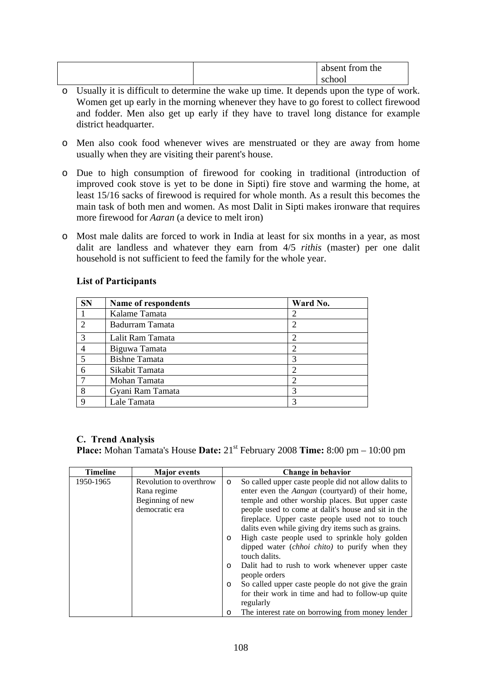|  | absent from the |
|--|-----------------|
|  | school          |

- o Usually it is difficult to determine the wake up time. It depends upon the type of work. Women get up early in the morning whenever they have to go forest to collect firewood and fodder. Men also get up early if they have to travel long distance for example district headquarter.
- o Men also cook food whenever wives are menstruated or they are away from home usually when they are visiting their parent's house.
- o Due to high consumption of firewood for cooking in traditional (introduction of improved cook stove is yet to be done in Sipti) fire stove and warming the home, at least 15/16 sacks of firewood is required for whole month. As a result this becomes the main task of both men and women. As most Dalit in Sipti makes ironware that requires more firewood for *Aaran* (a device to melt iron)
- o Most male dalits are forced to work in India at least for six months in a year, as most dalit are landless and whatever they earn from 4/5 *rithis* (master) per one dalit household is not sufficient to feed the family for the whole year.

| <b>SN</b>      | Name of respondents  | Ward No. |
|----------------|----------------------|----------|
|                | Kalame Tamata        |          |
| $\mathfrak{D}$ | Badurram Tamata      |          |
| $\mathcal{R}$  | Lalit Ram Tamata     |          |
|                | Biguwa Tamata        |          |
|                | <b>Bishne Tamata</b> |          |
| 6              | Sikabit Tamata       |          |
|                | Mohan Tamata         |          |
| 8              | Gyani Ram Tamata     | 3        |
| Q              | Lale Tamata          |          |

# **List of Participants**

# **C. Trend Analysis**

**Place:** Mohan Tamata's House **Date:** 21st February 2008 **Time:** 8:00 pm – 10:00 pm

| <b>Timeline</b> | <b>Major</b> events     |         | Change in behavior                                      |
|-----------------|-------------------------|---------|---------------------------------------------------------|
| 1950-1965       | Revolution to overthrow | $\circ$ | So called upper caste people did not allow dalits to    |
|                 | Rana regime             |         | enter even the Aangan (courtyard) of their home,        |
|                 | Beginning of new        |         | temple and other worship places. But upper caste        |
|                 | democratic era          |         | people used to come at dalit's house and sit in the     |
|                 |                         |         | fireplace. Upper caste people used not to touch         |
|                 |                         |         | dalits even while giving dry items such as grains.      |
|                 |                         | $\circ$ | High caste people used to sprinkle holy golden          |
|                 |                         |         | dipped water ( <i>chhoi chito</i> ) to purify when they |
|                 |                         |         | touch dalits.                                           |
|                 |                         | $\circ$ | Dalit had to rush to work whenever upper caste          |
|                 |                         |         | people orders                                           |
|                 |                         | $\circ$ | So called upper caste people do not give the grain      |
|                 |                         |         | for their work in time and had to follow-up quite       |
|                 |                         |         | regularly                                               |
|                 |                         |         | The interest rate on borrowing from money lender        |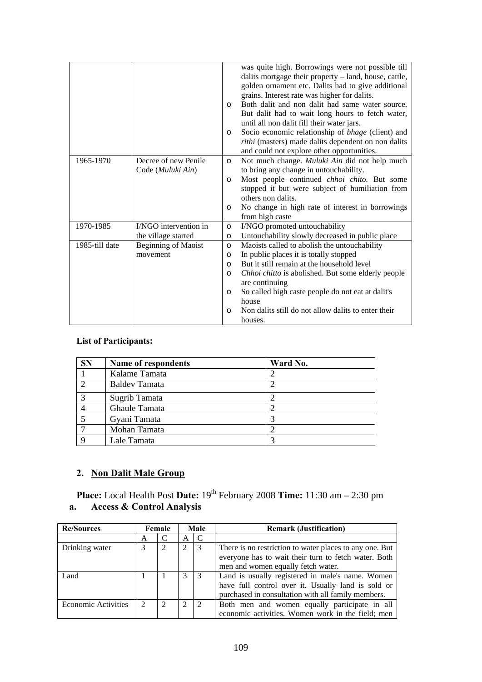|                |                            | $\circ$<br>$\circ$ | was quite high. Borrowings were not possible till<br>dalits mortgage their property - land, house, cattle,<br>golden ornament etc. Dalits had to give additional<br>grains. Interest rate was higher for dalits.<br>Both dalit and non dalit had same water source.<br>But dalit had to wait long hours to fetch water,<br>until all non dalit fill their water jars.<br>Socio economic relationship of bhage (client) and<br>rithi (masters) made dalits dependent on non dalits<br>and could not explore other opportunities. |
|----------------|----------------------------|--------------------|---------------------------------------------------------------------------------------------------------------------------------------------------------------------------------------------------------------------------------------------------------------------------------------------------------------------------------------------------------------------------------------------------------------------------------------------------------------------------------------------------------------------------------|
| 1965-1970      | Decree of new Penile       | $\circ$            | Not much change. Muluki Ain did not help much                                                                                                                                                                                                                                                                                                                                                                                                                                                                                   |
|                | Code (Muluki Ain)          |                    | to bring any change in untouchability.                                                                                                                                                                                                                                                                                                                                                                                                                                                                                          |
|                |                            | $\circ$            | Most people continued <i>chhoi chito</i> . But some                                                                                                                                                                                                                                                                                                                                                                                                                                                                             |
|                |                            |                    | stopped it but were subject of humiliation from<br>others non dalits.                                                                                                                                                                                                                                                                                                                                                                                                                                                           |
|                |                            | $\circ$            | No change in high rate of interest in borrowings                                                                                                                                                                                                                                                                                                                                                                                                                                                                                |
|                |                            |                    | from high caste                                                                                                                                                                                                                                                                                                                                                                                                                                                                                                                 |
| 1970-1985      | I/NGO intervention in      | $\circ$            | I/NGO promoted untouchability                                                                                                                                                                                                                                                                                                                                                                                                                                                                                                   |
|                | the village started        | $\circ$            | Untouchability slowly decreased in public place                                                                                                                                                                                                                                                                                                                                                                                                                                                                                 |
| 1985-till date | <b>Beginning of Maoist</b> | $\circ$            | Maoists called to abolish the untouchability                                                                                                                                                                                                                                                                                                                                                                                                                                                                                    |
|                | movement                   | $\circ$            | In public places it is totally stopped                                                                                                                                                                                                                                                                                                                                                                                                                                                                                          |
|                |                            | $\circ$            | But it still remain at the household level                                                                                                                                                                                                                                                                                                                                                                                                                                                                                      |
|                |                            | $\circ$            | Chhoi chitto is abolished. But some elderly people                                                                                                                                                                                                                                                                                                                                                                                                                                                                              |
|                |                            |                    | are continuing                                                                                                                                                                                                                                                                                                                                                                                                                                                                                                                  |
|                |                            | $\circ$            | So called high caste people do not eat at dalit's                                                                                                                                                                                                                                                                                                                                                                                                                                                                               |
|                |                            |                    | house                                                                                                                                                                                                                                                                                                                                                                                                                                                                                                                           |
|                |                            | $\circ$            | Non dalits still do not allow dalits to enter their                                                                                                                                                                                                                                                                                                                                                                                                                                                                             |
|                |                            |                    | houses.                                                                                                                                                                                                                                                                                                                                                                                                                                                                                                                         |

# **List of Participants:**

| <b>SN</b> | Name of respondents  | Ward No. |  |
|-----------|----------------------|----------|--|
|           | Kalame Tamata        |          |  |
|           | <b>Baldev Tamata</b> |          |  |
|           | Sugrib Tamata        |          |  |
|           | Ghaule Tamata        |          |  |
|           | Gyani Tamata         |          |  |
|           | Mohan Tamata         |          |  |
|           | Lale Tamata          |          |  |

# **2. Non Dalit Male Group**

**Place:** Local Health Post Date:  $19<sup>th</sup>$  February 2008 Time:  $11:30$  am  $- 2:30$  pm **a. Access & Control Analysis** 

| <b>Re/Sources</b>          |   | Male<br>Female |   |                             | <b>Remark (Justification)</b>                           |
|----------------------------|---|----------------|---|-----------------------------|---------------------------------------------------------|
|                            | A |                | A | C                           |                                                         |
| Drinking water             |   |                | 2 | 3                           | There is no restriction to water places to any one. But |
|                            |   |                |   |                             | everyone has to wait their turn to fetch water. Both    |
|                            |   |                |   |                             | men and women equally fetch water.                      |
| Land                       |   |                | 3 | 3                           | Land is usually registered in male's name. Women        |
|                            |   |                |   |                             | have full control over it. Usually land is sold or      |
|                            |   |                |   |                             | purchased in consultation with all family members.      |
| <b>Economic Activities</b> |   | 2              | 2 | $\mathcal{D}_{\mathcal{L}}$ | Both men and women equally participate in all           |
|                            |   |                |   |                             | economic activities. Women work in the field; men       |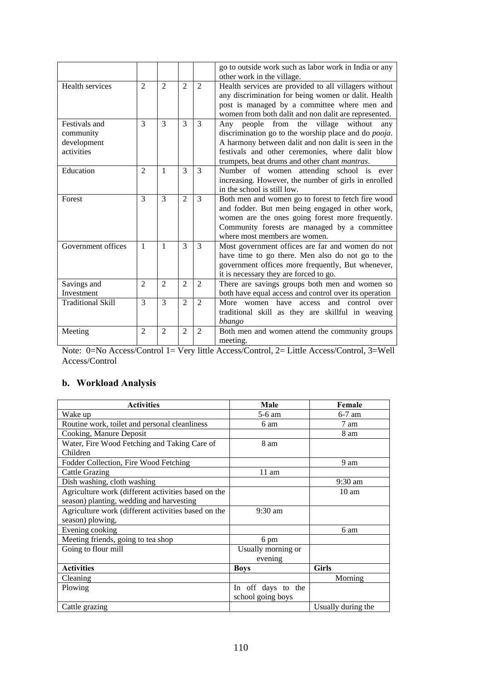|                                                         |                             |                |                |                | go to outside work such as labor work in India or any<br>other work in the village.                                                                                                                                                                                        |
|---------------------------------------------------------|-----------------------------|----------------|----------------|----------------|----------------------------------------------------------------------------------------------------------------------------------------------------------------------------------------------------------------------------------------------------------------------------|
| Health services                                         | $\mathfrak{D}$              | $\mathfrak{D}$ | $\mathfrak{D}$ | $\overline{2}$ | Health services are provided to all villagers without<br>any discrimination for being women or dalit. Health<br>post is managed by a committee where men and<br>women from both dalit and non dalit are represented.                                                       |
| Festivals and<br>community<br>development<br>activities | 3                           | 3              | 3              | 3              | people from the village without<br>Any<br>any<br>discrimination go to the worship place and do <i>pooja</i> .<br>A harmony between dalit and non dalit is seen in the<br>festivals and other ceremonies, where dalit blow<br>trumpets, beat drums and other chant mantras. |
| Education                                               | $\mathcal{D}_{\mathcal{L}}$ | $\mathbf{1}$   | 3              | 3              | Number of women attending school is<br>ever<br>increasing. However, the number of girls in enrolled<br>in the school is still low.                                                                                                                                         |
| Forest                                                  | 3                           | 3              | $\overline{2}$ | 3              | Both men and women go to forest to fetch fire wood<br>and fodder. But men being engaged in other work,<br>women are the ones going forest more frequently.<br>Community forests are managed by a committee<br>where most members are women.                                |
| Government offices                                      | 1                           | $\mathbf{1}$   | 3              | 3              | Most government offices are far and women do not<br>have time to go there. Men also do not go to the<br>government offices more frequently, But whenever,<br>it is necessary they are forced to go.                                                                        |
| Savings and<br>Investment                               | $\mathfrak{D}$              | $\mathfrak{D}$ | $\overline{2}$ | $\overline{2}$ | There are savings groups both men and women so<br>both have equal access and control over its operation                                                                                                                                                                    |
| <b>Traditional Skill</b>                                | 3                           | 3              | $\overline{2}$ | $\overline{2}$ | More women have access and control over<br>traditional skill as they are skillful in weaving<br>bhango                                                                                                                                                                     |
| Meeting                                                 | $\overline{2}$              | $\mathfrak{D}$ | $\overline{2}$ | 2              | Both men and women attend the community groups<br>meeting.                                                                                                                                                                                                                 |

Note: 0=No Access/Control 1= Very little Access/Control, 2= Little Access/Control, 3=Well Access/Control

# **b. Workload Analysis**

| <b>Activities</b>                                   | Male               | Female             |
|-----------------------------------------------------|--------------------|--------------------|
| Wake up                                             | 5-6 am             | $6-7$ am           |
| Routine work, toilet and personal cleanliness       | 6 am               | 7 am               |
| Cooking, Manure Deposit                             |                    | 8 am               |
| Water, Fire Wood Fetching and Taking Care of        | 8 am               |                    |
| Children                                            |                    |                    |
| Fodder Collection, Fire Wood Fetching               |                    | 9 am               |
| <b>Cattle Grazing</b>                               | 11 am              |                    |
| Dish washing, cloth washing                         |                    | $9:30$ am          |
| Agriculture work (different activities based on the |                    | $10 \text{ am}$    |
| season) planting, wedding and harvesting            |                    |                    |
| Agriculture work (different activities based on the | $9:30$ am          |                    |
| season) plowing,                                    |                    |                    |
| Evening cooking                                     |                    | 6 am               |
| Meeting friends, going to tea shop                  | 6 pm               |                    |
| Going to flour mill                                 | Usually morning or |                    |
|                                                     | evening            |                    |
| <b>Activities</b>                                   | <b>Boys</b>        | <b>Girls</b>       |
| Cleaning                                            |                    | Morning            |
| Plowing                                             | In off days to the |                    |
|                                                     | school going boys  |                    |
| Cattle grazing                                      |                    | Usually during the |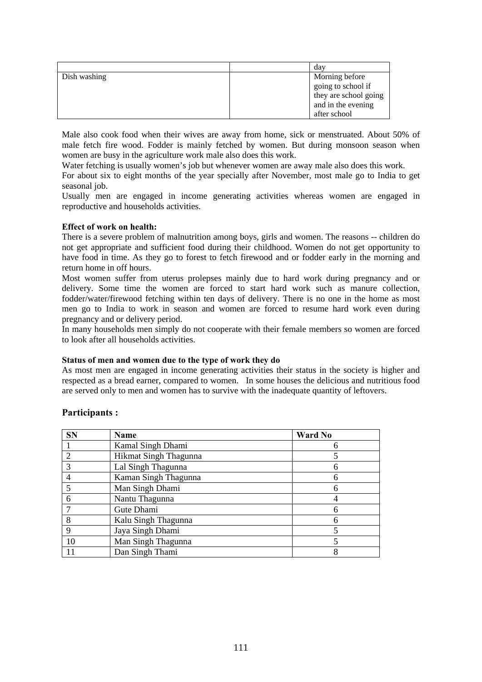|              | day                   |
|--------------|-----------------------|
| Dish washing | Morning before        |
|              | going to school if    |
|              | they are school going |
|              | and in the evening    |
|              | after school          |

Male also cook food when their wives are away from home, sick or menstruated. About 50% of male fetch fire wood. Fodder is mainly fetched by women. But during monsoon season when women are busy in the agriculture work male also does this work.

Water fetching is usually women's job but whenever women are away male also does this work.

For about six to eight months of the year specially after November, most male go to India to get seasonal job.

Usually men are engaged in income generating activities whereas women are engaged in reproductive and households activities.

# **Effect of work on health:**

There is a severe problem of malnutrition among boys, girls and women. The reasons -- children do not get appropriate and sufficient food during their childhood. Women do not get opportunity to have food in time. As they go to forest to fetch firewood and or fodder early in the morning and return home in off hours.

Most women suffer from uterus prolepses mainly due to hard work during pregnancy and or delivery. Some time the women are forced to start hard work such as manure collection, fodder/water/firewood fetching within ten days of delivery. There is no one in the home as most men go to India to work in season and women are forced to resume hard work even during pregnancy and or delivery period.

In many households men simply do not cooperate with their female members so women are forced to look after all households activities.

# **Status of men and women due to the type of work they do**

As most men are engaged in income generating activities their status in the society is higher and respected as a bread earner, compared to women. In some houses the delicious and nutritious food are served only to men and women has to survive with the inadequate quantity of leftovers.

# **Participants :**

| <b>SN</b>                   | Name                  | <b>Ward No</b> |
|-----------------------------|-----------------------|----------------|
|                             | Kamal Singh Dhami     | h              |
| $\mathcal{D}_{\mathcal{A}}$ | Hikmat Singh Thagunna |                |
| $\mathcal{R}$               | Lal Singh Thagunna    | 6              |
|                             | Kaman Singh Thagunna  | 6              |
|                             | Man Singh Dhami       | 6              |
| 6                           | Nantu Thagunna        |                |
|                             | Gute Dhami            | 6              |
| 8                           | Kalu Singh Thagunna   | 6              |
| 9                           | Jaya Singh Dhami      |                |
| 10                          | Man Singh Thagunna    |                |
| 11                          | Dan Singh Thami       | 8              |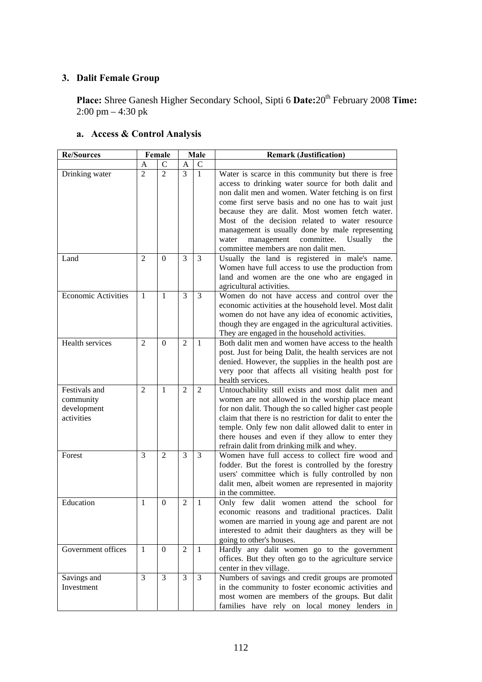# **3. Dalit Female Group**

Place: Shree Ganesh Higher Secondary School, Sipti 6 Date: 20<sup>th</sup> February 2008 Time:  $2:00 \text{ pm} - 4:30 \text{ pk}$ 

#### **Re/Sources** Female Male Remark (Justification)  $A \mid C \mid A \mid C$ Drinking water  $\begin{pmatrix} 2 & 2 & 3 & 1 \\ 2 & 2 & 3 & 1 \end{pmatrix}$  Water is scarce in this community but there is free access to drinking water source for both dalit and non dalit men and women. Water fetching is on first come first serve basis and no one has to wait just because they are dalit. Most women fetch water. Most of the decision related to water resource management is usually done by male representing water management committee. Usually the committee members are non dalit men. Land 2 0 3 3 Usually the land is registered in male's name. Women have full access to use the production from land and women are the one who are engaged in agricultural activities. Economic Activities 1 1 3 3 Women do not have access and control over the economic activities at the household level. Most dalit women do not have any idea of economic activities, though they are engaged in the agricultural activities. They are engaged in the household activities. Health services 2 0 2 1 Both dalit men and women have access to the health post. Just for being Dalit, the health services are not denied. However, the supplies in the health post are very poor that affects all visiting health post for health services. Festivals and community development activities 2 1 2 2 Untouchability still exists and most dalit men and women are not allowed in the worship place meant for non dalit. Though the so called higher cast people claim that there is no restriction for dalit to enter the temple. Only few non dalit allowed dalit to enter in there houses and even if they allow to enter they refrain dalit from drinking milk and whey. Forest 3 3 3 3 Women have full access to collect fire wood and fodder. But the forest is controlled by the forestry users' committee which is fully controlled by non dalit men, albeit women are represented in majority in the committee. Education 1 0 2 1 Only few dalit women attend the school for economic reasons and traditional practices. Dalit women are married in young age and parent are not interested to admit their daughters as they will be going to other's houses. Government offices 1 0 2 1 Hardly any dalit women go to the government offices. But they often go to the agriculture service center in thev village. Savings and Investment 3 3 3 3 Numbers of savings and credit groups are promoted in the community to foster economic activities and most women are members of the groups. But dalit

# **a. Access & Control Analysis**

families have rely on local money lenders in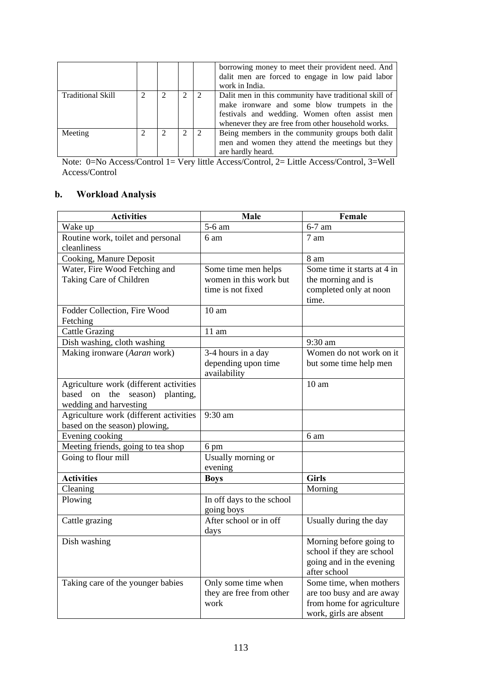|                          |  |   |               | borrowing money to meet their provident need. And<br>dalit men are forced to engage in low paid labor<br>work in India.                                                                                     |
|--------------------------|--|---|---------------|-------------------------------------------------------------------------------------------------------------------------------------------------------------------------------------------------------------|
| <b>Traditional Skill</b> |  | າ | 2             | Dalit men in this community have traditional skill of<br>make ironware and some blow trumpets in the<br>festivals and wedding. Women often assist men<br>whenever they are free from other household works. |
| Meeting                  |  |   | $\mathcal{D}$ | Being members in the community groups both dalit<br>men and women they attend the meetings but they<br>are hardly heard.                                                                                    |

Note: 0=No Access/Control 1= Very little Access/Control, 2= Little Access/Control, 3=Well Access/Control

# **b. Workload Analysis**

| <b>Activities</b>                                                                                        | Male                                                               | Female                                                                                                      |
|----------------------------------------------------------------------------------------------------------|--------------------------------------------------------------------|-------------------------------------------------------------------------------------------------------------|
| Wake up                                                                                                  | 5-6 am                                                             | $6-7$ am                                                                                                    |
| Routine work, toilet and personal<br>cleanliness                                                         | 6 am                                                               | 7 am                                                                                                        |
| Cooking, Manure Deposit                                                                                  |                                                                    | 8 am                                                                                                        |
| Water, Fire Wood Fetching and<br>Taking Care of Children                                                 | Some time men helps<br>women in this work but<br>time is not fixed | Some time it starts at 4 in<br>the morning and is<br>completed only at noon<br>time.                        |
| Fodder Collection, Fire Wood<br>Fetching                                                                 | 10 <sub>am</sub>                                                   |                                                                                                             |
| <b>Cattle Grazing</b>                                                                                    | $11$ am                                                            |                                                                                                             |
| Dish washing, cloth washing                                                                              |                                                                    | 9:30 am                                                                                                     |
| Making ironware (Aaran work)                                                                             | 3-4 hours in a day<br>depending upon time<br>availability          | Women do not work on it<br>but some time help men                                                           |
| Agriculture work (different activities<br>based on<br>the<br>season) planting,<br>wedding and harvesting |                                                                    | 10 <sub>am</sub>                                                                                            |
| Agriculture work (different activities<br>based on the season) plowing,                                  | 9:30 am                                                            |                                                                                                             |
| Evening cooking                                                                                          |                                                                    | 6 am                                                                                                        |
| Meeting friends, going to tea shop                                                                       | 6 pm                                                               |                                                                                                             |
| Going to flour mill                                                                                      | Usually morning or<br>evening                                      |                                                                                                             |
| <b>Activities</b>                                                                                        | <b>Boys</b>                                                        | <b>Girls</b>                                                                                                |
| Cleaning                                                                                                 |                                                                    | Morning                                                                                                     |
| Plowing                                                                                                  | In off days to the school<br>going boys                            |                                                                                                             |
| Cattle grazing                                                                                           | After school or in off<br>days                                     | Usually during the day                                                                                      |
| Dish washing                                                                                             |                                                                    | Morning before going to<br>school if they are school<br>going and in the evening<br>after school            |
| Taking care of the younger babies                                                                        | Only some time when<br>they are free from other<br>work            | Some time, when mothers<br>are too busy and are away<br>from home for agriculture<br>work, girls are absent |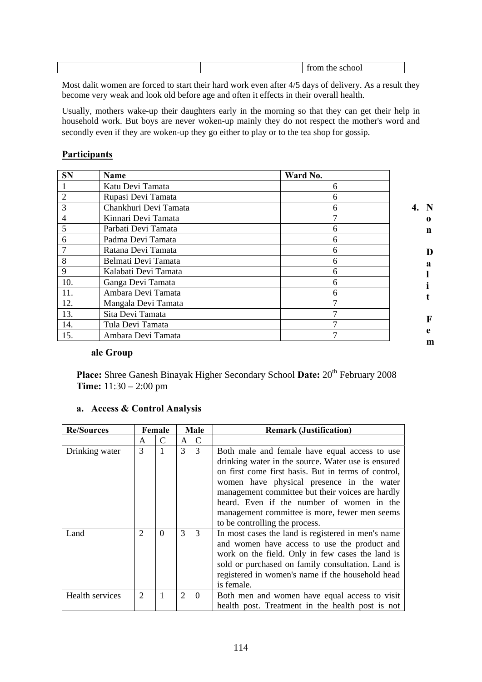| vvi<br><br>. . |
|----------------|
|----------------|

Most dalit women are forced to start their hard work even after 4/5 days of delivery. As a result they become very weak and look old before age and often it effects in their overall health.

Usually, mothers wake-up their daughters early in the morning so that they can get their help in household work. But boys are never woken-up mainly they do not respect the mother's word and secondly even if they are woken-up they go either to play or to the tea shop for gossip.

# **Participants**

| <b>SN</b>      | Name                  | Ward No. |             |
|----------------|-----------------------|----------|-------------|
|                | Katu Devi Tamata      | 6        |             |
| $\overline{2}$ | Rupasi Devi Tamata    | 6        |             |
| 3              | Chankhuri Devi Tamata | 6        | 4.<br>-N    |
| 4              | Kinnari Devi Tamata   |          | $\mathbf 0$ |
| 5              | Parbati Devi Tamata   | 6        | n           |
| 6              | Padma Devi Tamata     | 6        |             |
| 7              | Ratana Devi Tamata    | 6        | D           |
| 8              | Belmati Devi Tamata   | 6        | a           |
| 9              | Kalabati Devi Tamata  | 6        |             |
| 10.            | Ganga Devi Tamata     | 6        |             |
| 11.            | Ambara Devi Tamata    | 6        |             |
| 12.            | Mangala Devi Tamata   |          |             |
| 13.            | Sita Devi Tamata      |          |             |
| 14.            | Tula Devi Tamata      |          | F           |
| 15.            | Ambara Devi Tamata    |          | e<br>m      |

# **ale Group**

Place: Shree Ganesh Binayak Higher Secondary School Date: 20<sup>th</sup> February 2008 **Time:** 11:30 – 2:00 pm

# **a. Access & Control Analysis**

| <b>Re/Sources</b> |                | Female   |                | Male<br><b>Remark (Justification)</b> |                                                                                                                                                                                                                                                                                                                                                                                             |
|-------------------|----------------|----------|----------------|---------------------------------------|---------------------------------------------------------------------------------------------------------------------------------------------------------------------------------------------------------------------------------------------------------------------------------------------------------------------------------------------------------------------------------------------|
|                   | A              | C        | A              | $\mathcal{C}$                         |                                                                                                                                                                                                                                                                                                                                                                                             |
| Drinking water    | 3              |          | 3              | 3                                     | Both male and female have equal access to use<br>drinking water in the source. Water use is ensured<br>on first come first basis. But in terms of control,<br>women have physical presence in the water<br>management committee but their voices are hardly<br>heard. Even if the number of women in the<br>management committee is more, fewer men seems<br>to be controlling the process. |
| Land              | $\overline{2}$ | $\Omega$ | 3              | 3                                     | In most cases the land is registered in men's name<br>and women have access to use the product and<br>work on the field. Only in few cases the land is<br>sold or purchased on family consultation. Land is<br>registered in women's name if the household head<br>is female.                                                                                                               |
| Health services   | $\overline{2}$ |          | $\overline{2}$ | $\theta$                              | Both men and women have equal access to visit<br>health post. Treatment in the health post is not                                                                                                                                                                                                                                                                                           |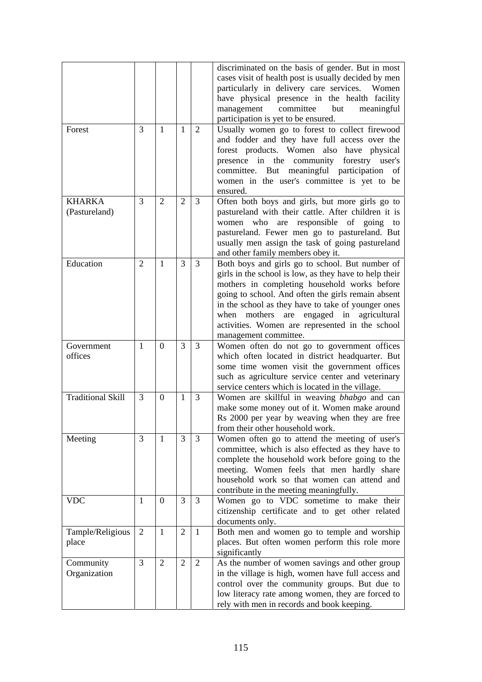|                                |                |                |                |                | discriminated on the basis of gender. But in most<br>cases visit of health post is usually decided by men<br>particularly in delivery care services. Women<br>have physical presence in the health facility<br>committee<br>management<br>but<br>meaningful<br>participation is yet to be ensured.                                                                                                     |
|--------------------------------|----------------|----------------|----------------|----------------|--------------------------------------------------------------------------------------------------------------------------------------------------------------------------------------------------------------------------------------------------------------------------------------------------------------------------------------------------------------------------------------------------------|
| Forest                         | 3              | 1              | 1              | 2              | Usually women go to forest to collect firewood<br>and fodder and they have full access over the<br>forest products. Women also have physical<br>presence in the community forestry user's<br>committee. But meaningful participation of<br>women in the user's committee is yet to be<br>ensured.                                                                                                      |
| <b>KHARKA</b><br>(Pastureland) | 3              | $\overline{2}$ | $\overline{2}$ | $\overline{3}$ | Often both boys and girls, but more girls go to<br>pastureland with their cattle. After children it is<br>responsible of going<br>who<br>are<br>women<br>to<br>pastureland. Fewer men go to pastureland. But<br>usually men assign the task of going pastureland<br>and other family members obey it.                                                                                                  |
| Education                      | $\overline{2}$ | $\mathbf{1}$   | 3              | $\overline{3}$ | Both boys and girls go to school. But number of<br>girls in the school is low, as they have to help their<br>mothers in completing household works before<br>going to school. And often the girls remain absent<br>in the school as they have to take of younger ones<br>mothers<br>engaged in agricultural<br>when<br>are<br>activities. Women are represented in the school<br>management committee. |
| Government<br>offices          | 1              | $\overline{0}$ | 3              | 3              | Women often do not go to government offices<br>which often located in district headquarter. But<br>some time women visit the government offices<br>such as agriculture service center and veterinary<br>service centers which is located in the village.                                                                                                                                               |
| <b>Traditional Skill</b>       | 3              | $\theta$       | 1              | 3              | Women are skillful in weaving <i>bhabgo</i> and can<br>make some money out of it. Women make around<br>Rs 2000 per year by weaving when they are free<br>from their other household work.                                                                                                                                                                                                              |
| Meeting                        | 3              | $\mathbf{1}$   | 3              | 3              | Women often go to attend the meeting of user's<br>committee, which is also effected as they have to<br>complete the household work before going to the<br>meeting. Women feels that men hardly share<br>household work so that women can attend and<br>contribute in the meeting meaningfully.                                                                                                         |
| <b>VDC</b>                     | 1              | $\overline{0}$ | 3              | 3              | Women go to VDC sometime to make their<br>citizenship certificate and to get other related<br>documents only.                                                                                                                                                                                                                                                                                          |
| Tample/Religious<br>place      | $\overline{2}$ | $\mathbf{1}$   | $\mathbf{2}$   | $\mathbf{1}$   | Both men and women go to temple and worship<br>places. But often women perform this role more<br>significantly                                                                                                                                                                                                                                                                                         |
| Community<br>Organization      | 3              | $\overline{2}$ | $\overline{2}$ | $\overline{2}$ | As the number of women savings and other group<br>in the village is high, women have full access and<br>control over the community groups. But due to<br>low literacy rate among women, they are forced to<br>rely with men in records and book keeping.                                                                                                                                               |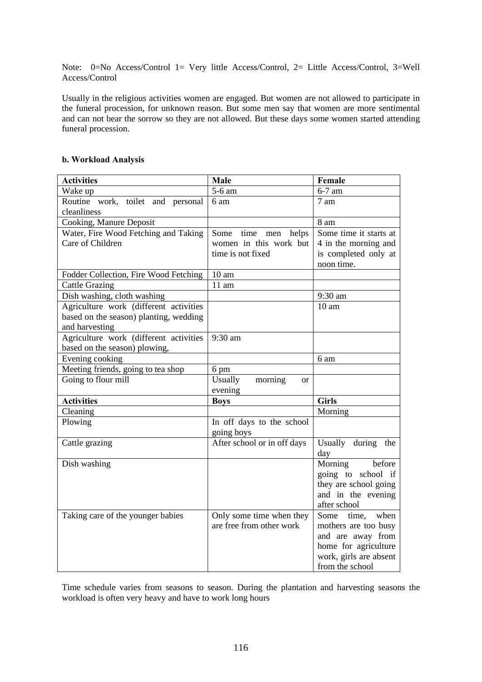Note: 0=No Access/Control 1= Very little Access/Control, 2= Little Access/Control, 3=Well Access/Control

Usually in the religious activities women are engaged. But women are not allowed to participate in the funeral procession, for unknown reason. But some men say that women are more sentimental and can not bear the sorrow so they are not allowed. But these days some women started attending funeral procession.

# **b. Workload Analysis**

| <b>Activities</b>                      | Male                            | Female                 |
|----------------------------------------|---------------------------------|------------------------|
| Wake up                                | 5-6 am                          | 6-7 am                 |
| Routine work, toilet and personal      | 6 am                            | 7 am                   |
| cleanliness                            |                                 |                        |
| Cooking, Manure Deposit                |                                 | 8 am                   |
| Water, Fire Wood Fetching and Taking   | helps<br>Some time men          | Some time it starts at |
| Care of Children                       | women in this work but          | 4 in the morning and   |
|                                        | time is not fixed               | is completed only at   |
|                                        |                                 | noon time.             |
| Fodder Collection, Fire Wood Fetching  | 10 <sub>am</sub>                |                        |
| <b>Cattle Grazing</b>                  | $11$ am                         |                        |
| Dish washing, cloth washing            |                                 | 9:30 am                |
| Agriculture work (different activities |                                 | 10 <sub>am</sub>       |
| based on the season) planting, wedding |                                 |                        |
| and harvesting                         |                                 |                        |
| Agriculture work (different activities | 9:30 am                         |                        |
| based on the season) plowing,          |                                 |                        |
| Evening cooking                        |                                 | 6 am                   |
| Meeting friends, going to tea shop     | 6 pm                            |                        |
| Going to flour mill                    | Usually<br>morning<br><b>or</b> |                        |
| <b>Activities</b>                      | evening<br><b>Boys</b>          | <b>Girls</b>           |
| Cleaning                               |                                 | Morning                |
| Plowing                                | In off days to the school       |                        |
|                                        | going boys                      |                        |
| Cattle grazing                         | After school or in off days     | Usually during the     |
|                                        |                                 | day                    |
| Dish washing                           |                                 | Morning<br>before      |
|                                        |                                 | going to school if     |
|                                        |                                 | they are school going  |
|                                        |                                 | and in the evening     |
|                                        |                                 | after school           |
| Taking care of the younger babies      | Only some time when they        | when<br>Some<br>time,  |
|                                        | are free from other work        | mothers are too busy   |
|                                        |                                 | and are away from      |
|                                        |                                 | home for agriculture   |
|                                        |                                 | work, girls are absent |
|                                        |                                 | from the school        |

Time schedule varies from seasons to season. During the plantation and harvesting seasons the workload is often very heavy and have to work long hours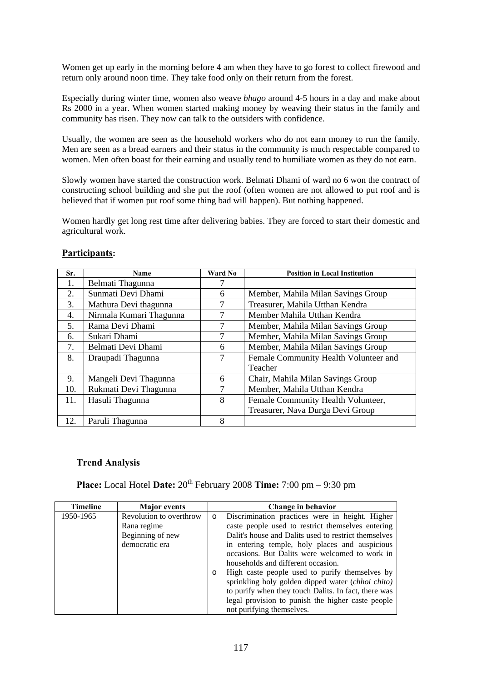Women get up early in the morning before 4 am when they have to go forest to collect firewood and return only around noon time. They take food only on their return from the forest.

Especially during winter time, women also weave *bhago* around 4-5 hours in a day and make about Rs 2000 in a year. When women started making money by weaving their status in the family and community has risen. They now can talk to the outsiders with confidence.

Usually, the women are seen as the household workers who do not earn money to run the family. Men are seen as a bread earners and their status in the community is much respectable compared to women. Men often boast for their earning and usually tend to humiliate women as they do not earn.

Slowly women have started the construction work. Belmati Dhami of ward no 6 won the contract of constructing school building and she put the roof (often women are not allowed to put roof and is believed that if women put roof some thing bad will happen). But nothing happened.

Women hardly get long rest time after delivering babies. They are forced to start their domestic and agricultural work.

| Sr. | <b>Name</b>             | Ward No | <b>Position in Local Institution</b>  |
|-----|-------------------------|---------|---------------------------------------|
| 1.  | Belmati Thagunna        |         |                                       |
| 2.  | Sunmati Devi Dhami      | 6       | Member, Mahila Milan Savings Group    |
| 3.  | Mathura Devi thagunna   | 7       | Treasurer, Mahila Utthan Kendra       |
| 4.  | Nirmala Kumari Thagunna | 7       | Member Mahila Utthan Kendra           |
| 5.  | Rama Devi Dhami         | 7       | Member, Mahila Milan Savings Group    |
| 6.  | Sukari Dhami            | 7       | Member, Mahila Milan Savings Group    |
| 7.  | Belmati Devi Dhami      | 6       | Member, Mahila Milan Savings Group    |
| 8.  | Draupadi Thagunna       | 7       | Female Community Health Volunteer and |
|     |                         |         | Teacher                               |
| 9.  | Mangeli Devi Thagunna   | 6       | Chair, Mahila Milan Savings Group     |
| 10. | Rukmati Devi Thagunna   | 7       | Member, Mahila Utthan Kendra          |
| 11. | Hasuli Thagunna         | 8       | Female Community Health Volunteer,    |
|     |                         |         | Treasurer, Nava Durga Devi Group      |
| 12. | Paruli Thagunna         | 8       |                                       |

# **Participants:**

# **Trend Analysis**

**Place:** Local Hotel **Date:**  $20^{th}$  February 2008 **Time:** 7:00 pm – 9:30 pm

| <b>Timeline</b> | <b>Major</b> events     |                                                            | Change in behavior                                   |
|-----------------|-------------------------|------------------------------------------------------------|------------------------------------------------------|
| 1950-1965       | Revolution to overthrow | $\circ$                                                    | Discrimination practices were in height. Higher      |
|                 | Rana regime             |                                                            | caste people used to restrict themselves entering    |
|                 | Beginning of new        |                                                            | Dalit's house and Dalits used to restrict themselves |
|                 | democratic era          |                                                            | in entering temple, holy places and auspicious       |
|                 |                         | occasions. But Dalits were welcomed to work in             |                                                      |
|                 |                         | households and different occasion.                         |                                                      |
|                 |                         | High caste people used to purify themselves by<br>$\Omega$ |                                                      |
|                 |                         |                                                            | sprinkling holy golden dipped water (chhoi chito)    |
|                 |                         |                                                            | to purify when they touch Dalits. In fact, there was |
|                 |                         | legal provision to punish the higher caste people          |                                                      |
|                 |                         |                                                            | not purifying themselves.                            |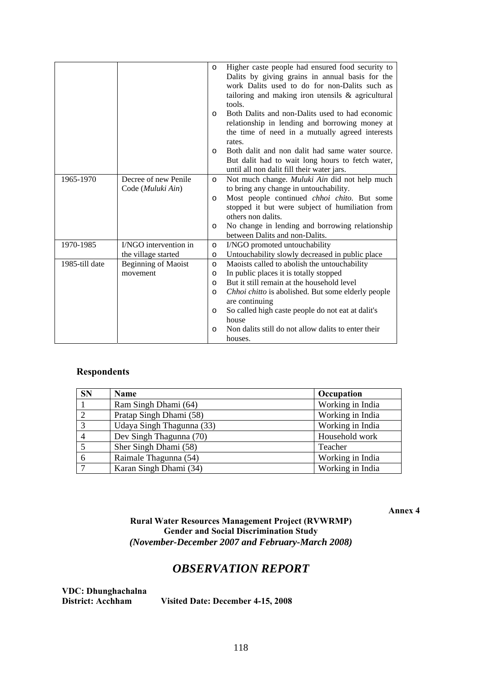|                |                            | $\circ$  | Higher caste people had ensured food security to    |
|----------------|----------------------------|----------|-----------------------------------------------------|
|                |                            |          | Dalits by giving grains in annual basis for the     |
|                |                            |          | work Dalits used to do for non-Dalits such as       |
|                |                            |          | tailoring and making iron utensils & agricultural   |
|                |                            |          | tools.                                              |
|                |                            | $\Omega$ | Both Dalits and non-Dalits used to had economic     |
|                |                            |          | relationship in lending and borrowing money at      |
|                |                            |          | the time of need in a mutually agreed interests     |
|                |                            |          | rates.                                              |
|                |                            | $\circ$  | Both dalit and non dalit had same water source.     |
|                |                            |          | But dalit had to wait long hours to fetch water,    |
|                |                            |          | until all non dalit fill their water jars.          |
| 1965-1970      | Decree of new Penile       | $\circ$  | Not much change. Muluki Ain did not help much       |
|                | Code (Muluki Ain)          |          | to bring any change in untouchability.              |
|                |                            | O        | Most people continued <i>chhoi chito</i> . But some |
|                |                            |          | stopped it but were subject of humiliation from     |
|                |                            |          | others non dalits.                                  |
|                |                            | O        | No change in lending and borrowing relationship     |
|                |                            |          | between Dalits and non-Dalits.                      |
| 1970-1985      | I/NGO intervention in      | $\circ$  | I/NGO promoted untouchability                       |
|                | the village started        | O        | Untouchability slowly decreased in public place     |
| 1985-till date | <b>Beginning of Maoist</b> | O        | Maoists called to abolish the untouchability        |
|                | movement                   | O        | In public places it is totally stopped              |
|                |                            | O        | But it still remain at the household level          |
|                |                            | O        | Chhoi chitto is abolished. But some elderly people  |
|                |                            |          | are continuing                                      |
|                |                            | O        | So called high caste people do not eat at dalit's   |
|                |                            |          | house                                               |
|                |                            | O        | Non dalits still do not allow dalits to enter their |
|                |                            |          | houses.                                             |

# **Respondents**

| <b>SN</b>      | Name                      | Occupation       |
|----------------|---------------------------|------------------|
|                | Ram Singh Dhami (64)      | Working in India |
|                | Pratap Singh Dhami (58)   | Working in India |
| $\mathbf{c}$   | Udaya Singh Thagunna (33) | Working in India |
| $\overline{4}$ | Dev Singh Thagunna (70)   | Household work   |
| 5              | Sher Singh Dhami (58)     | Teacher          |
| 6              | Raimale Thagunna (54)     | Working in India |
| $\mathbf{r}$   | Karan Singh Dhami (34)    | Working in India |

**Annex 4** 

# **Rural Water Resources Management Project (RVWRMP) Gender and Social Discrimination Study**  *(November-December 2007 and February-March 2008)*

# *OBSERVATION REPORT*

**VDC: Dhunghachalna** 

Visited Date: December 4-15, 2008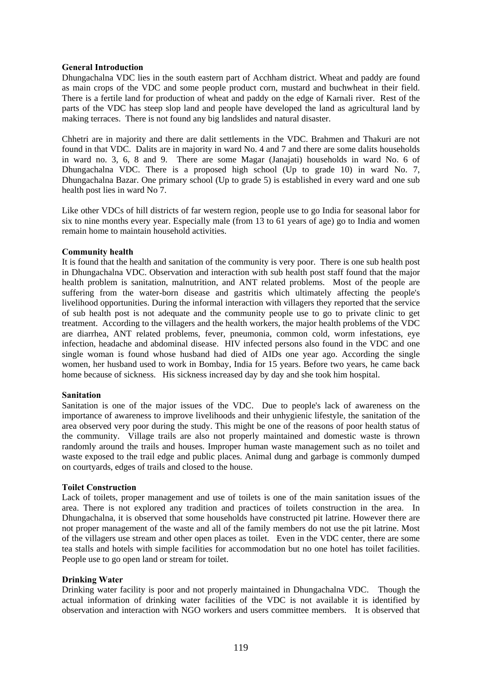### **General Introduction**

Dhungachalna VDC lies in the south eastern part of Acchham district. Wheat and paddy are found as main crops of the VDC and some people product corn, mustard and buchwheat in their field. There is a fertile land for production of wheat and paddy on the edge of Karnali river. Rest of the parts of the VDC has steep slop land and people have developed the land as agricultural land by making terraces. There is not found any big landslides and natural disaster.

Chhetri are in majority and there are dalit settlements in the VDC. Brahmen and Thakuri are not found in that VDC. Dalits are in majority in ward No. 4 and 7 and there are some dalits households in ward no. 3, 6, 8 and 9. There are some Magar (Janajati) households in ward No. 6 of Dhungachalna VDC. There is a proposed high school (Up to grade 10) in ward No. 7, Dhungachalna Bazar. One primary school (Up to grade 5) is established in every ward and one sub health post lies in ward No 7.

Like other VDCs of hill districts of far western region, people use to go India for seasonal labor for six to nine months every year. Especially male (from 13 to 61 years of age) go to India and women remain home to maintain household activities.

#### **Community health**

It is found that the health and sanitation of the community is very poor. There is one sub health post in Dhungachalna VDC. Observation and interaction with sub health post staff found that the major health problem is sanitation, malnutrition, and ANT related problems. Most of the people are suffering from the water-born disease and gastritis which ultimately affecting the people's livelihood opportunities. During the informal interaction with villagers they reported that the service of sub health post is not adequate and the community people use to go to private clinic to get treatment. According to the villagers and the health workers, the major health problems of the VDC are diarrhea, ANT related problems, fever, pneumonia, common cold, worm infestations, eye infection, headache and abdominal disease. HIV infected persons also found in the VDC and one single woman is found whose husband had died of AIDs one year ago. According the single women, her husband used to work in Bombay, India for 15 years. Before two years, he came back home because of sickness. His sickness increased day by day and she took him hospital.

#### **Sanitation**

Sanitation is one of the major issues of the VDC. Due to people's lack of awareness on the importance of awareness to improve livelihoods and their unhygienic lifestyle, the sanitation of the area observed very poor during the study. This might be one of the reasons of poor health status of the community. Village trails are also not properly maintained and domestic waste is thrown randomly around the trails and houses. Improper human waste management such as no toilet and waste exposed to the trail edge and public places. Animal dung and garbage is commonly dumped on courtyards, edges of trails and closed to the house.

#### **Toilet Construction**

Lack of toilets, proper management and use of toilets is one of the main sanitation issues of the area. There is not explored any tradition and practices of toilets construction in the area. In Dhungachalna, it is observed that some households have constructed pit latrine. However there are not proper management of the waste and all of the family members do not use the pit latrine. Most of the villagers use stream and other open places as toilet. Even in the VDC center, there are some tea stalls and hotels with simple facilities for accommodation but no one hotel has toilet facilities. People use to go open land or stream for toilet.

# **Drinking Water**

Drinking water facility is poor and not properly maintained in Dhungachalna VDC. Though the actual information of drinking water facilities of the VDC is not available it is identified by observation and interaction with NGO workers and users committee members. It is observed that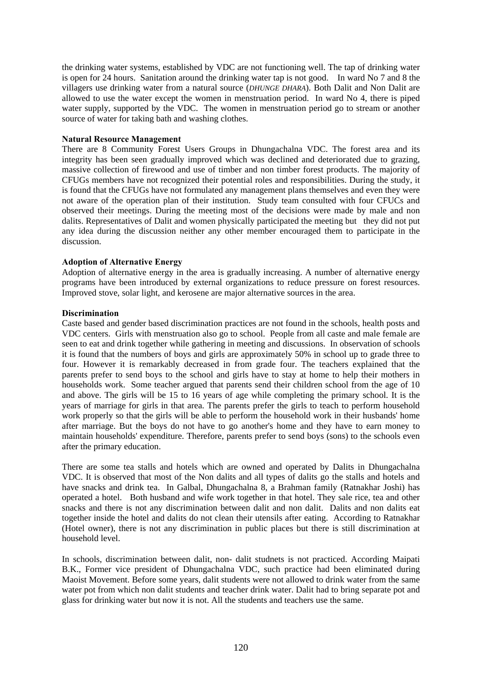the drinking water systems, established by VDC are not functioning well. The tap of drinking water is open for 24 hours. Sanitation around the drinking water tap is not good. In ward No 7 and 8 the villagers use drinking water from a natural source (*DHUNGE DHARA*). Both Dalit and Non Dalit are allowed to use the water except the women in menstruation period. In ward No 4, there is piped water supply, supported by the VDC. The women in menstruation period go to stream or another source of water for taking bath and washing clothes.

### **Natural Resource Management**

There are 8 Community Forest Users Groups in Dhungachalna VDC. The forest area and its integrity has been seen gradually improved which was declined and deteriorated due to grazing, massive collection of firewood and use of timber and non timber forest products. The majority of CFUGs members have not recognized their potential roles and responsibilities. During the study, it is found that the CFUGs have not formulated any management plans themselves and even they were not aware of the operation plan of their institution. Study team consulted with four CFUCs and observed their meetings. During the meeting most of the decisions were made by male and non dalits. Representatives of Dalit and women physically participated the meeting but they did not put any idea during the discussion neither any other member encouraged them to participate in the discussion.

#### **Adoption of Alternative Energy**

Adoption of alternative energy in the area is gradually increasing. A number of alternative energy programs have been introduced by external organizations to reduce pressure on forest resources. Improved stove, solar light, and kerosene are major alternative sources in the area.

#### **Discrimination**

Caste based and gender based discrimination practices are not found in the schools, health posts and VDC centers. Girls with menstruation also go to school. People from all caste and male female are seen to eat and drink together while gathering in meeting and discussions. In observation of schools it is found that the numbers of boys and girls are approximately 50% in school up to grade three to four. However it is remarkably decreased in from grade four. The teachers explained that the parents prefer to send boys to the school and girls have to stay at home to help their mothers in households work. Some teacher argued that parents send their children school from the age of 10 and above. The girls will be 15 to 16 years of age while completing the primary school. It is the years of marriage for girls in that area. The parents prefer the girls to teach to perform household work properly so that the girls will be able to perform the household work in their husbands' home after marriage. But the boys do not have to go another's home and they have to earn money to maintain households' expenditure. Therefore, parents prefer to send boys (sons) to the schools even after the primary education.

There are some tea stalls and hotels which are owned and operated by Dalits in Dhungachalna VDC. It is observed that most of the Non dalits and all types of dalits go the stalls and hotels and have snacks and drink tea. In Galbal, Dhungachalna 8, a Brahman family (Ratnakhar Joshi) has operated a hotel. Both husband and wife work together in that hotel. They sale rice, tea and other snacks and there is not any discrimination between dalit and non dalit. Dalits and non dalits eat together inside the hotel and dalits do not clean their utensils after eating. According to Ratnakhar (Hotel owner), there is not any discrimination in public places but there is still discrimination at household level.

In schools, discrimination between dalit, non- dalit studnets is not practiced. According Maipati B.K., Former vice president of Dhungachalna VDC, such practice had been eliminated during Maoist Movement. Before some years, dalit students were not allowed to drink water from the same water pot from which non dalit students and teacher drink water. Dalit had to bring separate pot and glass for drinking water but now it is not. All the students and teachers use the same.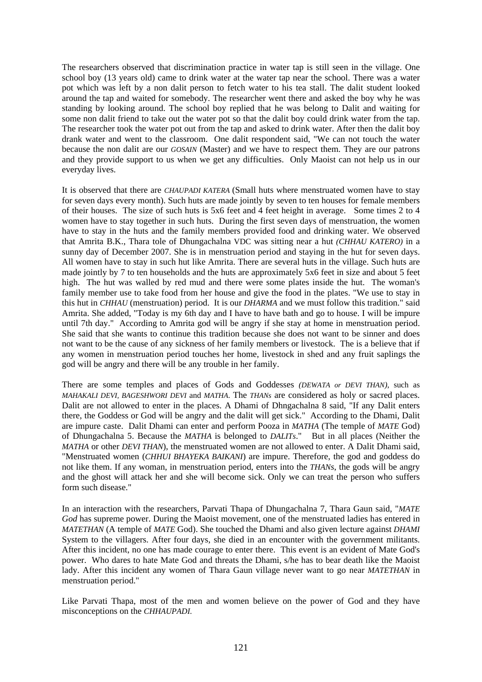The researchers observed that discrimination practice in water tap is still seen in the village. One school boy (13 years old) came to drink water at the water tap near the school. There was a water pot which was left by a non dalit person to fetch water to his tea stall. The dalit student looked around the tap and waited for somebody. The researcher went there and asked the boy why he was standing by looking around. The school boy replied that he was belong to Dalit and waiting for some non dalit friend to take out the water pot so that the dalit boy could drink water from the tap. The researcher took the water pot out from the tap and asked to drink water. After then the dalit boy drank water and went to the classroom. One dalit respondent said, "We can not touch the water because the non dalit are our *GOSAIN* (Master) and we have to respect them. They are our patrons and they provide support to us when we get any difficulties. Only Maoist can not help us in our everyday lives.

It is observed that there are *CHAUPADI KATERA* (Small huts where menstruated women have to stay for seven days every month). Such huts are made jointly by seven to ten houses for female members of their houses. The size of such huts is 5x6 feet and 4 feet height in average. Some times 2 to 4 women have to stay together in such huts. During the first seven days of menstruation, the women have to stay in the huts and the family members provided food and drinking water. We observed that Amrita B.K., Thara tole of Dhungachalna VDC was sitting near a hut *(CHHAU KATERO)* in a sunny day of December 2007. She is in menstruation period and staying in the hut for seven days. All women have to stay in such hut like Amrita. There are several huts in the village. Such huts are made jointly by 7 to ten households and the huts are approximately 5x6 feet in size and about 5 feet high. The hut was walled by red mud and there were some plates inside the hut. The woman's family member use to take food from her house and give the food in the plates. "We use to stay in this hut in *CHHAU* (menstruation) period. It is our *DHARMA* and we must follow this tradition." said Amrita. She added, "Today is my 6th day and I have to have bath and go to house. I will be impure until 7th day." According to Amrita god will be angry if she stay at home in menstruation period. She said that she wants to continue this tradition because she does not want to be sinner and does not want to be the cause of any sickness of her family members or livestock. The is a believe that if any women in menstruation period touches her home, livestock in shed and any fruit saplings the god will be angry and there will be any trouble in her family.

There are some temples and places of Gods and Goddesses *(DEWATA or DEVI THAN)*, such as *MAHAKALI DEVI, BAGESHWORI DEVI* and *MATHA*. The *THANs* are considered as holy or sacred places. Dalit are not allowed to enter in the places. A Dhami of Dhngachalna 8 said, "If any Dalit enters there, the Goddess or God will be angry and the dalit will get sick." According to the Dhami, Dalit are impure caste. Dalit Dhami can enter and perform Pooza in *MATHA* (The temple of *MATE* God) of Dhungachalna 5. Because the *MATHA* is belonged to *DALITs*." But in all places (Neither the *MATHA* or other *DEVI THAN*), the menstruated women are not allowed to enter. A Dalit Dhami said, "Menstruated women (*CHHUI BHAYEKA BAIKANI*) are impure. Therefore, the god and goddess do not like them. If any woman, in menstruation period, enters into the *THANs*, the gods will be angry and the ghost will attack her and she will become sick. Only we can treat the person who suffers form such disease."

In an interaction with the researchers, Parvati Thapa of Dhungachalna 7, Thara Gaun said, "*MATE God* has supreme power. During the Maoist movement, one of the menstruated ladies has entered in *MATETHAN* (A temple of *MATE* God). She touched the Dhami and also given lecture against *DHAMI* System to the villagers. After four days, she died in an encounter with the government militants. After this incident, no one has made courage to enter there. This event is an evident of Mate God's power. Who dares to hate Mate God and threats the Dhami, s/he has to bear death like the Maoist lady. After this incident any women of Thara Gaun village never want to go near *MATETHAN* in menstruation period."

Like Parvati Thapa, most of the men and women believe on the power of God and they have misconceptions on the *CHHAUPADI.*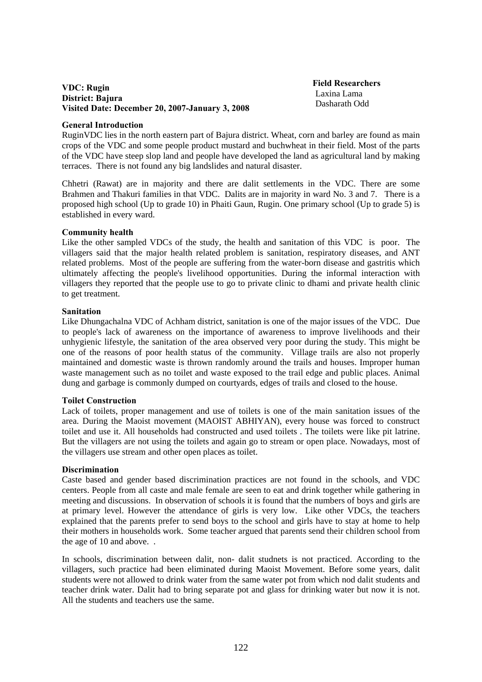# **VDC: Rugin District: Bajura Visited Date: December 20, 2007-January 3, 2008**

 **Field Researchers**  Laxina Lama Dasharath Odd

#### **General Introduction**

RuginVDC lies in the north eastern part of Bajura district. Wheat, corn and barley are found as main crops of the VDC and some people product mustard and buchwheat in their field. Most of the parts of the VDC have steep slop land and people have developed the land as agricultural land by making terraces. There is not found any big landslides and natural disaster.

Chhetri (Rawat) are in majority and there are dalit settlements in the VDC. There are some Brahmen and Thakuri families in that VDC. Dalits are in majority in ward No. 3 and 7. There is a proposed high school (Up to grade 10) in Phaiti Gaun, Rugin. One primary school (Up to grade 5) is established in every ward.

#### **Community health**

Like the other sampled VDCs of the study, the health and sanitation of this VDC is poor. The villagers said that the major health related problem is sanitation, respiratory diseases, and ANT related problems. Most of the people are suffering from the water-born disease and gastritis which ultimately affecting the people's livelihood opportunities. During the informal interaction with villagers they reported that the people use to go to private clinic to dhami and private health clinic to get treatment.

#### **Sanitation**

Like Dhungachalna VDC of Achham district, sanitation is one of the major issues of the VDC. Due to people's lack of awareness on the importance of awareness to improve livelihoods and their unhygienic lifestyle, the sanitation of the area observed very poor during the study. This might be one of the reasons of poor health status of the community. Village trails are also not properly maintained and domestic waste is thrown randomly around the trails and houses. Improper human waste management such as no toilet and waste exposed to the trail edge and public places. Animal dung and garbage is commonly dumped on courtyards, edges of trails and closed to the house.

#### **Toilet Construction**

Lack of toilets, proper management and use of toilets is one of the main sanitation issues of the area. During the Maoist movement (MAOIST ABHIYAN), every house was forced to construct toilet and use it. All households had constructed and used toilets . The toilets were like pit latrine. But the villagers are not using the toilets and again go to stream or open place. Nowadays, most of the villagers use stream and other open places as toilet.

# **Discrimination**

Caste based and gender based discrimination practices are not found in the schools, and VDC centers. People from all caste and male female are seen to eat and drink together while gathering in meeting and discussions. In observation of schools it is found that the numbers of boys and girls are at primary level. However the attendance of girls is very low. Like other VDCs, the teachers explained that the parents prefer to send boys to the school and girls have to stay at home to help their mothers in households work. Some teacher argued that parents send their children school from the age of 10 and above. .

In schools, discrimination between dalit, non- dalit studnets is not practiced. According to the villagers, such practice had been eliminated during Maoist Movement. Before some years, dalit students were not allowed to drink water from the same water pot from which nod dalit students and teacher drink water. Dalit had to bring separate pot and glass for drinking water but now it is not. All the students and teachers use the same.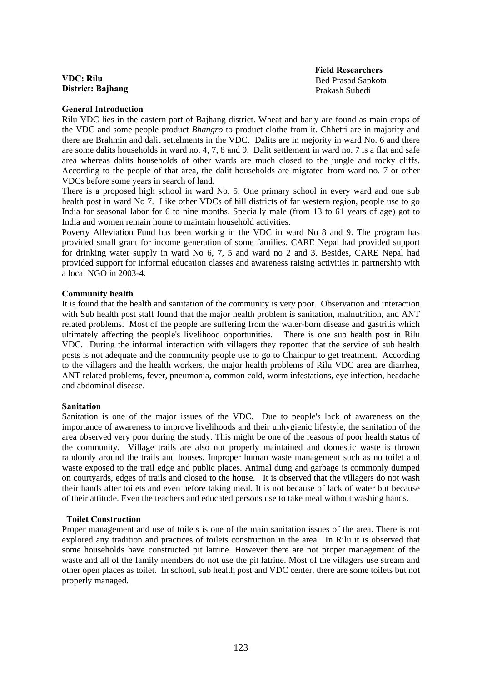**VDC: Rilu District: Bajhang**   **Field Researchers**  Bed Prasad Sapkota Prakash Subedi

#### **General Introduction**

Rilu VDC lies in the eastern part of Bajhang district. Wheat and barly are found as main crops of the VDC and some people product *Bhangro* to product clothe from it. Chhetri are in majority and there are Brahmin and dalit settelments in the VDC. Dalits are in mejority in ward No. 6 and there are some dalits households in ward no. 4, 7, 8 and 9. Dalit settlement in ward no. 7 is a flat and safe area whereas dalits households of other wards are much closed to the jungle and rocky cliffs. According to the people of that area, the dalit households are migrated from ward no. 7 or other VDCs before some years in search of land.

There is a proposed high school in ward No. 5. One primary school in every ward and one sub health post in ward No 7. Like other VDCs of hill districts of far western region, people use to go India for seasonal labor for 6 to nine months. Specially male (from 13 to 61 years of age) got to India and women remain home to maintain household activities.

Poverty Alleviation Fund has been working in the VDC in ward No 8 and 9. The program has provided small grant for income generation of some families. CARE Nepal had provided support for drinking water supply in ward No 6, 7, 5 and ward no 2 and 3. Besides, CARE Nepal had provided support for informal education classes and awareness raising activities in partnership with a local NGO in 2003-4.

#### **Community health**

It is found that the health and sanitation of the community is very poor. Observation and interaction with Sub health post staff found that the major health problem is sanitation, malnutrition, and ANT related problems. Most of the people are suffering from the water-born disease and gastritis which ultimately affecting the people's livelihood opportunities. There is one sub health post in Rilu VDC. During the informal interaction with villagers they reported that the service of sub health posts is not adequate and the community people use to go to Chainpur to get treatment. According to the villagers and the health workers, the major health problems of Rilu VDC area are diarrhea, ANT related problems, fever, pneumonia, common cold, worm infestations, eye infection, headache and abdominal disease.

#### **Sanitation**

Sanitation is one of the major issues of the VDC. Due to people's lack of awareness on the importance of awareness to improve livelihoods and their unhygienic lifestyle, the sanitation of the area observed very poor during the study. This might be one of the reasons of poor health status of the community. Village trails are also not properly maintained and domestic waste is thrown randomly around the trails and houses. Improper human waste management such as no toilet and waste exposed to the trail edge and public places. Animal dung and garbage is commonly dumped on courtyards, edges of trails and closed to the house. It is observed that the villagers do not wash their hands after toilets and even before taking meal. It is not because of lack of water but because of their attitude. Even the teachers and educated persons use to take meal without washing hands.

#### **Toilet Construction**

Proper management and use of toilets is one of the main sanitation issues of the area. There is not explored any tradition and practices of toilets construction in the area. In Rilu it is observed that some households have constructed pit latrine. However there are not proper management of the waste and all of the family members do not use the pit latrine. Most of the villagers use stream and other open places as toilet. In school, sub health post and VDC center, there are some toilets but not properly managed.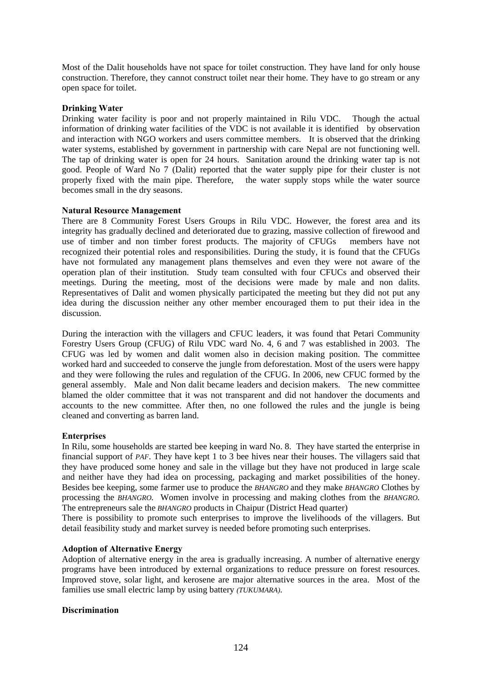Most of the Dalit households have not space for toilet construction. They have land for only house construction. Therefore, they cannot construct toilet near their home. They have to go stream or any open space for toilet.

# **Drinking Water**

Drinking water facility is poor and not properly maintained in Rilu VDC. Though the actual information of drinking water facilities of the VDC is not available it is identified by observation and interaction with NGO workers and users committee members. It is observed that the drinking water systems, established by government in partnership with care Nepal are not functioning well. The tap of drinking water is open for 24 hours. Sanitation around the drinking water tap is not good. People of Ward No 7 (Dalit) reported that the water supply pipe for their cluster is not properly fixed with the main pipe. Therefore, the water supply stops while the water source becomes small in the dry seasons.

# **Natural Resource Management**

There are 8 Community Forest Users Groups in Rilu VDC. However, the forest area and its integrity has gradually declined and deteriorated due to grazing, massive collection of firewood and use of timber and non timber forest products. The majority of CFUGs members have not recognized their potential roles and responsibilities. During the study, it is found that the CFUGs have not formulated any management plans themselves and even they were not aware of the operation plan of their institution. Study team consulted with four CFUCs and observed their meetings. During the meeting, most of the decisions were made by male and non dalits. Representatives of Dalit and women physically participated the meeting but they did not put any idea during the discussion neither any other member encouraged them to put their idea in the discussion.

During the interaction with the villagers and CFUC leaders, it was found that Petari Community Forestry Users Group (CFUG) of Rilu VDC ward No. 4, 6 and 7 was established in 2003. The CFUG was led by women and dalit women also in decision making position. The committee worked hard and succeeded to conserve the jungle from deforestation. Most of the users were happy and they were following the rules and regulation of the CFUG. In 2006, new CFUC formed by the general assembly. Male and Non dalit became leaders and decision makers. The new committee blamed the older committee that it was not transparent and did not handover the documents and accounts to the new committee. After then, no one followed the rules and the jungle is being cleaned and converting as barren land.

# **Enterprises**

In Rilu, some households are started bee keeping in ward No. 8. They have started the enterprise in financial support of *PAF*. They have kept 1 to 3 bee hives near their houses. The villagers said that they have produced some honey and sale in the village but they have not produced in large scale and neither have they had idea on processing, packaging and market possibilities of the honey. Besides bee keeping, some farmer use to produce the *BHANGRO* and they make *BHANGRO* Clothes by processing the *BHANGRO.* Women involve in processing and making clothes from the *BHANGRO.* The entrepreneurs sale the *BHANGRO* products in Chaipur (District Head quarter)

There is possibility to promote such enterprises to improve the livelihoods of the villagers. But detail feasibility study and market survey is needed before promoting such enterprises.

# **Adoption of Alternative Energy**

Adoption of alternative energy in the area is gradually increasing. A number of alternative energy programs have been introduced by external organizations to reduce pressure on forest resources. Improved stove, solar light, and kerosene are major alternative sources in the area. Most of the families use small electric lamp by using battery *(TUKUMARA)*.

# **Discrimination**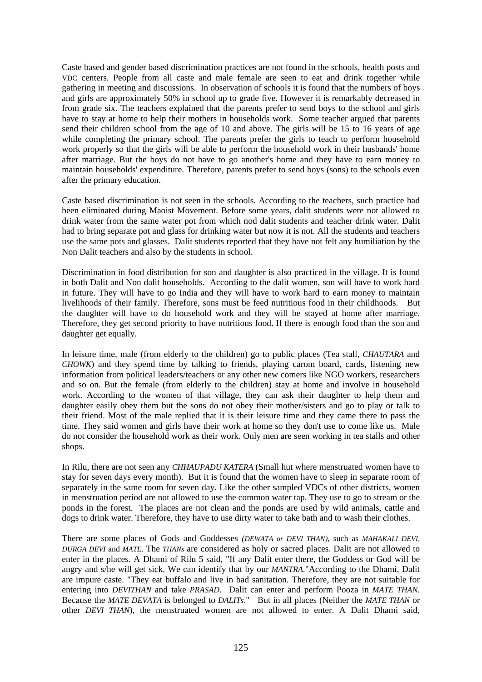Caste based and gender based discrimination practices are not found in the schools, health posts and VDC centers. People from all caste and male female are seen to eat and drink together while gathering in meeting and discussions. In observation of schools it is found that the numbers of boys and girls are approximately 50% in school up to grade five. However it is remarkably decreased in from grade six. The teachers explained that the parents prefer to send boys to the school and girls have to stay at home to help their mothers in households work. Some teacher argued that parents send their children school from the age of 10 and above. The girls will be 15 to 16 years of age while completing the primary school. The parents prefer the girls to teach to perform household work properly so that the girls will be able to perform the household work in their husbands' home after marriage. But the boys do not have to go another's home and they have to earn money to maintain households' expenditure. Therefore, parents prefer to send boys (sons) to the schools even after the primary education.

Caste based discrimination is not seen in the schools. According to the teachers, such practice had been eliminated during Maoist Movement. Before some years, dalit students were not allowed to drink water from the same water pot from which nod dalit students and teacher drink water. Dalit had to bring separate pot and glass for drinking water but now it is not. All the students and teachers use the same pots and glasses. Dalit students reported that they have not felt any humiliation by the Non Dalit teachers and also by the students in school.

Discrimination in food distribution for son and daughter is also practiced in the village. It is found in both Dalit and Non dalit households. According to the dalit women, son will have to work hard in future. They will have to go India and they will have to work hard to earn money to maintain livelihoods of their family. Therefore, sons must be feed nutritious food in their childhoods. But the daughter will have to do household work and they will be stayed at home after marriage. Therefore, they get second priority to have nutritious food. If there is enough food than the son and daughter get equally.

In leisure time, male (from elderly to the children) go to public places (Tea stall, *CHAUTARA* and *CHOWK*) and they spend time by talking to friends, playing carom board, cards, listening new information from political leaders/teachers or any other new comers like NGO workers, researchers and so on. But the female (from elderly to the children) stay at home and involve in household work. According to the women of that village, they can ask their daughter to help them and daughter easily obey them but the sons do not obey their mother/sisters and go to play or talk to their friend. Most of the male replied that it is their leisure time and they came there to pass the time. They said women and girls have their work at home so they don't use to come like us. Male do not consider the household work as their work. Only men are seen working in tea stalls and other shops.

In Rilu, there are not seen any *CHHAUPADU KATERA* (Small hut where menstruated women have to stay for seven days every month). But it is found that the women have to sleep in separate room of separately in the same room for seven day. Like the other sampled VDCs of other districts, women in menstruation period are not allowed to use the common water tap. They use to go to stream or the ponds in the forest. The places are not clean and the ponds are used by wild animals, cattle and dogs to drink water. Therefore, they have to use dirty water to take bath and to wash their clothes.

There are some places of Gods and Goddesses *(DEWATA or DEVI THAN)*, such as *MAHAKALI DEVI, DURGA DEVI* and *MATE*. The *THANs* are considered as holy or sacred places. Dalit are not allowed to enter in the places. A Dhami of Rilu 5 said, "If any Dalit enter there, the Goddess or God will be angry and s/he will get sick. We can identify that by our *MANTRA*."According to the Dhami, Dalit are impure caste. "They eat buffalo and live in bad sanitation. Therefore, they are not suitable for entering into *DEVITHAN* and take *PRASAD*. Dalit can enter and perform Pooza in *MATE THAN*. Because the *MATE DEVATA* is belonged to *DALITs*." But in all places (Neither the *MATE THAN* or other *DEVI THAN*), the menstruated women are not allowed to enter. A Dalit Dhami said,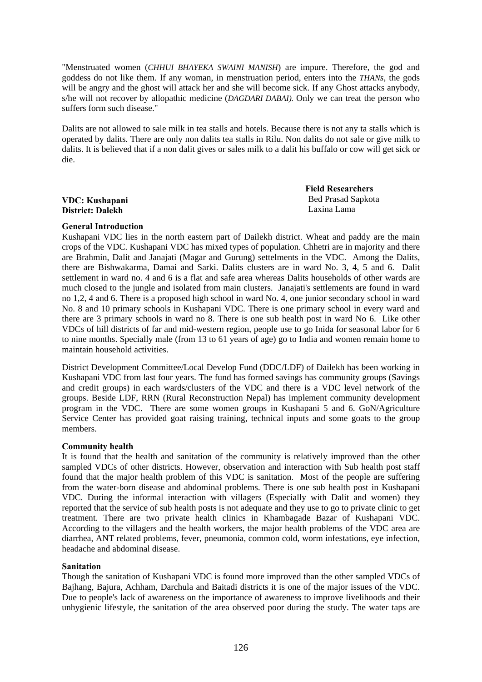"Menstruated women (*CHHUI BHAYEKA SWAINI MANISH*) are impure. Therefore, the god and goddess do not like them. If any woman, in menstruation period, enters into the *THANs*, the gods will be angry and the ghost will attack her and she will become sick. If any Ghost attacks anybody, s/he will not recover by allopathic medicine (*DAGDARI DABAI).* Only we can treat the person who suffers form such disease."

Dalits are not allowed to sale milk in tea stalls and hotels. Because there is not any ta stalls which is operated by dalits. There are only non dalits tea stalls in Rilu. Non dalits do not sale or give milk to dalits. It is believed that if a non dalit gives or sales milk to a dalit his buffalo or cow will get sick or die.

# **VDC: Kushapani District: Dalekh**

 **Field Researchers**  Bed Prasad Sapkota Laxina Lama

# **General Introduction**

Kushapani VDC lies in the north eastern part of Dailekh district. Wheat and paddy are the main crops of the VDC. Kushapani VDC has mixed types of population. Chhetri are in majority and there are Brahmin, Dalit and Janajati (Magar and Gurung) settelments in the VDC. Among the Dalits, there are Bishwakarma, Damai and Sarki. Dalits clusters are in ward No. 3, 4, 5 and 6. Dalit settlement in ward no. 4 and 6 is a flat and safe area whereas Dalits households of other wards are much closed to the jungle and isolated from main clusters. Janajati's settlements are found in ward no 1,2, 4 and 6. There is a proposed high school in ward No. 4, one junior secondary school in ward No. 8 and 10 primary schools in Kushapani VDC. There is one primary school in every ward and there are 3 primary schools in ward no 8. There is one sub health post in ward No 6. Like other VDCs of hill districts of far and mid-western region, people use to go Inida for seasonal labor for 6 to nine months. Specially male (from 13 to 61 years of age) go to India and women remain home to maintain household activities.

District Development Committee/Local Develop Fund (DDC/LDF) of Dailekh has been working in Kushapani VDC from last four years. The fund has formed savings has community groups (Savings and credit groups) in each wards/clusters of the VDC and there is a VDC level network of the groups. Beside LDF, RRN (Rural Reconstruction Nepal) has implement community development program in the VDC. There are some women groups in Kushapani 5 and 6. GoN/Agriculture Service Center has provided goat raising training, technical inputs and some goats to the group members.

# **Community health**

It is found that the health and sanitation of the community is relatively improved than the other sampled VDCs of other districts. However, observation and interaction with Sub health post staff found that the major health problem of this VDC is sanitation. Most of the people are suffering from the water-born disease and abdominal problems. There is one sub health post in Kushapani VDC. During the informal interaction with villagers (Especially with Dalit and women) they reported that the service of sub health posts is not adequate and they use to go to private clinic to get treatment. There are two private health clinics in Khambagade Bazar of Kushapani VDC. According to the villagers and the health workers, the major health problems of the VDC area are diarrhea, ANT related problems, fever, pneumonia, common cold, worm infestations, eye infection, headache and abdominal disease.

# **Sanitation**

Though the sanitation of Kushapani VDC is found more improved than the other sampled VDCs of Bajhang, Bajura, Achham, Darchula and Baitadi districts it is one of the major issues of the VDC. Due to people's lack of awareness on the importance of awareness to improve livelihoods and their unhygienic lifestyle, the sanitation of the area observed poor during the study. The water taps are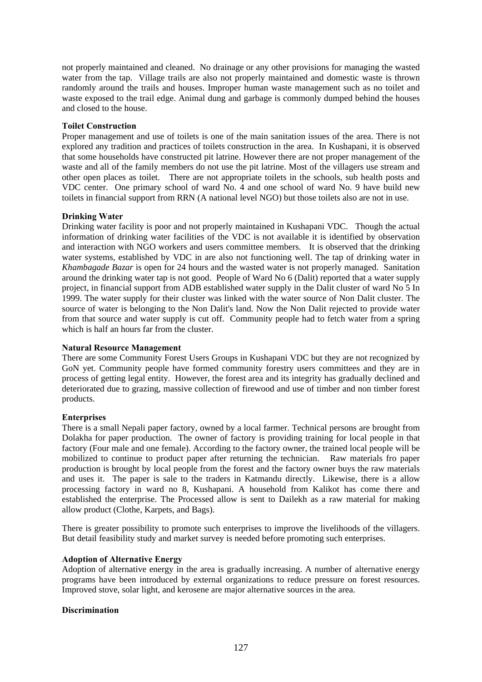not properly maintained and cleaned. No drainage or any other provisions for managing the wasted water from the tap. Village trails are also not properly maintained and domestic waste is thrown randomly around the trails and houses. Improper human waste management such as no toilet and waste exposed to the trail edge. Animal dung and garbage is commonly dumped behind the houses and closed to the house.

# **Toilet Construction**

Proper management and use of toilets is one of the main sanitation issues of the area. There is not explored any tradition and practices of toilets construction in the area. In Kushapani, it is observed that some households have constructed pit latrine. However there are not proper management of the waste and all of the family members do not use the pit latrine. Most of the villagers use stream and other open places as toilet. There are not appropriate toilets in the schools, sub health posts and VDC center. One primary school of ward No. 4 and one school of ward No. 9 have build new toilets in financial support from RRN (A national level NGO) but those toilets also are not in use.

# **Drinking Water**

Drinking water facility is poor and not properly maintained in Kushapani VDC. Though the actual information of drinking water facilities of the VDC is not available it is identified by observation and interaction with NGO workers and users committee members. It is observed that the drinking water systems, established by VDC in are also not functioning well. The tap of drinking water in *Khambagade Bazar* is open for 24 hours and the wasted water is not properly managed. Sanitation around the drinking water tap is not good. People of Ward No 6 (Dalit) reported that a water supply project, in financial support from ADB established water supply in the Dalit cluster of ward No 5 In 1999. The water supply for their cluster was linked with the water source of Non Dalit cluster. The source of water is belonging to the Non Dalit's land. Now the Non Dalit rejected to provide water from that source and water supply is cut off. Community people had to fetch water from a spring which is half an hours far from the cluster.

# **Natural Resource Management**

There are some Community Forest Users Groups in Kushapani VDC but they are not recognized by GoN yet. Community people have formed community forestry users committees and they are in process of getting legal entity. However, the forest area and its integrity has gradually declined and deteriorated due to grazing, massive collection of firewood and use of timber and non timber forest products.

# **Enterprises**

There is a small Nepali paper factory, owned by a local farmer. Technical persons are brought from Dolakha for paper production. The owner of factory is providing training for local people in that factory (Four male and one female). According to the factory owner, the trained local people will be mobilized to continue to product paper after returning the technician. Raw materials fro paper production is brought by local people from the forest and the factory owner buys the raw materials and uses it. The paper is sale to the traders in Katmandu directly. Likewise, there is a allow processing factory in ward no 8, Kushapani. A household from Kalikot has come there and established the enterprise. The Processed allow is sent to Dailekh as a raw material for making allow product (Clothe, Karpets, and Bags).

There is greater possibility to promote such enterprises to improve the livelihoods of the villagers. But detail feasibility study and market survey is needed before promoting such enterprises.

# **Adoption of Alternative Energy**

Adoption of alternative energy in the area is gradually increasing. A number of alternative energy programs have been introduced by external organizations to reduce pressure on forest resources. Improved stove, solar light, and kerosene are major alternative sources in the area.

# **Discrimination**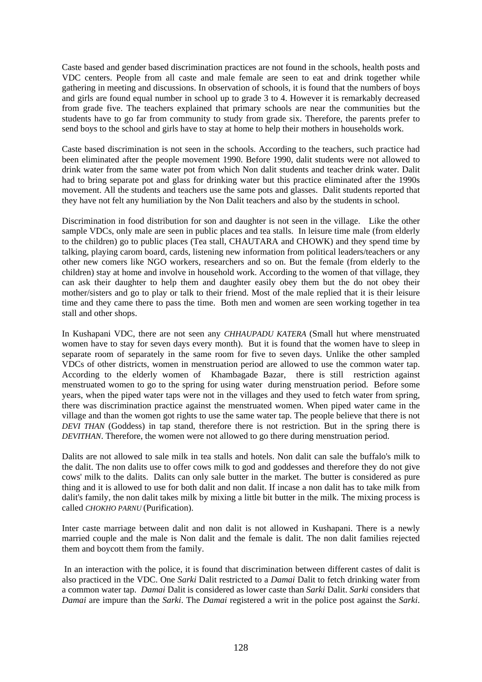Caste based and gender based discrimination practices are not found in the schools, health posts and VDC centers. People from all caste and male female are seen to eat and drink together while gathering in meeting and discussions. In observation of schools, it is found that the numbers of boys and girls are found equal number in school up to grade 3 to 4. However it is remarkably decreased from grade five. The teachers explained that primary schools are near the communities but the students have to go far from community to study from grade six. Therefore, the parents prefer to send boys to the school and girls have to stay at home to help their mothers in households work.

Caste based discrimination is not seen in the schools. According to the teachers, such practice had been eliminated after the people movement 1990. Before 1990, dalit students were not allowed to drink water from the same water pot from which Non dalit students and teacher drink water. Dalit had to bring separate pot and glass for drinking water but this practice eliminated after the 1990s movement. All the students and teachers use the same pots and glasses. Dalit students reported that they have not felt any humiliation by the Non Dalit teachers and also by the students in school.

Discrimination in food distribution for son and daughter is not seen in the village. Like the other sample VDCs, only male are seen in public places and tea stalls. In leisure time male (from elderly to the children) go to public places (Tea stall, CHAUTARA and CHOWK) and they spend time by talking, playing carom board, cards, listening new information from political leaders/teachers or any other new comers like NGO workers, researchers and so on. But the female (from elderly to the children) stay at home and involve in household work. According to the women of that village, they can ask their daughter to help them and daughter easily obey them but the do not obey their mother/sisters and go to play or talk to their friend. Most of the male replied that it is their leisure time and they came there to pass the time. Both men and women are seen working together in tea stall and other shops.

In Kushapani VDC, there are not seen any *CHHAUPADU KATERA* (Small hut where menstruated women have to stay for seven days every month). But it is found that the women have to sleep in separate room of separately in the same room for five to seven days. Unlike the other sampled VDCs of other districts, women in menstruation period are allowed to use the common water tap. According to the elderly women of Khambagade Bazar, there is still restriction against menstruated women to go to the spring for using water during menstruation period. Before some years, when the piped water taps were not in the villages and they used to fetch water from spring, there was discrimination practice against the menstruated women. When piped water came in the village and than the women got rights to use the same water tap. The people believe that there is not *DEVI THAN* (Goddess) in tap stand, therefore there is not restriction. But in the spring there is *DEVITHAN*. Therefore, the women were not allowed to go there during menstruation period.

Dalits are not allowed to sale milk in tea stalls and hotels. Non dalit can sale the buffalo's milk to the dalit. The non dalits use to offer cows milk to god and goddesses and therefore they do not give cows' milk to the dalits. Dalits can only sale butter in the market. The butter is considered as pure thing and it is allowed to use for both dalit and non dalit. If incase a non dalit has to take milk from dalit's family, the non dalit takes milk by mixing a little bit butter in the milk. The mixing process is called *CHOKHO PARNU* (Purification).

Inter caste marriage between dalit and non dalit is not allowed in Kushapani. There is a newly married couple and the male is Non dalit and the female is dalit. The non dalit families rejected them and boycott them from the family.

 In an interaction with the police, it is found that discrimination between different castes of dalit is also practiced in the VDC. One *Sarki* Dalit restricted to a *Damai* Dalit to fetch drinking water from a common water tap. *Damai* Dalit is considered as lower caste than *Sarki* Dalit. *Sarki* considers that *Damai* are impure than the *Sarki*. The *Damai* registered a writ in the police post against the *Sarki*.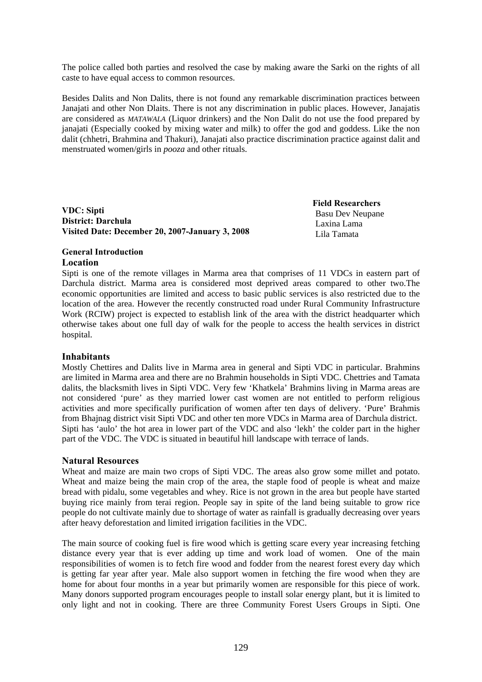The police called both parties and resolved the case by making aware the Sarki on the rights of all caste to have equal access to common resources.

Besides Dalits and Non Dalits, there is not found any remarkable discrimination practices between Janajati and other Non Dlaits. There is not any discrimination in public places. However, Janajatis are considered as *MATAWALA* (Liquor drinkers) and the Non Dalit do not use the food prepared by janajati (Especially cooked by mixing water and milk) to offer the god and goddess. Like the non dalit (chhetri, Brahmina and Thakuri), Janajati also practice discrimination practice against dalit and menstruated women/girls in *pooza* and other rituals.

**VDC: Sipti District: Darchula Visited Date: December 20, 2007-January 3, 2008**   **Field Researchers**  Basu Dev Neupane Laxina Lama Lila Tamata

# **General Introduction Location**

Sipti is one of the remote villages in Marma area that comprises of 11 VDCs in eastern part of Darchula district. Marma area is considered most deprived areas compared to other two.The economic opportunities are limited and access to basic public services is also restricted due to the location of the area. However the recently constructed road under Rural Community Infrastructure Work (RCIW) project is expected to establish link of the area with the district headquarter which otherwise takes about one full day of walk for the people to access the health services in district hospital.

# **Inhabitants**

Mostly Chettires and Dalits live in Marma area in general and Sipti VDC in particular. Brahmins are limited in Marma area and there are no Brahmin households in Sipti VDC. Chettries and Tamata dalits, the blacksmith lives in Sipti VDC. Very few 'Khatkela' Brahmins living in Marma areas are not considered 'pure' as they married lower cast women are not entitled to perform religious activities and more specifically purification of women after ten days of delivery. 'Pure' Brahmis from Bhajnag district visit Sipti VDC and other ten more VDCs in Marma area of Darchula district. Sipti has 'aulo' the hot area in lower part of the VDC and also 'lekh' the colder part in the higher part of the VDC. The VDC is situated in beautiful hill landscape with terrace of lands.

# **Natural Resources**

Wheat and maize are main two crops of Sipti VDC. The areas also grow some millet and potato. Wheat and maize being the main crop of the area, the staple food of people is wheat and maize bread with pidalu, some vegetables and whey. Rice is not grown in the area but people have started buying rice mainly from terai region. People say in spite of the land being suitable to grow rice people do not cultivate mainly due to shortage of water as rainfall is gradually decreasing over years after heavy deforestation and limited irrigation facilities in the VDC.

The main source of cooking fuel is fire wood which is getting scare every year increasing fetching distance every year that is ever adding up time and work load of women. One of the main responsibilities of women is to fetch fire wood and fodder from the nearest forest every day which is getting far year after year. Male also support women in fetching the fire wood when they are home for about four months in a year but primarily women are responsible for this piece of work. Many donors supported program encourages people to install solar energy plant, but it is limited to only light and not in cooking. There are three Community Forest Users Groups in Sipti. One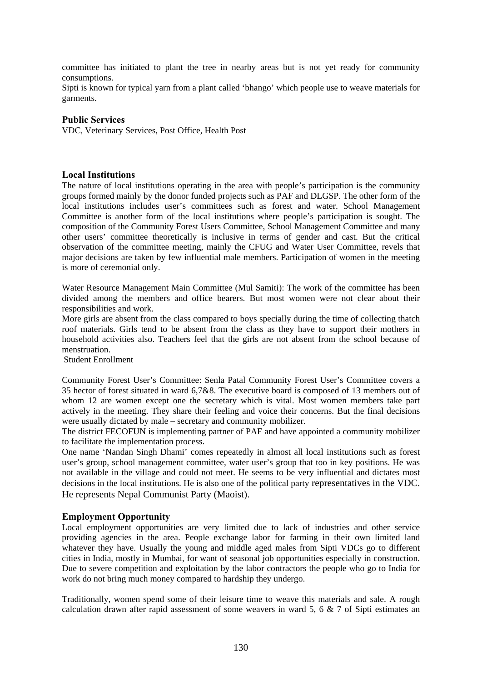committee has initiated to plant the tree in nearby areas but is not yet ready for community consumptions.

Sipti is known for typical yarn from a plant called 'bhango' which people use to weave materials for garments.

# **Public Services**

VDC, Veterinary Services, Post Office, Health Post

# **Local Institutions**

The nature of local institutions operating in the area with people's participation is the community groups formed mainly by the donor funded projects such as PAF and DLGSP. The other form of the local institutions includes user's committees such as forest and water. School Management Committee is another form of the local institutions where people's participation is sought. The composition of the Community Forest Users Committee, School Management Committee and many other users' committee theoretically is inclusive in terms of gender and cast. But the critical observation of the committee meeting, mainly the CFUG and Water User Committee, revels that major decisions are taken by few influential male members. Participation of women in the meeting is more of ceremonial only.

Water Resource Management Main Committee (Mul Samiti): The work of the committee has been divided among the members and office bearers. But most women were not clear about their responsibilities and work.

More girls are absent from the class compared to boys specially during the time of collecting thatch roof materials. Girls tend to be absent from the class as they have to support their mothers in household activities also. Teachers feel that the girls are not absent from the school because of menstruation.

Student Enrollment

Community Forest User's Committee: Senla Patal Community Forest User's Committee covers a 35 hector of forest situated in ward 6,7&8. The executive board is composed of 13 members out of whom 12 are women except one the secretary which is vital. Most women members take part actively in the meeting. They share their feeling and voice their concerns. But the final decisions were usually dictated by male – secretary and community mobilizer.

The district FECOFUN is implementing partner of PAF and have appointed a community mobilizer to facilitate the implementation process.

One name 'Nandan Singh Dhami' comes repeatedly in almost all local institutions such as forest user's group, school management committee, water user's group that too in key positions. He was not available in the village and could not meet. He seems to be very influential and dictates most decisions in the local institutions. He is also one of the political party representatives in the VDC. He represents Nepal Communist Party (Maoist).

# **Employment Opportunity**

Local employment opportunities are very limited due to lack of industries and other service providing agencies in the area. People exchange labor for farming in their own limited land whatever they have. Usually the young and middle aged males from Sipti VDCs go to different cities in India, mostly in Mumbai, for want of seasonal job opportunities especially in construction. Due to severe competition and exploitation by the labor contractors the people who go to India for work do not bring much money compared to hardship they undergo.

Traditionally, women spend some of their leisure time to weave this materials and sale. A rough calculation drawn after rapid assessment of some weavers in ward 5, 6  $\&$  7 of Sipti estimates an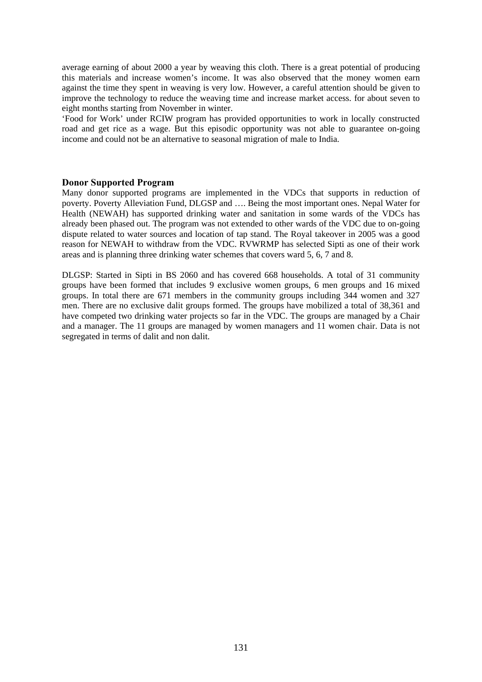average earning of about 2000 a year by weaving this cloth. There is a great potential of producing this materials and increase women's income. It was also observed that the money women earn against the time they spent in weaving is very low. However, a careful attention should be given to improve the technology to reduce the weaving time and increase market access. for about seven to eight months starting from November in winter.

'Food for Work' under RCIW program has provided opportunities to work in locally constructed road and get rice as a wage. But this episodic opportunity was not able to guarantee on-going income and could not be an alternative to seasonal migration of male to India.

# **Donor Supported Program**

Many donor supported programs are implemented in the VDCs that supports in reduction of poverty. Poverty Alleviation Fund, DLGSP and …. Being the most important ones. Nepal Water for Health (NEWAH) has supported drinking water and sanitation in some wards of the VDCs has already been phased out. The program was not extended to other wards of the VDC due to on-going dispute related to water sources and location of tap stand. The Royal takeover in 2005 was a good reason for NEWAH to withdraw from the VDC. RVWRMP has selected Sipti as one of their work areas and is planning three drinking water schemes that covers ward 5, 6, 7 and 8.

DLGSP: Started in Sipti in BS 2060 and has covered 668 households. A total of 31 community groups have been formed that includes 9 exclusive women groups, 6 men groups and 16 mixed groups. In total there are 671 members in the community groups including 344 women and 327 men. There are no exclusive dalit groups formed. The groups have mobilized a total of 38,361 and have competed two drinking water projects so far in the VDC. The groups are managed by a Chair and a manager. The 11 groups are managed by women managers and 11 women chair. Data is not segregated in terms of dalit and non dalit.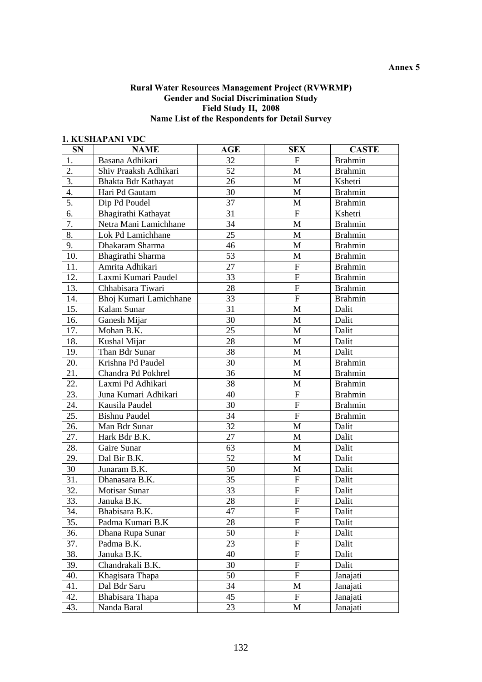# **Annex 5**

# **Rural Water Resources Management Project (RVWRMP) Gender and Social Discrimination Study Field Study II, 2008 Name List of the Respondents for Detail Survey**

# **1. KUSHAPANI VDC**

| <b>SN</b> | <b>NAME</b>            | AGE | <b>SEX</b>                | <b>CASTE</b>   |
|-----------|------------------------|-----|---------------------------|----------------|
| 1.        | Basana Adhikari        | 32  | $\mathbf F$               | <b>Brahmin</b> |
| 2.        | Shiv Praaksh Adhikari  | 52  | $\mathbf M$               | <b>Brahmin</b> |
| 3.        | Bhakta Bdr Kathayat    | 26  | M                         | Kshetri        |
| 4.        | Hari Pd Gautam         | 30  | $\mathbf{M}$              | <b>Brahmin</b> |
| 5.        | Dip Pd Poudel          | 37  | M                         | <b>Brahmin</b> |
| 6.        | Bhagirathi Kathayat    | 31  | ${\bf F}$                 | Kshetri        |
| 7.        | Netra Mani Lamichhane  | 34  | $\mathbf{M}$              | <b>Brahmin</b> |
| 8.        | Lok Pd Lamichhane      | 25  | $\mathbf{M}$              | <b>Brahmin</b> |
| 9.        | Dhakaram Sharma        | 46  | M                         | <b>Brahmin</b> |
| 10.       | Bhagirathi Sharma      | 53  | M                         | <b>Brahmin</b> |
| 11.       | Amrita Adhikari        | 27  | ${\bf F}$                 | <b>Brahmin</b> |
| 12.       | Laxmi Kumari Paudel    | 33  | ${\bf F}$                 | <b>Brahmin</b> |
| 13.       | Chhabisara Tiwari      | 28  | ${\bf F}$                 | <b>Brahmin</b> |
| 14.       | Bhoj Kumari Lamichhane | 33  | ${\bf F}$                 | <b>Brahmin</b> |
| 15.       | Kalam Sunar            | 31  | $\mathbf M$               | Dalit          |
| 16.       | Ganesh Mijar           | 30  | M                         | Dalit          |
| 17.       | Mohan B.K.             | 25  | M                         | Dalit          |
| 18.       | Kushal Mijar           | 28  | M                         | Dalit          |
| 19.       | Than Bdr Sunar         | 38  | $\mathbf{M}$              | Dalit          |
| 20.       | Krishna Pd Paudel      | 30  | $\mathbf{M}$              | <b>Brahmin</b> |
| 21.       | Chandra Pd Pokhrel     | 36  | M                         | <b>Brahmin</b> |
| 22.       | Laxmi Pd Adhikari      | 38  | M                         | <b>Brahmin</b> |
| 23.       | Juna Kumari Adhikari   | 40  | ${\bf F}$                 | <b>Brahmin</b> |
| 24.       | Kausila Paudel         | 30  | ${\bf F}$                 | <b>Brahmin</b> |
| 25.       | <b>Bishnu Paudel</b>   | 34  | ${\bf F}$                 | <b>Brahmin</b> |
| 26.       | Man Bdr Sunar          | 32  | $\mathbf{M}$              | Dalit          |
| 27.       | Hark Bdr B.K.          | 27  | M                         | Dalit          |
| 28.       | Gaire Sunar            | 63  | $\mathbf{M}$              | Dalit          |
| 29.       | Dal Bir B.K.           | 52  | M                         | Dalit          |
| 30        | Junaram B.K.           | 50  | M                         | Dalit          |
| 31.       | Dhanasara B.K.         | 35  | ${\bf F}$                 | Dalit          |
| 32.       | <b>Motisar Sunar</b>   | 33  | ${\bf F}$                 | Dalit          |
| 33.       | Januka B.K.            | 28  | ${\bf F}$                 | Dalit          |
| 34.       | Bhabisara B.K.         | 47  | $\boldsymbol{\mathrm{F}}$ | Dalit          |
| 35.       | Padma Kumari B.K       | 28  | ${\bf F}$                 | Dalit          |
| 36.       | Dhana Rupa Sunar       | 50  | ${\bf F}$                 | Dalit          |
| 37.       | Padma B.K.             | 23  | $\boldsymbol{\mathrm{F}}$ | Dalit          |
| 38.       | Januka B.K.            | 40  | ${\rm F}$                 | Dalit          |
| 39.       | Chandrakali B.K.       | 30  | ${\bf F}$                 | Dalit          |
| 40.       | Khagisara Thapa        | 50  | ${\bf F}$                 | Janajati       |
| 41.       | Dal Bdr Saru           | 34  | M                         | Janajati       |
| 42.       | Bhabisara Thapa        | 45  | F                         | Janajati       |
| 43.       | Nanda Baral            | 23  | M                         | Janajati       |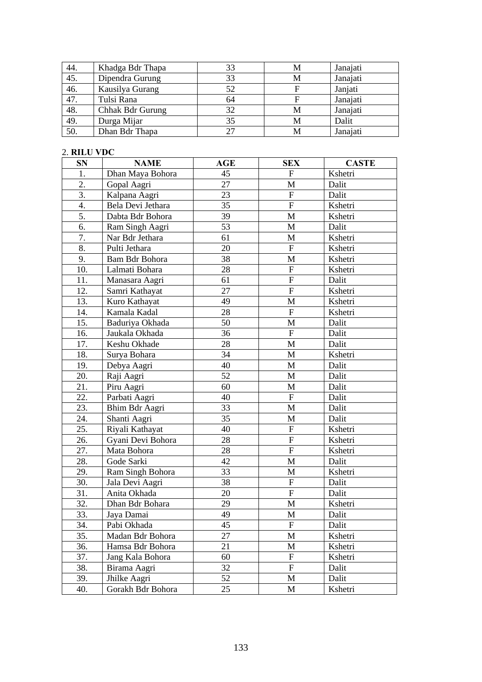| 44.               | Khadga Bdr Thapa | 33 | M | Janajati |
|-------------------|------------------|----|---|----------|
| 45.               | Dipendra Gurung  | 33 | М | Janajati |
| 46.               | Kausilya Gurang  | 52 |   | Janjati  |
| $\overline{47}$ . | Tulsi Rana       | 64 |   | Janajati |
| 48.               | Chhak Bdr Gurung | 32 | М | Janajati |
| 49.               | Durga Mijar      | 35 | M | Dalit    |
| 50.               | Dhan Bdr Thapa   | 27 |   | Janajati |

# 2. **RILU VDC**

| <b>SN</b> | <b>NAME</b>       | <b>AGE</b> | <b>SEX</b>                | <b>CASTE</b> |
|-----------|-------------------|------------|---------------------------|--------------|
| 1.        | Dhan Maya Bohora  | 45         | $\boldsymbol{\mathrm{F}}$ | Kshetri      |
| 2.        | Gopal Aagri       | 27         | $\mathbf{M}$              | Dalit        |
| 3.        | Kalpana Aagri     | 23         | $\mathbf{F}$              | Dalit        |
| 4.        | Bela Devi Jethara | 35         | ${\bf F}$                 | Kshetri      |
| 5.        | Dabta Bdr Bohora  | 39         | M                         | Kshetri      |
| 6.        | Ram Singh Aagri   | 53         | M                         | Dalit        |
| 7.        | Nar Bdr Jethara   | 61         | $\mathbf{M}$              | Kshetri      |
| 8.        | Pulti Jethara     | 20         | $\mathbf{F}$              | Kshetri      |
| 9.        | Bam Bdr Bohora    | 38         | M                         | Kshetri      |
| 10.       | Lalmati Bohara    | 28         | ${\bf F}$                 | Kshetri      |
| 11.       | Manasara Aagri    | 61         | $\boldsymbol{\mathrm{F}}$ | Dalit        |
| 12.       | Samri Kathayat    | 27         | ${\bf F}$                 | Kshetri      |
| 13.       | Kuro Kathayat     | 49         | M                         | Kshetri      |
| 14.       | Kamala Kadal      | 28         | $\overline{F}$            | Kshetri      |
| 15.       | Baduriya Okhada   | 50         | M                         | Dalit        |
| 16.       | Jaukala Okhada    | 36         | ${\bf F}$                 | Dalit        |
| 17.       | Keshu Okhade      | 28         | M                         | Dalit        |
| 18.       | Surya Bohara      | 34         | $\mathbf{M}$              | Kshetri      |
| 19.       | Debya Aagri       | 40         | M                         | Dalit        |
| 20.       | Raji Aagri        | 52         | M                         | Dalit        |
| 21.       | Piru Aagri        | 60         | M                         | Dalit        |
| 22.       | Parbati Aagri     | 40         | $\mathbf F$               | Dalit        |
| 23.       | Bhim Bdr Aagri    | 33         | M                         | Dalit        |
| 24.       | Shanti Aagri      | 35         | M                         | Dalit        |
| 25.       | Riyali Kathayat   | 40         | ${\bf F}$                 | Kshetri      |
| 26.       | Gyani Devi Bohora | 28         | $\boldsymbol{\mathrm{F}}$ | Kshetri      |
| 27.       | Mata Bohora       | 28         | $\overline{F}$            | Kshetri      |
| 28.       | Gode Sarki        | 42         | $\mathbf{M}$              | Dalit        |
| 29.       | Ram Singh Bohora  | 33         | M                         | Kshetri      |
| 30.       | Jala Devi Aagri   | 38         | ${\bf F}$                 | Dalit        |
| 31.       | Anita Okhada      | 20         | ${\bf F}$                 | Dalit        |
| 32.       | Dhan Bdr Bohara   | 29         | M                         | Kshetri      |
| 33.       | Jaya Damai        | 49         | $\mathbf{M}$              | Dalit        |
| 34.       | Pabi Okhada       | 45         | $\mathbf F$               | Dalit        |
| 35.       | Madan Bdr Bohora  | 27         | M                         | Kshetri      |
| 36.       | Hamsa Bdr Bohora  | 21         | M                         | Kshetri      |
| 37.       | Jang Kala Bohora  | 60         | $\mathbf F$               | Kshetri      |
| 38.       | Birama Aagri      | 32         | ${\bf F}$                 | Dalit        |
| 39.       | Jhilke Aagri      | 52         | M                         | Dalit        |
| 40.       | Gorakh Bdr Bohora | 25         | M                         | Kshetri      |